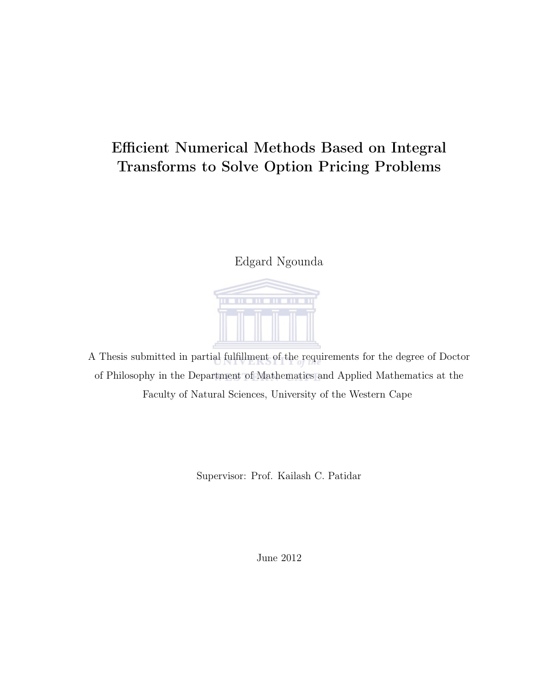### Efficient Numerical Methods Based on Integral Transforms to Solve Option Pricing Problems

Edgard Ngounda



A Thesis submitted in partial fulfillment of the requirements for the degree of Doctor of Philosophy in the Department of Mathematics and Applied Mathematics at the Faculty of Natural Sciences, University of the Western Cape

Supervisor: Prof. Kailash C. Patidar

June 2012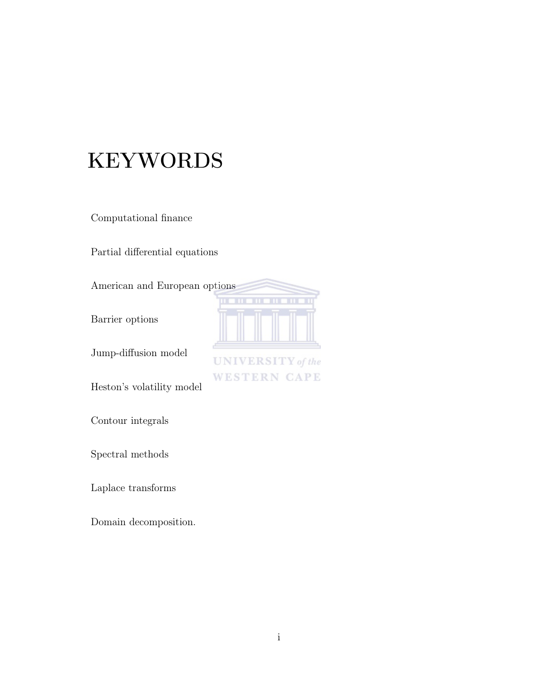# KEYWORDS

Computational finance

Partial differential equations

American and European options

Barrier options

Jump-diffusion model

Heston's volatility model

Contour integrals

Spectral methods

Laplace transforms

Domain decomposition.



**UNIVERSITY** of the **WESTERN CAPE**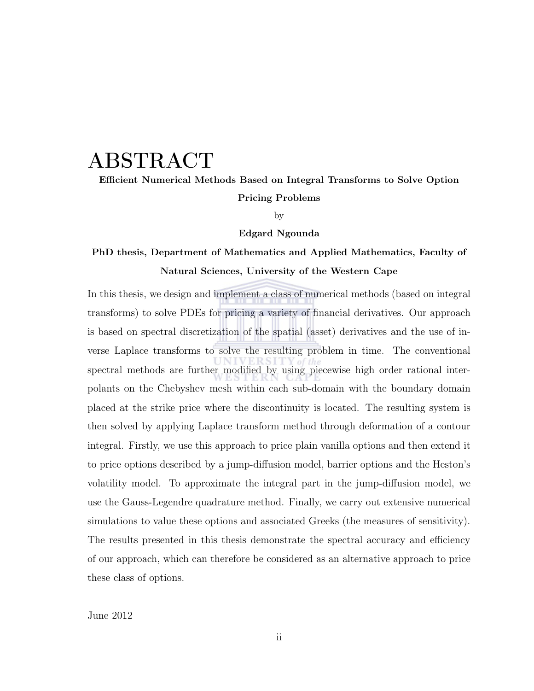## ABSTRACT

#### Efficient Numerical Methods Based on Integral Transforms to Solve Option Pricing Problems

by

#### Edgard Ngounda

#### PhD thesis, Department of Mathematics and Applied Mathematics, Faculty of Natural Sciences, University of the Western Cape

In this thesis, we design and implement a class of numerical methods (based on integral transforms) to solve PDEs for pricing a variety of financial derivatives. Our approach is based on spectral discretization of the spatial (asset) derivatives and the use of inverse Laplace transforms to solve the resulting problem in time. The conventional spectral methods are further modified by using piecewise high order rational interpolants on the Chebyshev mesh within each sub-domain with the boundary domain placed at the strike price where the discontinuity is located. The resulting system is then solved by applying Laplace transform method through deformation of a contour integral. Firstly, we use this approach to price plain vanilla options and then extend it to price options described by a jump-diffusion model, barrier options and the Heston's volatility model. To approximate the integral part in the jump-diffusion model, we use the Gauss-Legendre quadrature method. Finally, we carry out extensive numerical simulations to value these options and associated Greeks (the measures of sensitivity). The results presented in this thesis demonstrate the spectral accuracy and efficiency of our approach, which can therefore be considered as an alternative approach to price these class of options.

June 2012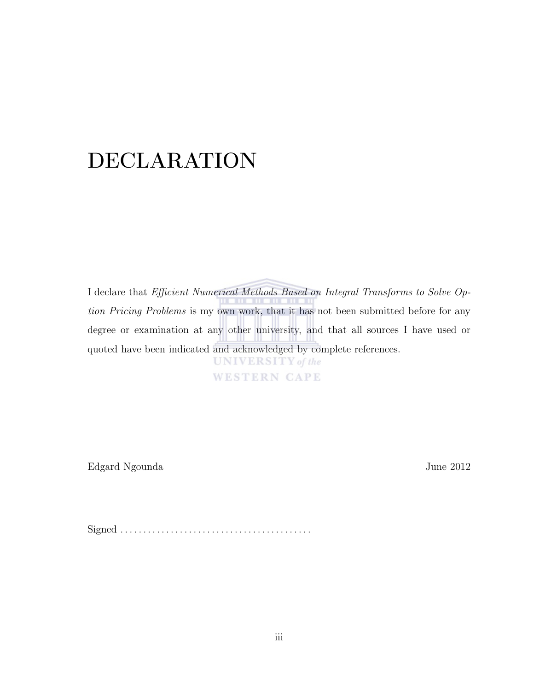# DECLARATION

I declare that *Efficient Numerical Methods Based on Integral Transforms to Solve Option Pricing Problems* is my own work, that it has not been submitted before for any degree or examination at any other university, and that all sources I have used or quoted have been indicated and acknowledged by complete references. **UNIVERSITY** of the

**WESTERN CAPE** 

Edgard Ngounda June 2012

Signed . . . . . .. . .. . .. . .. . .. . .. . .. . .. . . . . .. . .. . .. . .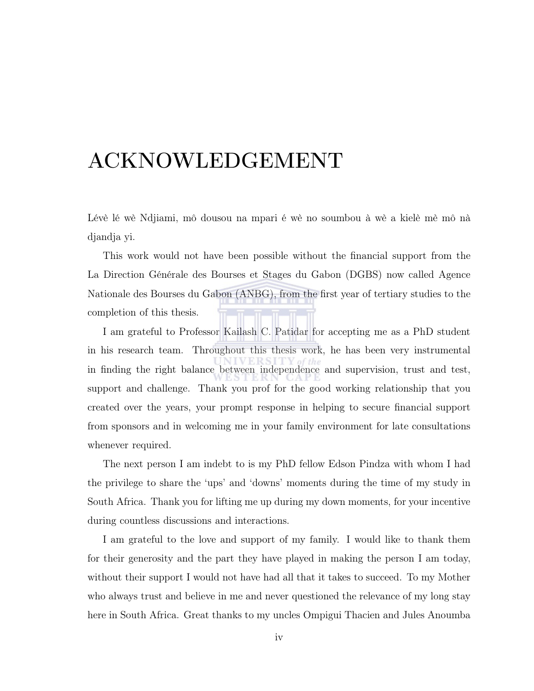## ACKNOWLEDGEMENT

Lévè lé wè Ndjiami, mô dousou na mpari é wè no soumbou à wè a kielè mè mô nà djandja yi.

This work would not have been possible without the financial support from the La Direction Générale des Bourses et Stages du Gabon (DGBS) now called Agence Nationale des Bourses du Gabon (ANBG), from the first year of tertiary studies to the completion of this thesis.

I am grateful to Professor Kailash C. Patidar for accepting me as a PhD student in his research team. Throughout this thesis work, he has been very instrumental in finding the right balance between independence and supervision, trust and test, support and challenge. Thank you prof for the good working relationship that you created over the years, your prompt response in helping to secure financial support from sponsors and in welcoming me in your family environment for late consultations whenever required.

The next person I am indebt to is my PhD fellow Edson Pindza with whom I had the privilege to share the 'ups' and 'downs' moments during the time of my study in South Africa. Thank you for lifting me up during my down moments, for your incentive during countless discussions and interactions.

I am grateful to the love and support of my family. I would like to thank them for their generosity and the part they have played in making the person I am today, without their support I would not have had all that it takes to succeed. To my Mother who always trust and believe in me and never questioned the relevance of my long stay here in South Africa. Great thanks to my uncles Ompigui Thacien and Jules Anoumba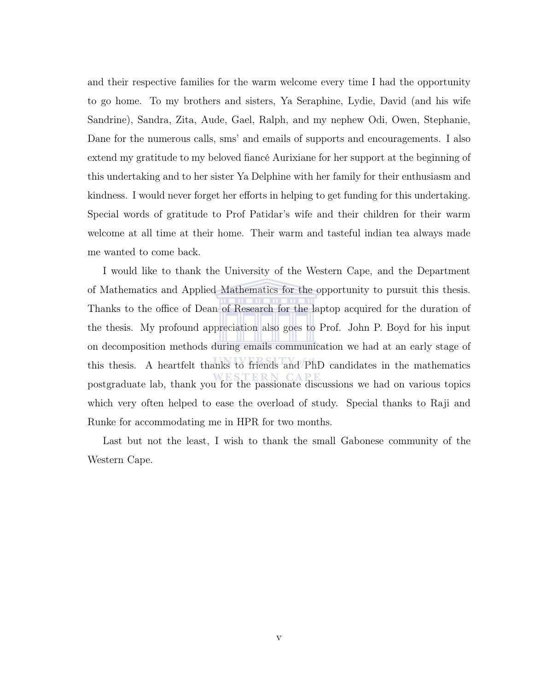and their respective families for the warm welcome every time I had the opportunity to go home. To my brothers and sisters, Ya Seraphine, Lydie, David (and his wife Sandrine), Sandra, Zita, Aude, Gael, Ralph, and my nephew Odi, Owen, Stephanie, Dane for the numerous calls, sms' and emails of supports and encouragements. I also extend my gratitude to my beloved fiancé Aurixiane for her support at the beginning of this undertaking and to her sister Ya Delphine with her family for their enthusiasm and kindness. I would never forget her efforts in helping to get funding for this undertaking. Special words of gratitude to Prof Patidar's wife and their children for their warm welcome at all time at their home. Their warm and tasteful indian tea always made me wanted to come back.

I would like to thank the University of the Western Cape, and the Department of Mathematics and Applied Mathematics for the opportunity to pursuit this thesis. Thanks to the office of Dean of Research for the laptop acquired for the duration of the thesis. My profound appreciation also goes to Prof. John P. Boyd for his input on decomposition methods during emails communication we had at an early stage of this thesis. A heartfelt thanks to friends and PhD candidates in the mathematics postgraduate lab, thank you for the passionate discussions we had on various topics which very often helped to ease the overload of study. Special thanks to Raji and Runke for accommodating me in HPR for two months.

Last but not the least, I wish to thank the small Gabonese community of the Western Cape.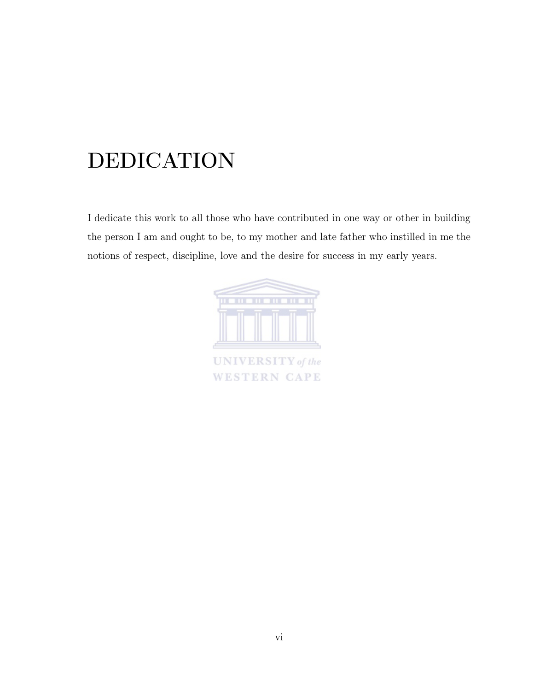# DEDICATION

I dedicate this work to all those who have contributed in one way or other in building the person I am and ought to be, to my mother and late father who instilled in me the notions of respect, discipline, love and the desire for success in my early years.

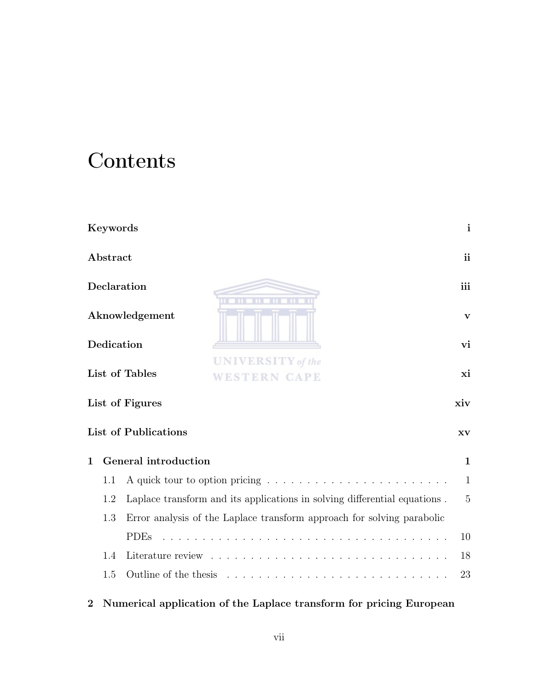# **Contents**

| Keywords     |                                                                                                 | $\mathbf{i}$   |
|--------------|-------------------------------------------------------------------------------------------------|----------------|
| Abstract     |                                                                                                 | ii             |
| Declaration  | m<br>шT                                                                                         | iii            |
|              | Aknowledgement                                                                                  | $\mathbf{V}$   |
| Dedication   |                                                                                                 | vi             |
|              | <b>UNIVERSITY</b> of the<br>List of Tables<br><b>WESTERN CAPE</b>                               | xi             |
|              | List of Figures                                                                                 | xiv            |
|              | List of Publications                                                                            | XV             |
| $\mathbf{1}$ | <b>General introduction</b>                                                                     | $\mathbf{1}$   |
| 1.1          | A quick tour to option pricing $\ldots \ldots \ldots \ldots \ldots \ldots \ldots \ldots \ldots$ | $\mathbf{1}$   |
| 1.2          | Laplace transform and its applications in solving differential equations.                       | $\overline{5}$ |
| 1.3          | Error analysis of the Laplace transform approach for solving parabolic                          |                |
|              | <b>PDEs</b>                                                                                     | 10             |
| 1.4          | Literature review                                                                               | 18             |
| 1.5          | Outline of the thesis                                                                           | 23             |
|              |                                                                                                 |                |

2 Numerical application of the Laplace transform for pricing European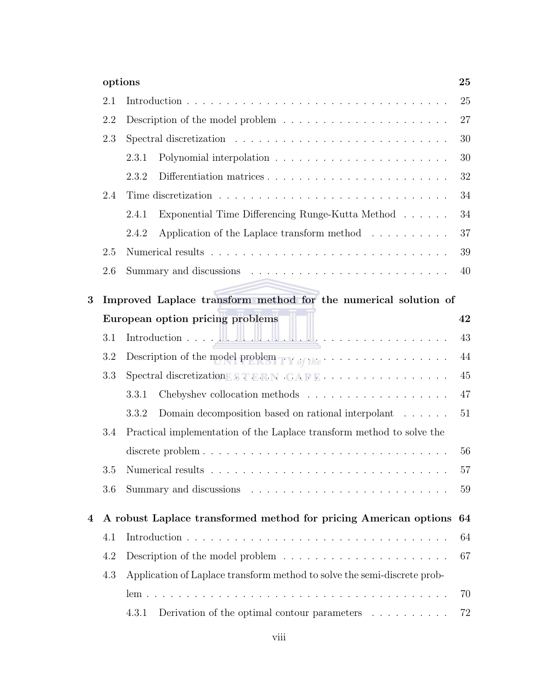|   |     | options                                                                                                            | 25 |
|---|-----|--------------------------------------------------------------------------------------------------------------------|----|
|   | 2.1 |                                                                                                                    | 25 |
|   | 2.2 | Description of the model problem $\dots \dots \dots \dots \dots \dots \dots \dots$                                 | 27 |
|   | 2.3 | Spectral discretization $\ldots \ldots \ldots \ldots \ldots \ldots \ldots \ldots$                                  | 30 |
|   |     | 2.3.1                                                                                                              | 30 |
|   |     | 2.3.2                                                                                                              | 32 |
|   | 2.4 |                                                                                                                    | 34 |
|   |     | Exponential Time Differencing Runge-Kutta Method<br>2.4.1                                                          | 34 |
|   |     | Application of the Laplace transform method $\dots \dots \dots$<br>2.4.2                                           | 37 |
|   | 2.5 |                                                                                                                    | 39 |
|   | 2.6 |                                                                                                                    | 40 |
| 3 |     | Improved Laplace transform method for the numerical solution of                                                    |    |
|   |     | European option pricing problems                                                                                   | 42 |
|   | 3.1 | Introduction $\ldots$ . The set of $\mathbb{R}^n$ and $\mathbb{R}^n$ . $\ldots$ . $\ldots$ . $\ldots$ . $\ldots$ . | 43 |
|   | 3.2 | Description of the model problem $\overline{1 \cdot \overline{1}}$ of the $\cdots \cdots \cdots \cdots \cdots$     | 44 |
|   | 3.3 | Spectral discretization $\mathbb{S}$ TERN $\cdot$ CAPE                                                             | 45 |
|   |     | Chebyshev collocation methods $\ldots \ldots \ldots \ldots \ldots \ldots$<br>3.3.1                                 | 47 |
|   |     | Domain decomposition based on rational interpolant $\ldots \ldots$<br>3.3.2                                        | 51 |
|   | 3.4 | Practical implementation of the Laplace transform method to solve the                                              |    |
|   |     |                                                                                                                    | 56 |
|   | 3.5 |                                                                                                                    | 57 |
|   | 3.6 |                                                                                                                    | 59 |
| 4 |     | A robust Laplace transformed method for pricing American options                                                   | 64 |
|   | 4.1 |                                                                                                                    | 64 |
|   | 4.2 |                                                                                                                    | 67 |
|   | 4.3 | Application of Laplace transform method to solve the semi-discrete prob-                                           |    |
|   |     |                                                                                                                    | 70 |
|   |     | Derivation of the optimal contour parameters $\ldots \ldots \ldots$<br>4.3.1                                       | 72 |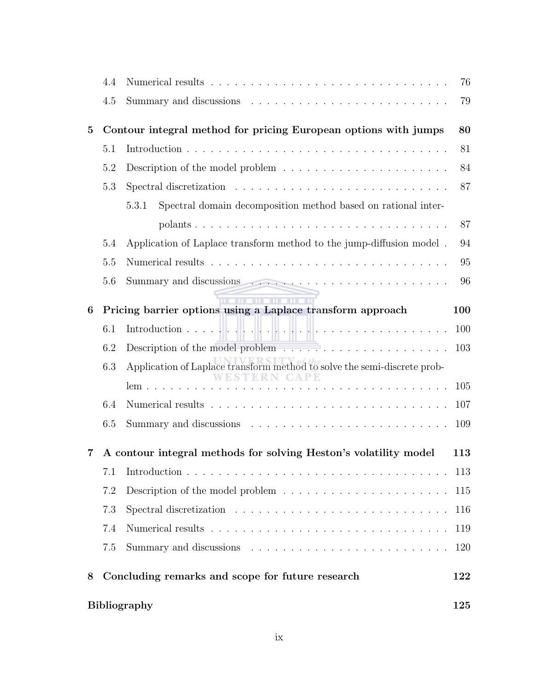|          | 4.4 |                                                                                        | 76  |
|----------|-----|----------------------------------------------------------------------------------------|-----|
|          | 4.5 |                                                                                        | 79  |
| $\bf{5}$ |     | Contour integral method for pricing European options with jumps                        | 80  |
|          | 5.1 |                                                                                        | 81  |
|          | 5.2 |                                                                                        | 84  |
|          | 5.3 |                                                                                        | 87  |
|          |     | Spectral domain decomposition method based on rational inter-<br>5.3.1                 |     |
|          |     |                                                                                        | 87  |
|          | 5.4 | Application of Laplace transform method to the jump-diffusion model.                   | 94  |
|          | 5.5 |                                                                                        | 95  |
|          | 5.6 |                                                                                        | 96  |
| 6        |     | ----------<br>Pricing barrier options using a Laplace transform approach               | 100 |
|          | 6.1 |                                                                                        | 100 |
|          | 6.2 |                                                                                        | 103 |
|          | 6.3 | ${\large \bf Application~of~Laplace~transform~method~to~solve~the~semi-discrete~prob}$ |     |
|          |     |                                                                                        | 105 |
|          | 6.4 |                                                                                        | 107 |
|          | 6.5 |                                                                                        | 109 |
| 7        |     | A contour integral methods for solving Heston's volatility model                       | 113 |
|          | 7.1 |                                                                                        |     |
|          | 7.2 | Description of the model problem $\dots \dots \dots \dots \dots \dots \dots$           | 115 |
|          | 7.3 | Spectral discretization $\ldots \ldots \ldots \ldots \ldots \ldots \ldots \ldots$      | 116 |
|          | 7.4 |                                                                                        | 119 |
|          | 7.5 |                                                                                        | 120 |
| 8        |     | Concluding remarks and scope for future research                                       | 122 |
|          |     | <b>Bibliography</b>                                                                    | 125 |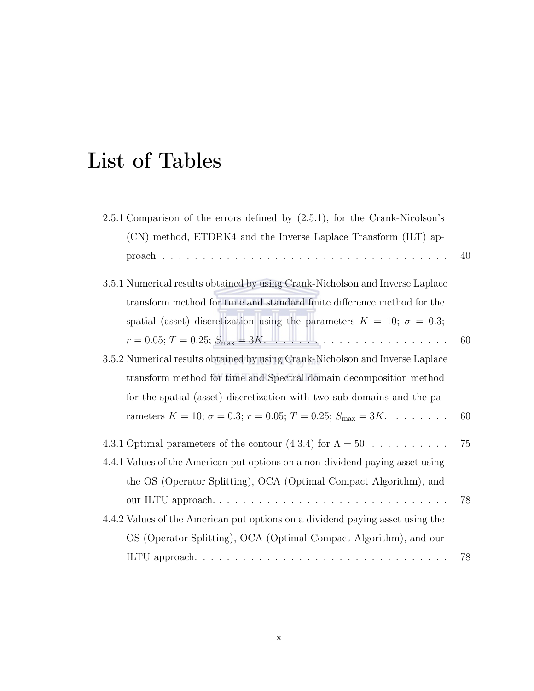# List of Tables

| 2.5.1 Comparison of the errors defined by $(2.5.1)$ , for the Crank-Nicolson's                   |    |
|--------------------------------------------------------------------------------------------------|----|
| (CN) method, ETDRK4 and the Inverse Laplace Transform (ILT) ap-                                  |    |
|                                                                                                  | 40 |
| 3.5.1 Numerical results obtained by using Crank-Nicholson and Inverse Laplace                    |    |
| transform method for time and standard finite difference method for the                          |    |
| spatial (asset) discretization using the parameters $K = 10$ ; $\sigma = 0.3$ ;                  |    |
| $r = 0.05; T = 0.25; S_{\text{max}} = 3K. \dots \dots \dots \dots \dots \dots \dots \dots \dots$ | 60 |
| 3.5.2 Numerical results obtained by using Crank-Nicholson and Inverse Laplace                    |    |
| transform method for time and Spectral domain decomposition method                               |    |
| for the spatial (asset) discretization with two sub-domains and the pa-                          |    |
| rameters $K = 10$ ; $\sigma = 0.3$ ; $r = 0.05$ ; $T = 0.25$ ; $S_{\text{max}} = 3K$ .           | 60 |
| 4.3.1 Optimal parameters of the contour (4.3.4) for $\Lambda = 50$                               | 75 |
| 4.4.1 Values of the American put options on a non-dividend paying asset using                    |    |
| the OS (Operator Splitting), OCA (Optimal Compact Algorithm), and                                |    |
|                                                                                                  | 78 |
| 4.4.2 Values of the American put options on a dividend paying asset using the                    |    |
| OS (Operator Splitting), OCA (Optimal Compact Algorithm), and our                                |    |
|                                                                                                  | 78 |
|                                                                                                  |    |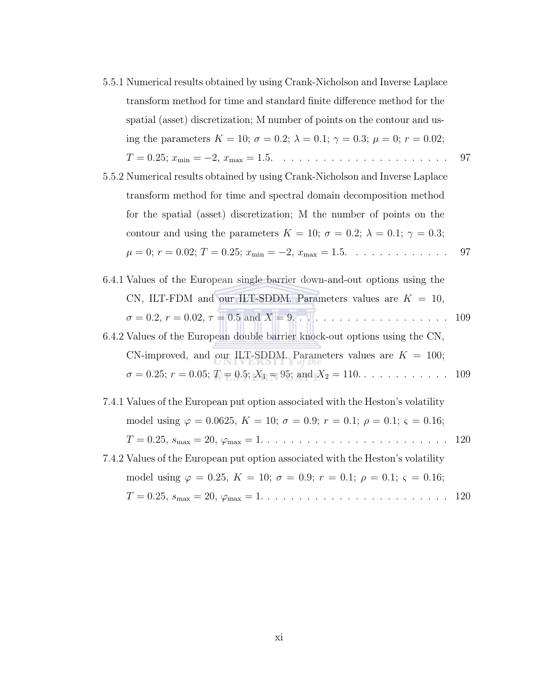| 5.5.1 Numerical results obtained by using Crank-Nicholson and Inverse Laplace                                          |     |
|------------------------------------------------------------------------------------------------------------------------|-----|
| transform method for time and standard finite difference method for the                                                |     |
| spatial (asset) discretization; M number of points on the contour and us-                                              |     |
| ing the parameters $K = 10$ ; $\sigma = 0.2$ ; $\lambda = 0.1$ ; $\gamma = 0.3$ ; $\mu = 0$ ; $r = 0.02$ ;             |     |
| $T = 0.25; x_{\text{min}} = -2, x_{\text{max}} = 1.5. \dots \dots \dots \dots \dots \dots \dots \dots \dots$           | 97  |
| 5.5.2 Numerical results obtained by using Crank-Nicholson and Inverse Laplace                                          |     |
| transform method for time and spectral domain decomposition method                                                     |     |
| for the spatial (asset) discretization; M the number of points on the                                                  |     |
| contour and using the parameters $K = 10$ ; $\sigma = 0.2$ ; $\lambda = 0.1$ ; $\gamma = 0.3$ ;                        |     |
| $\mu = 0; r = 0.02; T = 0.25; x_{\min} = -2, x_{\max} = 1.5. \dots \dots \dots \dots$                                  | 97  |
| 6.4.1 Values of the European single barrier down-and-out options using the                                             |     |
| CN, ILT-FDM and our ILT-SDDM. Parameters values are $K = 10$ ,                                                         |     |
|                                                                                                                        | 109 |
| 6.4.2 Values of the European double barrier knock-out options using the CN,                                            |     |
| CN-improved, and our ILT-SDDM. Parameters values are $K = 100$ ;                                                       |     |
|                                                                                                                        |     |
| 7.4.1 Values of the European put option associated with the Heston's volatility                                        |     |
| model using $\varphi = 0.0625$ , $K = 10$ ; $\sigma = 0.9$ ; $r = 0.1$ ; $\rho = 0.1$ ; $\varsigma = 0.16$ ;           |     |
| $T = 0.25, s_{\text{max}} = 20, \varphi_{\text{max}} = 1. \dots \dots \dots \dots \dots \dots \dots \dots \dots \dots$ | 120 |
|                                                                                                                        |     |

7.4.2 Values of the European put option associated with the Heston's volatility model using  $\varphi = 0.25, K = 10; \sigma = 0.9; r = 0.1; \rho = 0.1; \varsigma = 0.16;$ T = 0.25, smax = 20, ϕmax = 1. . . . . . . . . . . . . . . . . . . . . . . . 120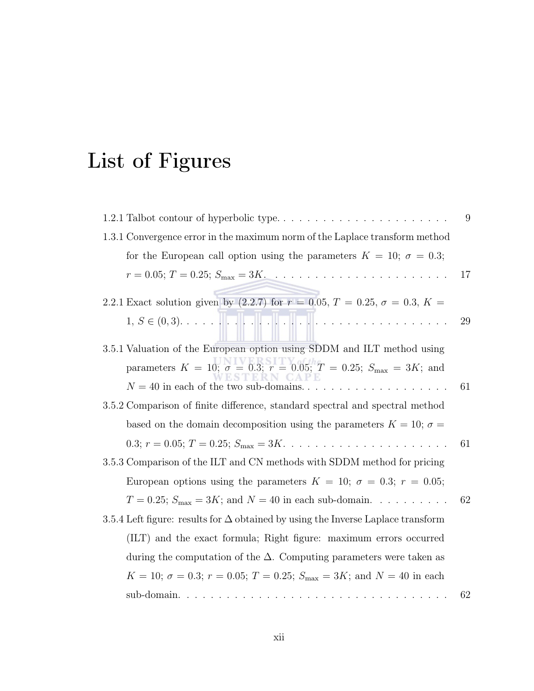# List of Figures

|                                                                                                                                     | 9  |
|-------------------------------------------------------------------------------------------------------------------------------------|----|
| 1.3.1 Convergence error in the maximum norm of the Laplace transform method                                                         |    |
| for the European call option using the parameters $K = 10$ ; $\sigma = 0.3$ ;                                                       |    |
| $r = 0.05; T = 0.25; S_{\text{max}} = 3K. \dots \dots \dots \dots \dots \dots \dots \dots \dots$                                    | 17 |
| 2.2.1 Exact solution given by (2.2.7) for $r = 0.05$ , $T = 0.25$ , $\sigma = 0.3$ , $K =$                                          |    |
|                                                                                                                                     | 29 |
| 3.5.1 Valuation of the European option using SDDM and ILT method using                                                              |    |
| parameters $K = 10$ ; $\sigma = 0.3$ ; $r = 0.05$ ; $T = 0.25$ ; $S_{\text{max}} = 3K$ ; and                                        |    |
| $N = 40$ in each of the two sub-domains.<br>$\mathbf{r}$ , $\mathbf{r}$ , $\mathbf{r}$ , $\mathbf{r}$ , $\mathbf{r}$ , $\mathbf{r}$ | 61 |
| 3.5.2 Comparison of finite difference, standard spectral and spectral method                                                        |    |
| based on the domain decomposition using the parameters $K = 10$ ; $\sigma =$                                                        |    |
|                                                                                                                                     | 61 |
| 3.5.3 Comparison of the ILT and CN methods with SDDM method for pricing                                                             |    |
| European options using the parameters $K = 10$ ; $\sigma = 0.3$ ; $r = 0.05$ ;                                                      |    |
| $T = 0.25$ ; $S_{\text{max}} = 3K$ ; and $N = 40$ in each sub-domain.                                                               | 62 |
| 3.5.4 Left figure: results for $\Delta$ obtained by using the Inverse Laplace transform                                             |    |
| (ILT) and the exact formula; Right figure: maximum errors occurred                                                                  |    |
| during the computation of the $\Delta$ . Computing parameters were taken as                                                         |    |
| $K = 10$ ; $\sigma = 0.3$ ; $r = 0.05$ ; $T = 0.25$ ; $S_{\text{max}} = 3K$ ; and $N = 40$ in each                                  |    |
| $sub-domain \dots$                                                                                                                  | 62 |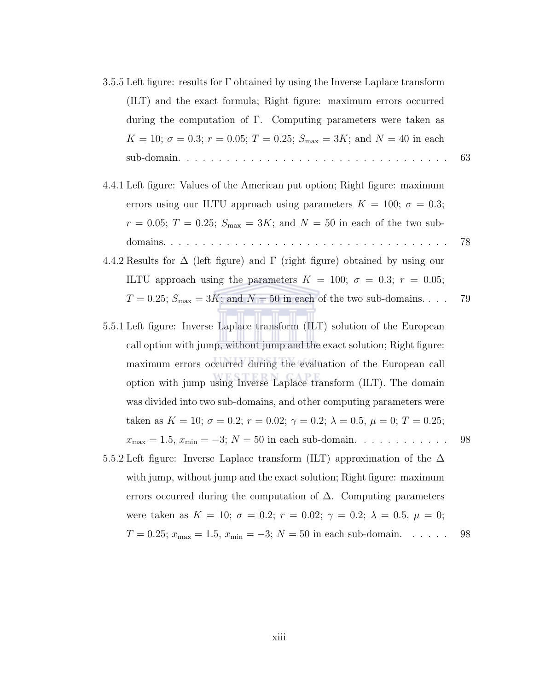- 3.5.5 Left figure: results for Γ obtained by using the Inverse Laplace transform (ILT) and the exact formula; Right figure: maximum errors occurred during the computation of Γ. Computing parameters were taken as  $K = 10$ ;  $\sigma = 0.3$ ;  $r = 0.05$ ;  $T = 0.25$ ;  $S_{\text{max}} = 3K$ ; and  $N = 40$  in each sub-domain. . . . . . . . . . . . . . . . . . . . . . . . . . . . . . . . . . 63
- 4.4.1 Left figure: Values of the American put option; Right figure: maximum errors using our ILTU approach using parameters  $K = 100$ ;  $\sigma = 0.3$ ;  $r = 0.05; T = 0.25; S_{\text{max}} = 3K; \text{ and } N = 50 \text{ in each of the two sub-}$ domains. . . . . . . . . . . . . . . . . . . . . . . . . . . . . . . . . . . . 78
- 4.4.2 Results for  $\Delta$  (left figure) and  $\Gamma$  (right figure) obtained by using our ILTU approach using the parameters  $K = 100$ ;  $\sigma = 0.3$ ;  $r = 0.05$ ;  $T = 0.25$ ;  $S_{\text{max}} = 3K$ ; and  $N = 50$  in each of the two sub-domains. . . . 79
- 5.5.1 Left figure: Inverse Laplace transform (ILT) solution of the European call option with jump, without jump and the exact solution; Right figure: maximum errors occurred during the evaluation of the European call option with jump using Inverse Laplace transform (ILT). The domain was divided into two sub-domains, and other computing parameters were taken as  $K = 10$ ;  $\sigma = 0.2$ ;  $r = 0.02$ ;  $\gamma = 0.2$ ;  $\lambda = 0.5$ ,  $\mu = 0$ ;  $T = 0.25$ ;  $x_{\text{max}} = 1.5, x_{\text{min}} = -3; N = 50$  in each sub-domain. . . . . . . . . . . 98
- 5.5.2 Left figure: Inverse Laplace transform (ILT) approximation of the  $\Delta$ with jump, without jump and the exact solution; Right figure: maximum errors occurred during the computation of  $\Delta$ . Computing parameters were taken as  $K = 10$ ;  $\sigma = 0.2$ ;  $r = 0.02$ ;  $\gamma = 0.2$ ;  $\lambda = 0.5$ ,  $\mu = 0$ ;  $T = 0.25; x_{\text{max}} = 1.5, x_{\text{min}} = -3; N = 50$  in each sub-domain. . . . . . 98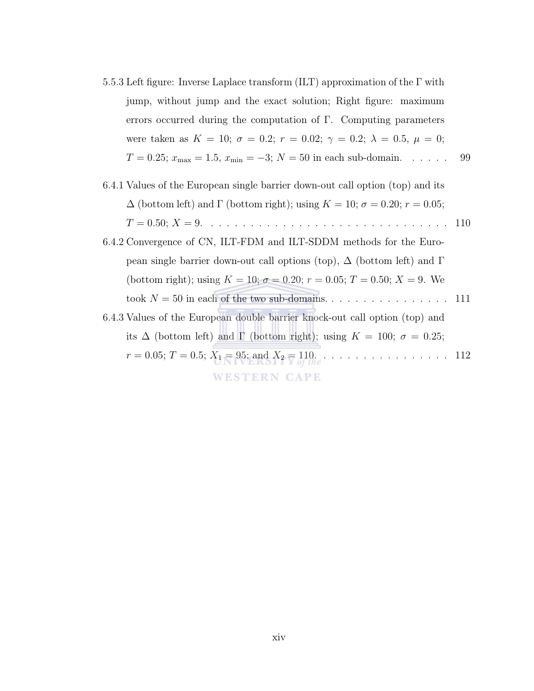- 5.5.3 Left figure: Inverse Laplace transform (ILT) approximation of the Γ with jump, without jump and the exact solution; Right figure: maximum errors occurred during the computation of Γ. Computing parameters were taken as  $K = 10$ ;  $\sigma = 0.2$ ;  $r = 0.02$ ;  $\gamma = 0.2$ ;  $\lambda = 0.5$ ,  $\mu = 0$ ;  $T = 0.25$ ;  $x_{\text{max}} = 1.5$ ,  $x_{\text{min}} = -3$ ;  $N = 50$  in each sub-domain. . . . . . 99 6.4.1 Values of the European single barrier down-out call option (top) and its
- $\Delta$  (bottom left) and  $\Gamma$  (bottom right); using  $K = 10$ ;  $\sigma = 0.20$ ;  $r = 0.05$ ; T = 0.50; X = 9. . . . . . . . . . . . . . . . . . . . . . . . . . . . . . . 110
- 6.4.2 Convergence of CN, ILT-FDM and ILT-SDDM methods for the European single barrier down-out call options (top),  $\Delta$  (bottom left) and  $\Gamma$ (bottom right); using  $K = 10$ ;  $\sigma = 0.20$ ;  $r = 0.05$ ;  $T = 0.50$ ;  $X = 9$ . We took  $N = 50$  in each of the two sub-domains. . . . . . . . . . . . . . . 111
- 6.4.3 Values of the European double barrier knock-out call option (top) and its  $\Delta$  (bottom left) and  $\Gamma$  (bottom right); using  $K = 100$ ;  $\sigma = 0.25$ ; r = 0.05; T = 0.5; X<sup>1</sup> = 95; and X<sup>2</sup> = 110. . . . . . . . . . . . . . . . . 112 **WESTERN CAPE**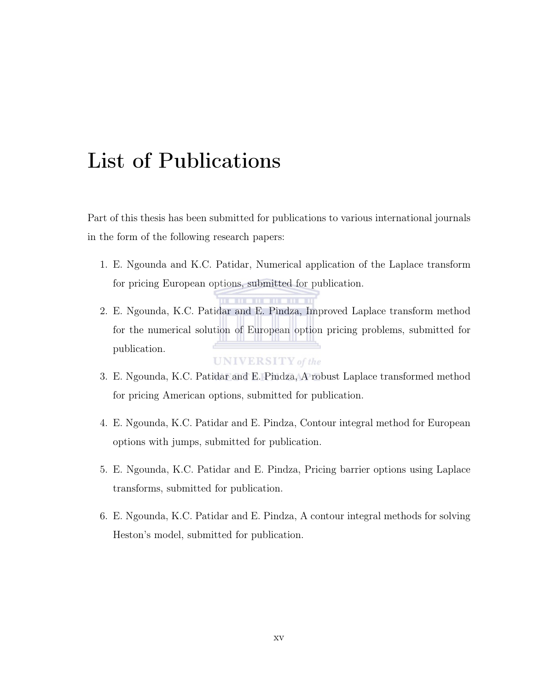## List of Publications

Part of this thesis has been submitted for publications to various international journals in the form of the following research papers:

- 1. E. Ngounda and K.C. Patidar, Numerical application of the Laplace transform for pricing European options, submitted for publication.
- 2. E. Ngounda, K.C. Patidar and E. Pindza, Improved Laplace transform method for the numerical solution of European option pricing problems, submitted for publication.
- 3. E. Ngounda, K.C. Patidar and E. Pindza, A robust Laplace transformed method for pricing American options, submitted for publication.

**UNIVERSITY** of the

- 4. E. Ngounda, K.C. Patidar and E. Pindza, Contour integral method for European options with jumps, submitted for publication.
- 5. E. Ngounda, K.C. Patidar and E. Pindza, Pricing barrier options using Laplace transforms, submitted for publication.
- 6. E. Ngounda, K.C. Patidar and E. Pindza, A contour integral methods for solving Heston's model, submitted for publication.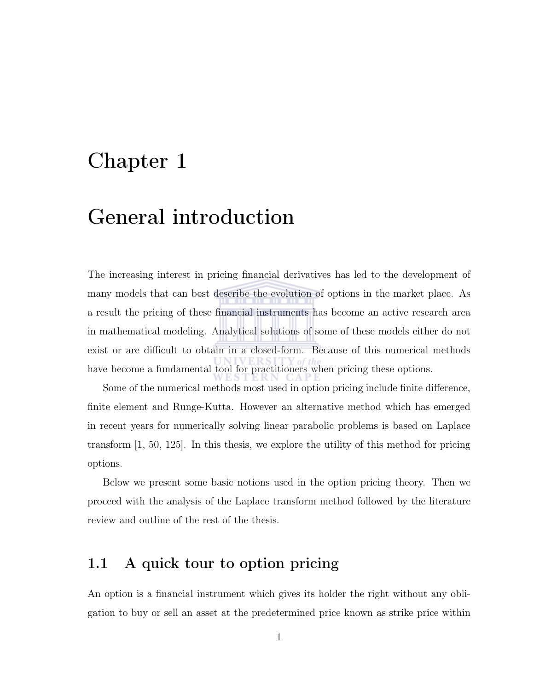### Chapter 1

## General introduction

The increasing interest in pricing financial derivatives has led to the development of many models that can best describe the evolution of options in the market place. As a result the pricing of these financial instruments has become an active research area in mathematical modeling. Analytical solutions of some of these models either do not exist or are difficult to obtain in a closed-form. Because of this numerical methods have become a fundamental tool for practitioners when pricing these options.

Some of the numerical methods most used in option pricing include finite difference, finite element and Runge-Kutta. However an alternative method which has emerged in recent years for numerically solving linear parabolic problems is based on Laplace transform [1, 50, 125]. In this thesis, we explore the utility of this method for pricing options.

Below we present some basic notions used in the option pricing theory. Then we proceed with the analysis of the Laplace transform method followed by the literature review and outline of the rest of the thesis.

### 1.1 A quick tour to option pricing

An option is a financial instrument which gives its holder the right without any obligation to buy or sell an asset at the predetermined price known as strike price within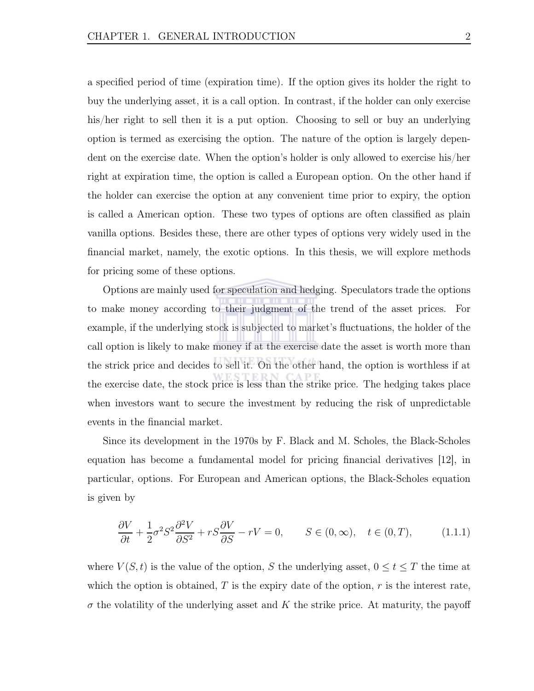a specified period of time (expiration time). If the option gives its holder the right to buy the underlying asset, it is a call option. In contrast, if the holder can only exercise his/her right to sell then it is a put option. Choosing to sell or buy an underlying option is termed as exercising the option. The nature of the option is largely dependent on the exercise date. When the option's holder is only allowed to exercise his/her right at expiration time, the option is called a European option. On the other hand if the holder can exercise the option at any convenient time prior to expiry, the option is called a American option. These two types of options are often classified as plain vanilla options. Besides these, there are other types of options very widely used in the financial market, namely, the exotic options. In this thesis, we will explore methods for pricing some of these options.

Options are mainly used for speculation and hedging. Speculators trade the options to make money according to their judgment of the trend of the asset prices. For example, if the underlying stock is subjected to market's fluctuations, the holder of the call option is likely to make money if at the exercise date the asset is worth more than the strick price and decides to sell it. On the other hand, the option is worthless if at the exercise date, the stock price is less than the strike price. The hedging takes place when investors want to secure the investment by reducing the risk of unpredictable events in the financial market.

Since its development in the 1970s by F. Black and M. Scholes, the Black-Scholes equation has become a fundamental model for pricing financial derivatives [12], in particular, options. For European and American options, the Black-Scholes equation is given by

$$
\frac{\partial V}{\partial t} + \frac{1}{2}\sigma^2 S^2 \frac{\partial^2 V}{\partial S^2} + rS \frac{\partial V}{\partial S} - rV = 0, \qquad S \in (0, \infty), \quad t \in (0, T), \tag{1.1.1}
$$

where  $V(S,t)$  is the value of the option,  $S$  the underlying asset,  $0 \leq t \leq T$  the time at which the option is obtained,  $T$  is the expiry date of the option,  $r$  is the interest rate,  $\sigma$  the volatility of the underlying asset and K the strike price. At maturity, the payoff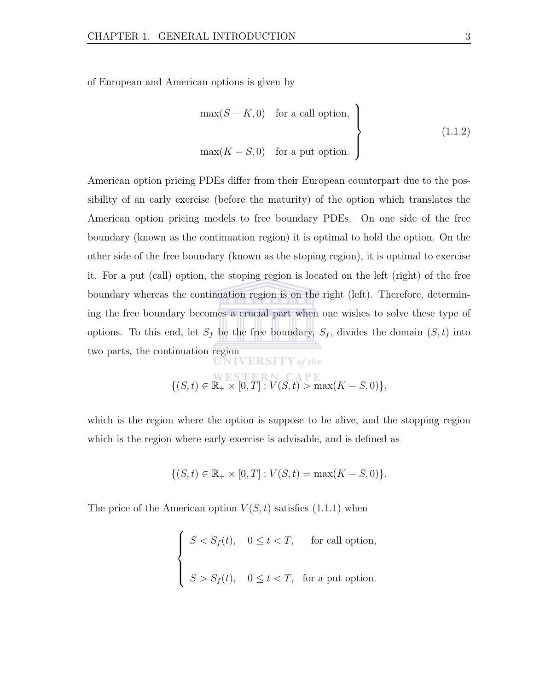of European and American options is given by

$$
\max(S - K, 0) \quad \text{for a call option,} \quad \text{max}(K - S, 0) \quad \text{for a put option.} \quad \text{(1.1.2)}
$$

American option pricing PDEs differ from their European counterpart due to the possibility of an early exercise (before the maturity) of the option which translates the American option pricing models to free boundary PDEs. On one side of the free boundary (known as the continuation region) it is optimal to hold the option. On the other side of the free boundary (known as the stoping region), it is optimal to exercise it. For a put (call) option, the stoping region is located on the left (right) of the free boundary whereas the continuation region is on the right (left). Therefore, determining the free boundary becomes a crucial part when one wishes to solve these type of options. To this end, let  $S_f$  be the free boundary,  $S_f$ , divides the domain  $(S, t)$  into two parts, the continuation region

$$
\{(S, t) \in \mathbb{R}_+ \times [0, T] : V(S, t) > \max(K - S, 0)\},\
$$

which is the region where the option is suppose to be alive, and the stopping region which is the region where early exercise is advisable, and is defined as

$$
\{(S,t) \in \mathbb{R}_+ \times [0,T] : V(S,t) = \max(K-S,0)\}.
$$

The price of the American option  $V(S, t)$  satisfies (1.1.1) when

$$
\begin{cases}\nS < S_f(t), \quad 0 \le t < T, \quad \text{ for call option,} \\
S > S_f(t), \quad 0 \le t < T, \quad \text{for a put option.}\n\end{cases}
$$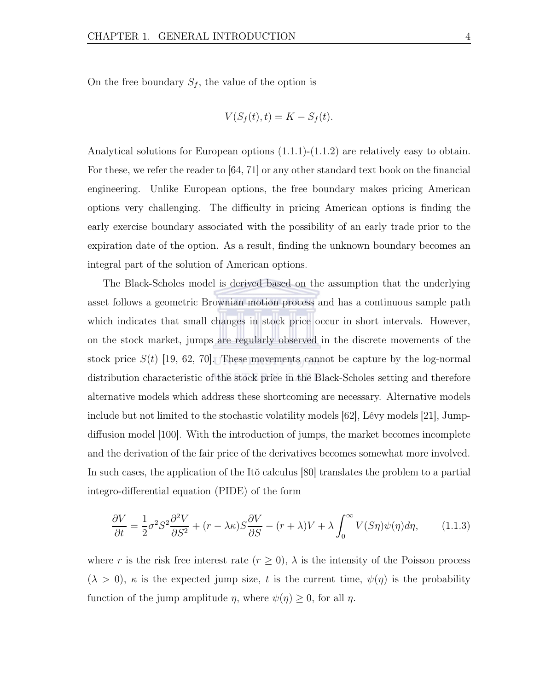On the free boundary  $S_f$ , the value of the option is

$$
V(S_f(t), t) = K - S_f(t).
$$

Analytical solutions for European options  $(1.1.1)-(1.1.2)$  are relatively easy to obtain. For these, we refer the reader to [64, 71] or any other standard text book on the financial engineering. Unlike European options, the free boundary makes pricing American options very challenging. The difficulty in pricing American options is finding the early exercise boundary associated with the possibility of an early trade prior to the expiration date of the option. As a result, finding the unknown boundary becomes an integral part of the solution of American options.

The Black-Scholes model is derived based on the assumption that the underlying asset follows a geometric Brownian motion process and has a continuous sample path which indicates that small changes in stock price occur in short intervals. However, on the stock market, jumps are regularly observed in the discrete movements of the stock price  $S(t)$  [19, 62, 70]. These movements cannot be capture by the log-normal distribution characteristic of the stock price in the Black-Scholes setting and therefore alternative models which address these shortcoming are necessary. Alternative models include but not limited to the stochastic volatility models [62], Lévy models [21], Jumpdiffusion model [100]. With the introduction of jumps, the market becomes incomplete and the derivation of the fair price of the derivatives becomes somewhat more involved. In such cases, the application of the It<sub>O</sub> calculus  $[80]$  translates the problem to a partial integro-differential equation (PIDE) of the form

$$
\frac{\partial V}{\partial t} = \frac{1}{2}\sigma^2 S^2 \frac{\partial^2 V}{\partial S^2} + (r - \lambda \kappa) S \frac{\partial V}{\partial S} - (r + \lambda)V + \lambda \int_0^\infty V(S\eta)\psi(\eta)d\eta, \qquad (1.1.3)
$$

where r is the risk free interest rate  $(r \geq 0)$ ,  $\lambda$  is the intensity of the Poisson process  $(\lambda > 0)$ ,  $\kappa$  is the expected jump size, t is the current time,  $\psi(\eta)$  is the probability function of the jump amplitude  $\eta$ , where  $\psi(\eta) \geq 0$ , for all  $\eta$ .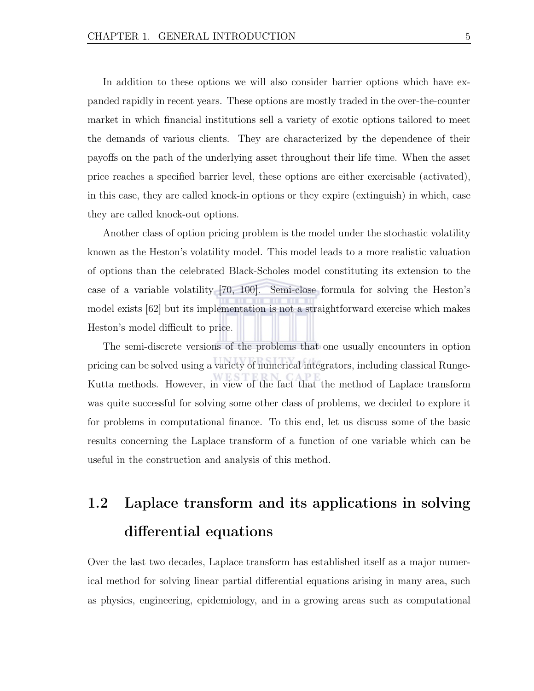In addition to these options we will also consider barrier options which have expanded rapidly in recent years. These options are mostly traded in the over-the-counter market in which financial institutions sell a variety of exotic options tailored to meet the demands of various clients. They are characterized by the dependence of their payoffs on the path of the underlying asset throughout their life time. When the asset price reaches a specified barrier level, these options are either exercisable (activated), in this case, they are called knock-in options or they expire (extinguish) in which, case they are called knock-out options.

Another class of option pricing problem is the model under the stochastic volatility known as the Heston's volatility model. This model leads to a more realistic valuation of options than the celebrated Black-Scholes model constituting its extension to the case of a variable volatility [70, 100]. Semi-close formula for solving the Heston's model exists [62] but its implementation is not a straightforward exercise which makes Heston's model difficult to price.

The semi-discrete versions of the problems that one usually encounters in option pricing can be solved using a variety of numerical integrators, including classical Runge-Kutta methods. However, in view of the fact that the method of Laplace transform was quite successful for solving some other class of problems, we decided to explore it for problems in computational finance. To this end, let us discuss some of the basic results concerning the Laplace transform of a function of one variable which can be useful in the construction and analysis of this method.

## 1.2 Laplace transform and its applications in solving differential equations

Over the last two decades, Laplace transform has established itself as a major numerical method for solving linear partial differential equations arising in many area, such as physics, engineering, epidemiology, and in a growing areas such as computational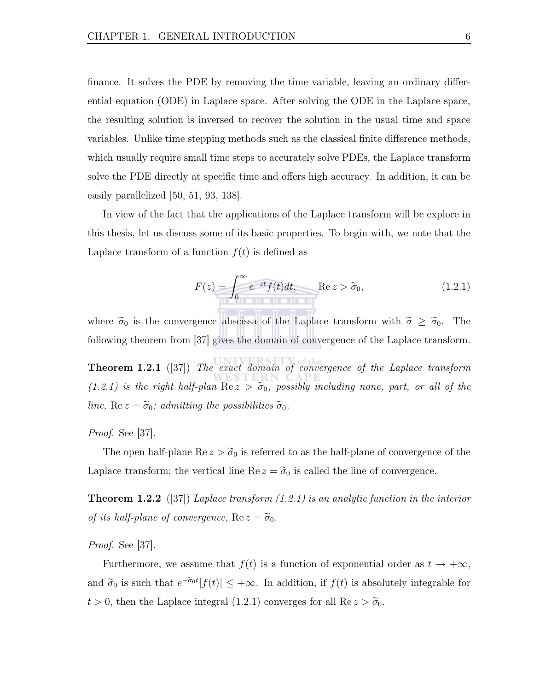finance. It solves the PDE by removing the time variable, leaving an ordinary differential equation (ODE) in Laplace space. After solving the ODE in the Laplace space, the resulting solution is inversed to recover the solution in the usual time and space variables. Unlike time stepping methods such as the classical finite difference methods, which usually require small time steps to accurately solve PDEs, the Laplace transform solve the PDE directly at specific time and offers high accuracy. In addition, it can be easily parallelized [50, 51, 93, 138].

In view of the fact that the applications of the Laplace transform will be explore in this thesis, let us discuss some of its basic properties. To begin with, we note that the Laplace transform of a function  $f(t)$  is defined as

$$
F(z) = \int_0^\infty e^{-zt} f(t) dt, \qquad \text{Re } z > \tilde{\sigma}_0,
$$
 (1.2.1)

where  $\tilde{\sigma}_0$  is the convergence abscissa of the Laplace transform with  $\tilde{\sigma} \geq \tilde{\sigma}_0$ . The following theorem from [37] gives the domain of convergence of the Laplace transform.

Theorem 1.2.1 ([37]) *The exact domain of convergence of the Laplace transform*  $(1.2.1)$  is the right half-plan  $\text{Re } z > \tilde{\sigma}_0$ , possibly including none, part, or all of the *line,*  $\text{Re } z = \tilde{\sigma}_0$ *; admitting the possibilities*  $\tilde{\sigma}_0$ *.* 

#### *Proof.* See [37].

The open half-plane  $\text{Re } z > \tilde{\sigma}_0$  is referred to as the half-plane of convergence of the Laplace transform; the vertical line Re  $z = \tilde{\sigma}_0$  is called the line of convergence.

Theorem 1.2.2 ([37]) *Laplace transform (1.2.1) is an analytic function in the interior of its half-plane of convergence,*  $\text{Re } z = \tilde{\sigma}_0$ .

*Proof.* See [37].

Furthermore, we assume that  $f(t)$  is a function of exponential order as  $t \to +\infty$ , and  $\tilde{\sigma}_0$  is such that  $e^{-\tilde{\sigma}_0 t} |f(t)| \leq +\infty$ . In addition, if  $f(t)$  is absolutely integrable for  $t > 0$ , then the Laplace integral (1.2.1) converges for all Re  $z > \tilde{\sigma}_0$ .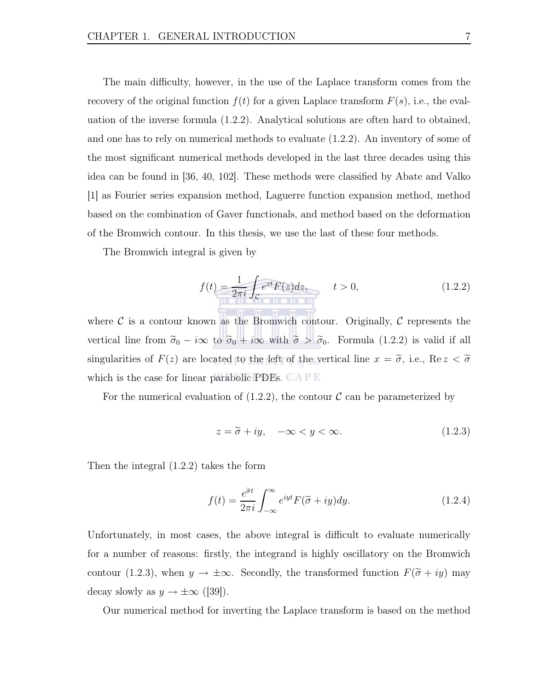The main difficulty, however, in the use of the Laplace transform comes from the recovery of the original function  $f(t)$  for a given Laplace transform  $F(s)$ , i.e., the evaluation of the inverse formula (1.2.2). Analytical solutions are often hard to obtained, and one has to rely on numerical methods to evaluate (1.2.2). An inventory of some of the most significant numerical methods developed in the last three decades using this idea can be found in [36, 40, 102]. These methods were classified by Abate and Valko [1] as Fourier series expansion method, Laguerre function expansion method, method based on the combination of Gaver functionals, and method based on the deformation of the Bromwich contour. In this thesis, we use the last of these four methods.

The Bromwich integral is given by

$$
f(t) = \frac{1}{2\pi i} \int_{\mathcal{C}} e^{zt} F(z) dz, \qquad t > 0,
$$
\n(1.2.2)

where  $\mathcal C$  is a contour known as the Bromwich contour. Originally,  $\mathcal C$  represents the vertical line from  $\tilde{\sigma}_0 - i\infty$  to  $\tilde{\sigma}_0 + i\infty$  with  $\tilde{\sigma} > \tilde{\sigma}_0$ . Formula (1.2.2) is valid if all singularities of  $F(z)$  are located to the left of the vertical line  $x = \tilde{\sigma}$ , i.e., Re  $z < \tilde{\sigma}$ which is the case for linear parabolic PDEs. CAPE

For the numerical evaluation of  $(1.2.2)$ , the contour C can be parameterized by

$$
z = \tilde{\sigma} + iy, \quad -\infty < y < \infty. \tag{1.2.3}
$$

Then the integral (1.2.2) takes the form

$$
f(t) = \frac{e^{\tilde{\sigma}t}}{2\pi i} \int_{-\infty}^{\infty} e^{iyt} F(\tilde{\sigma} + iy) dy.
$$
 (1.2.4)

Unfortunately, in most cases, the above integral is difficult to evaluate numerically for a number of reasons: firstly, the integrand is highly oscillatory on the Bromwich contour (1.2.3), when  $y \to \pm \infty$ . Secondly, the transformed function  $F(\tilde{\sigma} + iy)$  may decay slowly as  $y \to \pm \infty$  ([39]).

Our numerical method for inverting the Laplace transform is based on the method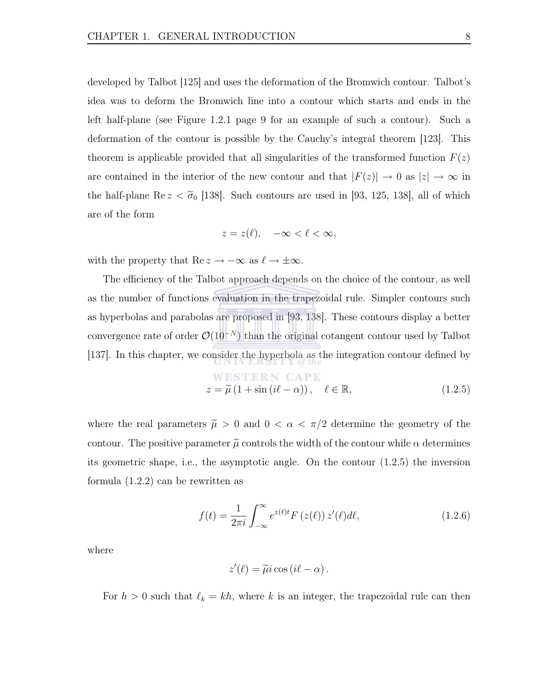developed by Talbot [125] and uses the deformation of the Bromwich contour. Talbot's idea was to deform the Bromwich line into a contour which starts and ends in the left half-plane (see Figure 1.2.1 page 9 for an example of such a contour). Such a deformation of the contour is possible by the Cauchy's integral theorem [123]. This theorem is applicable provided that all singularities of the transformed function  $F(z)$ are contained in the interior of the new contour and that  $|F(z)| \to 0$  as  $|z| \to \infty$  in the half-plane Re  $z < \tilde{\sigma}_0$  [138]. Such contours are used in [93, 125, 138], all of which are of the form

$$
z=z(\ell), \quad -\infty<\ell<\infty,
$$

with the property that Re  $z \to -\infty$  as  $\ell \to \pm \infty$ .

The efficiency of the Talbot approach depends on the choice of the contour, as well as the number of functions evaluation in the trapezoidal rule. Simpler contours such as hyperbolas and parabolas are proposed in [93, 138]. These contours display a better convergence rate of order  $\mathcal{O}(10^{-N})$  than the original cotangent contour used by Talbot [137]. In this chapter, we consider the hyperbola as the integration contour defined by

$$
z = \widetilde{\mu} (1 + \sin (i\ell - \alpha)), \quad \ell \in \mathbb{R}, \tag{1.2.5}
$$

where the real parameters  $\tilde{\mu} > 0$  and  $0 < \alpha < \pi/2$  determine the geometry of the contour. The positive parameter  $\tilde{\mu}$  controls the width of the contour while  $\alpha$  determines its geometric shape, i.e., the asymptotic angle. On the contour (1.2.5) the inversion formula (1.2.2) can be rewritten as

$$
f(t) = \frac{1}{2\pi i} \int_{-\infty}^{\infty} e^{z(\ell)t} F(z(\ell)) z'(\ell) d\ell,
$$
\n(1.2.6)

where

$$
z'(\ell) = \widetilde{\mu} i \cos (i\ell - \alpha).
$$

For  $h > 0$  such that  $\ell_k = kh$ , where k is an integer, the trapezoidal rule can then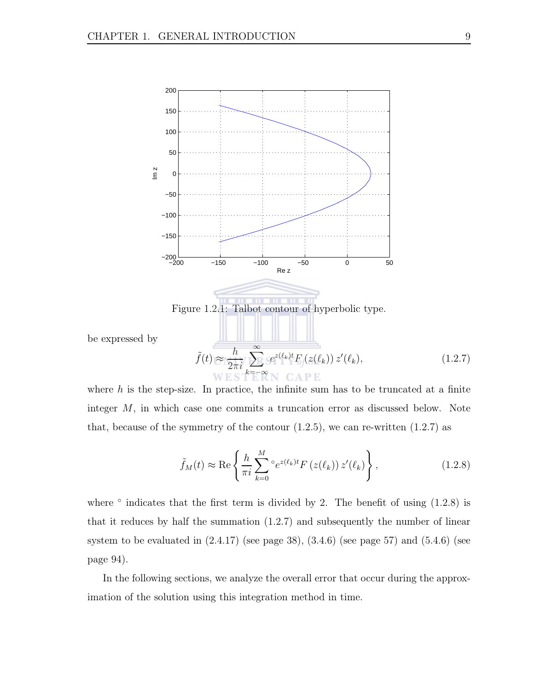

where  $h$  is the step-size. In practice, the infinite sum has to be truncated at a finite integer M, in which case one commits a truncation error as discussed below. Note that, because of the symmetry of the contour  $(1.2.5)$ , we can re-written  $(1.2.7)$  as

$$
\tilde{f}_M(t) \approx \text{Re}\left\{\frac{h}{\pi i} \sum_{k=0}^M e^{z(\ell_k)t} F\left(z(\ell_k)\right) z'(\ell_k)\right\},\tag{1.2.8}
$$

where  $\degree$  indicates that the first term is divided by 2. The benefit of using  $(1.2.8)$  is that it reduces by half the summation  $(1.2.7)$  and subsequently the number of linear system to be evaluated in  $(2.4.17)$  (see page 38),  $(3.4.6)$  (see page 57) and  $(5.4.6)$  (see page 94).

In the following sections, we analyze the overall error that occur during the approximation of the solution using this integration method in time.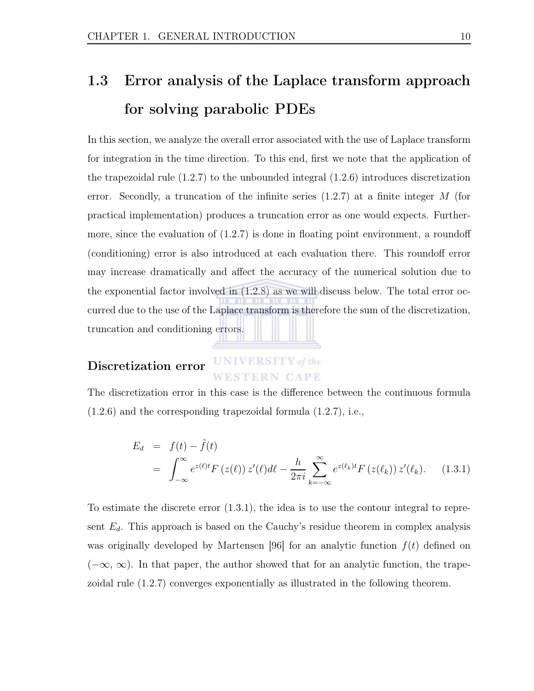## 1.3 Error analysis of the Laplace transform approach for solving parabolic PDEs

In this section, we analyze the overall error associated with the use of Laplace transform for integration in the time direction. To this end, first we note that the application of the trapezoidal rule  $(1.2.7)$  to the unbounded integral  $(1.2.6)$  introduces discretization error. Secondly, a truncation of the infinite series  $(1.2.7)$  at a finite integer M (for practical implementation) produces a truncation error as one would expects. Furthermore, since the evaluation of  $(1.2.7)$  is done in floating point environment, a roundoff (conditioning) error is also introduced at each evaluation there. This roundoff error may increase dramatically and affect the accuracy of the numerical solution due to the exponential factor involved in (1.2.8) as we will discuss below. The total error occurred due to the use of the Laplace transform is therefore the sum of the discretization, truncation and conditioning errors.

#### $UNIVERSITY$  of the Discretization error WESTERN CAPE

The discretization error in this case is the difference between the continuous formula (1.2.6) and the corresponding trapezoidal formula (1.2.7), i.e.,

$$
E_d = f(t) - \tilde{f}(t)
$$
  
= 
$$
\int_{-\infty}^{\infty} e^{z(\ell)t} F(z(\ell)) z'(\ell) d\ell - \frac{h}{2\pi i} \sum_{k=-\infty}^{\infty} e^{z(\ell_k)t} F(z(\ell_k)) z'(\ell_k).
$$
 (1.3.1)

To estimate the discrete error (1.3.1), the idea is to use the contour integral to represent  $E_d$ . This approach is based on the Cauchy's residue theorem in complex analysis was originally developed by Martensen [96] for an analytic function  $f(t)$  defined on  $(-\infty, \infty)$ . In that paper, the author showed that for an analytic function, the trapezoidal rule (1.2.7) converges exponentially as illustrated in the following theorem.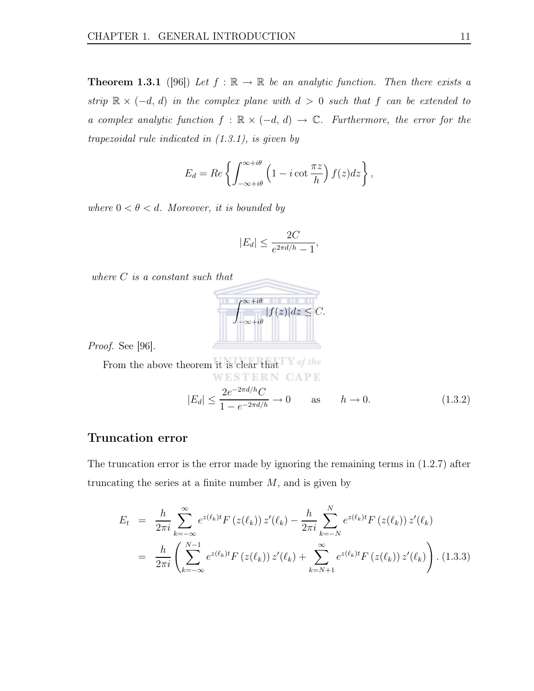**Theorem 1.3.1** ([96]) Let  $f : \mathbb{R} \to \mathbb{R}$  be an analytic function. Then there exists a *strip*  $\mathbb{R} \times (-d, d)$  *in the complex plane with*  $d > 0$  *such that* f *can be extended to a complex analytic function*  $f : \mathbb{R} \times (-d, d) \to \mathbb{C}$ *. Furthermore, the error for the trapezoidal rule indicated in (1.3.1), is given by*

$$
E_d = Re \left\{ \int_{-\infty + i\theta}^{\infty + i\theta} \left( 1 - i \cot \frac{\pi z}{h} \right) f(z) dz \right\},\,
$$

*where*  $0 < \theta < d$ *. Moreover, it is bounded by* 

$$
|E_d| \le \frac{2C}{e^{2\pi d/h} - 1},
$$

*where* C *is a constant such that*



*Proof.* See [96].

From the above theorem it is clear that  $\blacksquare$  of the WESTERN CAPE

$$
|E_d| \le \frac{2e^{-2\pi d/h}C}{1 - e^{-2\pi d/h}} \to 0 \quad \text{as} \quad h \to 0. \tag{1.3.2}
$$

#### Truncation error

The truncation error is the error made by ignoring the remaining terms in (1.2.7) after truncating the series at a finite number  $M$ , and is given by

$$
E_t = \frac{h}{2\pi i} \sum_{k=-\infty}^{\infty} e^{z(\ell_k)t} F(z(\ell_k)) z'(\ell_k) - \frac{h}{2\pi i} \sum_{k=-N}^{N} e^{z(\ell_k)t} F(z(\ell_k)) z'(\ell_k)
$$
  
= 
$$
\frac{h}{2\pi i} \left( \sum_{k=-\infty}^{N-1} e^{z(\ell_k)t} F(z(\ell_k)) z'(\ell_k) + \sum_{k=N+1}^{\infty} e^{z(\ell_k)t} F(z(\ell_k)) z'(\ell_k) \right).
$$
(1.3.3)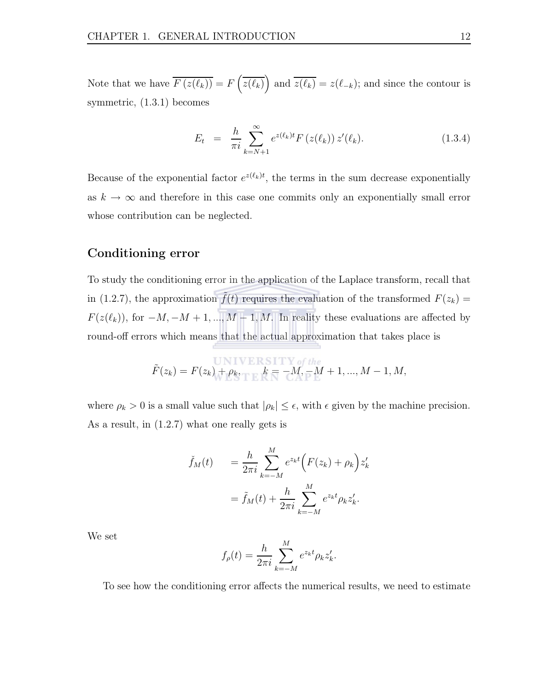Note that we have  $\overline{F(z(\ell_k))} = F(\overline{z(\ell_k)})$  and  $\overline{z(\ell_k)} = z(\ell_{-k})$ ; and since the contour is symmetric, (1.3.1) becomes

$$
E_t = \frac{h}{\pi i} \sum_{k=N+1}^{\infty} e^{z(\ell_k)t} F(z(\ell_k)) z'(\ell_k).
$$
 (1.3.4)

Because of the exponential factor  $e^{z(\ell_k)t}$ , the terms in the sum decrease exponentially as  $k \to \infty$  and therefore in this case one commits only an exponentially small error whose contribution can be neglected.

#### Conditioning error

To study the conditioning error in the application of the Laplace transform, recall that in (1.2.7), the approximation  $\tilde{f}(t)$  requires the evaluation of the transformed  $F(z_k)$  =  $F(z(\ell_k))$ , for  $-M, -M+1, ..., M-1, M$ . In reality these evaluations are affected by round-off errors which means that the actual approximation that takes place is

$$
\tilde{F}(z_k) = F(z_k) + \rho_k, \qquad k = -M, -M + 1, ..., M - 1, M,
$$

where  $\rho_k > 0$  is a small value such that  $|\rho_k| \leq \epsilon$ , with  $\epsilon$  given by the machine precision. As a result, in (1.2.7) what one really gets is

$$
\tilde{f}_M(t) = \frac{h}{2\pi i} \sum_{k=-M}^{M} e^{z_k t} \left( F(z_k) + \rho_k \right) z'_k
$$

$$
= \tilde{f}_M(t) + \frac{h}{2\pi i} \sum_{k=-M}^{M} e^{z_k t} \rho_k z'_k.
$$

We set

$$
f_{\rho}(t) = \frac{h}{2\pi i} \sum_{k=-M}^{M} e^{z_k t} \rho_k z'_k.
$$

To see how the conditioning error affects the numerical results, we need to estimate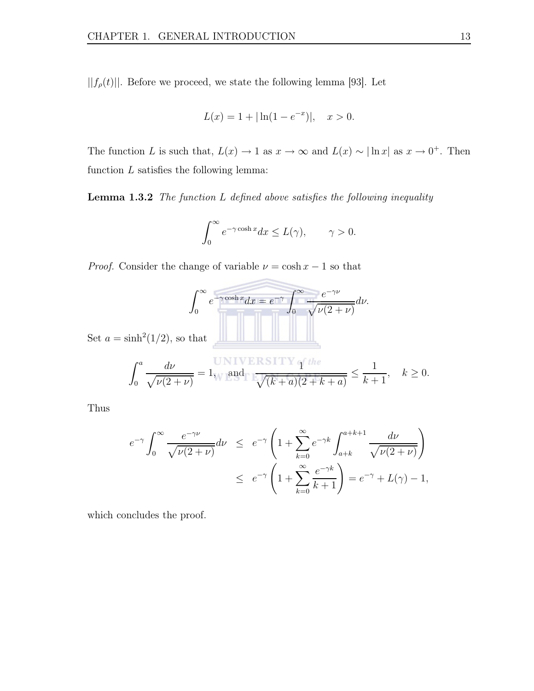$||f_{\rho}(t)||.$  Before we proceed, we state the following lemma [93]. Let

$$
L(x) = 1 + |\ln(1 - e^{-x})|, \quad x > 0.
$$

The function L is such that,  $L(x) \to 1$  as  $x \to \infty$  and  $L(x) \sim |\ln x|$  as  $x \to 0^+$ . Then function  $L$  satisfies the following lemma:

Lemma 1.3.2 *The function* L *defined above satisfies the following inequality*

$$
\int_0^\infty e^{-\gamma \cosh x} dx \le L(\gamma), \qquad \gamma > 0.
$$

*Proof.* Consider the change of variable  $\nu = \cosh x - 1$  so that

$$
\int_0^\infty e^{-\gamma \cosh x} dx = e^{-\gamma} \int_0^\infty \frac{e^{-\gamma \nu}}{\sqrt{\nu(2+\nu)}} d\nu.
$$
  

$$
a = \sinh^2(1/2), \text{ so that }
$$

$$
\int_0^a \frac{d\nu}{\sqrt{\nu(2+\nu)}} = 1, \text{ and } \frac{1}{\sqrt{(k+a)(2+k+a)}} \le \frac{1}{k+1}, \quad k \ge 0.
$$

Thus

 $Set$ 

$$
e^{-\gamma} \int_0^\infty \frac{e^{-\gamma \nu}}{\sqrt{\nu(2+\nu)}} d\nu \le e^{-\gamma} \left(1 + \sum_{k=0}^\infty e^{-\gamma k} \int_{a+k}^{a+k+1} \frac{d\nu}{\sqrt{\nu(2+\nu)}}\right)
$$
  

$$
\le e^{-\gamma} \left(1 + \sum_{k=0}^\infty \frac{e^{-\gamma k}}{k+1}\right) = e^{-\gamma} + L(\gamma) - 1,
$$

which concludes the proof.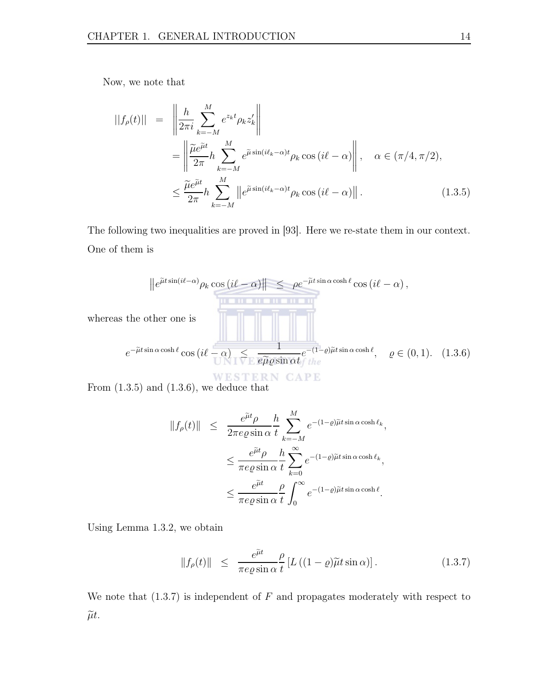Now, we note that

$$
||f_{\rho}(t)|| = \left\| \frac{h}{2\pi i} \sum_{k=-M}^{M} e^{z_{k}t} \rho_{k} z'_{k} \right\|
$$
  
\n
$$
= \left\| \frac{\tilde{\mu}e^{\tilde{\mu}t}}{2\pi} h \sum_{k=-M}^{M} e^{\tilde{\mu} \sin(i\ell_{k}-\alpha)t} \rho_{k} \cos(i\ell-\alpha) \right\|, \quad \alpha \in (\pi/4, \pi/2),
$$
  
\n
$$
\leq \frac{\tilde{\mu}e^{\tilde{\mu}t}}{2\pi} h \sum_{k=-M}^{M} \left\| e^{\tilde{\mu} \sin(i\ell_{k}-\alpha)t} \rho_{k} \cos(i\ell-\alpha) \right\|.
$$
 (1.3.5)

The following two inequalities are proved in [93]. Here we re-state them in our context. One of them is

$$
\left\|e^{\tilde{\mu}t\sin(i\ell-\alpha)}\rho_k\cos\left(i\ell-\alpha\right)\right\| \leq \rho e^{-\tilde{\mu}t\sin\alpha\cosh\ell}\cos\left(i\ell-\alpha\right),
$$
  
whereas the other one is  

$$
e^{-\tilde{\mu}t\sin\alpha\cosh\ell}\cos\left(i\ell-\alpha\right) \leq \frac{1}{e\tilde{\mu}\varrho\sin\alpha t}e^{-(1-\varrho)\tilde{\mu}t\sin\alpha\cosh\ell}, \quad \varrho \in (0,1). \quad (1.3.6)
$$

From  $(1.3.5)$  and  $(1.3.6)$ , we deduce that

$$
||f_{\rho}(t)|| \leq \frac{e^{\tilde{\mu}t}\rho}{2\pi e\rho\sin\alpha} \frac{h}{t} \sum_{k=-M}^{M} e^{-(1-\varrho)\tilde{\mu}t\sin\alpha\cosh\ell_{k}},
$$
  

$$
\leq \frac{e^{\tilde{\mu}t}\rho}{\pi e\rho\sin\alpha} \frac{h}{t} \sum_{k=0}^{\infty} e^{-(1-\varrho)\tilde{\mu}t\sin\alpha\cosh\ell_{k}},
$$
  

$$
\leq \frac{e^{\tilde{\mu}t}}{\pi e\rho\sin\alpha} \frac{\rho}{t} \int_{0}^{\infty} e^{-(1-\varrho)\tilde{\mu}t\sin\alpha\cosh\ell}.
$$

Using Lemma 1.3.2, we obtain

$$
||f_{\rho}(t)|| \leq \frac{e^{\tilde{\mu}t}}{\pi e \sin \alpha t} \frac{\rho}{t} \left[ L \left( (1 - \varrho) \tilde{\mu} t \sin \alpha \right) \right]. \tag{1.3.7}
$$

We note that  $(1.3.7)$  is independent of  $F$  and propagates moderately with respect to  $\tilde{\mu}t$ .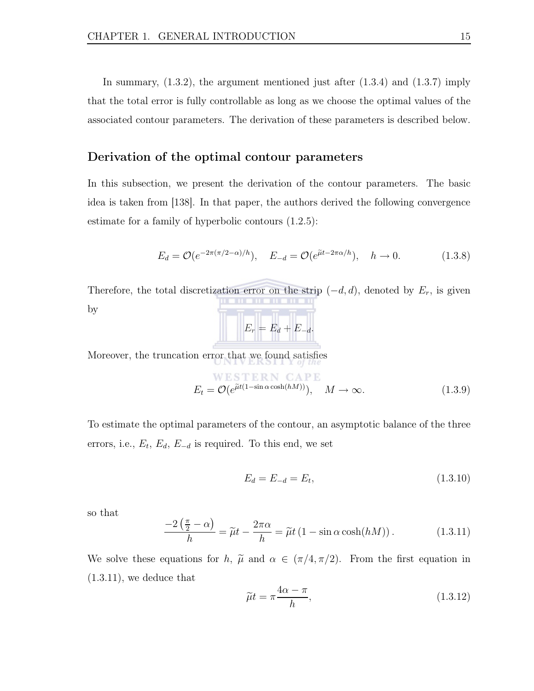In summary,  $(1.3.2)$ , the argument mentioned just after  $(1.3.4)$  and  $(1.3.7)$  imply that the total error is fully controllable as long as we choose the optimal values of the associated contour parameters. The derivation of these parameters is described below.

#### Derivation of the optimal contour parameters

In this subsection, we present the derivation of the contour parameters. The basic idea is taken from [138]. In that paper, the authors derived the following convergence estimate for a family of hyperbolic contours (1.2.5):

$$
E_d = \mathcal{O}(e^{-2\pi(\pi/2 - \alpha)/h}), \quad E_{-d} = \mathcal{O}(e^{\tilde{\mu}t - 2\pi\alpha/h}), \quad h \to 0.
$$
 (1.3.8)

Therefore, the total discretization error on the strip  $(-d, d)$ , denoted by  $E_r$ , is given by

| $E_r = E_d + E_{-d}.$ |
|-----------------------|
|                       |

Moreover, the truncation error that we found satisfies

$$
E_t = \mathcal{O}(e^{\tilde{\mu}t(1-\sin\alpha\cosh(hM))}), \quad M \to \infty.
$$
 (1.3.9)

To estimate the optimal parameters of the contour, an asymptotic balance of the three errors, i.e.,  $E_t$ ,  $E_d$ ,  $E_{-d}$  is required. To this end, we set

$$
E_d = E_{-d} = E_t,\t\t(1.3.10)
$$

so that

$$
\frac{-2\left(\frac{\pi}{2} - \alpha\right)}{h} = \widetilde{\mu}t - \frac{2\pi\alpha}{h} = \widetilde{\mu}t\left(1 - \sin\alpha\cosh(hM)\right). \tag{1.3.11}
$$

We solve these equations for h,  $\tilde{\mu}$  and  $\alpha \in (\pi/4, \pi/2)$ . From the first equation in  $(1.3.11)$ , we deduce that

$$
\tilde{\mu}t = \pi \frac{4\alpha - \pi}{h},\tag{1.3.12}
$$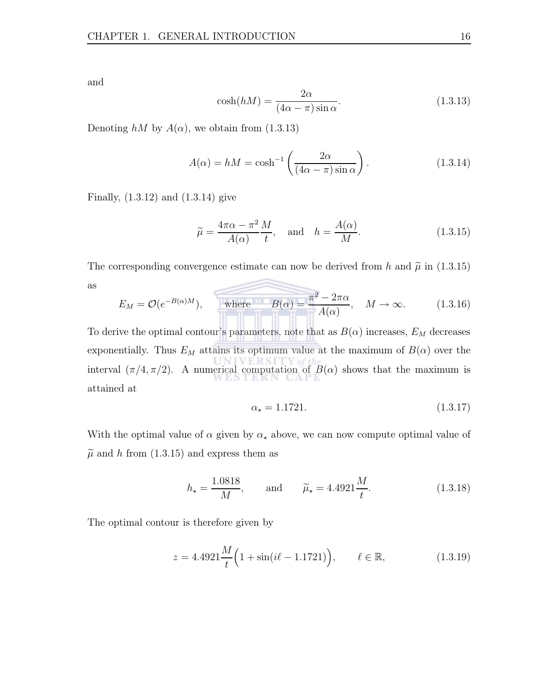and

$$
\cosh(hM) = \frac{2\alpha}{(4\alpha - \pi)\sin\alpha}.
$$
\n(1.3.13)

Denoting  $hM$  by  $A(\alpha)$ , we obtain from  $(1.3.13)$ 

$$
A(\alpha) = hM = \cosh^{-1}\left(\frac{2\alpha}{(4\alpha - \pi)\sin \alpha}\right). \tag{1.3.14}
$$

Finally, (1.3.12) and (1.3.14) give

$$
\widetilde{\mu} = \frac{4\pi\alpha - \pi^2}{A(\alpha)} \frac{M}{t}, \quad \text{and} \quad h = \frac{A(\alpha)}{M}.
$$
\n(1.3.15)

The corresponding convergence estimate can now be derived from h and  $\tilde{\mu}$  in (1.3.15) as

$$
E_M = \mathcal{O}(e^{-B(\alpha)M}), \quad \text{where} \quad B(\alpha) = \frac{\pi^2 - 2\pi\alpha}{A(\alpha)}, \quad M \to \infty. \quad (1.3.16)
$$

To derive the optimal contour's parameters, note that as  $B(\alpha)$  increases,  $E_M$  decreases exponentially. Thus  $E_M$  attains its optimum value at the maximum of  $B(\alpha)$  over the JNIVERSITY of t interval  $(\pi/4, \pi/2)$ . A numerical computation of  $B(\alpha)$  shows that the maximum is attained at

$$
\alpha_{\star} = 1.1721. \tag{1.3.17}
$$

With the optimal value of  $\alpha$  given by  $\alpha_{\star}$  above, we can now compute optimal value of  $\tilde{\mu}$  and h from (1.3.15) and express them as

$$
h_{\star} = \frac{1.0818}{M}
$$
, and  $\tilde{\mu}_{\star} = 4.4921 \frac{M}{t}$ . (1.3.18)

The optimal contour is therefore given by

$$
z = 4.4921 \frac{M}{t} \Big( 1 + \sin(i\ell - 1.1721) \Big), \qquad \ell \in \mathbb{R}, \tag{1.3.19}
$$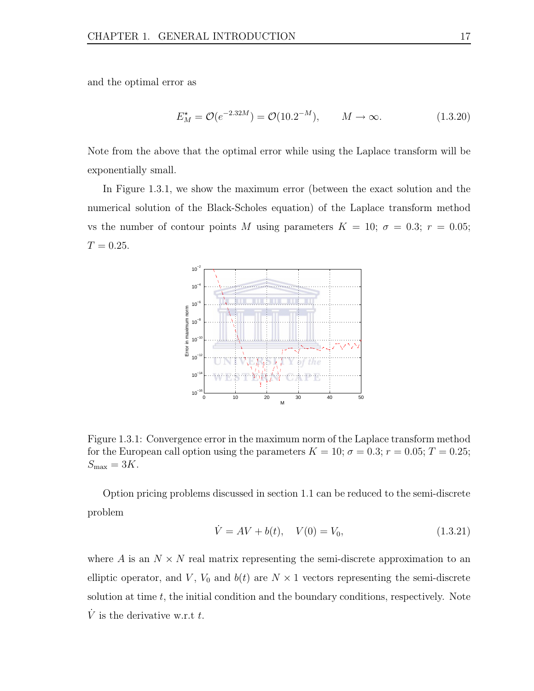and the optimal error as

$$
E_M^* = \mathcal{O}(e^{-2.32M}) = \mathcal{O}(10.2^{-M}), \qquad M \to \infty.
$$
 (1.3.20)

Note from the above that the optimal error while using the Laplace transform will be exponentially small.

In Figure 1.3.1, we show the maximum error (between the exact solution and the numerical solution of the Black-Scholes equation) of the Laplace transform method vs the number of contour points M using parameters  $K = 10$ ;  $\sigma = 0.3$ ;  $r = 0.05$ ;  $T = 0.25$ .



Figure 1.3.1: Convergence error in the maximum norm of the Laplace transform method for the European call option using the parameters  $K = 10$ ;  $\sigma = 0.3$ ;  $r = 0.05$ ;  $T = 0.25$ ;  $S_{\text{max}} = 3K$ .

Option pricing problems discussed in section 1.1 can be reduced to the semi-discrete problem

$$
\dot{V} = AV + b(t), \quad V(0) = V_0,
$$
\n(1.3.21)

where A is an  $N \times N$  real matrix representing the semi-discrete approximation to an elliptic operator, and V,  $V_0$  and  $b(t)$  are  $N \times 1$  vectors representing the semi-discrete solution at time  $t$ , the initial condition and the boundary conditions, respectively. Note  $\dot{V}$  is the derivative w.r.t t.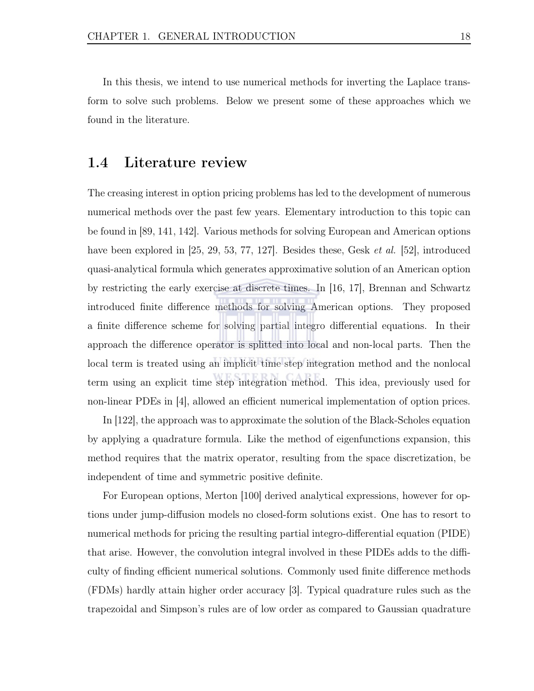In this thesis, we intend to use numerical methods for inverting the Laplace transform to solve such problems. Below we present some of these approaches which we found in the literature.

### 1.4 Literature review

The creasing interest in option pricing problems has led to the development of numerous numerical methods over the past few years. Elementary introduction to this topic can be found in [89, 141, 142]. Various methods for solving European and American options have been explored in [25, 29, 53, 77, 127]. Besides these, Gesk *et al.* [52], introduced quasi-analytical formula which generates approximative solution of an American option by restricting the early exercise at discrete times. In [16, 17], Brennan and Schwartz introduced finite difference methods for solving American options. They proposed a finite difference scheme for solving partial integro differential equations. In their approach the difference operator is splitted into local and non-local parts. Then the local term is treated using an implicit time step integration method and the nonlocal term using an explicit time step integration method. This idea, previously used for non-linear PDEs in [4], allowed an efficient numerical implementation of option prices.

In [122], the approach was to approximate the solution of the Black-Scholes equation by applying a quadrature formula. Like the method of eigenfunctions expansion, this method requires that the matrix operator, resulting from the space discretization, be independent of time and symmetric positive definite.

For European options, Merton [100] derived analytical expressions, however for options under jump-diffusion models no closed-form solutions exist. One has to resort to numerical methods for pricing the resulting partial integro-differential equation (PIDE) that arise. However, the convolution integral involved in these PIDEs adds to the difficulty of finding efficient numerical solutions. Commonly used finite difference methods (FDMs) hardly attain higher order accuracy [3]. Typical quadrature rules such as the trapezoidal and Simpson's rules are of low order as compared to Gaussian quadrature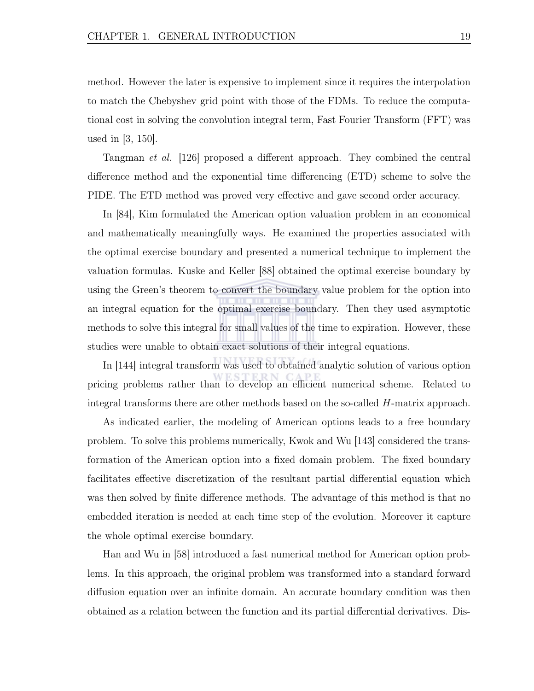method. However the later is expensive to implement since it requires the interpolation to match the Chebyshev grid point with those of the FDMs. To reduce the computational cost in solving the convolution integral term, Fast Fourier Transform (FFT) was used in [3, 150].

Tangman *et al.* [126] proposed a different approach. They combined the central difference method and the exponential time differencing (ETD) scheme to solve the PIDE. The ETD method was proved very effective and gave second order accuracy.

In [84], Kim formulated the American option valuation problem in an economical and mathematically meaningfully ways. He examined the properties associated with the optimal exercise boundary and presented a numerical technique to implement the valuation formulas. Kuske and Keller [88] obtained the optimal exercise boundary by using the Green's theorem to convert the boundary value problem for the option into an integral equation for the optimal exercise boundary. Then they used asymptotic methods to solve this integral for small values of the time to expiration. However, these studies were unable to obtain exact solutions of their integral equations.

In [144] integral transform was used to obtained analytic solution of various option pricing problems rather than to develop an efficient numerical scheme. Related to integral transforms there are other methods based on the so-called H-matrix approach.

As indicated earlier, the modeling of American options leads to a free boundary problem. To solve this problems numerically, Kwok and Wu [143] considered the transformation of the American option into a fixed domain problem. The fixed boundary facilitates effective discretization of the resultant partial differential equation which was then solved by finite difference methods. The advantage of this method is that no embedded iteration is needed at each time step of the evolution. Moreover it capture the whole optimal exercise boundary.

Han and Wu in [58] introduced a fast numerical method for American option problems. In this approach, the original problem was transformed into a standard forward diffusion equation over an infinite domain. An accurate boundary condition was then obtained as a relation between the function and its partial differential derivatives. Dis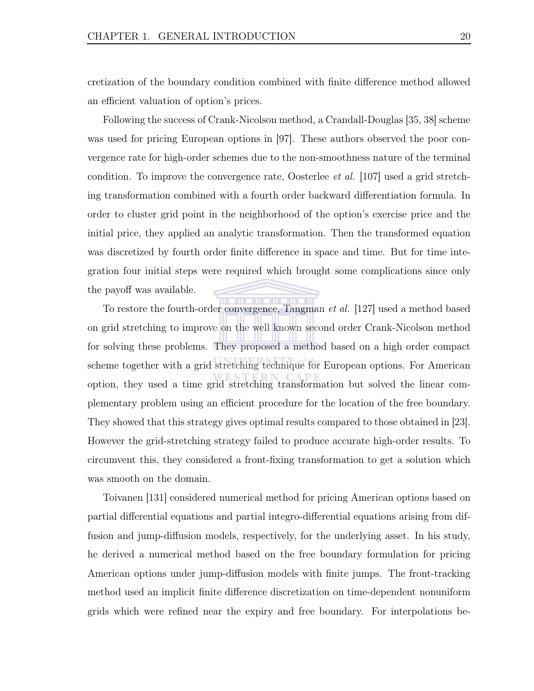cretization of the boundary condition combined with finite difference method allowed an efficient valuation of option's prices.

Following the success of Crank-Nicolson method, a Crandall-Douglas [35, 38] scheme was used for pricing European options in [97]. These authors observed the poor convergence rate for high-order schemes due to the non-smoothness nature of the terminal condition. To improve the convergence rate, Oosterlee *et al.* [107] used a grid stretching transformation combined with a fourth order backward differentiation formula. In order to cluster grid point in the neighborhood of the option's exercise price and the initial price, they applied an analytic transformation. Then the transformed equation was discretized by fourth order finite difference in space and time. But for time integration four initial steps were required which brought some complications since only the payoff was available.

To restore the fourth-order convergence, Tangman *et al.* [127] used a method based on grid stretching to improve on the well known second order Crank-Nicolson method for solving these problems. They proposed a method based on a high order compact scheme together with a grid stretching technique for European options. For American option, they used a time grid stretching transformation but solved the linear complementary problem using an efficient procedure for the location of the free boundary. They showed that this strategy gives optimal results compared to those obtained in [23]. However the grid-stretching strategy failed to produce accurate high-order results. To circumvent this, they considered a front-fixing transformation to get a solution which was smooth on the domain.

Toivanen [131] considered numerical method for pricing American options based on partial differential equations and partial integro-differential equations arising from diffusion and jump-diffusion models, respectively, for the underlying asset. In his study, he derived a numerical method based on the free boundary formulation for pricing American options under jump-diffusion models with finite jumps. The front-tracking method used an implicit finite difference discretization on time-dependent nonuniform grids which were refined near the expiry and free boundary. For interpolations be-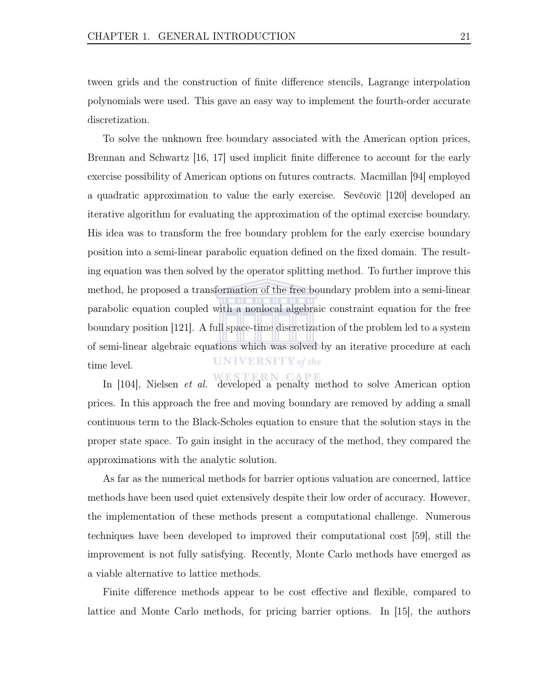tween grids and the construction of finite difference stencils, Lagrange interpolation polynomials were used. This gave an easy way to implement the fourth-order accurate discretization.

To solve the unknown free boundary associated with the American option prices, Brennan and Schwartz [16, 17] used implicit finite difference to account for the early exercise possibility of American options on futures contracts. Macmillan [94] employed a quadratic approximation to value the early exercise. Sev $\check{\text{cov}}$  [120] developed an iterative algorithm for evaluating the approximation of the optimal exercise boundary. His idea was to transform the free boundary problem for the early exercise boundary position into a semi-linear parabolic equation defined on the fixed domain. The resulting equation was then solved by the operator splitting method. To further improve this method, he proposed a transformation of the free boundary problem into a semi-linear parabolic equation coupled with a nonlocal algebraic constraint equation for the free boundary position [121]. A full space-time discretization of the problem led to a system of semi-linear algebraic equations which was solved by an iterative procedure at each **UNIVERSITY** of the time level.

In [104], Nielsen *et al.* developed a penalty method to solve American option prices. In this approach the free and moving boundary are removed by adding a small continuous term to the Black-Scholes equation to ensure that the solution stays in the proper state space. To gain insight in the accuracy of the method, they compared the approximations with the analytic solution.

As far as the numerical methods for barrier options valuation are concerned, lattice methods have been used quiet extensively despite their low order of accuracy. However, the implementation of these methods present a computational challenge. Numerous techniques have been developed to improved their computational cost [59], still the improvement is not fully satisfying. Recently, Monte Carlo methods have emerged as a viable alternative to lattice methods.

Finite difference methods appear to be cost effective and flexible, compared to lattice and Monte Carlo methods, for pricing barrier options. In [15], the authors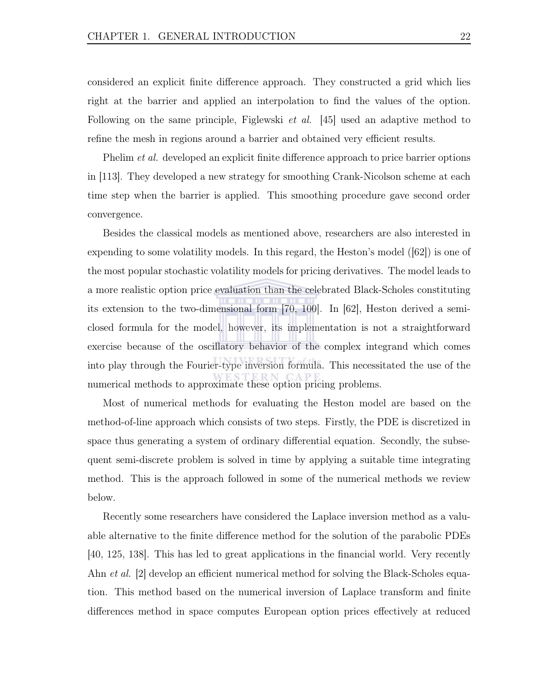considered an explicit finite difference approach. They constructed a grid which lies right at the barrier and applied an interpolation to find the values of the option. Following on the same principle, Figlewski *et al.* [45] used an adaptive method to refine the mesh in regions around a barrier and obtained very efficient results.

Phelim *et al.* developed an explicit finite difference approach to price barrier options in [113]. They developed a new strategy for smoothing Crank-Nicolson scheme at each time step when the barrier is applied. This smoothing procedure gave second order convergence.

Besides the classical models as mentioned above, researchers are also interested in expending to some volatility models. In this regard, the Heston's model ([62]) is one of the most popular stochastic volatility models for pricing derivatives. The model leads to a more realistic option price evaluation than the celebrated Black-Scholes constituting its extension to the two-dimensional form [70, 100]. In [62], Heston derived a semiclosed formula for the model, however, its implementation is not a straightforward exercise because of the oscillatory behavior of the complex integrand which comes into play through the Fourier-type inversion formula. This necessitated the use of the numerical methods to approximate these option pricing problems.

Most of numerical methods for evaluating the Heston model are based on the method-of-line approach which consists of two steps. Firstly, the PDE is discretized in space thus generating a system of ordinary differential equation. Secondly, the subsequent semi-discrete problem is solved in time by applying a suitable time integrating method. This is the approach followed in some of the numerical methods we review below.

Recently some researchers have considered the Laplace inversion method as a valuable alternative to the finite difference method for the solution of the parabolic PDEs [40, 125, 138]. This has led to great applications in the financial world. Very recently Ahn *et al.* [2] develop an efficient numerical method for solving the Black-Scholes equation. This method based on the numerical inversion of Laplace transform and finite differences method in space computes European option prices effectively at reduced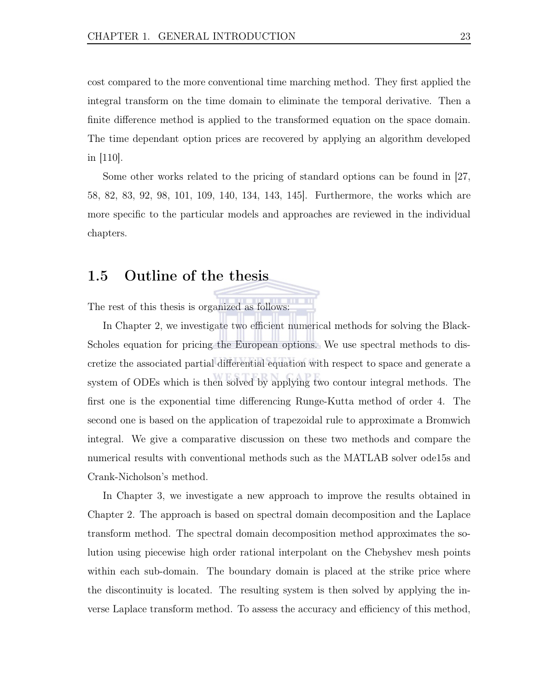cost compared to the more conventional time marching method. They first applied the integral transform on the time domain to eliminate the temporal derivative. Then a finite difference method is applied to the transformed equation on the space domain. The time dependant option prices are recovered by applying an algorithm developed in [110].

Some other works related to the pricing of standard options can be found in [27, 58, 82, 83, 92, 98, 101, 109, 140, 134, 143, 145]. Furthermore, the works which are more specific to the particular models and approaches are reviewed in the individual chapters.

### 1.5 Outline of the thesis

The rest of this thesis is organized as follows:

In Chapter 2, we investigate two efficient numerical methods for solving the Black-Scholes equation for pricing the European options. We use spectral methods to discretize the associated partial differential equation with respect to space and generate a system of ODEs which is then solved by applying two contour integral methods. The first one is the exponential time differencing Runge-Kutta method of order 4. The second one is based on the application of trapezoidal rule to approximate a Bromwich integral. We give a comparative discussion on these two methods and compare the numerical results with conventional methods such as the MATLAB solver ode15s and Crank-Nicholson's method.

In Chapter 3, we investigate a new approach to improve the results obtained in Chapter 2. The approach is based on spectral domain decomposition and the Laplace transform method. The spectral domain decomposition method approximates the solution using piecewise high order rational interpolant on the Chebyshev mesh points within each sub-domain. The boundary domain is placed at the strike price where the discontinuity is located. The resulting system is then solved by applying the inverse Laplace transform method. To assess the accuracy and efficiency of this method,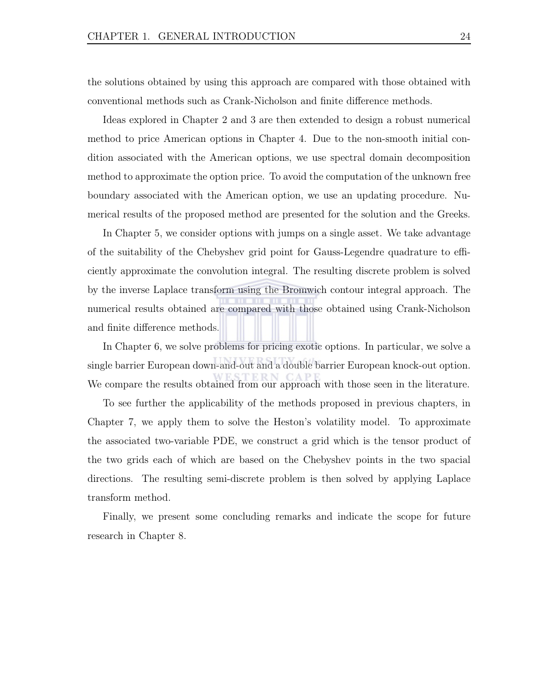the solutions obtained by using this approach are compared with those obtained with conventional methods such as Crank-Nicholson and finite difference methods.

Ideas explored in Chapter 2 and 3 are then extended to design a robust numerical method to price American options in Chapter 4. Due to the non-smooth initial condition associated with the American options, we use spectral domain decomposition method to approximate the option price. To avoid the computation of the unknown free boundary associated with the American option, we use an updating procedure. Numerical results of the proposed method are presented for the solution and the Greeks.

In Chapter 5, we consider options with jumps on a single asset. We take advantage of the suitability of the Chebyshev grid point for Gauss-Legendre quadrature to efficiently approximate the convolution integral. The resulting discrete problem is solved by the inverse Laplace transform using the Bromwich contour integral approach. The numerical results obtained are compared with those obtained using Crank-Nicholson and finite difference methods.

In Chapter 6, we solve problems for pricing exotic options. In particular, we solve a single barrier European down-and-out and a double barrier European knock-out option. We compare the results obtained from our approach with those seen in the literature.

To see further the applicability of the methods proposed in previous chapters, in Chapter 7, we apply them to solve the Heston's volatility model. To approximate the associated two-variable PDE, we construct a grid which is the tensor product of the two grids each of which are based on the Chebyshev points in the two spacial directions. The resulting semi-discrete problem is then solved by applying Laplace transform method.

Finally, we present some concluding remarks and indicate the scope for future research in Chapter 8.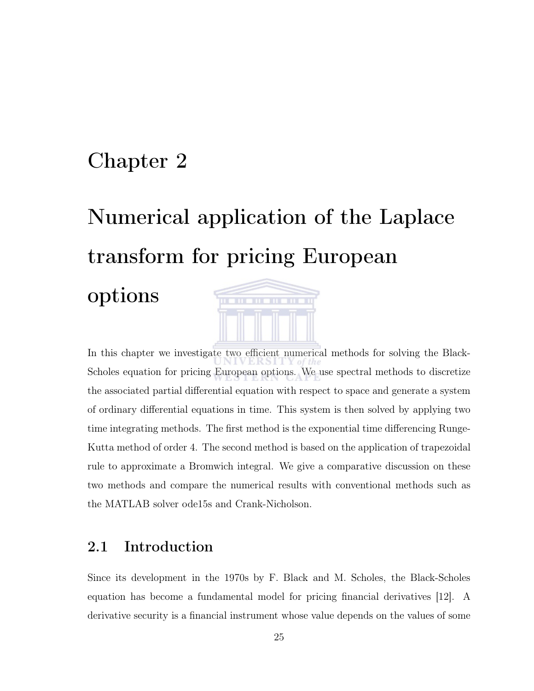# Chapter 2

# Numerical application of the Laplace transform for pricing European

options



In this chapter we investigate two efficient numerical methods for solving the Black-Scholes equation for pricing European options. We use spectral methods to discretize the associated partial differential equation with respect to space and generate a system of ordinary differential equations in time. This system is then solved by applying two time integrating methods. The first method is the exponential time differencing Runge-Kutta method of order 4. The second method is based on the application of trapezoidal rule to approximate a Bromwich integral. We give a comparative discussion on these two methods and compare the numerical results with conventional methods such as the MATLAB solver ode15s and Crank-Nicholson.

# 2.1 Introduction

Since its development in the 1970s by F. Black and M. Scholes, the Black-Scholes equation has become a fundamental model for pricing financial derivatives [12]. A derivative security is a financial instrument whose value depends on the values of some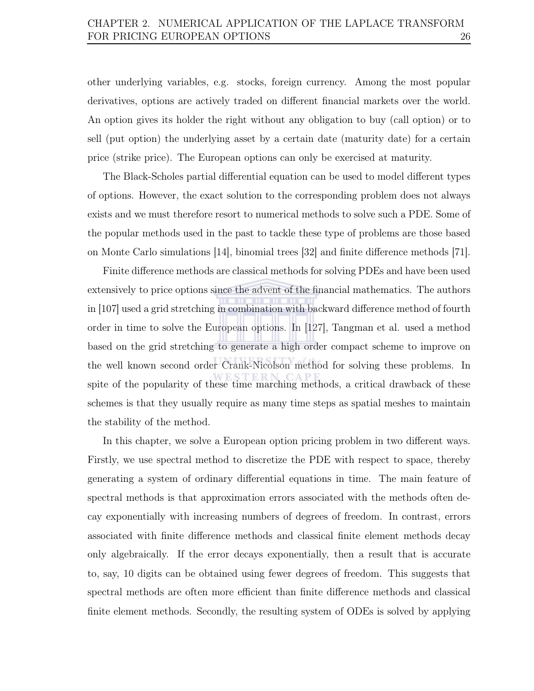other underlying variables, e.g. stocks, foreign currency. Among the most popular derivatives, options are actively traded on different financial markets over the world. An option gives its holder the right without any obligation to buy (call option) or to sell (put option) the underlying asset by a certain date (maturity date) for a certain price (strike price). The European options can only be exercised at maturity.

The Black-Scholes partial differential equation can be used to model different types of options. However, the exact solution to the corresponding problem does not always exists and we must therefore resort to numerical methods to solve such a PDE. Some of the popular methods used in the past to tackle these type of problems are those based on Monte Carlo simulations [14], binomial trees [32] and finite difference methods [71].

Finite difference methods are classical methods for solving PDEs and have been used extensively to price options since the advent of the financial mathematics. The authors in [107] used a grid stretching in combination with backward difference method of fourth order in time to solve the European options. In [127], Tangman et al. used a method based on the grid stretching to generate a high order compact scheme to improve on the well known second order Crank-Nicolson method for solving these problems. In spite of the popularity of these time marching methods, a critical drawback of these schemes is that they usually require as many time steps as spatial meshes to maintain the stability of the method.

In this chapter, we solve a European option pricing problem in two different ways. Firstly, we use spectral method to discretize the PDE with respect to space, thereby generating a system of ordinary differential equations in time. The main feature of spectral methods is that approximation errors associated with the methods often decay exponentially with increasing numbers of degrees of freedom. In contrast, errors associated with finite difference methods and classical finite element methods decay only algebraically. If the error decays exponentially, then a result that is accurate to, say, 10 digits can be obtained using fewer degrees of freedom. This suggests that spectral methods are often more efficient than finite difference methods and classical finite element methods. Secondly, the resulting system of ODEs is solved by applying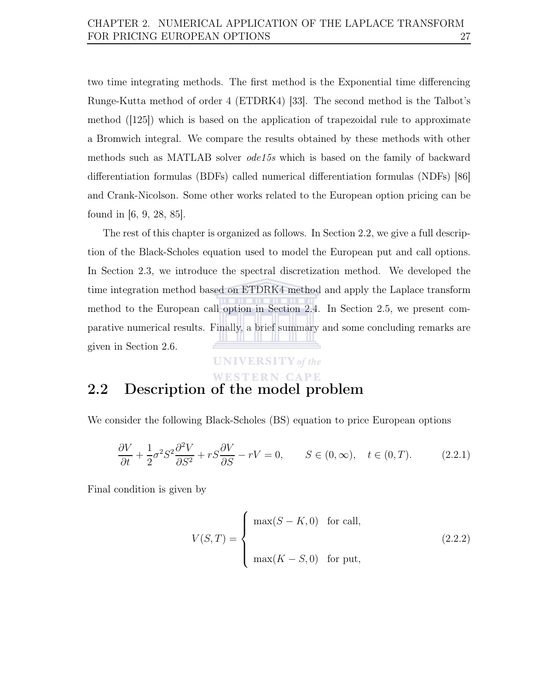two time integrating methods. The first method is the Exponential time differencing Runge-Kutta method of order 4 (ETDRK4) [33]. The second method is the Talbot's method ([125]) which is based on the application of trapezoidal rule to approximate a Bromwich integral. We compare the results obtained by these methods with other methods such as MATLAB solver *ode15s* which is based on the family of backward differentiation formulas (BDFs) called numerical differentiation formulas (NDFs) [86] and Crank-Nicolson. Some other works related to the European option pricing can be found in [6, 9, 28, 85].

The rest of this chapter is organized as follows. In Section 2.2, we give a full description of the Black-Scholes equation used to model the European put and call options. In Section 2.3, we introduce the spectral discretization method. We developed the time integration method based on ETDRK4 method and apply the Laplace transform method to the European call option in Section 2.4. In Section 2.5, we present comparative numerical results. Finally, a brief summary and some concluding remarks are given in Section 2.6.

#### **UNIVERSITY** of the

WESTERN CAPE

# 2.2 Description of the model problem

We consider the following Black-Scholes (BS) equation to price European options

$$
\frac{\partial V}{\partial t} + \frac{1}{2}\sigma^2 S^2 \frac{\partial^2 V}{\partial S^2} + rS \frac{\partial V}{\partial S} - rV = 0, \qquad S \in (0, \infty), \quad t \in (0, T). \tag{2.2.1}
$$

Final condition is given by

$$
V(S,T) = \begin{cases} \max(S-K,0) & \text{for call,} \\ \max(K-S,0) & \text{for put,} \end{cases}
$$
 (2.2.2)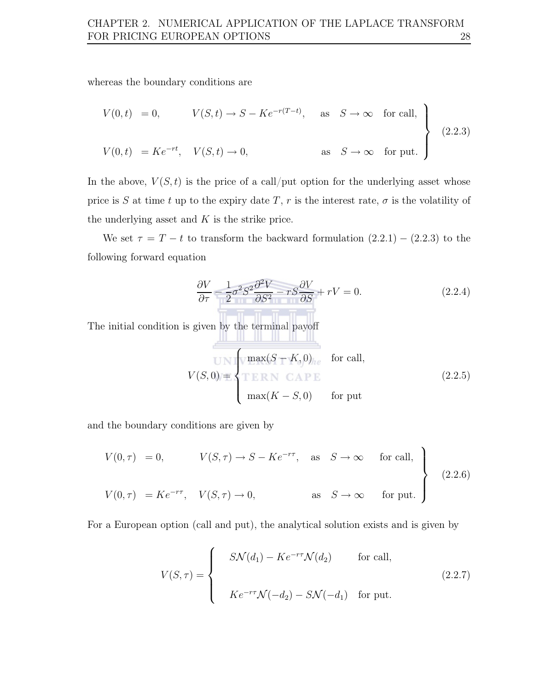whereas the boundary conditions are

$$
V(0,t) = 0, \t V(S,t) \to S - Ke^{-r(T-t)}, \t as \t S \to \infty \t for call,\n
$$
V(0,t) = Ke^{-rt}, \t V(S,t) \to 0,
$$
 as  $S \to \infty$  for put.  
\n(2.2.3)
$$

In the above,  $V(S, t)$  is the price of a call/put option for the underlying asset whose price is S at time t up to the expiry date T, r is the interest rate,  $\sigma$  is the volatility of the underlying asset and  $K$  is the strike price.

We set  $\tau = T - t$  to transform the backward formulation  $(2.2.1) - (2.2.3)$  to the following forward equation

$$
\frac{\partial V}{\partial \tau} - \frac{1}{2} \sigma^2 S^2 \frac{\partial^2 V}{\partial S^2} - rS \frac{\partial V}{\partial S} + rV = 0.
$$
 (2.2.4)

The initial condition is given by the terminal payoff

$$
V(S,0) = \begin{cases} \max(S-K,0) & \text{for call,} \\ \max(K-S,0) & \text{for put} \end{cases}
$$
 (2.2.5)

and the boundary conditions are given by

$$
V(0,\tau) = 0, \t V(S,\tau) \to S - Ke^{-r\tau}, \text{ as } S \to \infty \text{ for call,}
$$
  
\n
$$
V(0,\tau) = Ke^{-r\tau}, \t V(S,\tau) \to 0, \t \text{as } S \to \infty \text{ for put.}
$$
  
\n(2.2.6)

For a European option (call and put), the analytical solution exists and is given by

$$
V(S,\tau) = \begin{cases} SN(d_1) - Ke^{-r\tau} \mathcal{N}(d_2) & \text{for call,} \\ K e^{-r\tau} \mathcal{N}(-d_2) - S \mathcal{N}(-d_1) & \text{for put.} \end{cases}
$$
 (2.2.7)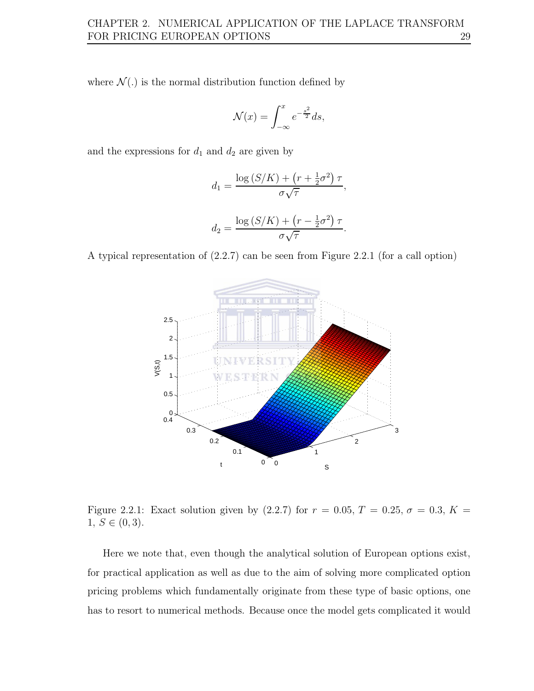where  $\mathcal{N}(.)$  is the normal distribution function defined by

$$
\mathcal{N}(x) = \int_{-\infty}^{x} e^{-\frac{s^2}{2}} ds,
$$

and the expressions for  $d_1$  and  $d_2$  are given by

$$
d_1 = \frac{\log (S/K) + (r + \frac{1}{2}\sigma^2) \tau}{\sigma\sqrt{\tau}},
$$

$$
d_2 = \frac{\log (S/K) + (r - \frac{1}{2}\sigma^2) \tau}{\sigma\sqrt{\tau}}.
$$

A typical representation of (2.2.7) can be seen from Figure 2.2.1 (for a call option)



Figure 2.2.1: Exact solution given by (2.2.7) for  $r = 0.05, T = 0.25, \sigma = 0.3, K =$  $1, S \in (0,3)$ .

Here we note that, even though the analytical solution of European options exist, for practical application as well as due to the aim of solving more complicated option pricing problems which fundamentally originate from these type of basic options, one has to resort to numerical methods. Because once the model gets complicated it would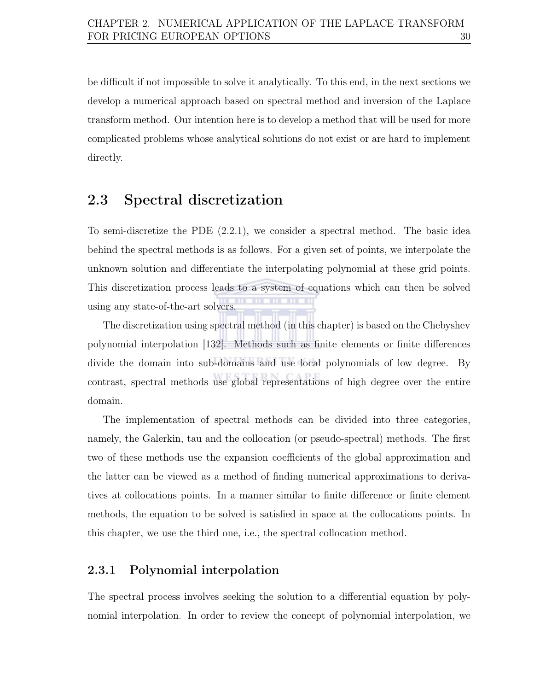be difficult if not impossible to solve it analytically. To this end, in the next sections we develop a numerical approach based on spectral method and inversion of the Laplace transform method. Our intention here is to develop a method that will be used for more complicated problems whose analytical solutions do not exist or are hard to implement directly.

## 2.3 Spectral discretization

To semi-discretize the PDE (2.2.1), we consider a spectral method. The basic idea behind the spectral methods is as follows. For a given set of points, we interpolate the unknown solution and differentiate the interpolating polynomial at these grid points. This discretization process leads to a system of equations which can then be solved using any state-of-the-art solvers.

The discretization using spectral method (in this chapter) is based on the Chebyshev polynomial interpolation [132]. Methods such as finite elements or finite differences divide the domain into sub-domains and use local polynomials of low degree. By contrast, spectral methods use global representations of high degree over the entire domain.

The implementation of spectral methods can be divided into three categories, namely, the Galerkin, tau and the collocation (or pseudo-spectral) methods. The first two of these methods use the expansion coefficients of the global approximation and the latter can be viewed as a method of finding numerical approximations to derivatives at collocations points. In a manner similar to finite difference or finite element methods, the equation to be solved is satisfied in space at the collocations points. In this chapter, we use the third one, i.e., the spectral collocation method.

#### 2.3.1 Polynomial interpolation

The spectral process involves seeking the solution to a differential equation by polynomial interpolation. In order to review the concept of polynomial interpolation, we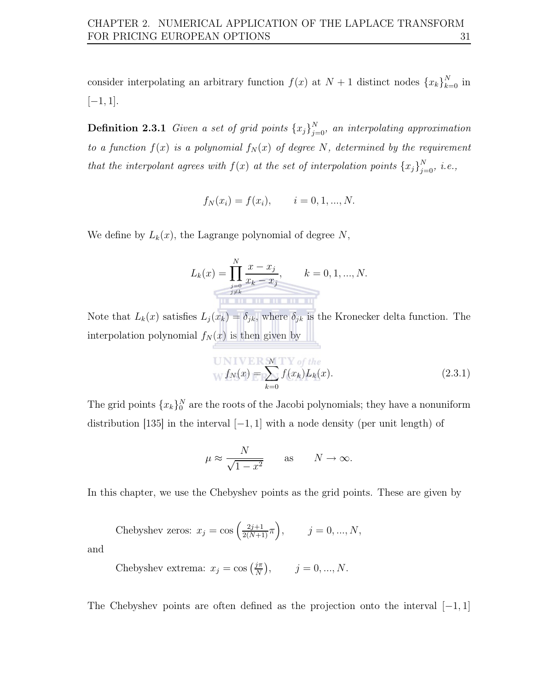consider interpolating an arbitrary function  $f(x)$  at  $N+1$  distinct nodes  $\{x_k\}_{k=0}^N$  in  $[-1, 1].$ 

**Definition 2.3.1** *Given a set of grid points*  $\{x_j\}_{j=0}^N$ , an interpolating approximation *to a function*  $f(x)$  *is a polynomial*  $f_N(x)$  *of degree* N, determined by the requirement *that the interpolant agrees with*  $f(x)$  *at the set of interpolation points*  $\{x_j\}_{j=0}^N$ *, i.e.*,

$$
f_N(x_i) = f(x_i),
$$
   
  $i = 0, 1, ..., N.$ 

We define by  $L_k(x)$ , the Lagrange polynomial of degree N,

$$
L_k(x) = \prod_{\substack{j=0 \ j \neq k}}^N \frac{x - x_j}{x_k - x_j}, \qquad k = 0, 1, ..., N.
$$

Note that  $L_k(x)$  satisfies  $L_j(x_k) = \delta_{jk}$ , where  $\overline{\delta_{jk}}$  is the Kronecker delta function. The interpolation polynomial  $f_N(\boldsymbol{x})$  is then given by

$$
f_N(x) = \sum_{k=0}^{N} f(x_k) L_k(x).
$$
 (2.3.1)

The grid points  ${x_k}_0^N$  are the roots of the Jacobi polynomials; they have a nonuniform distribution [135] in the interval  $[-1, 1]$  with a node density (per unit length) of

$$
\mu \approx \frac{N}{\sqrt{1-x^2}}
$$
 as  $N \to \infty$ .

In this chapter, we use the Chebyshev points as the grid points. These are given by

Chebyshev zeros: 
$$
x_j = \cos\left(\frac{2j+1}{2(N+1)}\pi\right)
$$
,  $j = 0, ..., N$ ,

and

Chebyshev extrema: 
$$
x_j = \cos\left(\frac{j\pi}{N}\right)
$$
,  $j = 0, ..., N$ .

The Chebyshev points are often defined as the projection onto the interval  $[-1, 1]$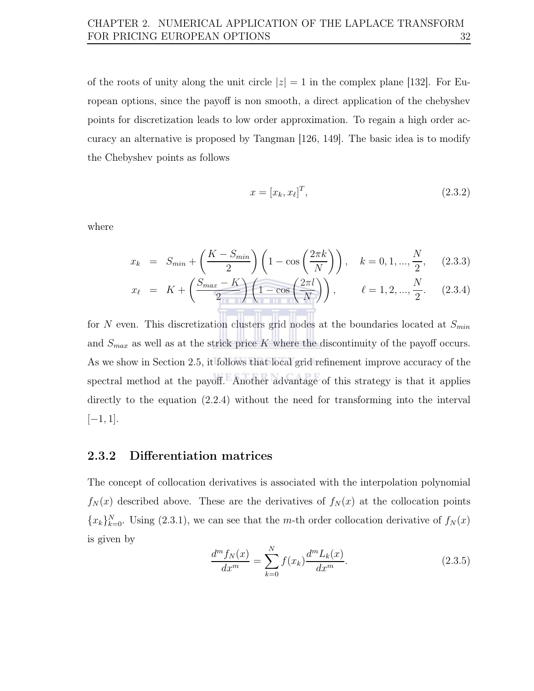of the roots of unity along the unit circle  $|z|=1$  in the complex plane [132]. For European options, since the payoff is non smooth, a direct application of the chebyshev points for discretization leads to low order approximation. To regain a high order accuracy an alternative is proposed by Tangman [126, 149]. The basic idea is to modify the Chebyshev points as follows

$$
x = [x_k, x_\ell]^T, \tag{2.3.2}
$$

where

$$
x_k = S_{min} + \left(\frac{K - S_{min}}{2}\right) \left(1 - \cos\left(\frac{2\pi k}{N}\right)\right), \quad k = 0, 1, ..., \frac{N}{2}, \quad (2.3.3)
$$

$$
x_{\ell} = K + \left(\frac{S_{max} - K}{2}\right) \left(1 - \cos\left(\frac{2\pi l}{N}\right)\right), \qquad \ell = 1, 2, ..., \frac{N}{2}.
$$
 (2.3.4)

for N even. This discretization clusters grid nodes at the boundaries located at  $S_{min}$ and  $S_{max}$  as well as at the strick price K where the discontinuity of the payoff occurs. As we show in Section 2.5, it follows that local grid refinement improve accuracy of the spectral method at the payoff. Another advantage of this strategy is that it applies directly to the equation (2.2.4) without the need for transforming into the interval  $[-1, 1].$ 

#### 2.3.2 Differentiation matrices

The concept of collocation derivatives is associated with the interpolation polynomial  $f_N(x)$  described above. These are the derivatives of  $f_N(x)$  at the collocation points  ${x_k}_{k=0}^N$ . Using (2.3.1), we can see that the *m*-th order collocation derivative of  $f_N(x)$ is given by

$$
\frac{d^m f_N(x)}{dx^m} = \sum_{k=0}^{N} f(x_k) \frac{d^m L_k(x)}{dx^m}.
$$
\n(2.3.5)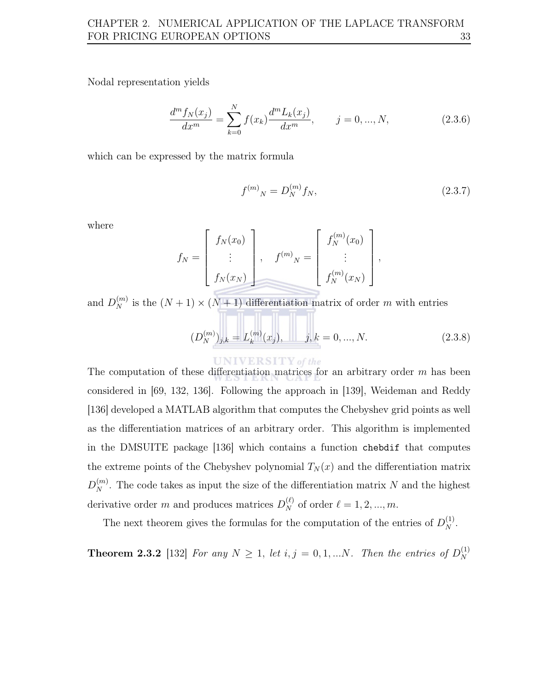Nodal representation yields

$$
\frac{d^m f_N(x_j)}{dx^m} = \sum_{k=0}^{N} f(x_k) \frac{d^m L_k(x_j)}{dx^m}, \qquad j = 0, ..., N,
$$
\n(2.3.6)

which can be expressed by the matrix formula

$$
f^{(m)}{}_N = D_N^{(m)} f_N,\tag{2.3.7}
$$

where

$$
f_N = \begin{bmatrix} f_N(x_0) \\ \vdots \\ f_N(x_N) \end{bmatrix}, \quad f^{(m)}{}_N = \begin{bmatrix} f_N^{(m)}(x_0) \\ \vdots \\ f_N^{(m)}(x_N) \end{bmatrix},
$$

and  $D_N^{(m)}$  is the  $(N+1) \times (N+1)$  differentiation matrix of order m with entries

$$
(D_N^{(m)})_{j,k} = L_k^{(m)}(x_j), \qquad j,k = 0,...,N.
$$
 (2.3.8)

#### **UNIVERSITY** of the

The computation of these differentiation matrices for an arbitrary order  $m$  has been considered in [69, 132, 136]. Following the approach in [139], Weideman and Reddy [136] developed a MATLAB algorithm that computes the Chebyshev grid points as well as the differentiation matrices of an arbitrary order. This algorithm is implemented in the DMSUITE package [136] which contains a function chebdif that computes the extreme points of the Chebyshev polynomial  $T_N(x)$  and the differentiation matrix  $D_N^{(m)}$ . The code takes as input the size of the differentiation matrix N and the highest derivative order m and produces matrices  $D_N^{(\ell)}$  of order  $\ell = 1, 2, ..., m$ .

The next theorem gives the formulas for the computation of the entries of  $D_N^{(1)}$ .

**Theorem 2.3.2** [132] For any  $N \geq 1$ , let  $i, j = 0, 1, ...N$ . Then the entries of  $D_N^{(1)}$ N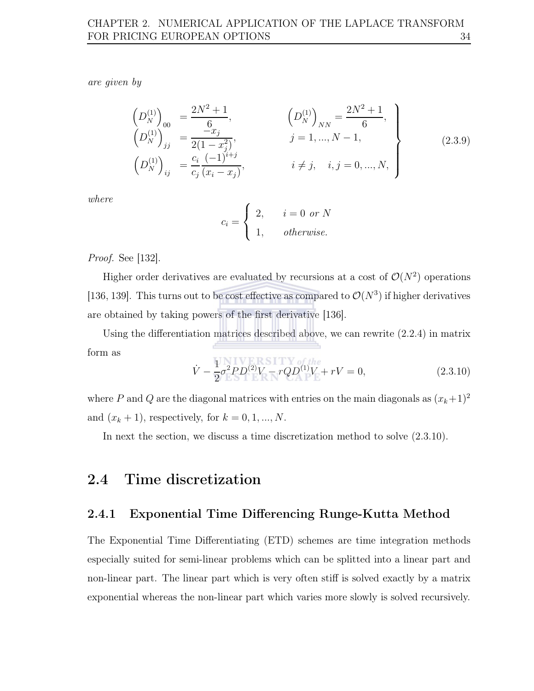*are given by*

$$
\begin{aligned}\n\left(D_N^{(1)}\right)_{00} &= \frac{2N^2 + 1}{6}, & \left(D_N^{(1)}\right)_{NN} &= \frac{2N^2 + 1}{6}, \\
\left(D_N^{(1)}\right)_{jj} &= \frac{-x_j}{2(1 - x_j^2)}, & j = 1, ..., N - 1, \\
\left(D_N^{(1)}\right)_{ij} &= \frac{c_i}{c_j} \frac{(-1)^{i+j}}{(x_i - x_j)}, & i \neq j, \quad i, j = 0, ..., N,\n\end{aligned}
$$
\n(2.3.9)

*where*

$$
c_i = \begin{cases} 2, & i = 0 \text{ or } N \\ 1, & otherwise. \end{cases}
$$

*Proof.* See [132].

Higher order derivatives are evaluated by recursions at a cost of  $\mathcal{O}(N^2)$  operations [136, 139]. This turns out to be cost effective as compared to  $\mathcal{O}(N^3)$  if higher derivatives are obtained by taking powers of the first derivative [136].

Using the differentiation matrices described above, we can rewrite (2.2.4) in matrix form as

$$
\dot{V} - \frac{1}{2}\sigma^2 PD^{(2)}V - rQD^{(1)}V + rV = 0,
$$
\n(2.3.10)

where P and Q are the diagonal matrices with entries on the main diagonals as  $(x_k+1)^2$ and  $(x_k + 1)$ , respectively, for  $k = 0, 1, ..., N$ .

In next the section, we discuss a time discretization method to solve  $(2.3.10)$ .

## 2.4 Time discretization

#### 2.4.1 Exponential Time Differencing Runge-Kutta Method

The Exponential Time Differentiating (ETD) schemes are time integration methods especially suited for semi-linear problems which can be splitted into a linear part and non-linear part. The linear part which is very often stiff is solved exactly by a matrix exponential whereas the non-linear part which varies more slowly is solved recursively.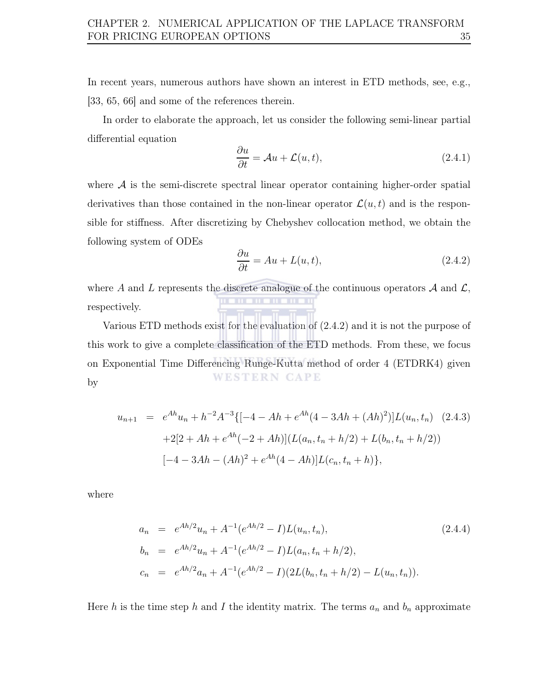In recent years, numerous authors have shown an interest in ETD methods, see, e.g., [33, 65, 66] and some of the references therein.

In order to elaborate the approach, let us consider the following semi-linear partial differential equation

$$
\frac{\partial u}{\partial t} = \mathcal{A}u + \mathcal{L}(u, t),\tag{2.4.1}
$$

where  $A$  is the semi-discrete spectral linear operator containing higher-order spatial derivatives than those contained in the non-linear operator  $\mathcal{L}(u, t)$  and is the responsible for stiffness. After discretizing by Chebyshev collocation method, we obtain the following system of ODEs

$$
\frac{\partial u}{\partial t} = Au + L(u, t),\tag{2.4.2}
$$

where A and L represents the discrete analogue of the continuous operators A and  $\mathcal{L}$ , respectively.

Various ETD methods exist for the evaluation of (2.4.2) and it is not the purpose of this work to give a complete classification of the ETD methods. From these, we focus on Exponential Time Differencing Runge-Kutta method of order 4 (ETDRK4) given WESTERN CAPE by

$$
u_{n+1} = e^{Ah}u_n + h^{-2}A^{-3}\{[-4 - Ah + e^{Ah}(4 - 3Ah + (Ah)^2)]L(u_n, t_n) \quad (2.4.3)
$$

$$
+2[2 + Ah + e^{Ah}(-2 + Ah)](L(a_n, t_n + h/2) + L(b_n, t_n + h/2))
$$

$$
[-4 - 3Ah - (Ah)^2 + e^{Ah}(4 - Ah)]L(c_n, t_n + h)\},
$$

where

$$
a_n = e^{Ah/2}u_n + A^{-1}(e^{Ah/2} - I)L(u_n, t_n),
$$
  
\n
$$
b_n = e^{Ah/2}u_n + A^{-1}(e^{Ah/2} - I)L(a_n, t_n + h/2),
$$
  
\n
$$
c_n = e^{Ah/2}a_n + A^{-1}(e^{Ah/2} - I)(2L(b_n, t_n + h/2) - L(u_n, t_n)).
$$
\n(2.4.4)

Here h is the time step h and I the identity matrix. The terms  $a_n$  and  $b_n$  approximate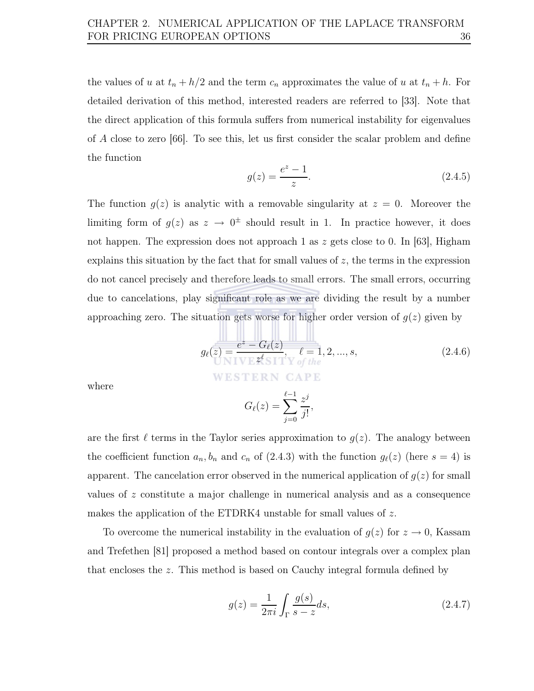the values of u at  $t_n + h/2$  and the term  $c_n$  approximates the value of u at  $t_n + h$ . For detailed derivation of this method, interested readers are referred to [33]. Note that the direct application of this formula suffers from numerical instability for eigenvalues of A close to zero [66]. To see this, let us first consider the scalar problem and define the function

$$
g(z) = \frac{e^z - 1}{z}.
$$
 (2.4.5)

The function  $q(z)$  is analytic with a removable singularity at  $z = 0$ . Moreover the limiting form of  $g(z)$  as  $z \to 0^{\pm}$  should result in 1. In practice however, it does not happen. The expression does not approach 1 as z gets close to 0. In [63], Higham explains this situation by the fact that for small values of  $z$ , the terms in the expression do not cancel precisely and therefore leads to small errors. The small errors, occurring due to cancelations, play significant role as we are dividing the result by a number approaching zero. The situation gets worse for higher order version of  $g(z)$  given by

$$
g_{\ell}(z) = \frac{e^{z} - G_{\ell}(z)}{\sum_{k=1}^{\infty} z^{\ell}}, \quad \ell = 1, 2, ..., s,
$$
\n
$$
\text{WE STEPN} \quad \text{CAPE} \tag{2.4.6}
$$

where

$$
G_{\ell}(z) = \sum_{j=0}^{\ell-1} \frac{z^j}{j!},
$$

are the first  $\ell$  terms in the Taylor series approximation to  $g(z)$ . The analogy between the coefficient function  $a_n, b_n$  and  $c_n$  of (2.4.3) with the function  $g_{\ell}(z)$  (here  $s = 4$ ) is apparent. The cancelation error observed in the numerical application of  $q(z)$  for small values of z constitute a major challenge in numerical analysis and as a consequence makes the application of the ETDRK4 unstable for small values of z.

To overcome the numerical instability in the evaluation of  $g(z)$  for  $z \to 0$ , Kassam and Trefethen [81] proposed a method based on contour integrals over a complex plan that encloses the z. This method is based on Cauchy integral formula defined by

$$
g(z) = \frac{1}{2\pi i} \int_{\Gamma} \frac{g(s)}{s - z} ds,
$$
\n(2.4.7)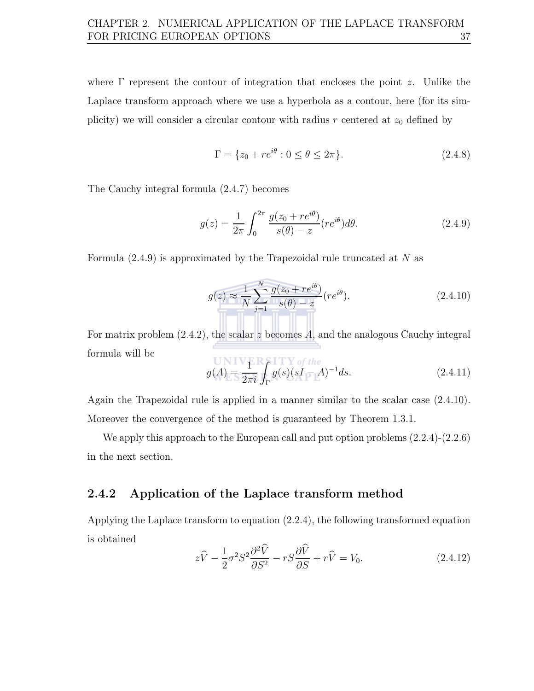where  $\Gamma$  represent the contour of integration that encloses the point z. Unlike the Laplace transform approach where we use a hyperbola as a contour, here (for its simplicity) we will consider a circular contour with radius  $r$  centered at  $z_0$  defined by

$$
\Gamma = \{ z_0 + r e^{i\theta} : 0 \le \theta \le 2\pi \}. \tag{2.4.8}
$$

The Cauchy integral formula (2.4.7) becomes

$$
g(z) = \frac{1}{2\pi} \int_0^{2\pi} \frac{g(z_0 + re^{i\theta})}{s(\theta) - z} (re^{i\theta}) d\theta.
$$
 (2.4.9)

Formula (2.4.9) is approximated by the Trapezoidal rule truncated at N as

$$
g(z) \approx \frac{1}{N} \sum_{j=1}^{N} \frac{g(z_0 + re^{i\theta})}{s(\theta) - z} (re^{i\theta}).
$$
\n(2.4.10)

For matrix problem  $(2.4.2)$ , the scalar z becomes  $A$ , and the analogous Cauchy integral formula will be

$$
g(A) = \frac{1}{2\pi i} \int_{\Gamma} g(s)(sI - A)^{-1} ds.
$$
 (2.4.11)

Again the Trapezoidal rule is applied in a manner similar to the scalar case (2.4.10). Moreover the convergence of the method is guaranteed by Theorem 1.3.1.

We apply this approach to the European call and put option problems  $(2.2.4)-(2.2.6)$ in the next section.

#### 2.4.2 Application of the Laplace transform method

Applying the Laplace transform to equation (2.2.4), the following transformed equation is obtained

$$
z\widehat{V} - \frac{1}{2}\sigma^2 S^2 \frac{\partial^2 \widehat{V}}{\partial S^2} - rS \frac{\partial \widehat{V}}{\partial S} + r\widehat{V} = V_0.
$$
 (2.4.12)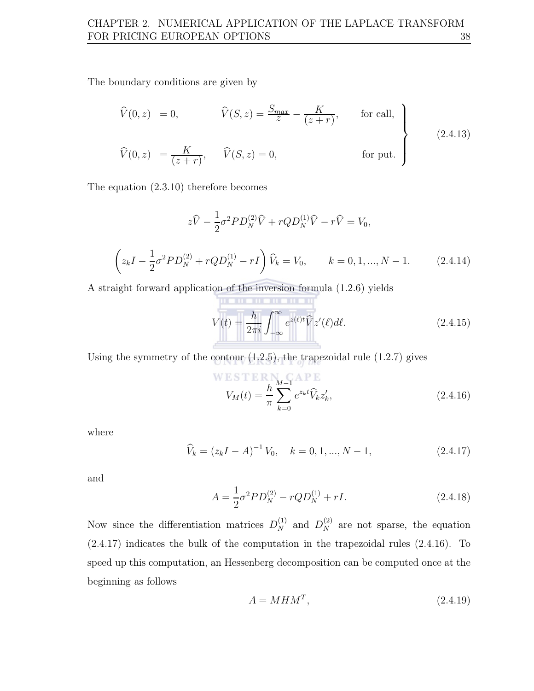The boundary conditions are given by

$$
\widehat{V}(0, z) = 0, \qquad \widehat{V}(S, z) = \frac{S_{max}}{z} - \frac{K}{(z+r)}, \qquad \text{for call,}
$$
\n
$$
\widehat{V}(0, z) = \frac{K}{(z+r)}, \qquad \widehat{V}(S, z) = 0, \qquad \text{for put.}
$$
\n(2.4.13)

The equation (2.3.10) therefore becomes

$$
z\hat{V} - \frac{1}{2}\sigma^2 PD_N^{(2)}\hat{V} + rQD_N^{(1)}\hat{V} - r\hat{V} = V_0,
$$
  

$$
\left(z_kI - \frac{1}{2}\sigma^2 PD_N^{(2)} + rQD_N^{(1)} - rI\right)\hat{V}_k = V_0, \qquad k = 0, 1, ..., N - 1.
$$
 (2.4.14)

A straight forward application of the inversion formula (1.2.6) yields

$$
V(t) = \frac{h}{2\pi i} \int_{-\infty}^{\infty} e^{z(\ell)t} \widehat{V} z'(\ell) d\ell.
$$
 (2.4.15)

Using the symmetry of the contour  $(1.2.5)$ , the trapezoidal rule  $(1.2.7)$  gives

$$
V_M(t) = \frac{h}{\pi} \sum_{k=0}^{M-1} e^{z_k t} \hat{V}_k z'_k,
$$
\n(2.4.16)

where

$$
\widehat{V}_k = (z_k I - A)^{-1} V_0, \quad k = 0, 1, ..., N - 1,
$$
\n(2.4.17)

and

$$
A = \frac{1}{2}\sigma^2 P D_N^{(2)} - r Q D_N^{(1)} + rI.
$$
\n(2.4.18)

Now since the differentiation matrices  $D_N^{(1)}$  and  $D_N^{(2)}$  are not sparse, the equation (2.4.17) indicates the bulk of the computation in the trapezoidal rules (2.4.16). To speed up this computation, an Hessenberg decomposition can be computed once at the beginning as follows

$$
A = M H M^T,\tag{2.4.19}
$$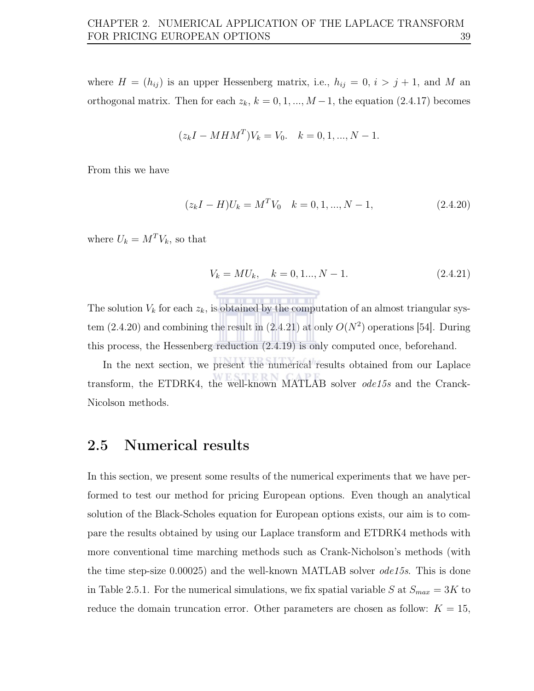where  $H = (h_{ij})$  is an upper Hessenberg matrix, i.e.,  $h_{ij} = 0$ ,  $i > j + 1$ , and M an orthogonal matrix. Then for each  $z_k$ ,  $k = 0, 1, ..., M-1$ , the equation (2.4.17) becomes

$$
(z_kI - MHM^T)V_k = V_0. \quad k = 0, 1, ..., N - 1.
$$

From this we have

$$
(z_kI - H)U_k = M^T V_0 \quad k = 0, 1, ..., N - 1,
$$
\n(2.4.20)

where  $U_k = M^T V_k$ , so that

$$
V_k = MU_k, \quad k = 0, 1..., N - 1.
$$
\n
$$
(2.4.21)
$$

The solution  $V_k$  for each  $z_k$ , is obtained by the computation of an almost triangular system  $(2.4.20)$  and combining the result in  $(2.4.21)$  at only  $O(N^2)$  operations [54]. During this process, the Hessenberg reduction (2.4.19) is only computed once, beforehand.

In the next section, we present the numerical results obtained from our Laplace transform, the ETDRK4, the well-known MATLAB solver *ode15s* and the Cranck-Nicolson methods.

## 2.5 Numerical results

In this section, we present some results of the numerical experiments that we have performed to test our method for pricing European options. Even though an analytical solution of the Black-Scholes equation for European options exists, our aim is to compare the results obtained by using our Laplace transform and ETDRK4 methods with more conventional time marching methods such as Crank-Nicholson's methods (with the time step-size 0.00025) and the well-known MATLAB solver *ode15s*. This is done in Table 2.5.1. For the numerical simulations, we fix spatial variable S at  $S_{max} = 3K$  to reduce the domain truncation error. Other parameters are chosen as follow:  $K = 15$ ,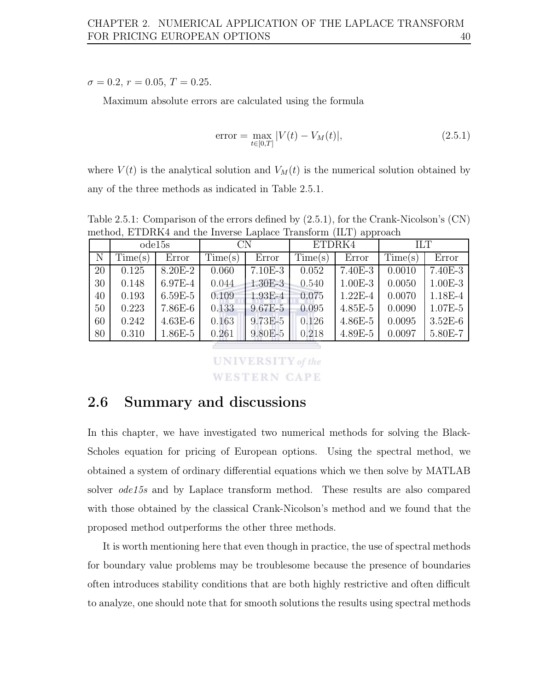$\sigma = 0.2, r = 0.05, T = 0.25.$ 

Maximum absolute errors are calculated using the formula

error = 
$$
\max_{t \in [0,T]} |V(t) - V_M(t)|,
$$
 (2.5.1)

where  $V(t)$  is the analytical solution and  $V_M(t)$  is the numerical solution obtained by any of the three methods as indicated in Table 2.5.1.

Table 2.5.1: Comparison of the errors defined by (2.5.1), for the Crank-Nicolson's (CN) method, ETDRK4 and the Inverse Laplace Transform (ILT) approach

| ode15s  |             | CN      |             | ETDRK4  |             | <b>ILT</b> |           |
|---------|-------------|---------|-------------|---------|-------------|------------|-----------|
| Time(s) | Error       | Time(s) | Error       | Time(s) | Error       | Time(s)    | Error     |
| 0.125   | 8.20E-2     | 0.060   | $7.10E-3$   | 0.052   | 7.40E-3     | 0.0010     | 7.40E-3   |
| 0.148   | $6.97E-4$   | 0.044   | $1.30E - 3$ | 0.540   | $1.00E-3$   | 0.0050     | $1.00E-3$ |
| 0.193   | $6.59E-5$   | 0.109   | 1.93E-4     | 0.075   | $1.22E - 4$ | 0.0070     | 1.18E-4   |
| 0.223   | $7.86E-6$   | 0.133   | 9.67E-5     | 0.095   | 4.85E-5     | 0.0090     | 1.07E-5   |
| 0.242   | $4.63E-6$   | 0.163   | 9.73E-5     | 0.126   | $4.86E - 5$ | 0.0095     | $3.52E-6$ |
| 0.310   | $1.86E - 5$ | 0.261   | 9.80E-5     | 0.218   | 4.89E-5     | 0.0097     | 5.80E-7   |
|         |             |         |             |         |             |            |           |

#### **UNIVERSITY** of the **WESTERN CAPE**

## 2.6 Summary and discussions

In this chapter, we have investigated two numerical methods for solving the Black-Scholes equation for pricing of European options. Using the spectral method, we obtained a system of ordinary differential equations which we then solve by MATLAB solver *ode15s* and by Laplace transform method. These results are also compared with those obtained by the classical Crank-Nicolson's method and we found that the proposed method outperforms the other three methods.

It is worth mentioning here that even though in practice, the use of spectral methods for boundary value problems may be troublesome because the presence of boundaries often introduces stability conditions that are both highly restrictive and often difficult to analyze, one should note that for smooth solutions the results using spectral methods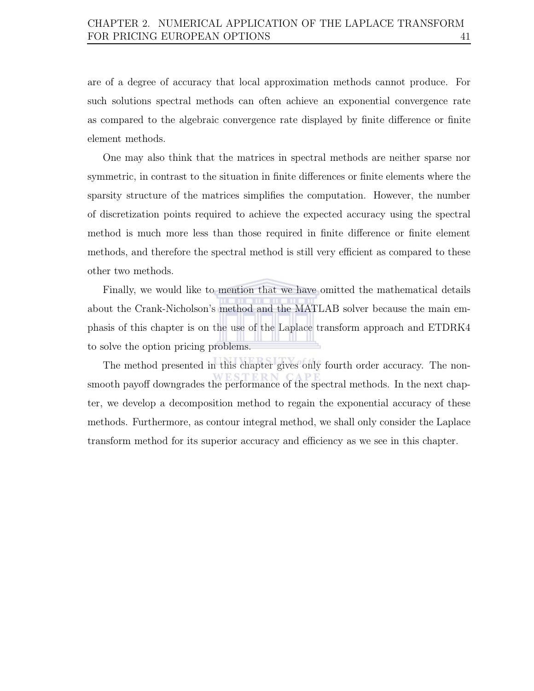are of a degree of accuracy that local approximation methods cannot produce. For such solutions spectral methods can often achieve an exponential convergence rate as compared to the algebraic convergence rate displayed by finite difference or finite element methods.

One may also think that the matrices in spectral methods are neither sparse nor symmetric, in contrast to the situation in finite differences or finite elements where the sparsity structure of the matrices simplifies the computation. However, the number of discretization points required to achieve the expected accuracy using the spectral method is much more less than those required in finite difference or finite element methods, and therefore the spectral method is still very efficient as compared to these other two methods.

Finally, we would like to mention that we have omitted the mathematical details about the Crank-Nicholson's method and the MATLAB solver because the main emphasis of this chapter is on the use of the Laplace transform approach and ETDRK4 to solve the option pricing problems.

The method presented in this chapter gives only fourth order accuracy. The nonsmooth payoff downgrades the performance of the spectral methods. In the next chapter, we develop a decomposition method to regain the exponential accuracy of these methods. Furthermore, as contour integral method, we shall only consider the Laplace transform method for its superior accuracy and efficiency as we see in this chapter.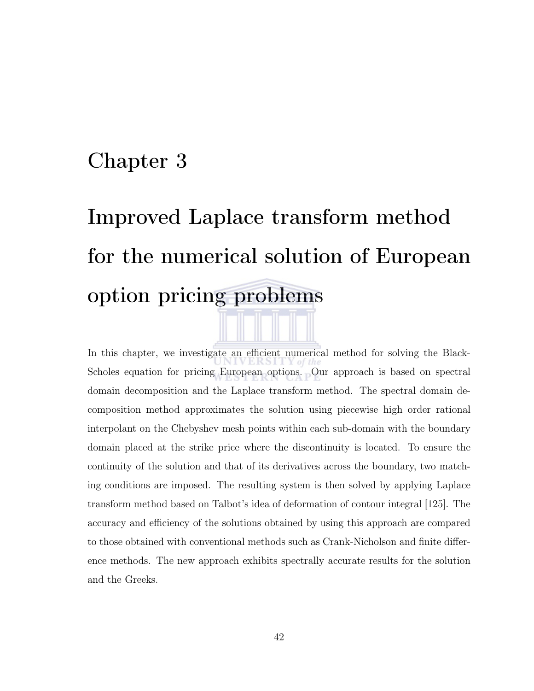# Chapter 3

# Improved Laplace transform method for the numerical solution of European option pricing problems

In this chapter, we investigate an efficient numerical method for solving the Black-Scholes equation for pricing European options. Our approach is based on spectral domain decomposition and the Laplace transform method. The spectral domain decomposition method approximates the solution using piecewise high order rational interpolant on the Chebyshev mesh points within each sub-domain with the boundary domain placed at the strike price where the discontinuity is located. To ensure the continuity of the solution and that of its derivatives across the boundary, two matching conditions are imposed. The resulting system is then solved by applying Laplace transform method based on Talbot's idea of deformation of contour integral [125]. The accuracy and efficiency of the solutions obtained by using this approach are compared to those obtained with conventional methods such as Crank-Nicholson and finite difference methods. The new approach exhibits spectrally accurate results for the solution and the Greeks.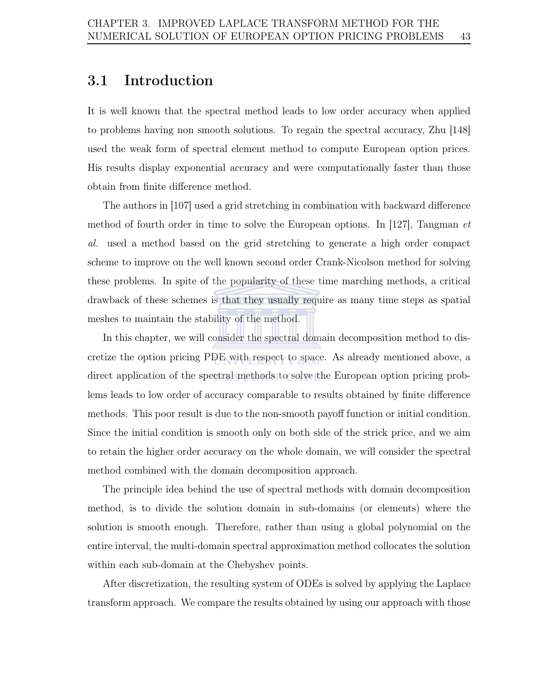# 3.1 Introduction

It is well known that the spectral method leads to low order accuracy when applied to problems having non smooth solutions. To regain the spectral accuracy, Zhu [148] used the weak form of spectral element method to compute European option prices. His results display exponential accuracy and were computationally faster than those obtain from finite difference method.

The authors in [107] used a grid stretching in combination with backward difference method of fourth order in time to solve the European options. In [127], Tangman *et al.* used a method based on the grid stretching to generate a high order compact scheme to improve on the well known second order Crank-Nicolson method for solving these problems. In spite of the popularity of these time marching methods, a critical drawback of these schemes is that they usually require as many time steps as spatial meshes to maintain the stability of the method.

In this chapter, we will consider the spectral domain decomposition method to discretize the option pricing PDE with respect to space. As already mentioned above, a direct application of the spectral methods to solve the European option pricing problems leads to low order of accuracy comparable to results obtained by finite difference methods. This poor result is due to the non-smooth payoff function or initial condition. Since the initial condition is smooth only on both side of the strick price, and we aim to retain the higher order accuracy on the whole domain, we will consider the spectral method combined with the domain decomposition approach.

The principle idea behind the use of spectral methods with domain decomposition method, is to divide the solution domain in sub-domains (or elements) where the solution is smooth enough. Therefore, rather than using a global polynomial on the entire interval, the multi-domain spectral approximation method collocates the solution within each sub-domain at the Chebyshev points.

After discretization, the resulting system of ODEs is solved by applying the Laplace transform approach. We compare the results obtained by using our approach with those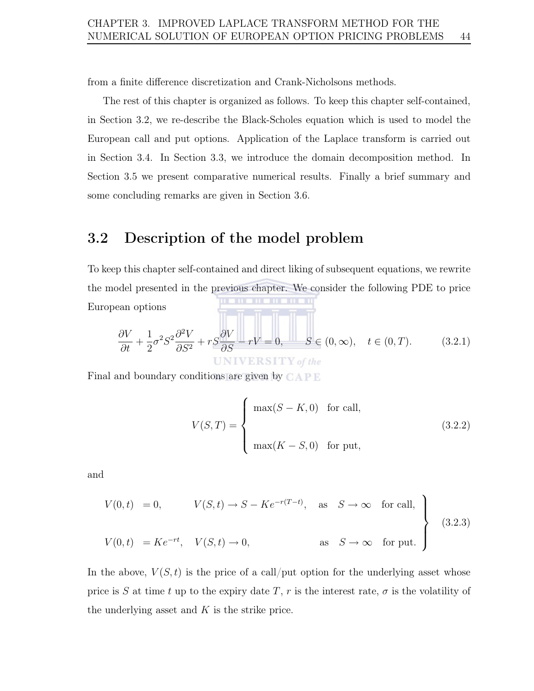from a finite difference discretization and Crank-Nicholsons methods.

The rest of this chapter is organized as follows. To keep this chapter self-contained, in Section 3.2, we re-describe the Black-Scholes equation which is used to model the European call and put options. Application of the Laplace transform is carried out in Section 3.4. In Section 3.3, we introduce the domain decomposition method. In Section 3.5 we present comparative numerical results. Finally a brief summary and some concluding remarks are given in Section 3.6.

## 3.2 Description of the model problem

To keep this chapter self-contained and direct liking of subsequent equations, we rewrite the model presented in the previous chapter. We consider the following PDE to price European options

$$
\frac{\partial V}{\partial t} + \frac{1}{2}\sigma^2 S^2 \frac{\partial^2 V}{\partial S^2} + rS \frac{\partial V}{\partial S} - rV = 0, \qquad S \in (0, \infty), \quad t \in (0, T). \tag{3.2.1}
$$

Final and boundary conditions are given by  $\mathbb{C} A \mathbb{P} \mathbb{E}$ 

$$
V(S,T) = \begin{cases} \max(S-K,0) & \text{for call,} \\ \max(K-S,0) & \text{for put,} \end{cases}
$$
 (3.2.2)

and

$$
V(0,t) = 0, \t V(S,t) \to S - Ke^{-r(T-t)}, \t as \t S \to \infty \t for call,\n
$$
V(0,t) = Ke^{-rt}, \t V(S,t) \to 0,
$$
 as  $S \to \infty$  for put.  
\n(3.2.3)
$$

In the above,  $V(S, t)$  is the price of a call/put option for the underlying asset whose price is S at time t up to the expiry date T, r is the interest rate,  $\sigma$  is the volatility of the underlying asset and  $K$  is the strike price.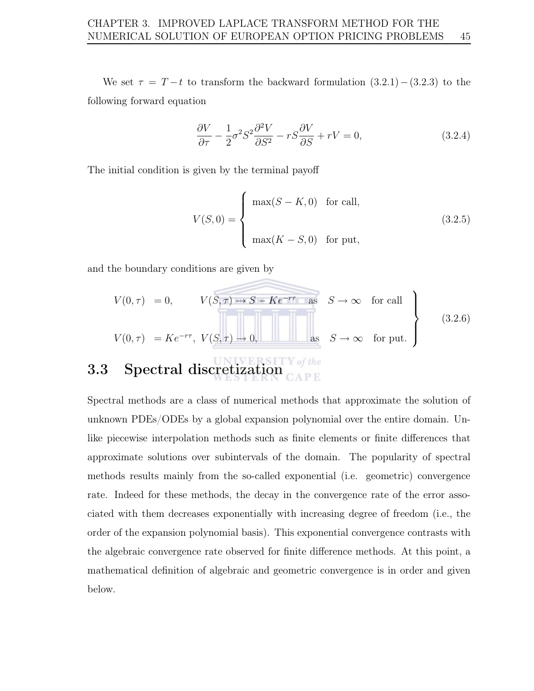We set  $\tau = T - t$  to transform the backward formulation  $(3.2.1) - (3.2.3)$  to the following forward equation

$$
\frac{\partial V}{\partial \tau} - \frac{1}{2}\sigma^2 S^2 \frac{\partial^2 V}{\partial S^2} - rS \frac{\partial V}{\partial S} + rV = 0,
$$
\n(3.2.4)

The initial condition is given by the terminal payoff

$$
V(S,0) = \begin{cases} \max(S-K,0) & \text{for call,} \\ \max(K-S,0) & \text{for put,} \end{cases}
$$
 (3.2.5)

and the boundary conditions are given by

$$
V(0,\tau) = 0, \t V(S,\tau) \to S - Ke^{-r\tau} \t as \t S \to \infty \t for call\n
$$
V(0,\tau) = Ke^{-r\tau}, \t V(S,\tau) \to 0,
$$
 as  $S \to \infty$  for put. (3.2.6)
$$

# 3.3 Spectral discretization

Spectral methods are a class of numerical methods that approximate the solution of unknown PDEs/ODEs by a global expansion polynomial over the entire domain. Unlike piecewise interpolation methods such as finite elements or finite differences that approximate solutions over subintervals of the domain. The popularity of spectral methods results mainly from the so-called exponential (i.e. geometric) convergence rate. Indeed for these methods, the decay in the convergence rate of the error associated with them decreases exponentially with increasing degree of freedom (i.e., the order of the expansion polynomial basis). This exponential convergence contrasts with the algebraic convergence rate observed for finite difference methods. At this point, a mathematical definition of algebraic and geometric convergence is in order and given below.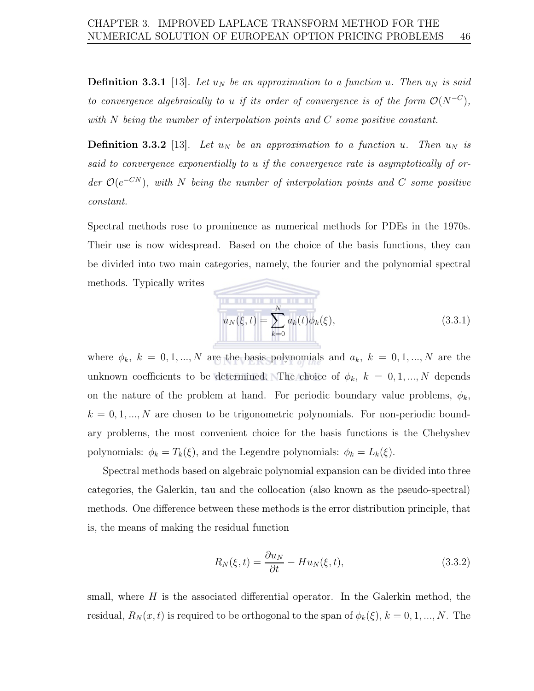**Definition 3.3.1** [13]. Let  $u_N$  be an approximation to a function u. Then  $u_N$  is said *to convergence algebraically to u if its order of convergence is of the form*  $\mathcal{O}(N^{-C})$ *, with* N *being the number of interpolation points and* C *some positive constant.*

**Definition 3.3.2** [13]. Let  $u_N$  be an approximation to a function u. Then  $u_N$  is *said to convergence exponentially to* u *if the convergence rate is asymptotically of order*  $\mathcal{O}(e^{-CN})$ *, with N being the number of interpolation points and C some positive constant.*

Spectral methods rose to prominence as numerical methods for PDEs in the 1970s. Their use is now widespread. Based on the choice of the basis functions, they can be divided into two main categories, namely, the fourier and the polynomial spectral methods. Typically writes

$$
u_N(\xi, t) = \sum_{k=0}^{N} a_k(t)\phi_k(\xi),
$$
\n(3.3.1)

where  $\phi_k$ ,  $k = 0, 1, ..., N$  are the basis polynomials and  $a_k$ ,  $k = 0, 1, ..., N$  are the unknown coefficients to be determined. The choice of  $\phi_k$ ,  $k = 0, 1, ..., N$  depends on the nature of the problem at hand. For periodic boundary value problems,  $\phi_k$ ,  $k = 0, 1, ..., N$  are chosen to be trigonometric polynomials. For non-periodic boundary problems, the most convenient choice for the basis functions is the Chebyshev polynomials:  $\phi_k = T_k(\xi)$ , and the Legendre polynomials:  $\phi_k = L_k(\xi)$ .

Spectral methods based on algebraic polynomial expansion can be divided into three categories, the Galerkin, tau and the collocation (also known as the pseudo-spectral) methods. One difference between these methods is the error distribution principle, that is, the means of making the residual function

$$
R_N(\xi, t) = \frac{\partial u_N}{\partial t} - H u_N(\xi, t), \qquad (3.3.2)
$$

small, where  $H$  is the associated differential operator. In the Galerkin method, the residual,  $R_N(x,t)$  is required to be orthogonal to the span of  $\phi_k(\xi)$ ,  $k = 0, 1, ..., N$ . The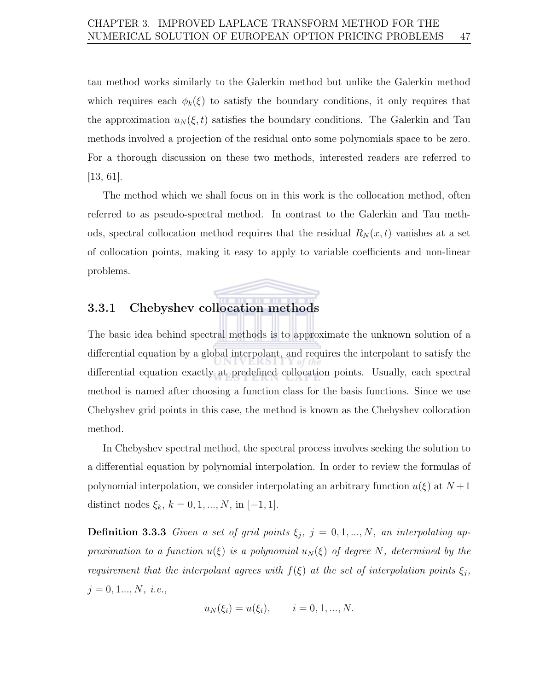tau method works similarly to the Galerkin method but unlike the Galerkin method which requires each  $\phi_k(\xi)$  to satisfy the boundary conditions, it only requires that the approximation  $u_N(\xi, t)$  satisfies the boundary conditions. The Galerkin and Tau methods involved a projection of the residual onto some polynomials space to be zero. For a thorough discussion on these two methods, interested readers are referred to [13, 61].

The method which we shall focus on in this work is the collocation method, often referred to as pseudo-spectral method. In contrast to the Galerkin and Tau methods, spectral collocation method requires that the residual  $R_N(x,t)$  vanishes at a set of collocation points, making it easy to apply to variable coefficients and non-linear problems.

#### 3.3.1 Chebyshev collocation methods

The basic idea behind spectral methods is to approximate the unknown solution of a differential equation by a global interpolant, and requires the interpolant to satisfy the differential equation exactly at predefined collocation points. Usually, each spectral method is named after choosing a function class for the basis functions. Since we use Chebyshev grid points in this case, the method is known as the Chebyshev collocation method.

In Chebyshev spectral method, the spectral process involves seeking the solution to a differential equation by polynomial interpolation. In order to review the formulas of polynomial interpolation, we consider interpolating an arbitrary function  $u(\xi)$  at  $N+1$ distinct nodes  $\xi_k$ ,  $k = 0, 1, ..., N$ , in [-1, 1].

**Definition 3.3.3** *Given a set of grid points*  $\xi_j$ ,  $j = 0, 1, ..., N$ , an interpolating ap*proximation to a function*  $u(\xi)$  *is a polynomial*  $u_N(\xi)$  *of degree* N, determined by the *requirement that the interpolant agrees with*  $f(\xi)$  *at the set of interpolation points*  $\xi_j$ ,  $j = 0, 1, ..., N, i.e.,$ 

$$
u_N(\xi_i) = u(\xi_i), \qquad i = 0, 1, ..., N.
$$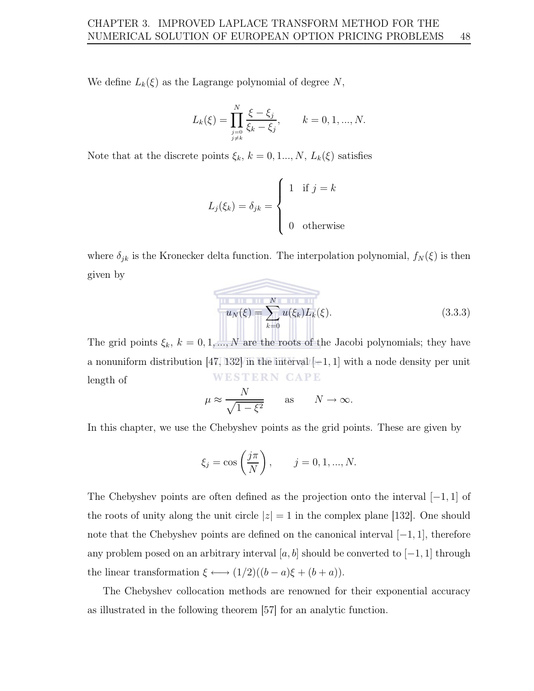We define  $L_k(\xi)$  as the Lagrange polynomial of degree N,

$$
L_k(\xi) = \prod_{\substack{j=0 \ j \neq k}}^N \frac{\xi - \xi_j}{\xi_k - \xi_j}, \qquad k = 0, 1, ..., N.
$$

Note that at the discrete points  $\xi_k$ ,  $k = 0, 1..., N$ ,  $L_k(\xi)$  satisfies

$$
L_j(\xi_k) = \delta_{jk} = \begin{cases} 1 & \text{if } j = k \\ & \\ 0 & \text{otherwise} \end{cases}
$$

where  $\delta_{jk}$  is the Kronecker delta function. The interpolation polynomial,  $f_N(\xi)$  is then given by

$$
u_N(\xi) = \sum_{k=0}^{N} u(\xi_k) L_k(\xi).
$$
 (3.3.3)

The grid points  $\xi_k$ ,  $k = 0, 1, ..., N$  are the roots of the Jacobi polynomials; they have a nonuniform distribution [47, 132] in the interval  $[-1, 1]$  with a node density per unit **WESTERN CAPE** length of

$$
\mu \approx \frac{N}{\sqrt{1-\xi^2}}
$$
 as  $N \to \infty$ .

In this chapter, we use the Chebyshev points as the grid points. These are given by

$$
\xi_j = \cos\left(\frac{j\pi}{N}\right), \qquad j = 0, 1, ..., N.
$$

The Chebyshev points are often defined as the projection onto the interval  $[-1, 1]$  of the roots of unity along the unit circle  $|z|=1$  in the complex plane [132]. One should note that the Chebyshev points are defined on the canonical interval  $[-1, 1]$ , therefore any problem posed on an arbitrary interval [a, b] should be converted to  $[-1, 1]$  through the linear transformation  $\xi \longleftrightarrow (1/2)((b-a)\xi + (b+a)).$ 

The Chebyshev collocation methods are renowned for their exponential accuracy as illustrated in the following theorem [57] for an analytic function.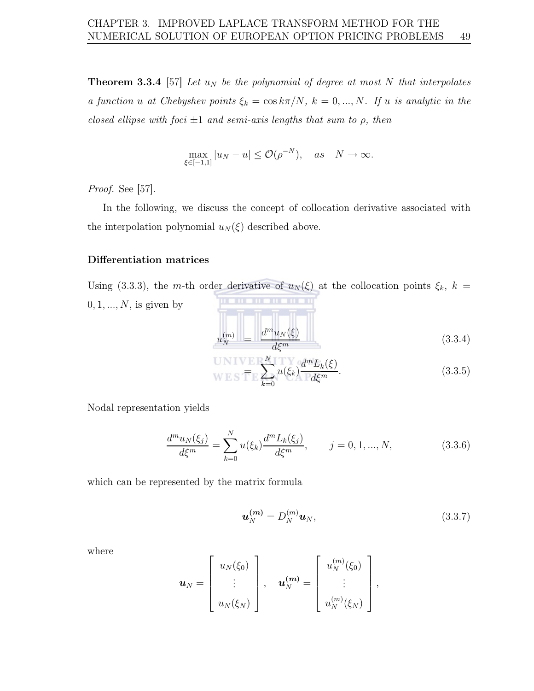**Theorem 3.3.4** [57] Let  $u_N$  be the polynomial of degree at most N that interpolates *a function u at Chebyshev points*  $\xi_k = \cos k\pi/N$ ,  $k = 0, ..., N$ . If *u is analytic in the closed ellipse with foci* ±1 *and semi-axis lengths that sum to* ρ*, then*

$$
\max_{\xi \in [-1,1]} |u_N - u| \le \mathcal{O}(\rho^{-N}), \quad as \quad N \to \infty.
$$

*Proof.* See [57].

In the following, we discuss the concept of collocation derivative associated with the interpolation polynomial  $u_N(\xi)$  described above.

#### Differentiation matrices

Using (3.3.3), the m-th order derivative of  $u_N(\xi)$  at the collocation points  $\xi_k$ ,  $k =$  $0, 1, ..., N$ , is given by

$$
u_N^{(m)} = \frac{d^m u_N(\xi)}{d\xi^m} \tag{3.3.4}
$$

$$
UNNE \leq \frac{N}{\epsilon} \sum_{k=0}^{N} u(\xi_k) \frac{d^m L_k(\xi)}{d\xi^m}.
$$
\n(3.3.5)

Nodal representation yields

$$
\frac{d^m u_N(\xi_j)}{d\xi^m} = \sum_{k=0}^N u(\xi_k) \frac{d^m L_k(\xi_j)}{d\xi^m}, \qquad j = 0, 1, ..., N,
$$
\n(3.3.6)

which can be represented by the matrix formula

$$
\boldsymbol{u}_N^{(m)} = D_N^{(m)} \boldsymbol{u}_N,\tag{3.3.7}
$$

where

$$
\boldsymbol{u}_N = \left[\begin{array}{c} u_N(\xi_0) \\ \vdots \\ u_N(\xi_N) \end{array}\right], \quad \boldsymbol{u}_N^{(m)} = \left[\begin{array}{c} u_N^{(m)}(\xi_0) \\ \vdots \\ u_N^{(m)}(\xi_N) \end{array}\right],
$$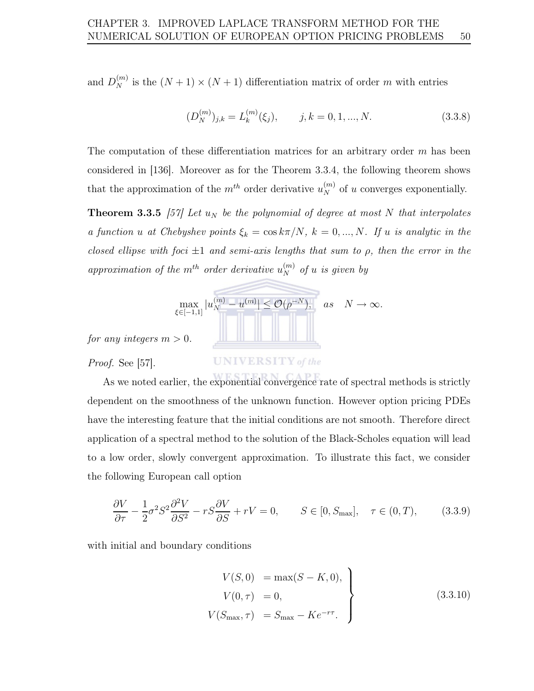and  $D_N^{(m)}$  is the  $(N+1) \times (N+1)$  differentiation matrix of order m with entries

$$
(D_N^{(m)})_{j,k} = L_k^{(m)}(\xi_j), \qquad j,k = 0, 1, ..., N.
$$
 (3.3.8)

The computation of these differentiation matrices for an arbitrary order  $m$  has been considered in [136]. Moreover as for the Theorem 3.3.4, the following theorem shows that the approximation of the  $m<sup>th</sup>$  order derivative  $u_N^{(m)}$  of u converges exponentially.

**Theorem 3.3.5** [57] Let  $u_N$  be the polynomial of degree at most N that interpolates *a function u at Chebyshev points*  $\xi_k = \cos k\pi/N$ ,  $k = 0, ..., N$ . If *u is analytic in the closed ellipse with foci* ±1 *and semi-axis lengths that sum to* ρ*, then the error in the*  $approximation$  *of the*  $m^{th}$  *order derivative*  $u_N^{(m)}$  *of u is given by* 



*for any integers*  $m > 0$ *.* 

*Proof.* See [57].

$$
WFFPTPNNCLDF
$$

As we noted earlier, the exponential convergence rate of spectral methods is strictly dependent on the smoothness of the unknown function. However option pricing PDEs have the interesting feature that the initial conditions are not smooth. Therefore direct application of a spectral method to the solution of the Black-Scholes equation will lead to a low order, slowly convergent approximation. To illustrate this fact, we consider the following European call option

$$
\frac{\partial V}{\partial \tau} - \frac{1}{2}\sigma^2 S^2 \frac{\partial^2 V}{\partial S^2} - rS \frac{\partial V}{\partial S} + rV = 0, \qquad S \in [0, S_{\text{max}}], \quad \tau \in (0, T), \tag{3.3.9}
$$

with initial and boundary conditions

$$
V(S, 0) = \max(S - K, 0),
$$
  
\n
$$
V(0, \tau) = 0,
$$
  
\n
$$
V(S_{\max}, \tau) = S_{\max} - Ke^{-r\tau}.
$$
\n(3.3.10)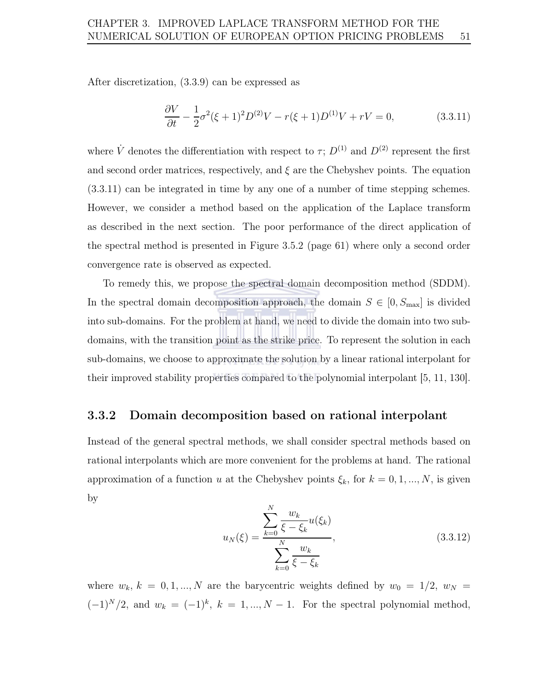After discretization, (3.3.9) can be expressed as

$$
\frac{\partial V}{\partial t} - \frac{1}{2}\sigma^2(\xi + 1)^2 D^{(2)}V - r(\xi + 1)D^{(1)}V + rV = 0,
$$
\n(3.3.11)

where  $\dot{V}$  denotes the differentiation with respect to  $\tau$ ;  $D^{(1)}$  and  $D^{(2)}$  represent the first and second order matrices, respectively, and  $\xi$  are the Chebyshev points. The equation (3.3.11) can be integrated in time by any one of a number of time stepping schemes. However, we consider a method based on the application of the Laplace transform as described in the next section. The poor performance of the direct application of the spectral method is presented in Figure 3.5.2 (page 61) where only a second order convergence rate is observed as expected.

To remedy this, we propose the spectral domain decomposition method (SDDM). In the spectral domain decomposition approach, the domain  $S \in [0, S_{\text{max}}]$  is divided into sub-domains. For the problem at hand, we need to divide the domain into two subdomains, with the transition point as the strike price. To represent the solution in each sub-domains, we choose to approximate the solution by a linear rational interpolant for their improved stability properties compared to the polynomial interpolant [5, 11, 130].

#### 3.3.2 Domain decomposition based on rational interpolant

Instead of the general spectral methods, we shall consider spectral methods based on rational interpolants which are more convenient for the problems at hand. The rational approximation of a function u at the Chebyshev points  $\xi_k$ , for  $k = 0, 1, ..., N$ , is given by

$$
u_N(\xi) = \frac{\sum_{k=0}^{N} \frac{w_k}{\xi - \xi_k} u(\xi_k)}{\sum_{k=0}^{N} \frac{w_k}{\xi - \xi_k}},
$$
\n(3.3.12)

where  $w_k$ ,  $k = 0, 1, ..., N$  are the barycentric weights defined by  $w_0 = 1/2$ ,  $w_N =$  $(-1)^N/2$ , and  $w_k = (-1)^k$ ,  $k = 1, ..., N - 1$ . For the spectral polynomial method,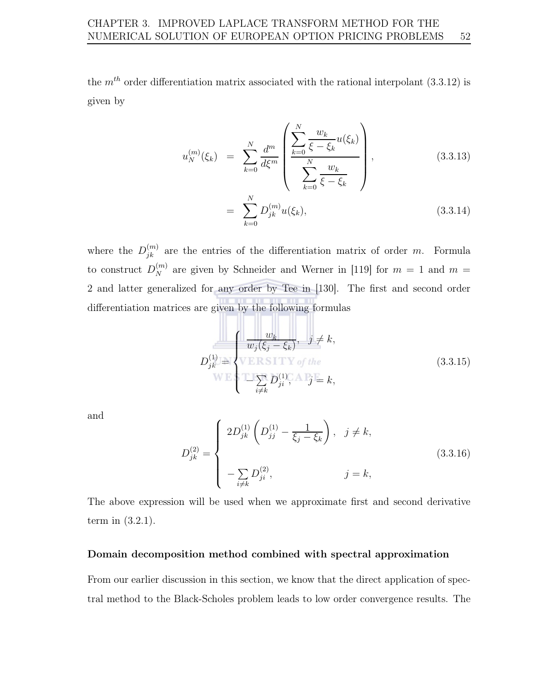the  $m<sup>th</sup>$  order differentiation matrix associated with the rational interpolant (3.3.12) is given by

$$
u_N^{(m)}(\xi_k) = \sum_{k=0}^N \frac{d^m}{d\xi^m} \left( \frac{\sum_{k=0}^N \frac{w_k}{\xi - \xi_k} u(\xi_k)}{\sum_{k=0}^N \frac{w_k}{\xi - \xi_k}} \right),
$$
(3.3.13)  

$$
= \sum_{k=0}^N D_{jk}^{(m)} u(\xi_k),
$$
(3.3.14)

where the  $D_{jk}^{(m)}$  are the entries of the differentiation matrix of order m. Formula to construct  $D_N^{(m)}$  are given by Schneider and Werner in [119] for  $m = 1$  and  $m =$ 2 and latter generalized for any order by Tee in [130]. The first and second order differentiation matrices are given by the following formulas

ΉГ

 $k=0$ 

ПF

$$
D_{jk}^{(1)} = \begin{cases} \frac{w_k}{w_j(\xi_j - \xi_k)}, & j \neq k, \\ -\sum_{i \neq k} D_{ji}^{(1)}, & j = k, \end{cases}
$$
 (3.3.15)

and

$$
D_{jk}^{(2)} = \begin{cases} 2D_{jk}^{(1)} \left( D_{jj}^{(1)} - \frac{1}{\xi_j - \xi_k} \right), & j \neq k, \\ -\sum_{i \neq k} D_{ji}^{(2)}, & j = k, \end{cases}
$$
 (3.3.16)

The above expression will be used when we approximate first and second derivative term in (3.2.1).

#### Domain decomposition method combined with spectral approximation

From our earlier discussion in this section, we know that the direct application of spectral method to the Black-Scholes problem leads to low order convergence results. The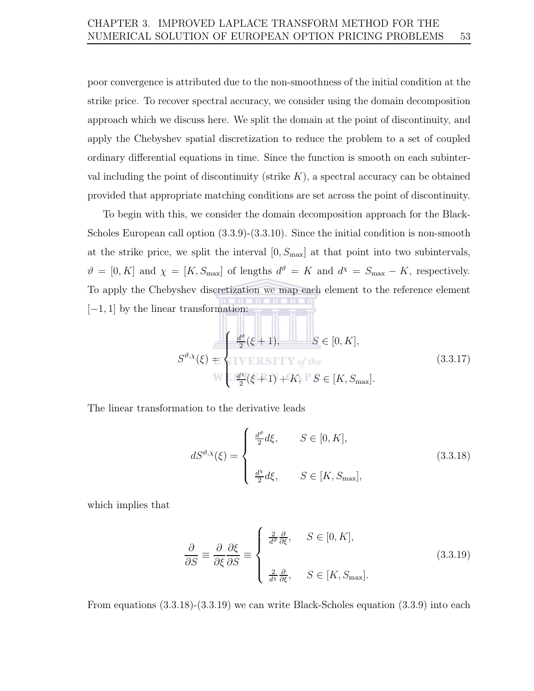poor convergence is attributed due to the non-smoothness of the initial condition at the strike price. To recover spectral accuracy, we consider using the domain decomposition approach which we discuss here. We split the domain at the point of discontinuity, and apply the Chebyshev spatial discretization to reduce the problem to a set of coupled ordinary differential equations in time. Since the function is smooth on each subinterval including the point of discontinuity (strike  $K$ ), a spectral accuracy can be obtained provided that appropriate matching conditions are set across the point of discontinuity.

To begin with this, we consider the domain decomposition approach for the Black-Scholes European call option (3.3.9)-(3.3.10). Since the initial condition is non-smooth at the strike price, we split the interval  $[0, S_{\text{max}}]$  at that point into two subintervals,  $\vartheta = [0, K]$  and  $\chi = [K, S_{\text{max}}]$  of lengths  $d^{\vartheta} = K$  and  $d^{\chi} = S_{\text{max}} - K$ , respectively. To apply the Chebyshev discretization we map each element to the reference element  $\left[-1,1\right]$  by the linear transformation:

$$
S^{\vartheta, \chi}(\xi) = \begin{cases} \frac{d^{\vartheta}}{2}(\xi + 1), & S \in [0, K], \\ & \text{where} \\ \frac{d^{\chi}}{2}(\xi + 1) + K, & S \in [K, S_{\text{max}}]. \end{cases}
$$
(3.3.17)

The linear transformation to the derivative leads

$$
dS^{\vartheta,\chi}(\xi) = \begin{cases} \frac{d^{\vartheta}}{2} d\xi, & S \in [0,K], \\ & \\ \frac{d^{\chi}}{2} d\xi, & S \in [K, S_{\text{max}}], \end{cases}
$$
 (3.3.18)

which implies that

$$
\frac{\partial}{\partial S} \equiv \frac{\partial}{\partial \xi} \frac{\partial \xi}{\partial S} \equiv \begin{cases} \frac{2}{d^{\vartheta}} \frac{\partial}{\partial \xi}, & S \in [0, K], \\ & \\ \frac{2}{d^{\chi}} \frac{\partial}{\partial \xi}, & S \in [K, S_{\text{max}}]. \end{cases}
$$
(3.3.19)

From equations (3.3.18)-(3.3.19) we can write Black-Scholes equation (3.3.9) into each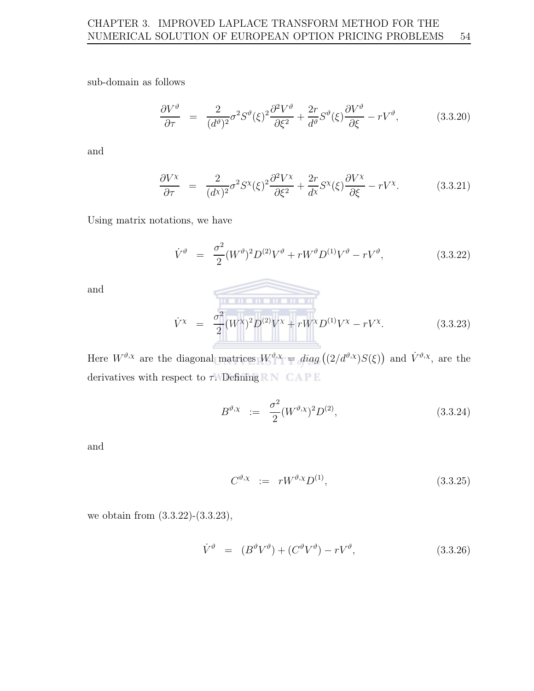sub-domain as follows

$$
\frac{\partial V^{\vartheta}}{\partial \tau} = \frac{2}{(d^{\vartheta})^2} \sigma^2 S^{\vartheta}(\xi)^2 \frac{\partial^2 V^{\vartheta}}{\partial \xi^2} + \frac{2r}{d^{\vartheta}} S^{\vartheta}(\xi) \frac{\partial V^{\vartheta}}{\partial \xi} - rV^{\vartheta}, \tag{3.3.20}
$$

and

$$
\frac{\partial V^{\chi}}{\partial \tau} = \frac{2}{(d^{\chi})^2} \sigma^2 S^{\chi}(\xi)^2 \frac{\partial^2 V^{\chi}}{\partial \xi^2} + \frac{2r}{d^{\chi}} S^{\chi}(\xi) \frac{\partial V^{\chi}}{\partial \xi} - rV^{\chi}.
$$
 (3.3.21)

Using matrix notations, we have

$$
\dot{V}^{\vartheta} = \frac{\sigma^2}{2} (W^{\vartheta})^2 D^{(2)} V^{\vartheta} + r W^{\vartheta} D^{(1)} V^{\vartheta} - r V^{\vartheta}, \qquad (3.3.22)
$$

and

$$
\dot{V}^{\chi} = \frac{\sigma^2}{2} (W^{\chi})^2 D^{(2)} V^{\chi} + r W^{\chi} D^{(1)} V^{\chi} - r V^{\chi}.
$$
 (3.3.23)

Here  $W^{\vartheta,\chi}$  are the diagonal matrices  $W^{\vartheta,\chi} = diag((2/d^{\vartheta,\chi})S(\xi))$  and  $\dot{V}^{\vartheta,\chi}$ , are the derivatives with respect to  $\tau$ . Defining RN CAPE

$$
B^{\vartheta,\chi} \; := \; \frac{\sigma^2}{2} (W^{\vartheta,\chi})^2 D^{(2)}, \tag{3.3.24}
$$

and

$$
C^{\vartheta,\chi} \quad := \quad rW^{\vartheta,\chi}D^{(1)},\tag{3.3.25}
$$

we obtain from (3.3.22)-(3.3.23),

$$
\dot{V}^{\vartheta} = (B^{\vartheta} V^{\vartheta}) + (C^{\vartheta} V^{\vartheta}) - r V^{\vartheta}, \qquad (3.3.26)
$$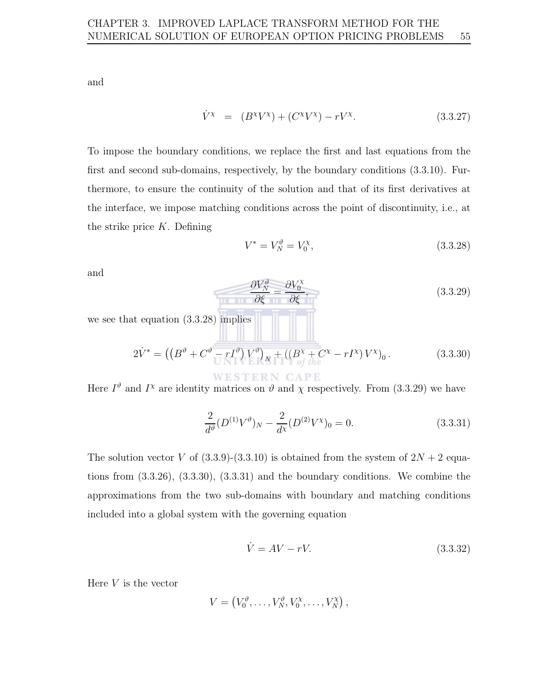and

$$
\dot{V}^{\chi} = (B^{\chi}V^{\chi}) + (C^{\chi}V^{\chi}) - rV^{\chi}.
$$
 (3.3.27)

To impose the boundary conditions, we replace the first and last equations from the first and second sub-domains, respectively, by the boundary conditions (3.3.10). Furthermore, to ensure the continuity of the solution and that of its first derivatives at the interface, we impose matching conditions across the point of discontinuity, i.e., at the strike price  $K$ . Defining

$$
V^* = V_N^{\vartheta} = V_0^{\chi},\tag{3.3.28}
$$

and

$$
\frac{\partial V_N^{\vartheta}}{\partial \xi} = \frac{\partial V_0^{\chi}}{\partial \xi},\tag{3.3.29}
$$
 n (3.3.28) implies

we see that equation

$$
2\dot{V}^* = ((B^{\vartheta} + C^{\vartheta} - rI^{\vartheta})V^{\vartheta})_N + ((B^{\chi} + C^{\chi} - rI^{\chi})V^{\chi})_0.
$$
 (3.3.30)

**WESTERN CAPE** 

Here  $I^{\vartheta}$  and  $I^{\chi}$  are identity matrices on  $\vartheta$  and  $\chi$  respectively. From (3.3.29) we have

$$
\frac{2}{d^{\vartheta}} (D^{(1)} V^{\vartheta})_N - \frac{2}{d^{\chi}} (D^{(2)} V^{\chi})_0 = 0.
$$
 (3.3.31)

The solution vector V of  $(3.3.9)-(3.3.10)$  is obtained from the system of  $2N + 2$  equations from (3.3.26), (3.3.30), (3.3.31) and the boundary conditions. We combine the approximations from the two sub-domains with boundary and matching conditions included into a global system with the governing equation

$$
\dot{V} = AV - rV.\tag{3.3.32}
$$

Here  $V$  is the vector

$$
V = (V_0^{\vartheta}, \ldots, V_N^{\vartheta}, V_0^{\chi}, \ldots, V_N^{\chi}),
$$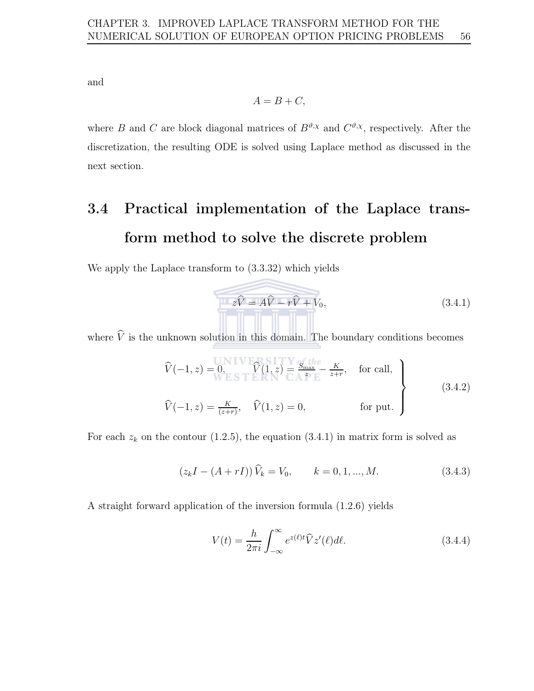and

$$
A = B + C,
$$

where B and C are block diagonal matrices of  $B^{\vartheta,\chi}$  and  $C^{\vartheta,\chi}$ , respectively. After the discretization, the resulting ODE is solved using Laplace method as discussed in the next section.

# 3.4 Practical implementation of the Laplace transform method to solve the discrete problem

We apply the Laplace transform to (3.3.32) which yields

$$
z\widehat{V} = A\widehat{V} - r\widehat{V} + V_0, \qquad (3.4.1)
$$

where  $\widehat{V}$  is the unknown solution in this domain. The boundary conditions becomes

$$
\widehat{V}(-1, z) = 0, \qquad \widehat{V}(1, z) = \frac{S_{\text{max}}}{z} - \frac{K}{z+r}, \quad \text{for call,}
$$
\n
$$
\widehat{V}(-1, z) = \frac{K}{(z+r)}, \quad \widehat{V}(1, z) = 0, \qquad \text{for put.}
$$
\n(3.4.2)

For each  $z_k$  on the contour (1.2.5), the equation (3.4.1) in matrix form is solved as

$$
(z_k I - (A + rI)) \hat{V}_k = V_0, \qquad k = 0, 1, ..., M.
$$
 (3.4.3)

A straight forward application of the inversion formula (1.2.6) yields

$$
V(t) = \frac{h}{2\pi i} \int_{-\infty}^{\infty} e^{z(\ell)t} \widehat{V} z'(\ell) d\ell.
$$
 (3.4.4)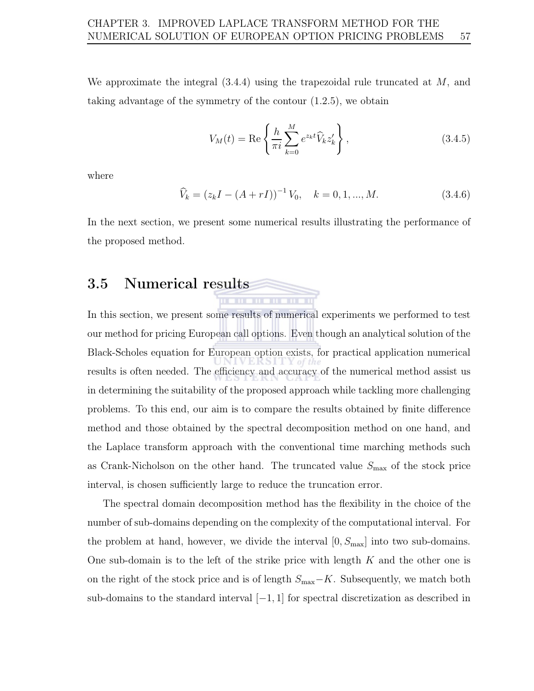We approximate the integral  $(3.4.4)$  using the trapezoidal rule truncated at  $M$ , and taking advantage of the symmetry of the contour (1.2.5), we obtain

$$
V_M(t) = \text{Re}\left\{\frac{h}{\pi i} \sum_{k=0}^M e^{z_k t} \widehat{V}_k z'_k\right\},\tag{3.4.5}
$$

where

$$
\widehat{V}_k = (z_k I - (A + rI))^{-1} V_0, \quad k = 0, 1, ..., M.
$$
\n(3.4.6)

In the next section, we present some numerical results illustrating the performance of the proposed method.

**THE REPORT OF** 

### 3.5 Numerical results

In this section, we present some results of numerical experiments we performed to test our method for pricing European call options. Even though an analytical solution of the Black-Scholes equation for European option exists, for practical application numerical results is often needed. The efficiency and accuracy of the numerical method assist us in determining the suitability of the proposed approach while tackling more challenging problems. To this end, our aim is to compare the results obtained by finite difference method and those obtained by the spectral decomposition method on one hand, and the Laplace transform approach with the conventional time marching methods such as Crank-Nicholson on the other hand. The truncated value  $S_{\text{max}}$  of the stock price interval, is chosen sufficiently large to reduce the truncation error.

The spectral domain decomposition method has the flexibility in the choice of the number of sub-domains depending on the complexity of the computational interval. For the problem at hand, however, we divide the interval  $[0, S_{\text{max}}]$  into two sub-domains. One sub-domain is to the left of the strike price with length  $K$  and the other one is on the right of the stock price and is of length  $S_{\text{max}}-K$ . Subsequently, we match both sub-domains to the standard interval  $[-1, 1]$  for spectral discretization as described in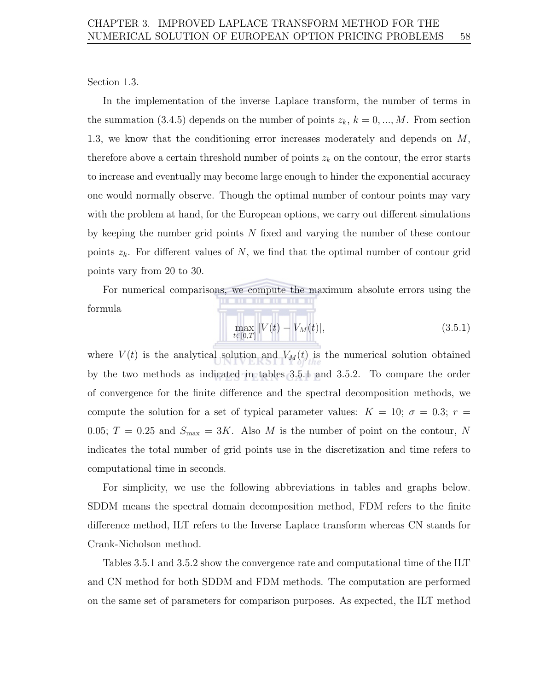Section 1.3.

In the implementation of the inverse Laplace transform, the number of terms in the summation (3.4.5) depends on the number of points  $z_k$ ,  $k = 0, ..., M$ . From section 1.3, we know that the conditioning error increases moderately and depends on M, therefore above a certain threshold number of points  $z_k$  on the contour, the error starts to increase and eventually may become large enough to hinder the exponential accuracy one would normally observe. Though the optimal number of contour points may vary with the problem at hand, for the European options, we carry out different simulations by keeping the number grid points N fixed and varying the number of these contour points  $z_k$ . For different values of N, we find that the optimal number of contour grid points vary from 20 to 30.

For numerical comparisons, we compute the maximum absolute errors using the formula

$$
\max_{t \in [0,T]} |V(t) - V_M(t)|, \tag{3.5.1}
$$

where  $V(t)$  is the analytical solution and  $V_M(t)$  is the numerical solution obtained by the two methods as indicated in tables 3.5.1 and 3.5.2. To compare the order of convergence for the finite difference and the spectral decomposition methods, we compute the solution for a set of typical parameter values:  $K = 10$ ;  $\sigma = 0.3$ ;  $r =$ 0.05;  $T = 0.25$  and  $S_{\text{max}} = 3K$ . Also M is the number of point on the contour, N indicates the total number of grid points use in the discretization and time refers to computational time in seconds.

For simplicity, we use the following abbreviations in tables and graphs below. SDDM means the spectral domain decomposition method, FDM refers to the finite difference method, ILT refers to the Inverse Laplace transform whereas CN stands for Crank-Nicholson method.

Tables 3.5.1 and 3.5.2 show the convergence rate and computational time of the ILT and CN method for both SDDM and FDM methods. The computation are performed on the same set of parameters for comparison purposes. As expected, the ILT method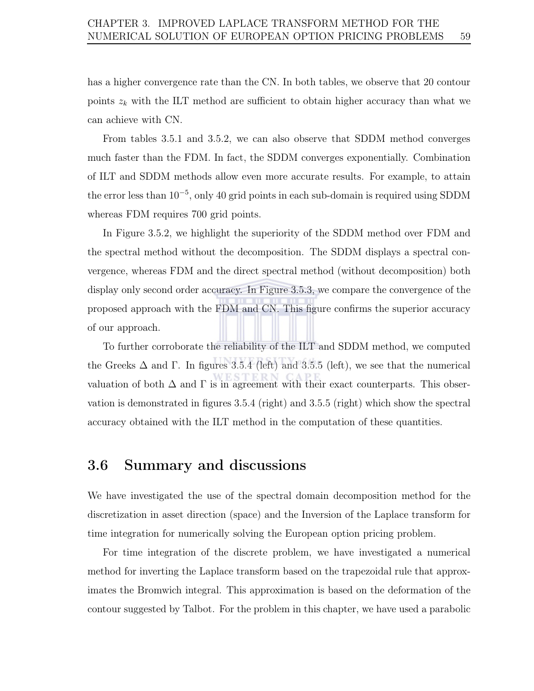has a higher convergence rate than the CN. In both tables, we observe that 20 contour points  $z_k$  with the ILT method are sufficient to obtain higher accuracy than what we can achieve with CN.

From tables 3.5.1 and 3.5.2, we can also observe that SDDM method converges much faster than the FDM. In fact, the SDDM converges exponentially. Combination of ILT and SDDM methods allow even more accurate results. For example, to attain the error less than 10<sup>−</sup><sup>5</sup> , only 40 grid points in each sub-domain is required using SDDM whereas FDM requires 700 grid points.

In Figure 3.5.2, we highlight the superiority of the SDDM method over FDM and the spectral method without the decomposition. The SDDM displays a spectral convergence, whereas FDM and the direct spectral method (without decomposition) both display only second order accuracy. In Figure 3.5.3, we compare the convergence of the proposed approach with the FDM and CN. This figure confirms the superior accuracy of our approach.

To further corroborate the reliability of the ILT and SDDM method, we computed the Greeks  $\Delta$  and  $\Gamma$ . In figures 3.5.4 (left) and 3.5.5 (left), we see that the numerical valuation of both  $\Delta$  and  $\Gamma$  is in agreement with their exact counterparts. This observation is demonstrated in figures 3.5.4 (right) and 3.5.5 (right) which show the spectral accuracy obtained with the ILT method in the computation of these quantities.

#### 3.6 Summary and discussions

We have investigated the use of the spectral domain decomposition method for the discretization in asset direction (space) and the Inversion of the Laplace transform for time integration for numerically solving the European option pricing problem.

For time integration of the discrete problem, we have investigated a numerical method for inverting the Laplace transform based on the trapezoidal rule that approximates the Bromwich integral. This approximation is based on the deformation of the contour suggested by Talbot. For the problem in this chapter, we have used a parabolic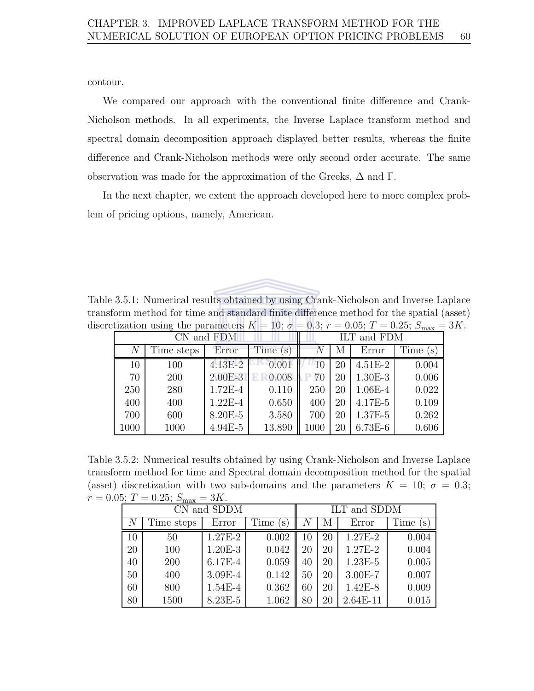contour.

We compared our approach with the conventional finite difference and Crank-Nicholson methods. In all experiments, the Inverse Laplace transform method and spectral domain decomposition approach displayed better results, whereas the finite difference and Crank-Nicholson methods were only second order accurate. The same observation was made for the approximation of the Greeks,  $\Delta$  and  $\Gamma$ .

In the next chapter, we extent the approach developed here to more complex problem of pricing options, namely, American.



Table 3.5.1: Numerical results obtained by using Crank-Nicholson and Inverse Laplace transform method for time and standard finite difference method for the spatial (asset) discretization using the parameters  $K = 10$ ;  $\sigma = 0.3$ ;  $r = 0.05$ ;  $T = 0.25$ ;  $S_{\text{max}} = 3K$ .

| CN and FDM |            |             |             | ILT and FDM |    |             |             |
|------------|------------|-------------|-------------|-------------|----|-------------|-------------|
| N          | Time steps | Error       | Time<br>. S |             | M  | Error       | Time<br>(S) |
| 10         | 100        | $4.13E-2$   | 0.001       | 10          | 20 | $4.51E-2$   | 0.004       |
| 70         | 200        | $2.00E-3$   | 0.008       | 70          |    | $1.30E-3$   | 0.006       |
| 250        | 280        | $1.72E-4$   | 0.110       | 250         | 20 | $1.06E - 4$ | 0.022       |
| 400        | 400        | $1.22E-4$   | 0.650       | 400         | 20 | $4.17E-5$   | 0.109       |
| 700        | 600        | 8.20E-5     | 3.580       | 700         | 20 | 1.37E-5     | 0.262       |
| 1000       | 1000       | $4.94E - 5$ | 13.890      | 1000        |    | $6.73E-6$   | 0.606       |

Table 3.5.2: Numerical results obtained by using Crank-Nicholson and Inverse Laplace transform method for time and Spectral domain decomposition method for the spatial (asset) discretization with two sub-domains and the parameters  $K = 10$ ;  $\sigma = 0.3$ ;  $r = 0.05; T = 0.25; S_{\text{max}} = 3K.$ 

| CN and SDDM |            |             |           | ILT and SDDM |     |             |             |
|-------------|------------|-------------|-----------|--------------|-----|-------------|-------------|
|             | Time steps | Error       | Time<br>S |              | ΙVΙ | Error       | Time<br>(S) |
| 10          | 50         | $1.27E-2$   | 0.002     | 10           | 20  | $1.27E - 2$ | 0.004       |
| 20          | 100        | $1.20E-3$   | 0.042     | 20           | 20  | $1.27E - 2$ | 0.004       |
| 40          | 200        | $6.17E-4$   | 0.059     | 40           | 20  | $1.23E-5$   | 0.005       |
| 50          | 400        | $3.09E - 4$ | 0.142     | 50           | 20  | 3.00E-7     | 0.007       |
| 60          | 800        | 1.54E-4     | 0.362     | 60           | 20  | $1.42E - 8$ | 0.009       |
| 80          | 1500       | 8.23E-5     | 1.062     | 80           | 20  | 2.64E-11    | 0.015       |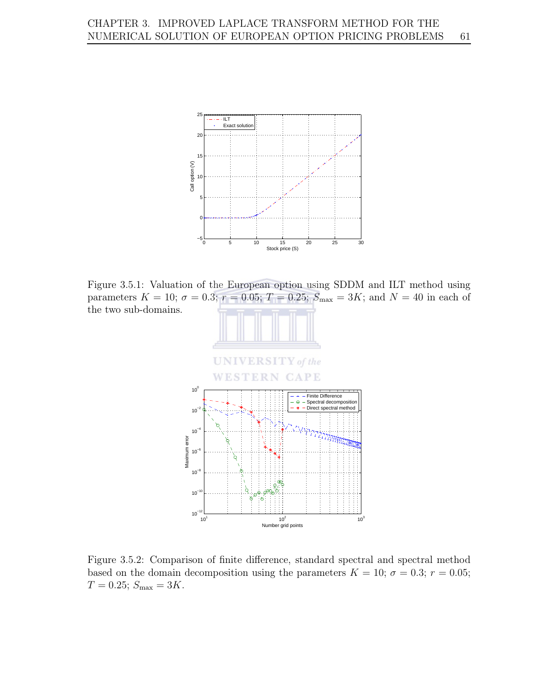

Figure 3.5.1: Valuation of the European option using SDDM and ILT method using parameters  $K = 10$ ;  $\sigma = 0.3$ ;  $r = 0.05$ ;  $T = 0.25$ ;  $S_{\text{max}} = 3K$ ; and  $N = 40$  in each of the two sub-domains.



Figure 3.5.2: Comparison of finite difference, standard spectral and spectral method based on the domain decomposition using the parameters  $K = 10$ ;  $\sigma = 0.3$ ;  $r = 0.05$ ;  $T = 0.25; S_{\text{max}} = 3K.$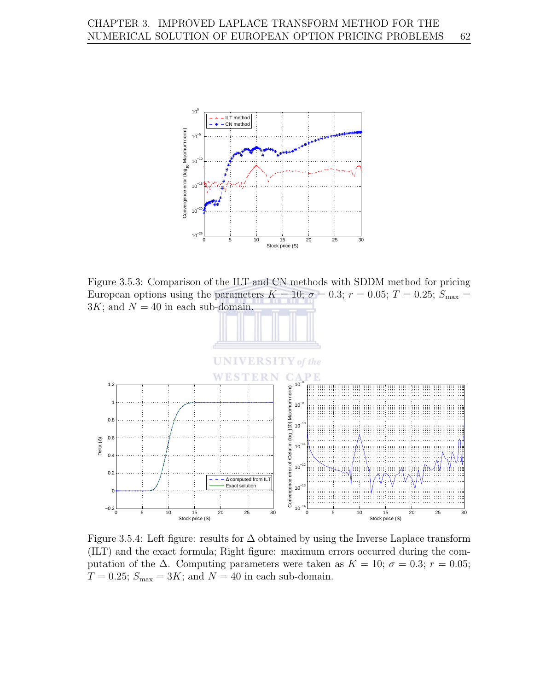

Figure 3.5.3: Comparison of the ILT and CN methods with SDDM method for pricing European options using the parameters  $K = 10$ ;  $\sigma = 0.3$ ;  $r = 0.05$ ;  $T = 0.25$ ;  $S_{\text{max}} =$  $3K$ ; and  $N = 40$  in each sub-domain.



Figure 3.5.4: Left figure: results for  $\Delta$  obtained by using the Inverse Laplace transform (ILT) and the exact formula; Right figure: maximum errors occurred during the computation of the  $\Delta$ . Computing parameters were taken as  $K = 10$ ;  $\sigma = 0.3$ ;  $r = 0.05$ ;  $T = 0.25$ ;  $S_{\text{max}} = 3K$ ; and  $N = 40$  in each sub-domain.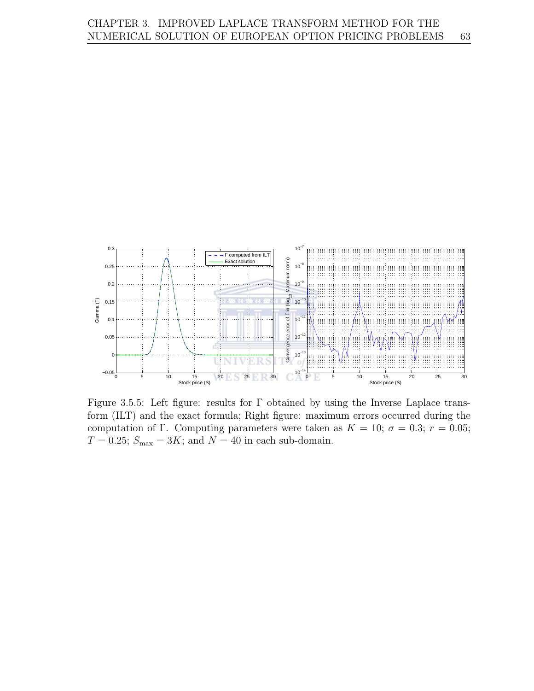#### CHAPTER 3. IMPROVED LAPLACE TRANSFORM METHOD FOR THE NUMERICAL SOLUTION OF EUROPEAN OPTION PRICING PROBLEMS 63



Figure 3.5.5: Left figure: results for Γ obtained by using the Inverse Laplace transform (ILT) and the exact formula; Right figure: maximum errors occurred during the computation of Γ. Computing parameters were taken as  $K = 10$ ;  $\sigma = 0.3$ ;  $r = 0.05$ ;  $T = 0.25$ ;  $S_{\text{max}} = 3K$ ; and  $N = 40$  in each sub-domain.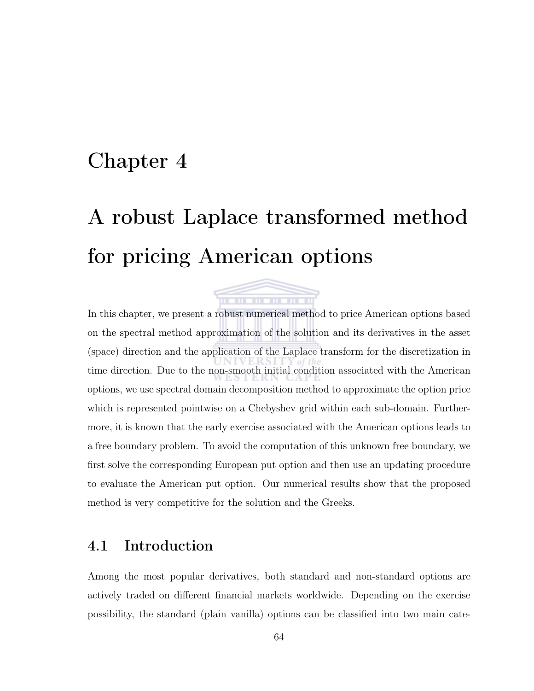# Chapter 4

# A robust Laplace transformed method for pricing American options



## 4.1 Introduction

Among the most popular derivatives, both standard and non-standard options are actively traded on different financial markets worldwide. Depending on the exercise possibility, the standard (plain vanilla) options can be classified into two main cate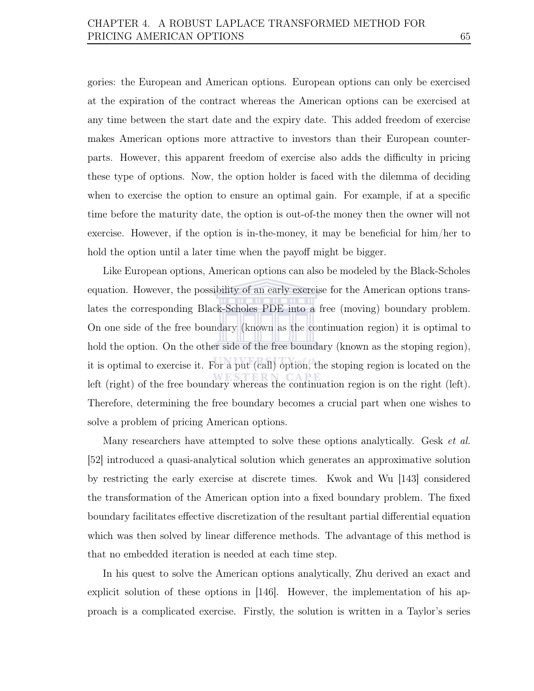gories: the European and American options. European options can only be exercised at the expiration of the contract whereas the American options can be exercised at any time between the start date and the expiry date. This added freedom of exercise makes American options more attractive to investors than their European counterparts. However, this apparent freedom of exercise also adds the difficulty in pricing these type of options. Now, the option holder is faced with the dilemma of deciding when to exercise the option to ensure an optimal gain. For example, if at a specific time before the maturity date, the option is out-of-the money then the owner will not exercise. However, if the option is in-the-money, it may be beneficial for him/her to hold the option until a later time when the payoff might be bigger.

Like European options, American options can also be modeled by the Black-Scholes equation. However, the possibility of an early exercise for the American options translates the corresponding Black-Scholes PDE into a free (moving) boundary problem. On one side of the free boundary (known as the continuation region) it is optimal to hold the option. On the other side of the free boundary (known as the stoping region), it is optimal to exercise it. For a put (call) option, the stoping region is located on the left (right) of the free boundary whereas the continuation region is on the right (left). Therefore, determining the free boundary becomes a crucial part when one wishes to solve a problem of pricing American options.

Many researchers have attempted to solve these options analytically. Gesk *et al.* [52] introduced a quasi-analytical solution which generates an approximative solution by restricting the early exercise at discrete times. Kwok and Wu [143] considered the transformation of the American option into a fixed boundary problem. The fixed boundary facilitates effective discretization of the resultant partial differential equation which was then solved by linear difference methods. The advantage of this method is that no embedded iteration is needed at each time step.

In his quest to solve the American options analytically, Zhu derived an exact and explicit solution of these options in [146]. However, the implementation of his approach is a complicated exercise. Firstly, the solution is written in a Taylor's series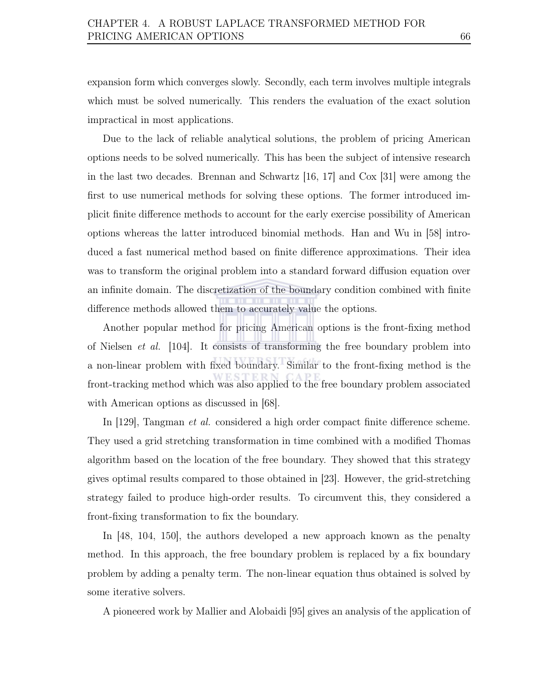expansion form which converges slowly. Secondly, each term involves multiple integrals which must be solved numerically. This renders the evaluation of the exact solution impractical in most applications.

Due to the lack of reliable analytical solutions, the problem of pricing American options needs to be solved numerically. This has been the subject of intensive research in the last two decades. Brennan and Schwartz [16, 17] and Cox [31] were among the first to use numerical methods for solving these options. The former introduced implicit finite difference methods to account for the early exercise possibility of American options whereas the latter introduced binomial methods. Han and Wu in [58] introduced a fast numerical method based on finite difference approximations. Their idea was to transform the original problem into a standard forward diffusion equation over an infinite domain. The discretization of the boundary condition combined with finite difference methods allowed them to accurately value the options.

Another popular method for pricing American options is the front-fixing method of Nielsen *et al.* [104]. It consists of transforming the free boundary problem into a non-linear problem with fixed boundary. Similar to the front-fixing method is the front-tracking method which was also applied to the free boundary problem associated with American options as discussed in [68].

In [129], Tangman *et al.* considered a high order compact finite difference scheme. They used a grid stretching transformation in time combined with a modified Thomas algorithm based on the location of the free boundary. They showed that this strategy gives optimal results compared to those obtained in [23]. However, the grid-stretching strategy failed to produce high-order results. To circumvent this, they considered a front-fixing transformation to fix the boundary.

In [48, 104, 150], the authors developed a new approach known as the penalty method. In this approach, the free boundary problem is replaced by a fix boundary problem by adding a penalty term. The non-linear equation thus obtained is solved by some iterative solvers.

A pioneered work by Mallier and Alobaidi [95] gives an analysis of the application of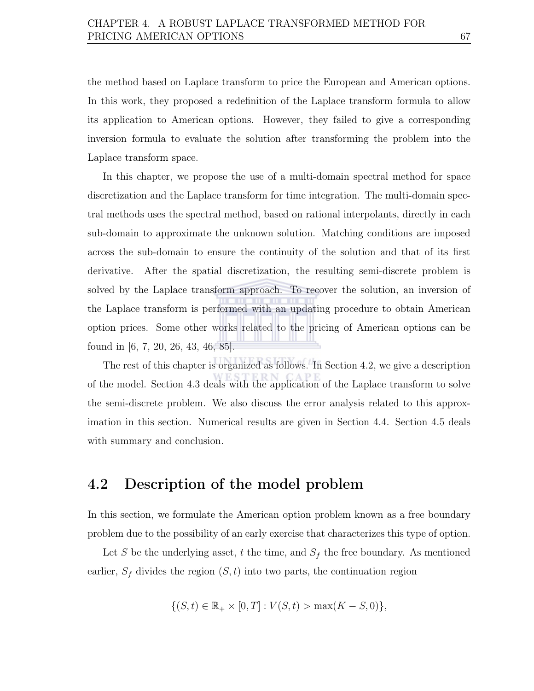the method based on Laplace transform to price the European and American options. In this work, they proposed a redefinition of the Laplace transform formula to allow its application to American options. However, they failed to give a corresponding inversion formula to evaluate the solution after transforming the problem into the Laplace transform space.

In this chapter, we propose the use of a multi-domain spectral method for space discretization and the Laplace transform for time integration. The multi-domain spectral methods uses the spectral method, based on rational interpolants, directly in each sub-domain to approximate the unknown solution. Matching conditions are imposed across the sub-domain to ensure the continuity of the solution and that of its first derivative. After the spatial discretization, the resulting semi-discrete problem is solved by the Laplace transform approach. To recover the solution, an inversion of the Laplace transform is performed with an updating procedure to obtain American option prices. Some other works related to the pricing of American options can be found in [6, 7, 20, 26, 43, 46, 85].

The rest of this chapter is organized as follows. In Section 4.2, we give a description of the model. Section 4.3 deals with the application of the Laplace transform to solve the semi-discrete problem. We also discuss the error analysis related to this approximation in this section. Numerical results are given in Section 4.4. Section 4.5 deals with summary and conclusion.

#### 4.2 Description of the model problem

In this section, we formulate the American option problem known as a free boundary problem due to the possibility of an early exercise that characterizes this type of option.

Let S be the underlying asset, t the time, and  $S_f$  the free boundary. As mentioned earlier,  $S_f$  divides the region  $(S, t)$  into two parts, the continuation region

$$
\{(S,t) \in \mathbb{R}_+ \times [0,T] : V(S,t) > \max(K-S,0)\},\
$$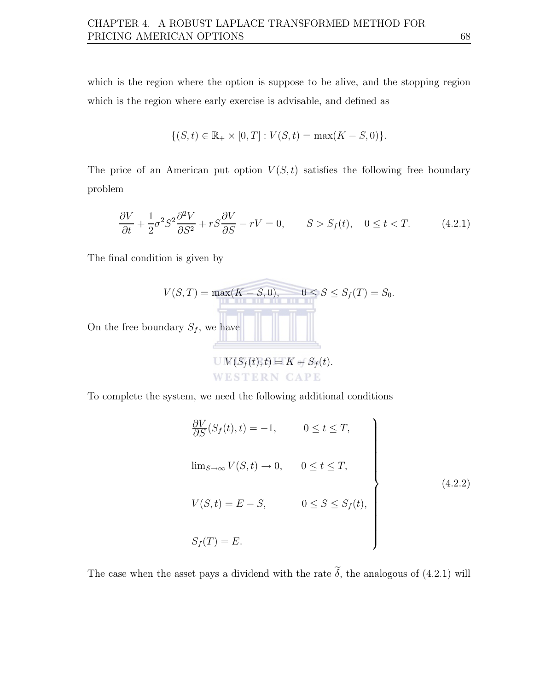which is the region where the option is suppose to be alive, and the stopping region which is the region where early exercise is advisable, and defined as

$$
\{(S,t) \in \mathbb{R}_+ \times [0,T] : V(S,t) = \max(K-S,0)\}.
$$

The price of an American put option  $V(S, t)$  satisfies the following free boundary problem

$$
\frac{\partial V}{\partial t} + \frac{1}{2}\sigma^2 S^2 \frac{\partial^2 V}{\partial S^2} + rS \frac{\partial V}{\partial S} - rV = 0, \qquad S > S_f(t), \quad 0 \le t < T. \tag{4.2.1}
$$

The final condition is given by

$$
V(S,T) = \max(K-S,0), \qquad 0 \leq S \leq S_f(T) = S_0.
$$
  
On the free boundary  $S_f$ , we have  

$$
V(S_f(t),t) = K - S_f(t).
$$

To complete the system, we need the following additional conditions

$$
\left\{\n\begin{aligned}\n\frac{\partial V}{\partial S}(S_f(t), t) &= -1, & 0 \le t \le T, \\
\lim_{S \to \infty} V(S, t) &\to 0, & 0 \le t \le T, \\
V(S, t) &= E - S, & 0 \le S \le S_f(t), \\
S_f(T) &= E.\n\end{aligned}\n\right\} \tag{4.2.2}
$$

The case when the asset pays a dividend with the rate  $\tilde{\delta}$ , the analogous of (4.2.1) will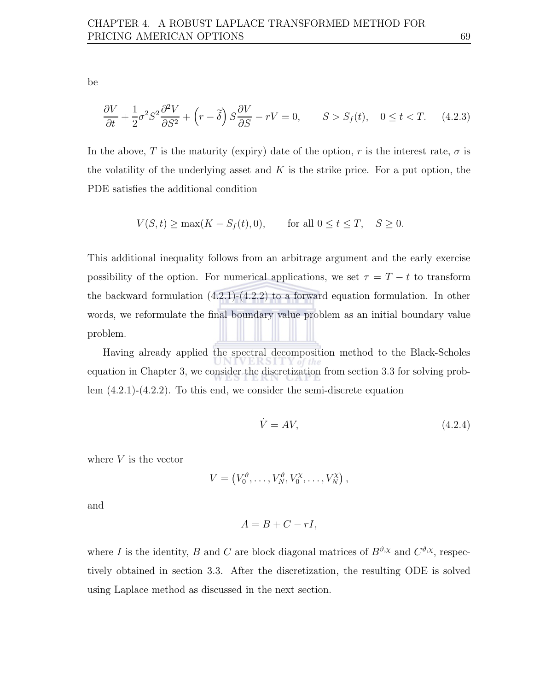be

$$
\frac{\partial V}{\partial t} + \frac{1}{2}\sigma^2 S^2 \frac{\partial^2 V}{\partial S^2} + \left(r - \tilde{\delta}\right) S \frac{\partial V}{\partial S} - rV = 0, \qquad S > S_f(t), \quad 0 \le t < T. \tag{4.2.3}
$$

In the above, T is the maturity (expiry) date of the option, r is the interest rate,  $\sigma$  is the volatility of the underlying asset and  $K$  is the strike price. For a put option, the PDE satisfies the additional condition

$$
V(S,t) \ge \max(K - S_f(t), 0), \quad \text{for all } 0 \le t \le T, \quad S \ge 0.
$$

This additional inequality follows from an arbitrage argument and the early exercise possibility of the option. For numerical applications, we set  $\tau = T - t$  to transform the backward formulation (4.2.1)-(4.2.2) to a forward equation formulation. In other words, we reformulate the final boundary value problem as an initial boundary value problem.

Having already applied the spectral decomposition method to the Black-Scholes equation in Chapter 3, we consider the discretization from section 3.3 for solving problem (4.2.1)-(4.2.2). To this end, we consider the semi-discrete equation

$$
\dot{V} = AV,\tag{4.2.4}
$$

where  $V$  is the vector

$$
V = (V_0^{\vartheta}, \ldots, V_N^{\vartheta}, V_0^{\chi}, \ldots, V_N^{\chi}),
$$

and

$$
A = B + C - rI,
$$

where I is the identity, B and C are block diagonal matrices of  $B^{\vartheta,\chi}$  and  $C^{\vartheta,\chi}$ , respectively obtained in section 3.3. After the discretization, the resulting ODE is solved using Laplace method as discussed in the next section.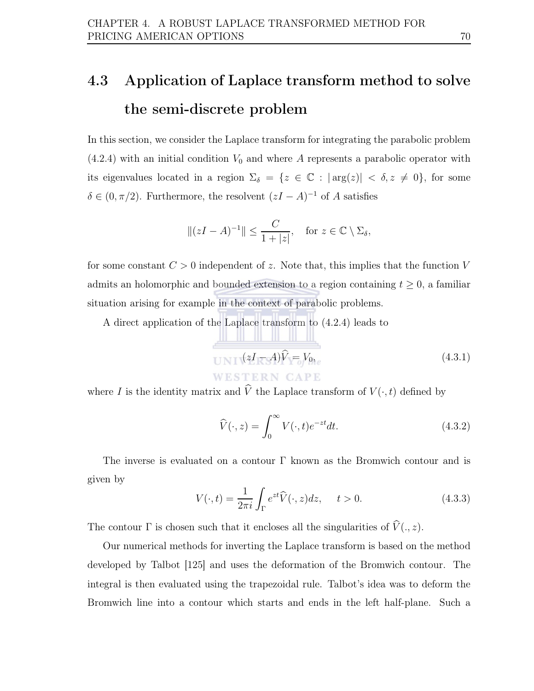# 4.3 Application of Laplace transform method to solve the semi-discrete problem

In this section, we consider the Laplace transform for integrating the parabolic problem  $(4.2.4)$  with an initial condition  $V_0$  and where A represents a parabolic operator with its eigenvalues located in a region  $\Sigma_{\delta} = \{z \in \mathbb{C} : |arg(z)| < \delta, z \neq 0\}$ , for some  $\delta \in (0, \pi/2)$ . Furthermore, the resolvent  $(zI - A)^{-1}$  of A satisfies

$$
||(zI - A)^{-1}|| \le \frac{C}{1+|z|}, \quad \text{for } z \in \mathbb{C} \setminus \Sigma_{\delta},
$$

for some constant  $C > 0$  independent of z. Note that, this implies that the function V admits an holomorphic and bounded extension to a region containing  $t \geq 0$ , a familiar situation arising for example in the context of parabolic problems.

A direct application of the Laplace transform to (4.2.4) leads to

$$
(zI - A)\hat{V} = V_{0},
$$
  
WESTERN CAPE (4.3.1)

where I is the identity matrix and  $\hat{V}$  the Laplace transform of  $V(\cdot, t)$  defined by

the control of the control of the con-

$$
\widehat{V}(\cdot, z) = \int_0^\infty V(\cdot, t)e^{-zt}dt.
$$
\n(4.3.2)

The inverse is evaluated on a contour Γ known as the Bromwich contour and is given by

$$
V(\cdot, t) = \frac{1}{2\pi i} \int_{\Gamma} e^{zt} \widehat{V}(\cdot, z) dz, \quad t > 0.
$$
 (4.3.3)

The contour  $\Gamma$  is chosen such that it encloses all the singularities of  $\widehat{V}(., z)$ .

Our numerical methods for inverting the Laplace transform is based on the method developed by Talbot [125] and uses the deformation of the Bromwich contour. The integral is then evaluated using the trapezoidal rule. Talbot's idea was to deform the Bromwich line into a contour which starts and ends in the left half-plane. Such a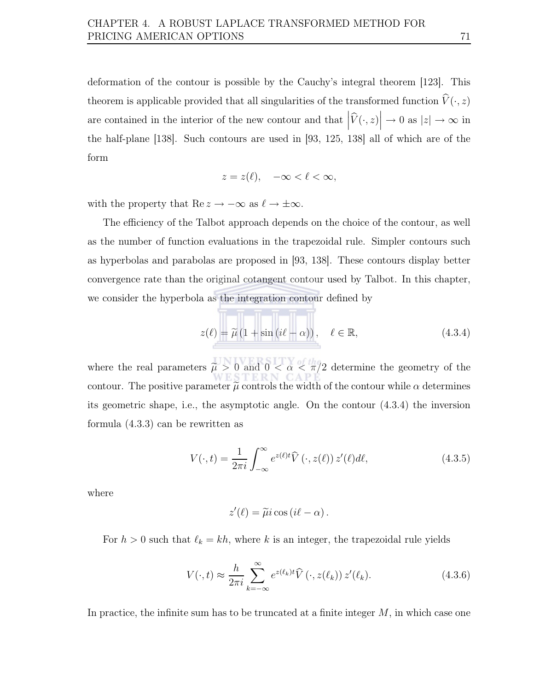deformation of the contour is possible by the Cauchy's integral theorem [123]. This theorem is applicable provided that all singularities of the transformed function  $\hat{V}(\cdot, z)$ are contained in the interior of the new contour and that  $\left|\hat{V}(\cdot,z)\right| \to 0$  as  $|z| \to \infty$  in the half-plane [138]. Such contours are used in [93, 125, 138] all of which are of the form

$$
z=z(\ell), \quad -\infty<\ell<\infty,
$$

with the property that  $\text{Re}\,z\to-\infty$  as  $\ell\to\pm\infty.$ 

The efficiency of the Talbot approach depends on the choice of the contour, as well as the number of function evaluations in the trapezoidal rule. Simpler contours such as hyperbolas and parabolas are proposed in [93, 138]. These contours display better convergence rate than the original cotangent contour used by Talbot. In this chapter, we consider the hyperbola as the integration contour defined by

$$
z(\ell) = \widetilde{\mu} \left( 1 + \sin \left( i\ell - \alpha \right) \right), \quad \ell \in \mathbb{R}, \tag{4.3.4}
$$

where the real parameters  $\tilde{\mu} > 0$  and  $0 < \alpha < \pi/2$  determine the geometry of the contour. The positive parameter  $\tilde{\mu}$  controls the width of the contour while  $\alpha$  determines its geometric shape, i.e., the asymptotic angle. On the contour (4.3.4) the inversion formula (4.3.3) can be rewritten as

$$
V(\cdot, t) = \frac{1}{2\pi i} \int_{-\infty}^{\infty} e^{z(\ell)t} \widehat{V}(\cdot, z(\ell)) z'(\ell) d\ell,
$$
 (4.3.5)

where

$$
z'(\ell) = \widetilde{\mu} i \cos (i\ell - \alpha).
$$

For  $h > 0$  such that  $\ell_k = kh$ , where k is an integer, the trapezoidal rule yields

$$
V(\cdot, t) \approx \frac{h}{2\pi i} \sum_{k=-\infty}^{\infty} e^{z(\ell_k)t} \widehat{V}(\cdot, z(\ell_k)) z'(\ell_k).
$$
 (4.3.6)

In practice, the infinite sum has to be truncated at a finite integer  $M$ , in which case one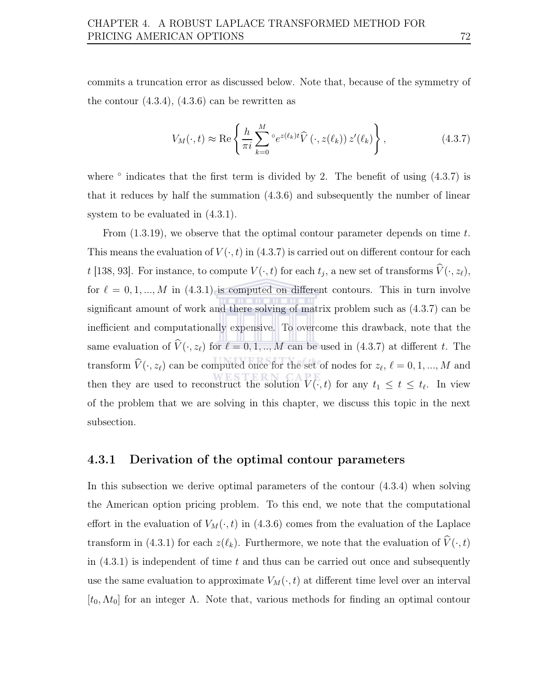commits a truncation error as discussed below. Note that, because of the symmetry of the contour  $(4.3.4)$ ,  $(4.3.6)$  can be rewritten as

$$
V_M(\cdot, t) \approx \text{Re}\left\{\frac{h}{\pi i} \sum_{k=0}^M e^{z(\ell_k)t} \widehat{V}(\cdot, z(\ell_k)) z'(\ell_k)\right\},\tag{4.3.7}
$$

where  $\degree$  indicates that the first term is divided by 2. The benefit of using  $(4.3.7)$  is that it reduces by half the summation (4.3.6) and subsequently the number of linear system to be evaluated in (4.3.1).

From  $(1.3.19)$ , we observe that the optimal contour parameter depends on time t. This means the evaluation of  $V(\cdot, t)$  in (4.3.7) is carried out on different contour for each t [138, 93]. For instance, to compute  $V(\cdot, t)$  for each  $t_j$ , a new set of transforms  $V(\cdot, z_\ell)$ , for  $\ell = 0, 1, ..., M$  in (4.3.1) is computed on different contours. This in turn involve significant amount of work and there solving of matrix problem such as (4.3.7) can be inefficient and computationally expensive. To overcome this drawback, note that the same evaluation of  $\hat{V}(\cdot, z_{\ell})$  for  $\ell = 0, 1, ..., M$  can be used in (4.3.7) at different t. The transform  $V(\cdot, z_\ell)$  can be computed once for the set of nodes for  $z_\ell, \ell = 0, 1, ..., M$  and then they are used to reconstruct the solution  $V(\cdot,t)$  for any  $t_1 \leq t \leq t_{\ell}$ . In view of the problem that we are solving in this chapter, we discuss this topic in the next subsection.

#### 4.3.1 Derivation of the optimal contour parameters

In this subsection we derive optimal parameters of the contour (4.3.4) when solving the American option pricing problem. To this end, we note that the computational effort in the evaluation of  $V_M(\cdot, t)$  in (4.3.6) comes from the evaluation of the Laplace transform in (4.3.1) for each  $z(\ell_k)$ . Furthermore, we note that the evaluation of  $\widehat{V}(\cdot, t)$ in  $(4.3.1)$  is independent of time t and thus can be carried out once and subsequently use the same evaluation to approximate  $V_M(\cdot, t)$  at different time level over an interval  $[t_0, \Lambda t_0]$  for an integer  $\Lambda$ . Note that, various methods for finding an optimal contour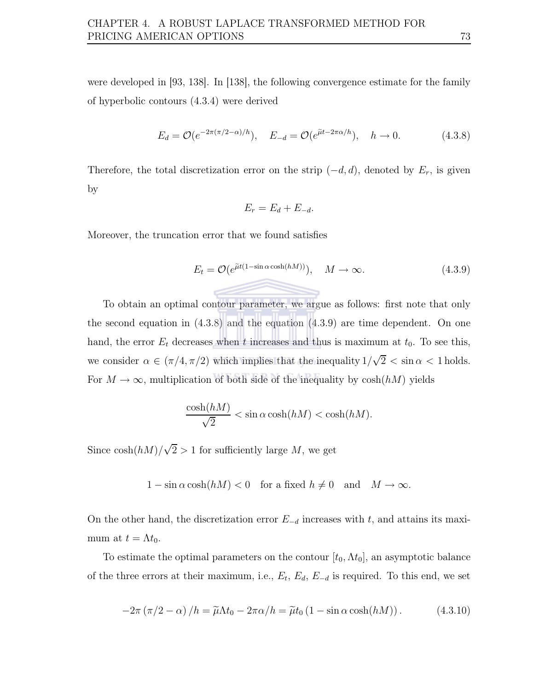were developed in [93, 138]. In [138], the following convergence estimate for the family of hyperbolic contours (4.3.4) were derived

$$
E_d = \mathcal{O}(e^{-2\pi(\pi/2 - \alpha)/h}), \quad E_{-d} = \mathcal{O}(e^{\tilde{\mu}t - 2\pi\alpha/h}), \quad h \to 0.
$$
 (4.3.8)

Therefore, the total discretization error on the strip  $(-d, d)$ , denoted by  $E_r$ , is given by

$$
E_r = E_d + E_{-d}.
$$

Moreover, the truncation error that we found satisfies

$$
E_t = \mathcal{O}(e^{\tilde{\mu}t(1-\sin\alpha\cosh(hM))}), \quad M \to \infty.
$$
 (4.3.9)

To obtain an optimal contour parameter, we argue as follows: first note that only the second equation in (4.3.8) and the equation (4.3.9) are time dependent. On one hand, the error  $E_t$  decreases when t increases and thus is maximum at  $t_0$ . To see this, we consider  $\alpha \in (\pi/4, \pi/2)$  which implies that the inequality  $1/\sqrt{2} < \sin \alpha < 1$  holds. For  $M \to \infty$ , multiplication of both side of the inequality by  $cosh(hM)$  yields

$$
\frac{\cosh(hM)}{\sqrt{2}} < \sin \alpha \cosh(hM) < \cosh(hM).
$$

Since  $\cosh(hM)/\sqrt{2} > 1$  for sufficiently large M, we get

 $1 - \sin \alpha \cosh(hM) < 0$  for a fixed  $h \neq 0$  and  $M \to \infty$ .

On the other hand, the discretization error  $E_{-d}$  increases with t, and attains its maximum at  $t = \Lambda t_0$ .

To estimate the optimal parameters on the contour  $[t_0, \Lambda t_0]$ , an asymptotic balance of the three errors at their maximum, i.e.,  $E_t$ ,  $E_d$ ,  $E_{-d}$  is required. To this end, we set

$$
-2\pi \left(\frac{\pi}{2} - \alpha\right) / h = \widetilde{\mu} \Lambda t_0 - 2\pi \alpha / h = \widetilde{\mu} t_0 \left(1 - \sin \alpha \cosh(hM)\right). \tag{4.3.10}
$$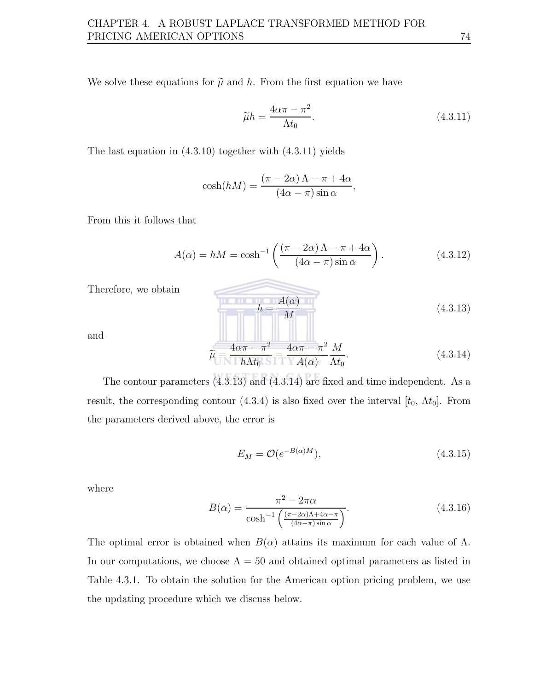We solve these equations for  $\tilde{\mu}$  and h. From the first equation we have

$$
\widetilde{\mu}h = \frac{4\alpha\pi - \pi^2}{\Lambda t_0}.\tag{4.3.11}
$$

The last equation in (4.3.10) together with (4.3.11) yields

 $\widetilde{\mu} =$ 

 $4\alpha\pi - \pi^2$  $h \Lambda t_0$ 

$$
\cosh(hM) = \frac{(\pi - 2\alpha)\,\Lambda - \pi + 4\alpha}{(4\alpha - \pi)\sin\alpha},
$$

From this it follows that

$$
A(\alpha) = hM = \cosh^{-1}\left(\frac{(\pi - 2\alpha)\,\Lambda - \pi + 4\alpha}{(4\alpha - \pi)\sin\alpha}\right). \tag{4.3.12}
$$

Therefore, we obtain

$$
h = \frac{A(\alpha)}{M} \tag{4.3.13}
$$

M  $\Lambda t_0$ 

and

The contour parameters (4.3.13) and (4.3.14) are fixed and time independent. As a result, the corresponding contour (4.3.4) is also fixed over the interval  $[t_0, \Lambda t_0]$ . From the parameters derived above, the error is

 $=\frac{4\alpha\pi-\pi^2}{4}$  $A(\alpha)$ 

$$
E_M = \mathcal{O}(e^{-B(\alpha)M}),\tag{4.3.15}
$$

where

$$
B(\alpha) = \frac{\pi^2 - 2\pi\alpha}{\cosh^{-1}\left(\frac{(\pi - 2\alpha)\Lambda + 4\alpha - \pi}{(4\alpha - \pi)\sin\alpha}\right)}.
$$
(4.3.16)

The optimal error is obtained when  $B(\alpha)$  attains its maximum for each value of  $\Lambda$ . In our computations, we choose  $\Lambda = 50$  and obtained optimal parameters as listed in Table 4.3.1. To obtain the solution for the American option pricing problem, we use the updating procedure which we discuss below.

 $(4.3.14)$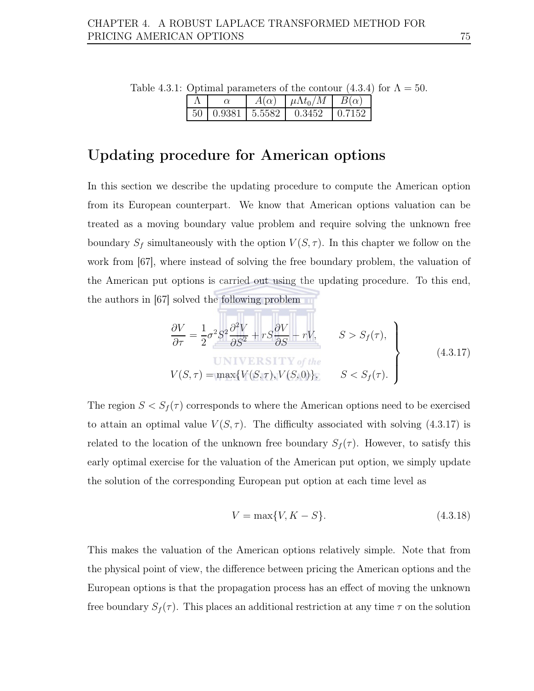| Table 4.3.1: Optimal parameters of the contour (4.3.4) for $\Lambda = 50$ |  |  |                                                            |  |  |
|---------------------------------------------------------------------------|--|--|------------------------------------------------------------|--|--|
|                                                                           |  |  | $\alpha$   $A(\alpha)$   $\mu \Lambda t_0/M$   $B(\alpha)$ |  |  |
|                                                                           |  |  | $50 \mid 0.9381 \mid 5.5582 \mid 0.3452 \mid 0.7152$       |  |  |

Table 4.3.1: Optimal parameters of the contour  $(4.3.4)$  for  $\Lambda = 50$ .

### Updating procedure for American options

In this section we describe the updating procedure to compute the American option from its European counterpart. We know that American options valuation can be treated as a moving boundary value problem and require solving the unknown free boundary  $S_f$  simultaneously with the option  $V(S, \tau)$ . In this chapter we follow on the work from [67], where instead of solving the free boundary problem, the valuation of the American put options is carried out using the updating procedure. To this end, the authors in [67] solved the following problem

$$
\frac{\partial V}{\partial \tau} = \frac{1}{2} \sigma^2 S^2 \frac{\partial^2 V}{\partial S^2} + rS \frac{\partial V}{\partial S} - rV, \qquad S > S_f(\tau),
$$
  
\n
$$
V(S, \tau) = \max\{V(S, \tau), V(S, 0)\}, \qquad S < S_f(\tau).
$$
\n(4.3.17)

The region  $S < S_f(\tau)$  corresponds to where the American options need to be exercised to attain an optimal value  $V(S,\tau)$ . The difficulty associated with solving (4.3.17) is related to the location of the unknown free boundary  $S_f(\tau)$ . However, to satisfy this early optimal exercise for the valuation of the American put option, we simply update the solution of the corresponding European put option at each time level as

$$
V = \max\{V, K - S\}.
$$
\n(4.3.18)

This makes the valuation of the American options relatively simple. Note that from the physical point of view, the difference between pricing the American options and the European options is that the propagation process has an effect of moving the unknown free boundary  $S_f(\tau)$ . This places an additional restriction at any time  $\tau$  on the solution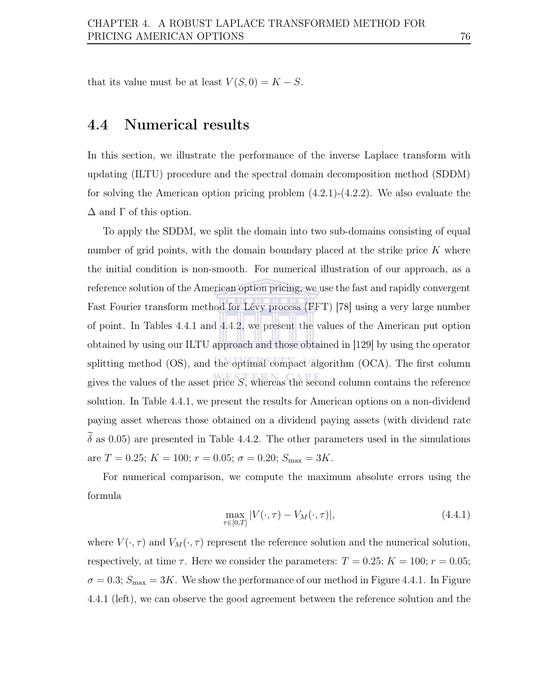that its value must be at least  $V(S, 0) = K - S$ .

#### 4.4 Numerical results

In this section, we illustrate the performance of the inverse Laplace transform with updating (ILTU) procedure and the spectral domain decomposition method (SDDM) for solving the American option pricing problem (4.2.1)-(4.2.2). We also evaluate the  $Δ$  and Γ of this option.

To apply the SDDM, we split the domain into two sub-domains consisting of equal number of grid points, with the domain boundary placed at the strike price  $K$  where the initial condition is non-smooth. For numerical illustration of our approach, as a reference solution of the American option pricing, we use the fast and rapidly convergent Fast Fourier transform method for Lévy process (FFT) [78] using a very large number of point. In Tables 4.4.1 and 4.4.2, we present the values of the American put option obtained by using our ILTU approach and those obtained in [129] by using the operator splitting method (OS), and the optimal compact algorithm (OCA). The first column gives the values of the asset price  $S$ , whereas the second column contains the reference solution. In Table 4.4.1, we present the results for American options on a non-dividend paying asset whereas those obtained on a dividend paying assets (with dividend rate  $\delta$  as 0.05) are presented in Table 4.4.2. The other parameters used in the simulations are  $T = 0.25$ ;  $K = 100$ ;  $r = 0.05$ ;  $\sigma = 0.20$ ;  $S_{\text{max}} = 3K$ .

For numerical comparison, we compute the maximum absolute errors using the formula

$$
\max_{\tau \in [0,T]} |V(\cdot, \tau) - V_M(\cdot, \tau)|,\tag{4.4.1}
$$

where  $V(\cdot, \tau)$  and  $V_M(\cdot, \tau)$  represent the reference solution and the numerical solution, respectively, at time  $\tau$ . Here we consider the parameters:  $T = 0.25; K = 100; r = 0.05;$  $\sigma = 0.3$ ;  $S_{\text{max}} = 3K$ . We show the performance of our method in Figure 4.4.1. In Figure 4.4.1 (left), we can observe the good agreement between the reference solution and the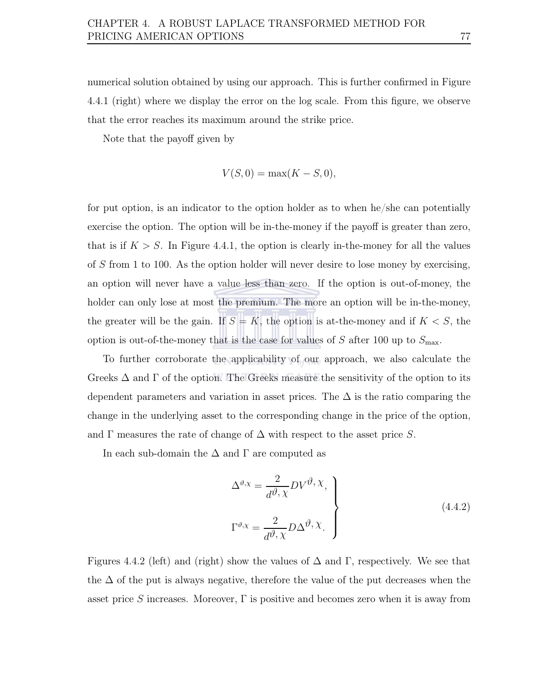numerical solution obtained by using our approach. This is further confirmed in Figure 4.4.1 (right) where we display the error on the log scale. From this figure, we observe that the error reaches its maximum around the strike price.

Note that the payoff given by

$$
V(S,0) = \max(K-S,0),
$$

for put option, is an indicator to the option holder as to when he/she can potentially exercise the option. The option will be in-the-money if the payoff is greater than zero, that is if  $K > S$ . In Figure 4.4.1, the option is clearly in-the-money for all the values of S from 1 to 100. As the option holder will never desire to lose money by exercising, an option will never have a value less than zero. If the option is out-of-money, the holder can only lose at most the premium. The more an option will be in-the-money, the greater will be the gain. If  $S = K$ , the option is at-the-money and if  $K < S$ , the option is out-of-the-money that is the case for values of S after 100 up to  $S_{\text{max}}$ .

To further corroborate the applicability of our approach, we also calculate the Greeks  $\Delta$  and  $\Gamma$  of the option. The Greeks measure the sensitivity of the option to its dependent parameters and variation in asset prices. The  $\Delta$  is the ratio comparing the change in the underlying asset to the corresponding change in the price of the option, and  $\Gamma$  measures the rate of change of  $\Delta$  with respect to the asset price S.

In each sub-domain the  $\Delta$  and  $\Gamma$  are computed as

$$
\Delta^{\vartheta,\chi} = \frac{2}{d^{\vartheta,\chi}} DV^{\vartheta,\chi},
$$
\n
$$
\Gamma^{\vartheta,\chi} = \frac{2}{d^{\vartheta,\chi}} D\Delta^{\vartheta,\chi}.
$$
\n(4.4.2)

Figures 4.4.2 (left) and (right) show the values of  $\Delta$  and  $\Gamma$ , respectively. We see that the  $\Delta$  of the put is always negative, therefore the value of the put decreases when the asset price S increases. Moreover,  $\Gamma$  is positive and becomes zero when it is away from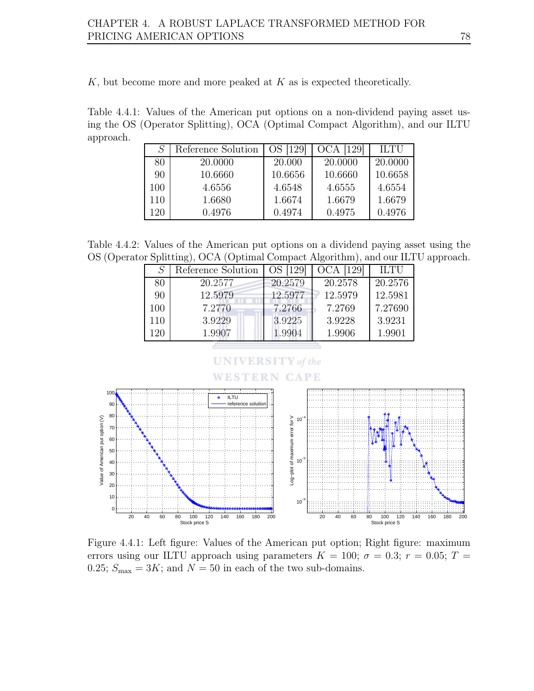$K$ , but become more and more peaked at  $K$  as is expected theoretically.

Table 4.4.1: Values of the American put options on a non-dividend paying asset using the OS (Operator Splitting), OCA (Optimal Compact Algorithm), and our ILTU approach.

|     | Reference Solution | [129]<br>OS | $11\overline{2}9$<br>OCA | <b>ILTU</b> |
|-----|--------------------|-------------|--------------------------|-------------|
| 80  | 20.0000            | 20.000      | 20.0000                  | 20.0000     |
| 90  | 10.6660            | 10.6656     | 10.6660                  | 10.6658     |
| 100 | 4.6556             | 4.6548      | 4.6555                   | 4.6554      |
| 110 | 1.6680             | 1.6674      | 1.6679                   | 1.6679      |
| 120 | 0.4976             | 0.4974      | 0.4975                   | 0.4976      |

Table 4.4.2: Values of the American put options on a dividend paying asset using the OS (Operator Splitting), OCA (Optimal Compact Algorithm), and our ILTU approach.

|     | Reference Solution | OS [129] | OCA<br><sup>129</sup> | <b>ILTU</b> |
|-----|--------------------|----------|-----------------------|-------------|
| 80  | 20.2577            | 20.2579  | 20.2578               | 20.2576     |
| 90  | 12.5979            | 12.5977  | 12.5979               | 12.5981     |
| 100 | 7.2770             | 7.2766   | 7.2769                | 7.27690     |
| 110 | 3.9229             | 3.9225   | 3.9228                | 3.9231      |
| 120 | 1.9907             | 1.9904   | 1.9906                | 1.9901      |



Figure 4.4.1: Left figure: Values of the American put option; Right figure: maximum errors using our ILTU approach using parameters  $K = 100$ ;  $\sigma = 0.3$ ;  $r = 0.05$ ;  $T =$ 0.25;  $S_{\text{max}} = 3K$ ; and  $N = 50$  in each of the two sub-domains.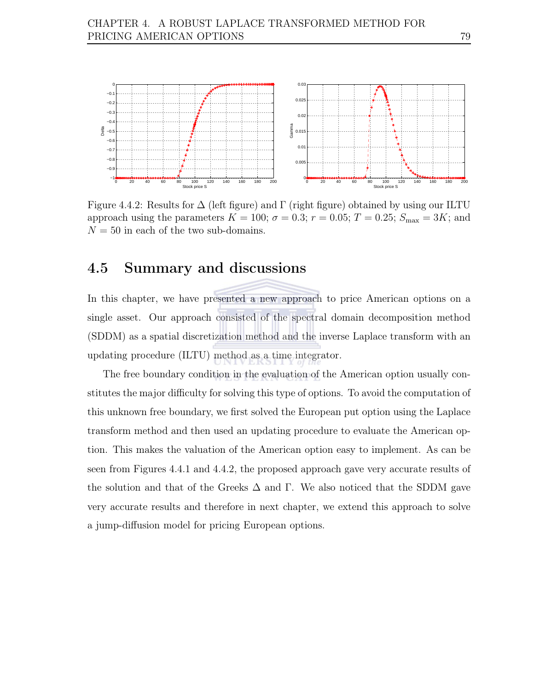

Figure 4.4.2: Results for  $\Delta$  (left figure) and  $\Gamma$  (right figure) obtained by using our ILTU approach using the parameters  $K = 100$ ;  $\sigma = 0.3$ ;  $r = 0.05$ ;  $T = 0.25$ ;  $S_{\text{max}} = 3K$ ; and  $N = 50$  in each of the two sub-domains.

#### 4.5 Summary and discussions

In this chapter, we have presented a new approach to price American options on a single asset. Our approach consisted of the spectral domain decomposition method (SDDM) as a spatial discretization method and the inverse Laplace transform with an updating procedure (ILTU) method as a time integrator.

The free boundary condition in the evaluation of the American option usually constitutes the major difficulty for solving this type of options. To avoid the computation of this unknown free boundary, we first solved the European put option using the Laplace transform method and then used an updating procedure to evaluate the American option. This makes the valuation of the American option easy to implement. As can be seen from Figures 4.4.1 and 4.4.2, the proposed approach gave very accurate results of the solution and that of the Greeks  $\Delta$  and  $\Gamma$ . We also noticed that the SDDM gave very accurate results and therefore in next chapter, we extend this approach to solve a jump-diffusion model for pricing European options.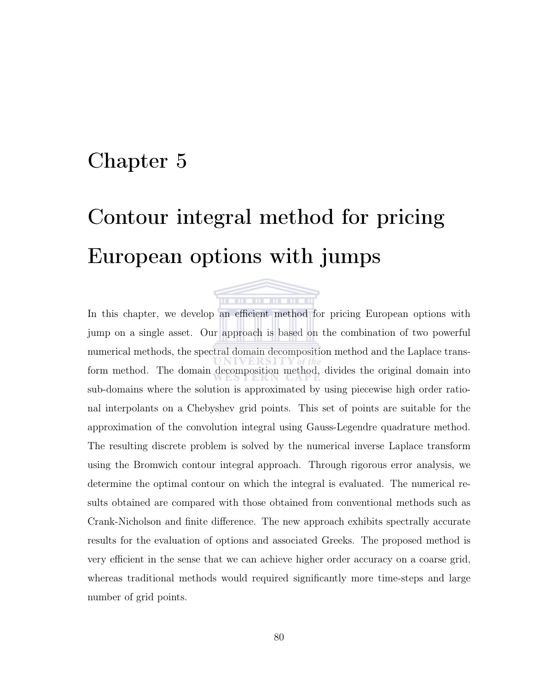# Chapter 5

# Contour integral method for pricing European options with jumps

**111 111 111 111 111** 

In this chapter, we develop an efficient method for pricing European options with jump on a single asset. Our approach is based on the combination of two powerful numerical methods, the spectral domain decomposition method and the Laplace transform method. The domain decomposition method, divides the original domain into sub-domains where the solution is approximated by using piecewise high order rational interpolants on a Chebyshev grid points. This set of points are suitable for the approximation of the convolution integral using Gauss-Legendre quadrature method. The resulting discrete problem is solved by the numerical inverse Laplace transform using the Bromwich contour integral approach. Through rigorous error analysis, we determine the optimal contour on which the integral is evaluated. The numerical results obtained are compared with those obtained from conventional methods such as Crank-Nicholson and finite difference. The new approach exhibits spectrally accurate results for the evaluation of options and associated Greeks. The proposed method is very efficient in the sense that we can achieve higher order accuracy on a coarse grid, whereas traditional methods would required significantly more time-steps and large number of grid points.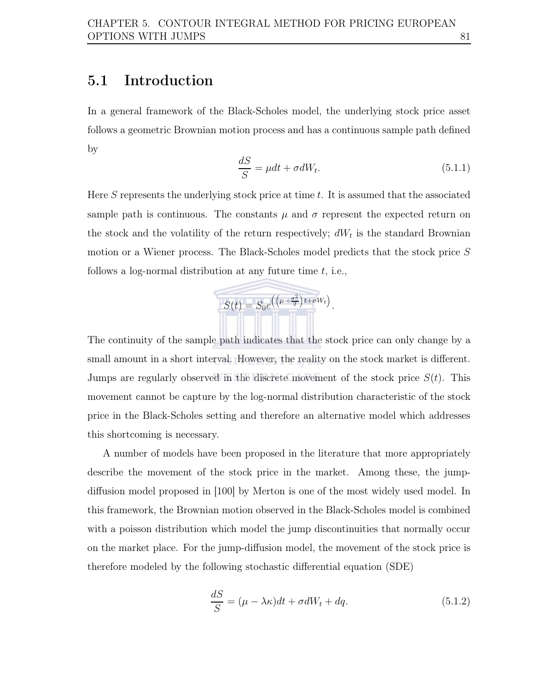### 5.1 Introduction

In a general framework of the Black-Scholes model, the underlying stock price asset follows a geometric Brownian motion process and has a continuous sample path defined by

$$
\frac{dS}{S} = \mu dt + \sigma dW_t.
$$
\n(5.1.1)

Here  $S$  represents the underlying stock price at time  $t$ . It is assumed that the associated sample path is continuous. The constants  $\mu$  and  $\sigma$  represent the expected return on the stock and the volatility of the return respectively;  $dW_t$  is the standard Brownian motion or a Wiener process. The Black-Scholes model predicts that the stock price S follows a log-normal distribution at any future time  $t$ , i.e.,

$$
S(t) = S_0 e^{(\mu - \frac{\sigma^2}{2})t + \sigma W_t)}.
$$

The continuity of the sample path indicates that the stock price can only change by a small amount in a short interval. However, the reality on the stock market is different. Jumps are regularly observed in the discrete movement of the stock price  $S(t)$ . This movement cannot be capture by the log-normal distribution characteristic of the stock price in the Black-Scholes setting and therefore an alternative model which addresses this shortcoming is necessary.

A number of models have been proposed in the literature that more appropriately describe the movement of the stock price in the market. Among these, the jumpdiffusion model proposed in [100] by Merton is one of the most widely used model. In this framework, the Brownian motion observed in the Black-Scholes model is combined with a poisson distribution which model the jump discontinuities that normally occur on the market place. For the jump-diffusion model, the movement of the stock price is therefore modeled by the following stochastic differential equation (SDE)

$$
\frac{dS}{S} = (\mu - \lambda \kappa)dt + \sigma dW_t + dq.
$$
\n(5.1.2)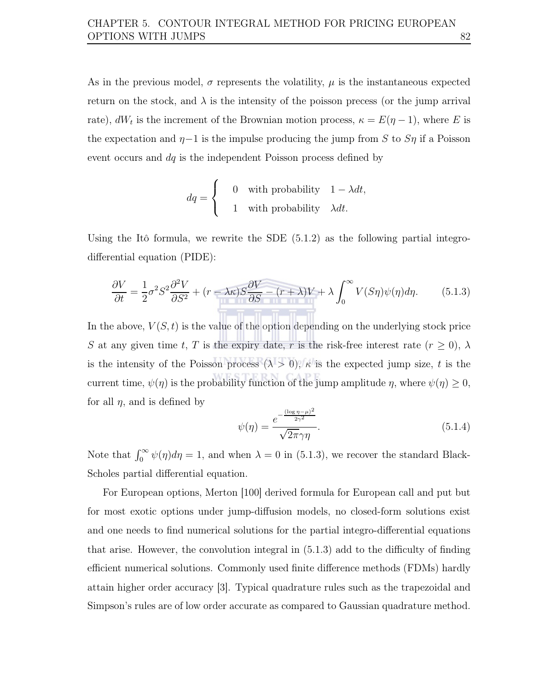As in the previous model,  $\sigma$  represents the volatility,  $\mu$  is the instantaneous expected return on the stock, and  $\lambda$  is the intensity of the poisson precess (or the jump arrival rate),  $dW_t$  is the increment of the Brownian motion process,  $\kappa = E(\eta - 1)$ , where E is the expectation and  $\eta-1$  is the impulse producing the jump from S to S $\eta$  if a Poisson event occurs and  $dq$  is the independent Poisson process defined by

$$
dq = \begin{cases} 0 & \text{with probability} & 1 - \lambda dt, \\ 1 & \text{with probability} & \lambda dt. \end{cases}
$$

Using the Itô formula, we rewrite the SDE  $(5.1.2)$  as the following partial integrodifferential equation (PIDE):

$$
\frac{\partial V}{\partial t} = \frac{1}{2}\sigma^2 S^2 \frac{\partial^2 V}{\partial S^2} + (r - \lambda \kappa) S \frac{\partial V}{\partial S} - (r + \lambda) V + \lambda \int_0^\infty V(S\eta) \psi(\eta) d\eta. \tag{5.1.3}
$$

In the above,  $V(S, t)$  is the value of the option depending on the underlying stock price S at any given time t, T is the expiry date, r is the risk-free interest rate  $(r \ge 0)$ ,  $\lambda$ is the intensity of the Poisson process  $(\lambda > 0)$ ,  $\kappa$  is the expected jump size, t is the current time,  $\psi(\eta)$  is the probability function of the jump amplitude  $\eta$ , where  $\psi(\eta) \geq 0$ , for all  $\eta$ , and is defined by

$$
\psi(\eta) = \frac{e^{-\frac{(\log \eta - \mu)^2}{2\gamma^2}}}{\sqrt{2\pi}\gamma\eta}.
$$
\n(5.1.4)

Note that  $\int_0^\infty \psi(\eta) d\eta = 1$ , and when  $\lambda = 0$  in (5.1.3), we recover the standard Black-Scholes partial differential equation.

For European options, Merton [100] derived formula for European call and put but for most exotic options under jump-diffusion models, no closed-form solutions exist and one needs to find numerical solutions for the partial integro-differential equations that arise. However, the convolution integral in (5.1.3) add to the difficulty of finding efficient numerical solutions. Commonly used finite difference methods (FDMs) hardly attain higher order accuracy [3]. Typical quadrature rules such as the trapezoidal and Simpson's rules are of low order accurate as compared to Gaussian quadrature method.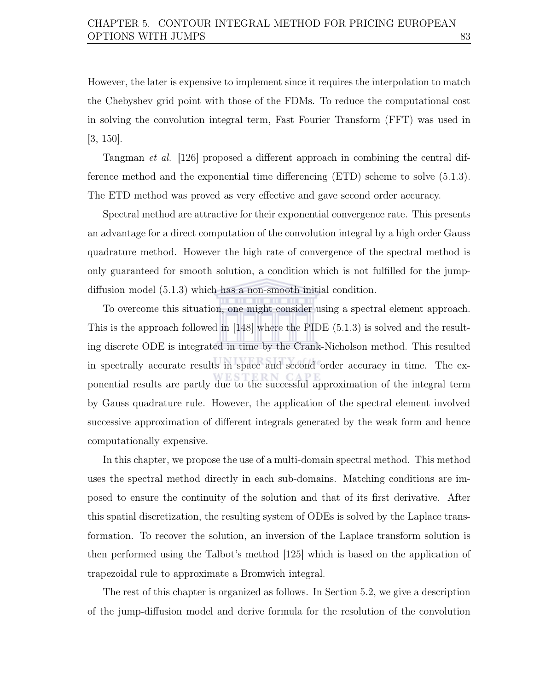However, the later is expensive to implement since it requires the interpolation to match the Chebyshev grid point with those of the FDMs. To reduce the computational cost in solving the convolution integral term, Fast Fourier Transform (FFT) was used in [3, 150].

Tangman *et al.* [126] proposed a different approach in combining the central difference method and the exponential time differencing (ETD) scheme to solve (5.1.3). The ETD method was proved as very effective and gave second order accuracy.

Spectral method are attractive for their exponential convergence rate. This presents an advantage for a direct computation of the convolution integral by a high order Gauss quadrature method. However the high rate of convergence of the spectral method is only guaranteed for smooth solution, a condition which is not fulfilled for the jumpdiffusion model (5.1.3) which has a non-smooth initial condition.

To overcome this situation, one might consider using a spectral element approach. This is the approach followed in [148] where the PIDE (5.1.3) is solved and the resulting discrete ODE is integrated in time by the Crank-Nicholson method. This resulted in spectrally accurate results in space and second order accuracy in time. The exponential results are partly due to the successful approximation of the integral term by Gauss quadrature rule. However, the application of the spectral element involved successive approximation of different integrals generated by the weak form and hence computationally expensive.

In this chapter, we propose the use of a multi-domain spectral method. This method uses the spectral method directly in each sub-domains. Matching conditions are imposed to ensure the continuity of the solution and that of its first derivative. After this spatial discretization, the resulting system of ODEs is solved by the Laplace transformation. To recover the solution, an inversion of the Laplace transform solution is then performed using the Talbot's method [125] which is based on the application of trapezoidal rule to approximate a Bromwich integral.

The rest of this chapter is organized as follows. In Section 5.2, we give a description of the jump-diffusion model and derive formula for the resolution of the convolution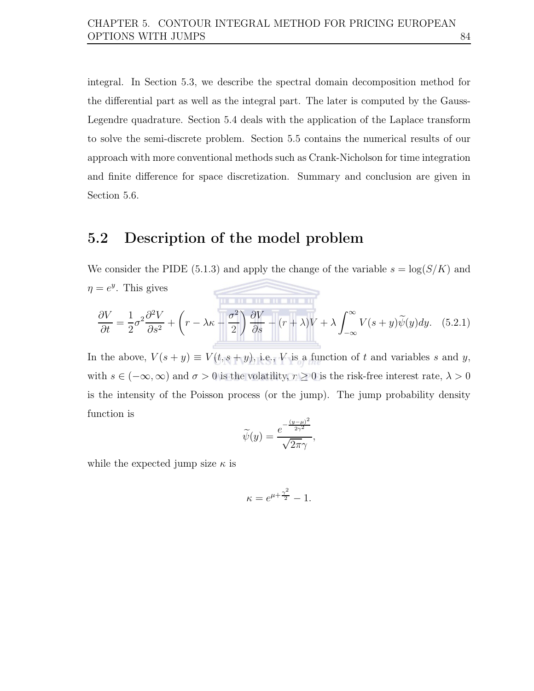integral. In Section 5.3, we describe the spectral domain decomposition method for the differential part as well as the integral part. The later is computed by the Gauss-Legendre quadrature. Section 5.4 deals with the application of the Laplace transform to solve the semi-discrete problem. Section 5.5 contains the numerical results of our approach with more conventional methods such as Crank-Nicholson for time integration and finite difference for space discretization. Summary and conclusion are given in Section 5.6.

#### 5.2 Description of the model problem

We consider the PIDE (5.1.3) and apply the change of the variable  $s = \log(S/K)$  and  $\eta = e^y$ . This gives 

$$
\frac{\partial V}{\partial t} = \frac{1}{2}\sigma^2 \frac{\partial^2 V}{\partial s^2} + \left(r - \lambda \kappa - \frac{\sigma^2}{2}\right) \frac{\partial V}{\partial s} - (r + \lambda)V + \lambda \int_{-\infty}^{\infty} V(s + y)\widetilde{\psi}(y)dy. \tag{5.2.1}
$$

In the above,  $V(s + y) \equiv V(t, s + y)$ , i.e., V is a function of t and variables s and y, with  $s \in (-\infty, \infty)$  and  $\sigma > 0$  is the volatility,  $r \geq 0$  is the risk-free interest rate,  $\lambda > 0$ is the intensity of the Poisson process (or the jump). The jump probability density function is

$$
\widetilde{\psi}(y) = \frac{e^{-\frac{(y-\mu)^2}{2\gamma^2}}}{\sqrt{2\pi}\gamma},
$$

while the expected jump size  $\kappa$  is

$$
\kappa = e^{\mu + \frac{\gamma^2}{2}} - 1.
$$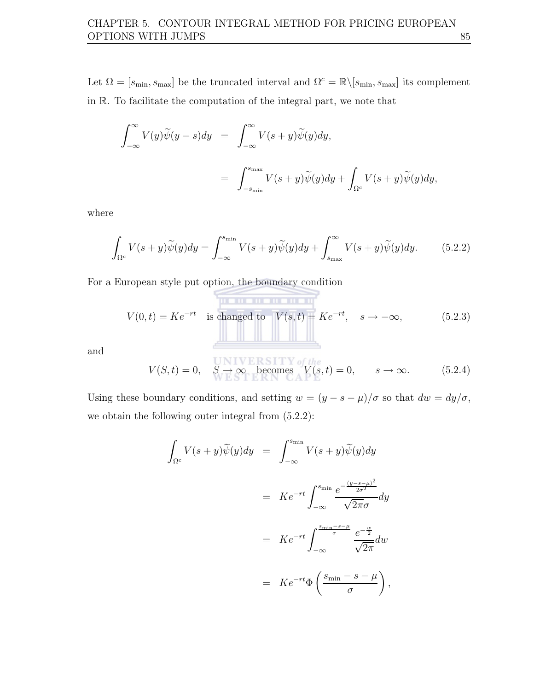Let  $\Omega = [s_{\min}, s_{\max}]$  be the truncated interval and  $\Omega^c = \mathbb{R} \setminus [s_{\min}, s_{\max}]$  its complement in R. To facilitate the computation of the integral part, we note that

$$
\int_{-\infty}^{\infty} V(y)\widetilde{\psi}(y-s)dy = \int_{-\infty}^{\infty} V(s+y)\widetilde{\psi}(y)dy,
$$
  

$$
= \int_{-s_{\min}}^{s_{\max}} V(s+y)\widetilde{\psi}(y)dy + \int_{\Omega^c} V(s+y)\widetilde{\psi}(y)dy,
$$

where

$$
\int_{\Omega^c} V(s+y)\widetilde{\psi}(y)dy = \int_{-\infty}^{s_{\text{min}}} V(s+y)\widetilde{\psi}(y)dy + \int_{s_{\text{max}}}^{\infty} V(s+y)\widetilde{\psi}(y)dy. \tag{5.2.2}
$$

For a European style put option, the boundary condition

$$
V(0,t) = Ke^{-rt}
$$
 is changed to  $V(s,t) = Ke^{-rt}$ ,  $s \to -\infty$ , (5.2.3)

and

$$
V(S,t) = 0, \quad S \to \infty \quad \text{becomes} \quad V(s,t) = 0, \quad s \to \infty. \tag{5.2.4}
$$

Using these boundary conditions, and setting  $w = (y - s - \mu)/\sigma$  so that  $dw = dy/\sigma$ , we obtain the following outer integral from (5.2.2):

$$
\int_{\Omega^c} V(s+y)\tilde{\psi}(y)dy = \int_{-\infty}^{s_{\min}} V(s+y)\tilde{\psi}(y)dy
$$

$$
= Ke^{-rt} \int_{-\infty}^{s_{\min}} \frac{e^{-\frac{(y-s-\mu)^2}{2\sigma^2}}}{\sqrt{2\pi}\sigma} dy
$$

$$
= Ke^{-rt} \int_{-\infty}^{\frac{s_{\min}-s-\mu}{\sigma}} \frac{e^{-\frac{w}{2}}}{\sqrt{2\pi}} dw
$$

$$
= Ke^{-rt} \Phi\left(\frac{s_{\min}-s-\mu}{\sigma}\right),
$$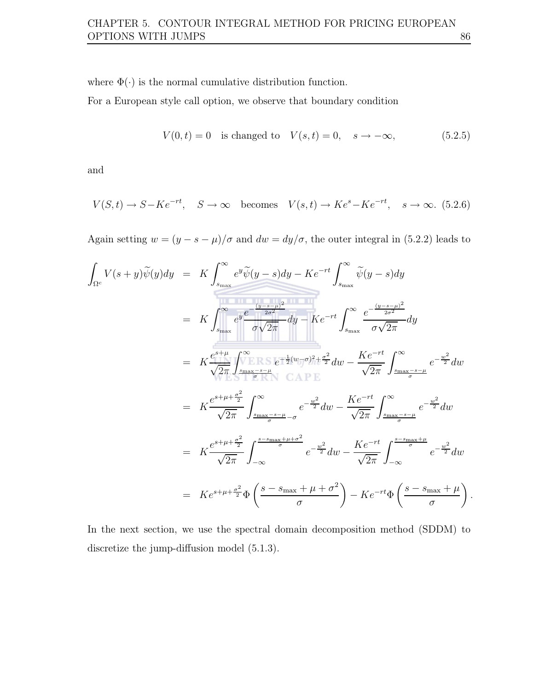where  $\Phi(\cdot)$  is the normal cumulative distribution function.

For a European style call option, we observe that boundary condition

$$
V(0,t) = 0 \text{ is changed to } V(s,t) = 0, \quad s \to -\infty,
$$
 (5.2.5)

and

$$
V(S,t) \to S - Ke^{-rt}
$$
,  $S \to \infty$  becomes  $V(s,t) \to Ke^s - Ke^{-rt}$ ,  $s \to \infty$ . (5.2.6)

Again setting  $w = (y - s - \mu)/\sigma$  and  $dw = dy/\sigma$ , the outer integral in (5.2.2) leads to

$$
\int_{\Omega^{c}} V(s+y)\widetilde{\psi}(y)dy = K \int_{s_{\max}}^{\infty} e^{y} \widetilde{\psi}(y-s)dy - Ke^{-rt} \int_{s_{\max}}^{\infty} \widetilde{\psi}(y-s)dy
$$
\n
$$
= K \int_{s_{\max}}^{\infty} e^{y} \frac{e^{-\frac{(y-s-p)^{2}}{2\sigma^{2}}}}{\sigma\sqrt{2\pi}} dy - Ke^{-rt} \int_{s_{\max}}^{\infty} \frac{e^{-\frac{(y-s-p)^{2}}{2\sigma^{2}}}}{\sigma\sqrt{2\pi}} dy
$$
\n
$$
= K \frac{e^{s+\mu}}{\sqrt{2\pi}} \int_{\frac{s_{\max}-s-\mu}{\sigma}}^{\infty} e^{-\frac{1}{2}(w-\sigma)^{2}+\frac{\sigma^{2}}{2}} dw - \frac{Ke^{-rt}}{\sqrt{2\pi}} \int_{\frac{s_{\max}-s-\mu}{\sigma}}^{\infty} e^{-\frac{w^{2}}{2}} dw
$$
\n
$$
= K \frac{e^{s+\mu+\frac{\sigma^{2}}{2}}}{\sqrt{2\pi}} \int_{\frac{s_{\max}-s-\mu}{\sigma}-\sigma}^{\infty} e^{-\frac{w^{2}}{2}} dw - \frac{Ke^{-rt}}{\sqrt{2\pi}} \int_{\frac{s_{\max}-s-\mu}{\sigma}}^{\infty} e^{-\frac{w^{2}}{2}} dw
$$
\n
$$
= K \frac{e^{s+\mu+\frac{\sigma^{2}}{2}}}{\sqrt{2\pi}} \int_{-\infty}^{\frac{s-s_{\max}+\mu+\sigma^{2}}{\sigma}} e^{-\frac{w^{2}}{2}} dw - \frac{Ke^{-rt}}{\sqrt{2\pi}} \int_{-\infty}^{\frac{s-s_{\max}+\mu}{\sigma}} e^{-\frac{w^{2}}{2}} dw
$$
\n
$$
= Ke^{s+\mu+\frac{\sigma^{2}}{2}} \Phi \left( \frac{s-s_{\max}+\mu+\sigma^{2}}{\sigma} \right) - Ke^{-rt} \Phi \left( \frac{s-s_{\max}+\mu}{\sigma} \right)
$$

In the next section, we use the spectral domain decomposition method (SDDM) to discretize the jump-diffusion model (5.1.3).

.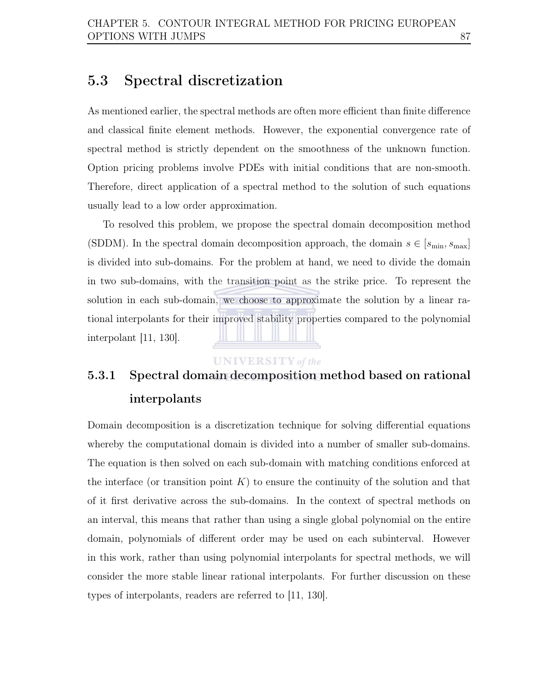## 5.3 Spectral discretization

As mentioned earlier, the spectral methods are often more efficient than finite difference and classical finite element methods. However, the exponential convergence rate of spectral method is strictly dependent on the smoothness of the unknown function. Option pricing problems involve PDEs with initial conditions that are non-smooth. Therefore, direct application of a spectral method to the solution of such equations usually lead to a low order approximation.

To resolved this problem, we propose the spectral domain decomposition method (SDDM). In the spectral domain decomposition approach, the domain  $s \in [s_{\min}, s_{\max}]$ is divided into sub-domains. For the problem at hand, we need to divide the domain in two sub-domains, with the transition point as the strike price. To represent the solution in each sub-domain, we choose to approximate the solution by a linear rational interpolants for their improved stability properties compared to the polynomial interpolant [11, 130].

**UNIVERSITY** of the

## 5.3.1 Spectral domain decomposition method based on rational interpolants

Domain decomposition is a discretization technique for solving differential equations whereby the computational domain is divided into a number of smaller sub-domains. The equation is then solved on each sub-domain with matching conditions enforced at the interface (or transition point  $K$ ) to ensure the continuity of the solution and that of it first derivative across the sub-domains. In the context of spectral methods on an interval, this means that rather than using a single global polynomial on the entire domain, polynomials of different order may be used on each subinterval. However in this work, rather than using polynomial interpolants for spectral methods, we will consider the more stable linear rational interpolants. For further discussion on these types of interpolants, readers are referred to [11, 130].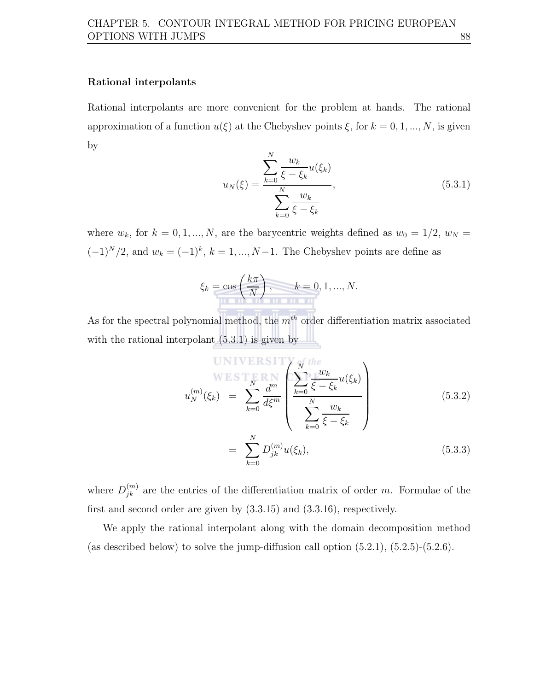#### Rational interpolants

Rational interpolants are more convenient for the problem at hands. The rational approximation of a function  $u(\xi)$  at the Chebyshev points  $\xi$ , for  $k = 0, 1, ..., N$ , is given by

$$
u_N(\xi) = \frac{\sum_{k=0}^{N} \frac{w_k}{\xi - \xi_k} u(\xi_k)}{\sum_{k=0}^{N} \frac{w_k}{\xi - \xi_k}},
$$
\n(5.3.1)

where  $w_k$ , for  $k = 0, 1, ..., N$ , are the barycentric weights defined as  $w_0 = 1/2$ ,  $w_N =$  $(-1)^N/2$ , and  $w_k = (-1)^k$ ,  $k = 1, ..., N-1$ . The Chebyshev points are define as

$$
\xi_k = \cos\left(\frac{k\pi}{N}\right), \qquad k = 0, 1, ..., N.
$$

As for the spectral polynomial method, the  $m^{th}$  order differentiation matrix associated with the rational interpolant (5.3.1) is given by

$$
u_N^{(m)}(\xi_k) = \sum_{k=0}^N \frac{d^m}{d\xi^m} \left( \frac{\sum_{k=0}^N \frac{w_k}{\xi - \xi_k} u(\xi_k)}{\sum_{k=0}^N \frac{w_k}{\xi - \xi_k}} \right)
$$
(5.3.2)  

$$
= \sum_{k=0}^N D_{jk}^{(m)} u(\xi_k),
$$
(5.3.3)

where  $D_{jk}^{(m)}$  are the entries of the differentiation matrix of order m. Formulae of the first and second order are given by (3.3.15) and (3.3.16), respectively.

We apply the rational interpolant along with the domain decomposition method (as described below) to solve the jump-diffusion call option  $(5.2.1)$ ,  $(5.2.5)$ - $(5.2.6)$ .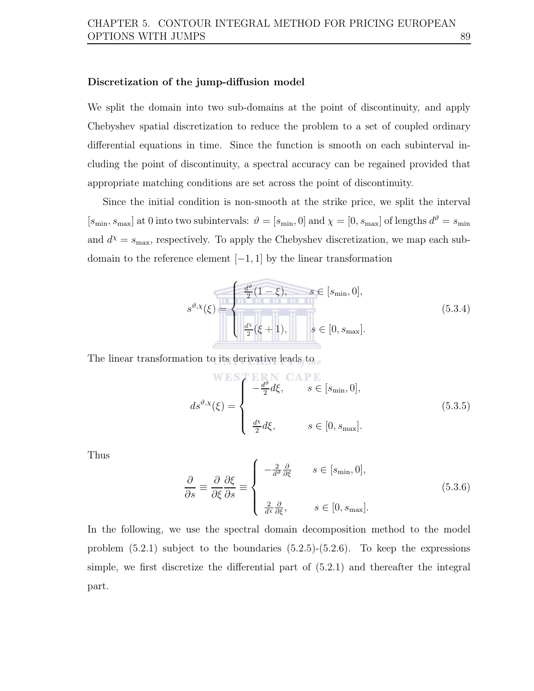#### Discretization of the jump-diffusion model

We split the domain into two sub-domains at the point of discontinuity, and apply Chebyshev spatial discretization to reduce the problem to a set of coupled ordinary differential equations in time. Since the function is smooth on each subinterval including the point of discontinuity, a spectral accuracy can be regained provided that appropriate matching conditions are set across the point of discontinuity.

Since the initial condition is non-smooth at the strike price, we split the interval  $[s_{\min}, s_{\max}]$  at 0 into two subintervals:  $\vartheta = [s_{\min}, 0]$  and  $\chi = [0, s_{\max}]$  of lengths  $d^{\vartheta} = s_{\min}$ and  $d^{\chi} = s_{\text{max}}$ , respectively. To apply the Chebyshev discretization, we map each subdomain to the reference element  $[-1, 1]$  by the linear transformation

$$
s^{\vartheta, \chi}(\xi) = \begin{cases} \frac{d^{\vartheta}}{2}(1-\xi), & s \in [s_{\min}, 0], \\ & \\ \frac{d^{\chi}}{2}(\xi+1), & s \in [0, s_{\max}]. \end{cases}
$$
 (5.3.4)

The linear transformation to its derivative leads to

$$
ds^{\vartheta,\chi}(\xi) = \begin{cases} -\frac{d^{\vartheta}}{2}d\xi, & s \in [s_{\min}, 0], \\ & \\ \frac{d^{\chi}}{2}d\xi, & s \in [0, s_{\max}]. \end{cases}
$$
 (5.3.5)

Thus

$$
\frac{\partial}{\partial s} \equiv \frac{\partial}{\partial \xi} \frac{\partial \xi}{\partial s} \equiv \begin{cases}\n-\frac{2}{d^{\vartheta}} \frac{\partial}{\partial \xi} & s \in [s_{\min}, 0], \\
\frac{2}{d^{\chi}} \frac{\partial}{\partial \xi}, & s \in [0, s_{\max}].\n\end{cases}
$$
\n(5.3.6)

In the following, we use the spectral domain decomposition method to the model problem  $(5.2.1)$  subject to the boundaries  $(5.2.5)-(5.2.6)$ . To keep the expressions simple, we first discretize the differential part of (5.2.1) and thereafter the integral part.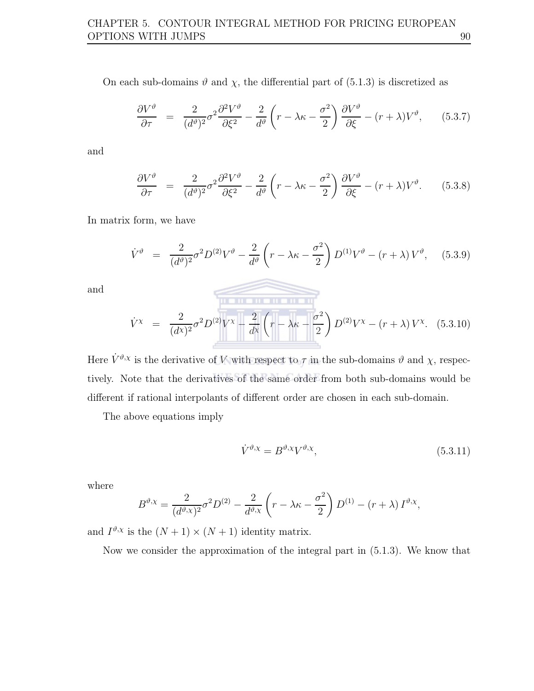On each sub-domains  $\vartheta$  and  $\chi$ , the differential part of (5.1.3) is discretized as

$$
\frac{\partial V^{\vartheta}}{\partial \tau} = \frac{2}{(d^{\vartheta})^2} \sigma^2 \frac{\partial^2 V^{\vartheta}}{\partial \xi^2} - \frac{2}{d^{\vartheta}} \left( r - \lambda \kappa - \frac{\sigma^2}{2} \right) \frac{\partial V^{\vartheta}}{\partial \xi} - (r + \lambda) V^{\vartheta}, \quad (5.3.7)
$$

and

$$
\frac{\partial V^{\vartheta}}{\partial \tau} = \frac{2}{(d^{\vartheta})^2} \sigma^2 \frac{\partial^2 V^{\vartheta}}{\partial \xi^2} - \frac{2}{d^{\vartheta}} \left( r - \lambda \kappa - \frac{\sigma^2}{2} \right) \frac{\partial V^{\vartheta}}{\partial \xi} - (r + \lambda) V^{\vartheta}.
$$
 (5.3.8)

In matrix form, we have

$$
\dot{V}^{\vartheta} = \frac{2}{(d^{\vartheta})^2} \sigma^2 D^{(2)} V^{\vartheta} - \frac{2}{d^{\vartheta}} \left( r - \lambda \kappa - \frac{\sigma^2}{2} \right) D^{(1)} V^{\vartheta} - (r + \lambda) V^{\vartheta}, \quad (5.3.9)
$$

and

$$
\dot{V}^{\chi} = \frac{2}{(d^{\chi})^2} \sigma^2 D^{(2)} V^{\chi} - \frac{2}{d^{\chi}} \left( r - \lambda \kappa - \frac{\sigma^2}{2} \right) D^{(2)} V^{\chi} - (r + \lambda) V^{\chi}. \quad (5.3.10)
$$

Here  $\dot{V}^{\vartheta,\chi}$  is the derivative of V with respect to  $\tau$  in the sub-domains  $\vartheta$  and  $\chi$ , respectively. Note that the derivatives of the same order from both sub-domains would be different if rational interpolants of different order are chosen in each sub-domain.

**The County** 

The above equations imply

$$
\dot{V}^{\vartheta,\chi} = B^{\vartheta,\chi} V^{\vartheta,\chi},\tag{5.3.11}
$$

where

$$
B^{\vartheta,\chi} = \frac{2}{(d^{\vartheta,\chi})^2} \sigma^2 D^{(2)} - \frac{2}{d^{\vartheta,\chi}} \left( r - \lambda \kappa - \frac{\sigma^2}{2} \right) D^{(1)} - (r + \lambda) I^{\vartheta,\chi},
$$

and  $I^{\vartheta,\chi}$  is the  $(N+1) \times (N+1)$  identity matrix.

Now we consider the approximation of the integral part in (5.1.3). We know that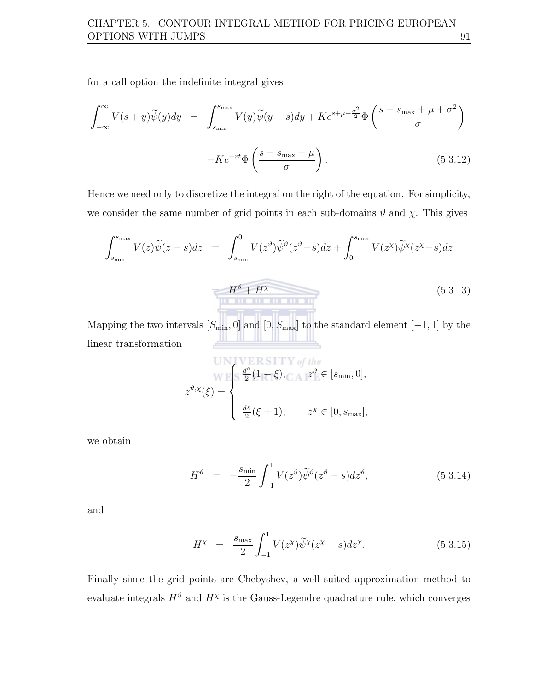for a call option the indefinite integral gives

$$
\int_{-\infty}^{\infty} V(s+y)\widetilde{\psi}(y)dy = \int_{s_{\min}}^{s_{\max}} V(y)\widetilde{\psi}(y-s)dy + Ke^{s+\mu+\frac{\sigma^2}{2}}\Phi\left(\frac{s-s_{\max}+\mu+\sigma^2}{\sigma}\right)
$$

$$
-Ke^{-rt}\Phi\left(\frac{s-s_{\max}+\mu}{\sigma}\right). \tag{5.3.12}
$$

Hence we need only to discretize the integral on the right of the equation. For simplicity, we consider the same number of grid points in each sub-domains  $\vartheta$  and  $\chi$ . This gives

$$
\int_{s_{\min}}^{s_{\max}} V(z)\widetilde{\psi}(z-s)dz = \int_{s_{\min}}^{0} V(z^{\vartheta})\widetilde{\psi}^{\vartheta}(z^{\vartheta}-s)dz + \int_{0}^{s_{\max}} V(z^{\chi})\widetilde{\psi}^{\chi}(z^{\chi}-s)dz
$$
  
\n
$$
= H^{\vartheta} + H^{\chi}.
$$
 (5.3.13)  
\npping the two intervals  $[S_{\min}, 0]$  and  $[0, S_{\max}]$  to the standard element  $[-1, 1]$  by the

Mapping the two intervals  $[S_{\min}, 0]$  and  $[0, S_{\max}]$  to the standard element  $[-1, 1]$  by the linear transformation

$$
z^{\vartheta,\chi}(\xi) = \begin{cases} \frac{d^{\vartheta}}{2}(1-\xi), & z^{\vartheta} \in [s_{\min}, 0], \\ \frac{d^{\chi}}{2}(\xi+1), & z^{\chi} \in [0, s_{\max}], \end{cases}
$$

we obtain

$$
H^{\vartheta} = -\frac{s_{\min}}{2} \int_{-1}^{1} V(z^{\vartheta}) \widetilde{\psi}^{\vartheta} (z^{\vartheta} - s) dz^{\vartheta}, \qquad (5.3.14)
$$

and

$$
H^{\chi} = \frac{s_{\text{max}}}{2} \int_{-1}^{1} V(z^{\chi}) \widetilde{\psi}^{\chi}(z^{\chi} - s) dz^{\chi}.
$$
 (5.3.15)

Finally since the grid points are Chebyshev, a well suited approximation method to evaluate integrals  $H^{\vartheta}$  and  $H^{\chi}$  is the Gauss-Legendre quadrature rule, which converges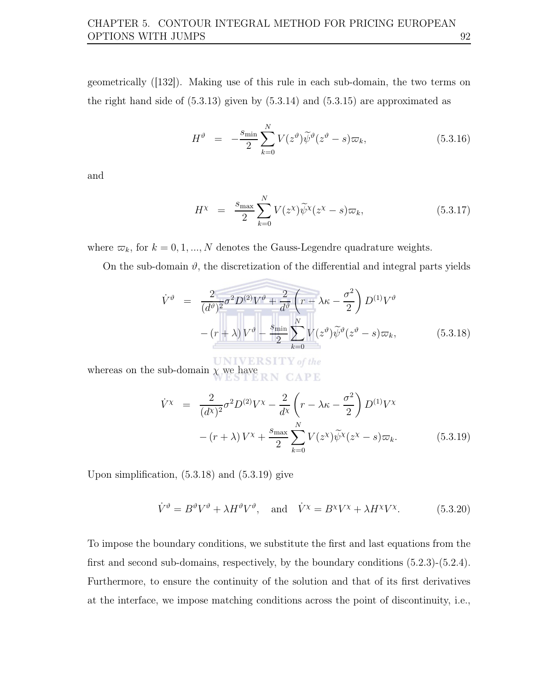geometrically ([132]). Making use of this rule in each sub-domain, the two terms on the right hand side of  $(5.3.13)$  given by  $(5.3.14)$  and  $(5.3.15)$  are approximated as

$$
H^{\vartheta} = -\frac{s_{\min}}{2} \sum_{k=0}^{N} V(z^{\vartheta}) \widetilde{\psi}^{\vartheta} (z^{\vartheta} - s) \varpi_k, \tag{5.3.16}
$$

and

$$
H^{\chi} = \frac{s_{\text{max}}}{2} \sum_{k=0}^{N} V(z^{\chi}) \widetilde{\psi}^{\chi}(z^{\chi} - s) \varpi_k, \tag{5.3.17}
$$

where  $\varpi_k$ , for  $k = 0, 1, ..., N$  denotes the Gauss-Legendre quadrature weights.

On the sub-domain  $\vartheta$ , the discretization of the differential and integral parts yields

$$
\dot{V}^{\vartheta} = \frac{2}{(d^{\vartheta})^2} \sigma^2 D^{(2)} V^{\vartheta} + \frac{2}{d^{\vartheta}} \left( r - \lambda \kappa - \frac{\sigma^2}{2} \right) D^{(1)} V^{\vartheta} \n- (r + \lambda) V^{\vartheta} - \frac{s_{\min}}{2} \sum_{k=0}^{N} V(z^{\vartheta}) \widetilde{\psi}^{\vartheta} (z^{\vartheta} - s) \varpi_k,
$$
\n(5.3.18)

whereas on the sub-domain  $\chi$  we have  $\Gamma N$  CAPE

$$
\dot{V}^{\chi} = \frac{2}{(d^{\chi})^2} \sigma^2 D^{(2)} V^{\chi} - \frac{2}{d^{\chi}} \left( r - \lambda \kappa - \frac{\sigma^2}{2} \right) D^{(1)} V^{\chi}
$$

$$
- (r + \lambda) V^{\chi} + \frac{s_{\text{max}}}{2} \sum_{k=0}^{N} V(z^{\chi}) \widetilde{\psi}^{\chi} (z^{\chi} - s) \varpi_k. \tag{5.3.19}
$$

Upon simplification, (5.3.18) and (5.3.19) give

$$
\dot{V}^{\vartheta} = B^{\vartheta} V^{\vartheta} + \lambda H^{\vartheta} V^{\vartheta}, \text{ and } \dot{V}^{\chi} = B^{\chi} V^{\chi} + \lambda H^{\chi} V^{\chi}. \tag{5.3.20}
$$

To impose the boundary conditions, we substitute the first and last equations from the first and second sub-domains, respectively, by the boundary conditions (5.2.3)-(5.2.4). Furthermore, to ensure the continuity of the solution and that of its first derivatives at the interface, we impose matching conditions across the point of discontinuity, i.e.,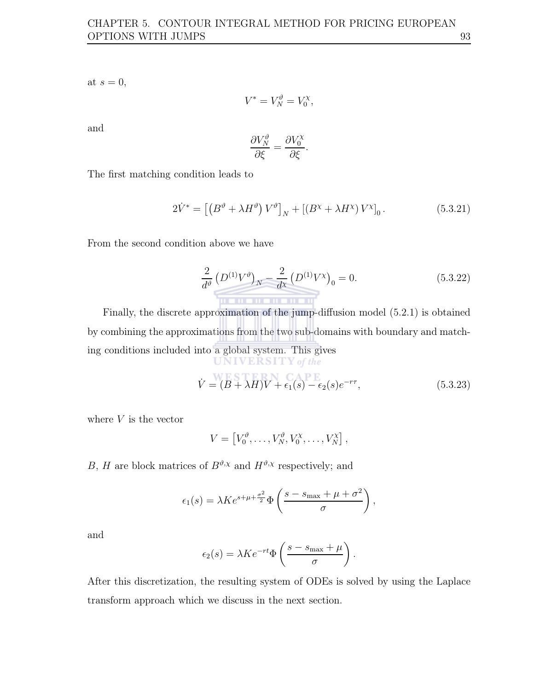at  $s = 0$ ,

$$
V^* = V_N^{\vartheta} = V_0^{\chi},
$$

and

$$
\frac{\partial V_N^{\vartheta}}{\partial \xi} = \frac{\partial V_0^{\chi}}{\partial \xi}.
$$

The first matching condition leads to

$$
2\dot{V}^* = \left[ \left( B^{\vartheta} + \lambda H^{\vartheta} \right) V^{\vartheta} \right]_N + \left[ \left( B^{\chi} + \lambda H^{\chi} \right) V^{\chi} \right]_0. \tag{5.3.21}
$$

From the second condition above we have

$$
\frac{2}{d^{\vartheta}} \left( D^{(1)} V^{\vartheta} \right)_N - \frac{2}{d^{\chi}} \left( D^{(1)} V^{\chi} \right)_0 = 0. \tag{5.3.22}
$$

Finally, the discrete approximation of the jump-diffusion model (5.2.1) is obtained by combining the approximations from the two sub-domains with boundary and matching conditions included into a global system. This gives **UNIVERSITY** of the

$$
\dot{V} = (B + \lambda H)V + \epsilon_1(s) - \epsilon_2(s)e^{-r\tau},
$$
\n(5.3.23)

where  $V$  is the vector

$$
V = \left[V_0^{\vartheta}, \ldots, V_N^{\vartheta}, V_0^{\chi}, \ldots, V_N^{\chi}\right],
$$

B, H are block matrices of  $B^{\vartheta,\chi}$  and  $H^{\vartheta,\chi}$  respectively; and

$$
\epsilon_1(s) = \lambda K e^{s + \mu + \frac{\sigma^2}{2}} \Phi\left(\frac{s - s_{\max} + \mu + \sigma^2}{\sigma}\right),
$$

and

$$
\epsilon_2(s) = \lambda K e^{-rt} \Phi\left(\frac{s - s_{\max} + \mu}{\sigma}\right).
$$

After this discretization, the resulting system of ODEs is solved by using the Laplace transform approach which we discuss in the next section.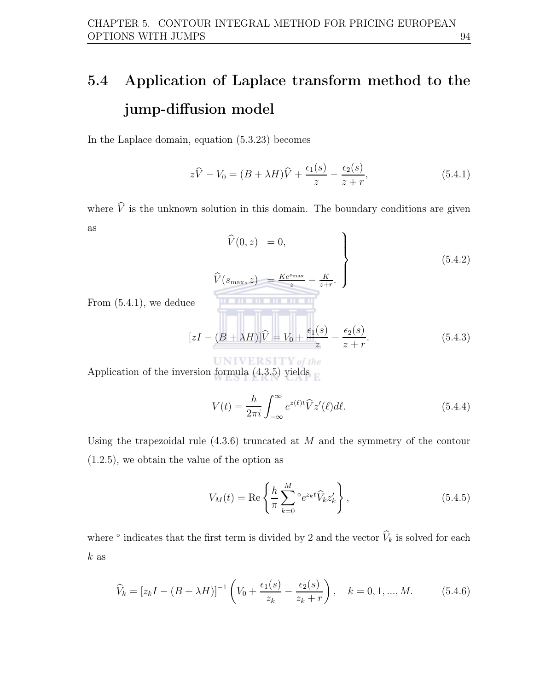## 5.4 Application of Laplace transform method to the jump-diffusion model

In the Laplace domain, equation (5.3.23) becomes

$$
z\widehat{V} - V_0 = (B + \lambda H)\widehat{V} + \frac{\epsilon_1(s)}{z} - \frac{\epsilon_2(s)}{z + r},
$$
\n(5.4.1)

where  $\hat{V}$  is the unknown solution in this domain. The boundary conditions are given as

**. . . . . . . . . .** .

$$
\widehat{V}(0, z) = 0,
$$
\n
$$
\widehat{V}(s_{\max}, z) = \frac{Ke^{s_{\max}}}{z} - \frac{K}{z+r}.
$$
\n(5.4.2)

From (5.4.1), we deduce

$$
[zI - (B + \lambda H)]\widehat{V} = V_0 + \frac{\epsilon_1(s)}{z} - \frac{\epsilon_2(s)}{z + r}.
$$
 (5.4.3)

**UNIVERSITY** of the Application of the inversion formula (4.3.5) yields

$$
V(t) = \frac{h}{2\pi i} \int_{-\infty}^{\infty} e^{z(\ell)t} \widehat{V} z'(\ell) d\ell.
$$
 (5.4.4)

Using the trapezoidal rule  $(4.3.6)$  truncated at M and the symmetry of the contour (1.2.5), we obtain the value of the option as

$$
V_M(t) = \text{Re}\left\{\frac{h}{\pi} \sum_{k=0}^{M} e^{z_k t} \widehat{V}_k z'_k\right\},\tag{5.4.5}
$$

where  $\circ$  indicates that the first term is divided by 2 and the vector  $\hat{V}_k$  is solved for each  $k$  as

$$
\widehat{V}_k = [z_k I - (B + \lambda H)]^{-1} \left( V_0 + \frac{\epsilon_1(s)}{z_k} - \frac{\epsilon_2(s)}{z_k + r} \right), \quad k = 0, 1, ..., M.
$$
 (5.4.6)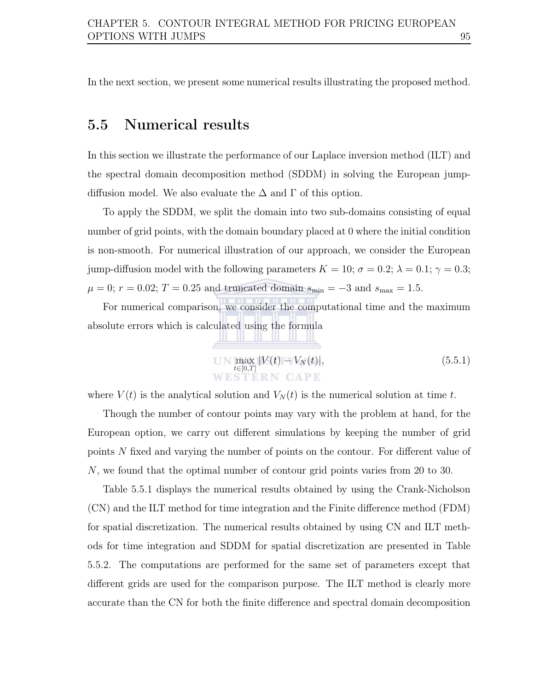In the next section, we present some numerical results illustrating the proposed method.

### 5.5 Numerical results

In this section we illustrate the performance of our Laplace inversion method (ILT) and the spectral domain decomposition method (SDDM) in solving the European jumpdiffusion model. We also evaluate the  $\Delta$  and  $\Gamma$  of this option.

To apply the SDDM, we split the domain into two sub-domains consisting of equal number of grid points, with the domain boundary placed at 0 where the initial condition is non-smooth. For numerical illustration of our approach, we consider the European jump-diffusion model with the following parameters  $K = 10$ ;  $\sigma = 0.2$ ;  $\lambda = 0.1$ ;  $\gamma = 0.3$ ;  $\mu = 0$ ;  $r = 0.02$ ;  $T = 0.25$  and truncated domain  $s_{\min} = -3$  and  $s_{\max} = 1.5$ .

For numerical comparison, we consider the computational time and the maximum absolute errors which is calculated using the formula

$$
\max_{t \in [0,T]} |V(t) - V_N(t)|, \tag{5.5.1}
$$

where  $V(t)$  is the analytical solution and  $V_N(t)$  is the numerical solution at time t.

Though the number of contour points may vary with the problem at hand, for the European option, we carry out different simulations by keeping the number of grid points N fixed and varying the number of points on the contour. For different value of N, we found that the optimal number of contour grid points varies from 20 to 30.

Table 5.5.1 displays the numerical results obtained by using the Crank-Nicholson (CN) and the ILT method for time integration and the Finite difference method (FDM) for spatial discretization. The numerical results obtained by using CN and ILT methods for time integration and SDDM for spatial discretization are presented in Table 5.5.2. The computations are performed for the same set of parameters except that different grids are used for the comparison purpose. The ILT method is clearly more accurate than the CN for both the finite difference and spectral domain decomposition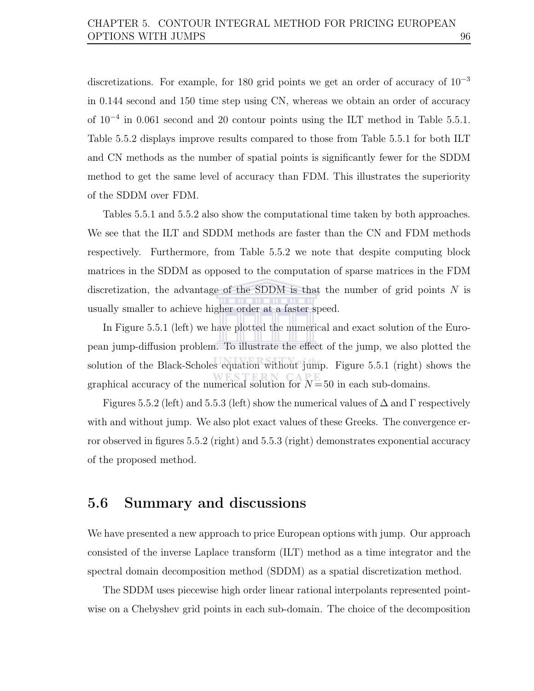discretizations. For example, for 180 grid points we get an order of accuracy of 10<sup>−</sup><sup>3</sup> in 0.144 second and 150 time step using CN, whereas we obtain an order of accuracy of 10<sup>−</sup><sup>4</sup> in 0.061 second and 20 contour points using the ILT method in Table 5.5.1. Table 5.5.2 displays improve results compared to those from Table 5.5.1 for both ILT and CN methods as the number of spatial points is significantly fewer for the SDDM method to get the same level of accuracy than FDM. This illustrates the superiority of the SDDM over FDM.

Tables 5.5.1 and 5.5.2 also show the computational time taken by both approaches. We see that the ILT and SDDM methods are faster than the CN and FDM methods respectively. Furthermore, from Table 5.5.2 we note that despite computing block matrices in the SDDM as opposed to the computation of sparse matrices in the FDM discretization, the advantage of the SDDM is that the number of grid points  $N$  is usually smaller to achieve higher order at a faster speed.

In Figure 5.5.1 (left) we have plotted the numerical and exact solution of the European jump-diffusion problem. To illustrate the effect of the jump, we also plotted the solution of the Black-Scholes equation without jump. Figure 5.5.1 (right) shows the graphical accuracy of the numerical solution for  $N = 50$  in each sub-domains.

Figures 5.5.2 (left) and 5.5.3 (left) show the numerical values of  $\Delta$  and  $\Gamma$  respectively with and without jump. We also plot exact values of these Greeks. The convergence error observed in figures 5.5.2 (right) and 5.5.3 (right) demonstrates exponential accuracy of the proposed method.

#### 5.6 Summary and discussions

We have presented a new approach to price European options with jump. Our approach consisted of the inverse Laplace transform (ILT) method as a time integrator and the spectral domain decomposition method (SDDM) as a spatial discretization method.

The SDDM uses piecewise high order linear rational interpolants represented pointwise on a Chebyshev grid points in each sub-domain. The choice of the decomposition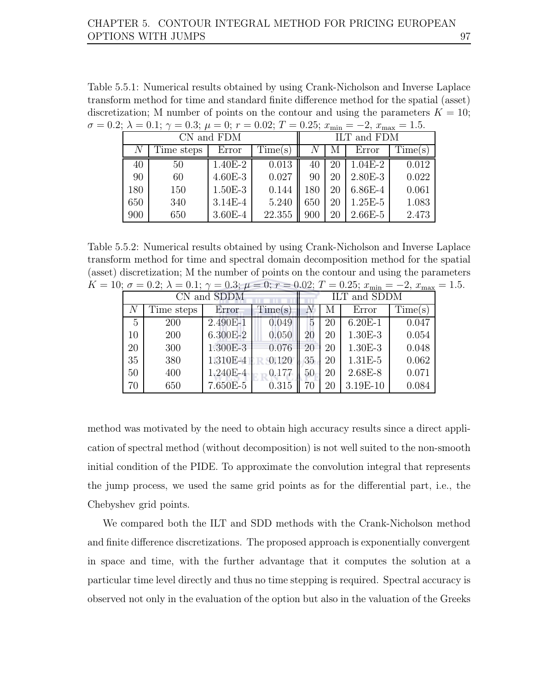Table 5.5.1: Numerical results obtained by using Crank-Nicholson and Inverse Laplace transform method for time and standard finite difference method for the spatial (asset) discretization; M number of points on the contour and using the parameters  $K = 10$ ;  $\sigma = 0.2$ ;  $\lambda = 0.1$ ;  $\gamma = 0.3$ ;  $\mu = 0$ ;  $r = 0.02$ ;  $T = 0.25$ ;  $x_{\min} = -2$ ,  $x_{\max} = 1.5$ .

| CN and FDM |            |             |         |     | $-$ , $\sim$ $\text{max}$<br>ILT and FDM |             |         |  |
|------------|------------|-------------|---------|-----|------------------------------------------|-------------|---------|--|
|            | Time steps | Error       | Time(s) |     | M                                        | Error       | Time(s) |  |
| 40         | 50         | 1.40E-2     | 0.013   | 40  | 20                                       | $1.04E-2$   | 0.012   |  |
| 90         | 60         | $4.60E - 3$ | 0.027   | 90  | 20                                       | $2.80E - 3$ | 0.022   |  |
| 180        | 150        | 1.50E-3     | 0.144   | 180 | 20                                       | $6.86E - 4$ | 0.061   |  |
| 650        | 340        | $3.14E-4$   | 5.240   | 650 | 20                                       | $1.25E-5$   | 1.083   |  |
| 900        | 650        | $3.60E - 4$ | 22.355  | 900 | 20                                       | $2.66E - 5$ | 2.473   |  |

Table 5.5.2: Numerical results obtained by using Crank-Nicholson and Inverse Laplace transform method for time and spectral domain decomposition method for the spatial (asset) discretization; M the number of points on the contour and using the parameters  $K = 10$ ;  $\sigma = 0.2$ ;  $\lambda = 0.1$ ;  $\gamma = 0.3$ ;  $\mu = 0$ ;  $r = 0.02$ ;  $T = 0.25$ ;  $x_{\min} = -2$ ,  $x_{\max} = 1.5$ .

|    |            | CN and SDDM | ILT and SDDM |    |    |           |         |
|----|------------|-------------|--------------|----|----|-----------|---------|
|    | Time steps | Error       | Time(s)      |    | M  | Error     | Time(s) |
| 5  | 200        | 2.490E-1    | 0.049        | 5  | 20 | $6.20E-1$ | 0.047   |
| 10 | 200        | 6.300E-2    | 0.050        | 20 | 20 | 1.30E-3   | 0.054   |
| 20 | 300        | 1.300E-3    | 0.076        | 20 | 20 | 1.30E-3   | 0.048   |
| 35 | 380        | 1.310E-4    | 0.120        | 35 | 20 | $1.31E-5$ | 0.062   |
| 50 | 400        | 1.240E-4    | 0.177        | 50 | 20 | 2.68E-8   | 0.071   |
| 70 | 650        | 7.650E-5    | 0.315        |    | 20 | 3.19E-10  | 0.084   |
|    |            |             |              |    |    |           |         |

method was motivated by the need to obtain high accuracy results since a direct application of spectral method (without decomposition) is not well suited to the non-smooth initial condition of the PIDE. To approximate the convolution integral that represents the jump process, we used the same grid points as for the differential part, i.e., the Chebyshev grid points.

We compared both the ILT and SDD methods with the Crank-Nicholson method and finite difference discretizations. The proposed approach is exponentially convergent in space and time, with the further advantage that it computes the solution at a particular time level directly and thus no time stepping is required. Spectral accuracy is observed not only in the evaluation of the option but also in the valuation of the Greeks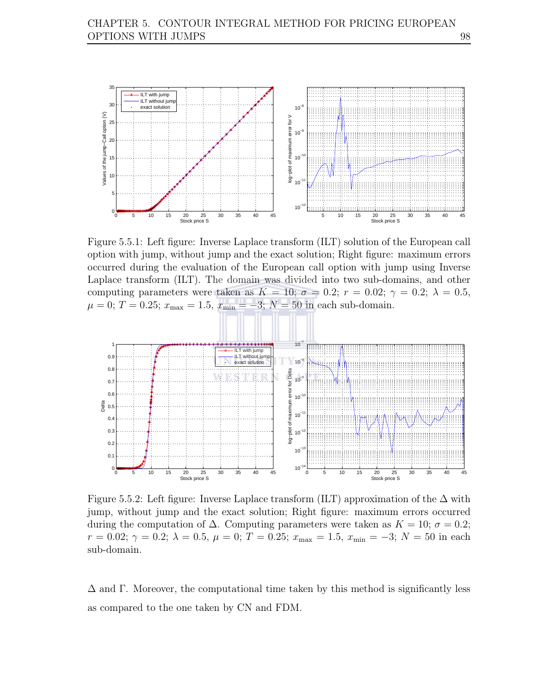

Figure 5.5.1: Left figure: Inverse Laplace transform (ILT) solution of the European call option with jump, without jump and the exact solution; Right figure: maximum errors occurred during the evaluation of the European call option with jump using Inverse Laplace transform (ILT). The domain was divided into two sub-domains, and other computing parameters were taken as  $K = 10$ ;  $\sigma = 0.2$ ;  $r = 0.02$ ;  $\gamma = 0.2$ ;  $\lambda = 0.5$ ,  $\mu = 0; T = 0.25; x_{\text{max}} = 1.5, x_{\text{min}} = -3; N = 50$  in each sub-domain.



Figure 5.5.2: Left figure: Inverse Laplace transform (ILT) approximation of the  $\Delta$  with jump, without jump and the exact solution; Right figure: maximum errors occurred during the computation of  $\Delta$ . Computing parameters were taken as  $K = 10$ ;  $\sigma = 0.2$ ;  $r = 0.02$ ;  $\gamma = 0.2$ ;  $\lambda = 0.5$ ,  $\mu = 0$ ;  $T = 0.25$ ;  $x_{\text{max}} = 1.5$ ,  $x_{\text{min}} = -3$ ;  $N = 50$  in each sub-domain.

 $\Delta$  and Γ. Moreover, the computational time taken by this method is significantly less as compared to the one taken by CN and FDM.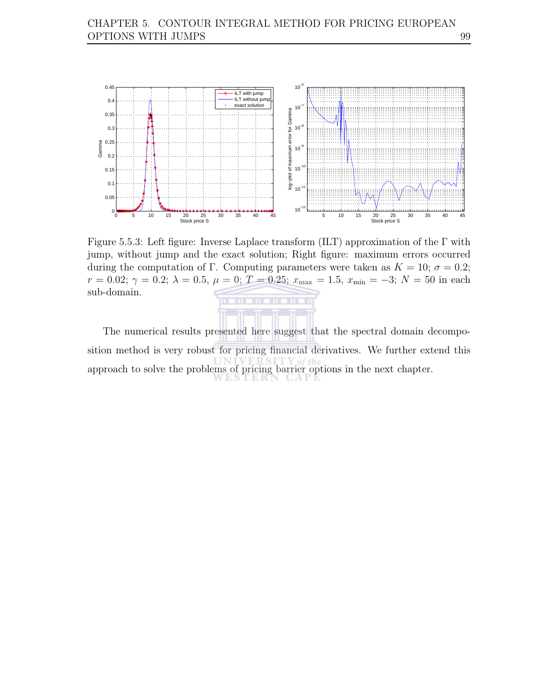

Figure 5.5.3: Left figure: Inverse Laplace transform (ILT) approximation of the Γ with jump, without jump and the exact solution; Right figure: maximum errors occurred during the computation of Γ. Computing parameters were taken as  $K = 10$ ;  $\sigma = 0.2$ ;  $r = 0.02$ ;  $\gamma = 0.2$ ;  $\lambda = 0.5$ ,  $\mu = 0$ ;  $T = 0.25$ ;  $x_{\text{max}} = 1.5$ ,  $x_{\text{min}} = -3$ ;  $N = 50$  in each sub-domain.



sition method is very robust for pricing financial derivatives. We further extend this approach to solve the problems of pricing barrier options in the next chapter.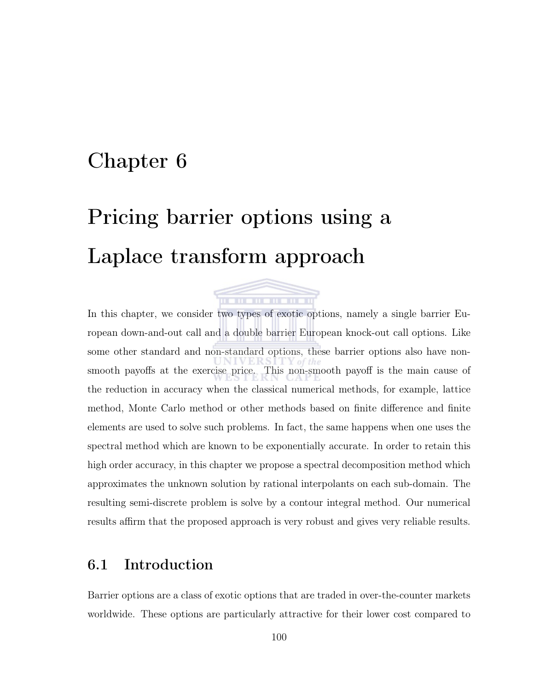## Chapter 6

# Pricing barrier options using a Laplace transform approach

In this chapter, we consider two types of exotic options, namely a single barrier European down-and-out call and a double barrier European knock-out call options. Like some other standard and non-standard options, these barrier options also have nonsmooth payoffs at the exercise price. This non-smooth payoff is the main cause of the reduction in accuracy when the classical numerical methods, for example, lattice method, Monte Carlo method or other methods based on finite difference and finite elements are used to solve such problems. In fact, the same happens when one uses the spectral method which are known to be exponentially accurate. In order to retain this high order accuracy, in this chapter we propose a spectral decomposition method which approximates the unknown solution by rational interpolants on each sub-domain. The resulting semi-discrete problem is solve by a contour integral method. Our numerical results affirm that the proposed approach is very robust and gives very reliable results.

**THE REPORT OF STREET** 

## 6.1 Introduction

Barrier options are a class of exotic options that are traded in over-the-counter markets worldwide. These options are particularly attractive for their lower cost compared to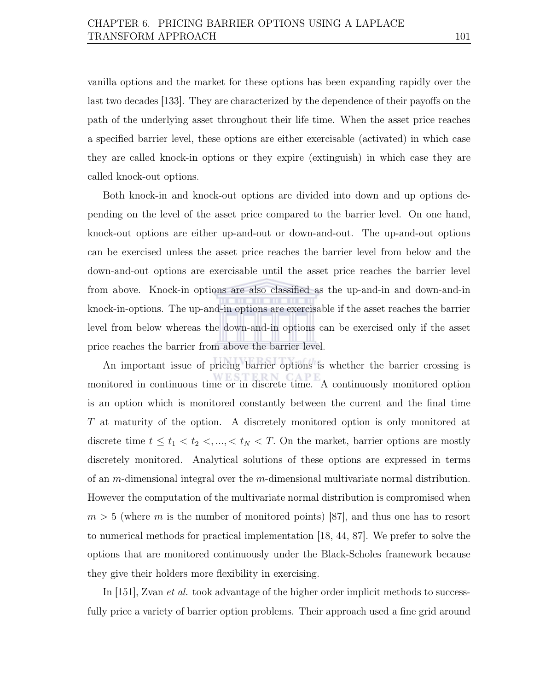vanilla options and the market for these options has been expanding rapidly over the last two decades [133]. They are characterized by the dependence of their payoffs on the path of the underlying asset throughout their life time. When the asset price reaches a specified barrier level, these options are either exercisable (activated) in which case they are called knock-in options or they expire (extinguish) in which case they are called knock-out options.

Both knock-in and knock-out options are divided into down and up options depending on the level of the asset price compared to the barrier level. On one hand, knock-out options are either up-and-out or down-and-out. The up-and-out options can be exercised unless the asset price reaches the barrier level from below and the down-and-out options are exercisable until the asset price reaches the barrier level from above. Knock-in options are also classified as the up-and-in and down-and-in knock-in-options. The up-and-in options are exercisable if the asset reaches the barrier level from below whereas the down-and-in options can be exercised only if the asset price reaches the barrier from above the barrier level.

An important issue of pricing barrier options is whether the barrier crossing is monitored in continuous time or in discrete time. A continuously monitored option is an option which is monitored constantly between the current and the final time T at maturity of the option. A discretely monitored option is only monitored at discrete time  $t \leq t_1 < t_2 < \ldots < t_N < T$ . On the market, barrier options are mostly discretely monitored. Analytical solutions of these options are expressed in terms of an m-dimensional integral over the m-dimensional multivariate normal distribution. However the computation of the multivariate normal distribution is compromised when  $m > 5$  (where m is the number of monitored points) [87], and thus one has to resort to numerical methods for practical implementation [18, 44, 87]. We prefer to solve the options that are monitored continuously under the Black-Scholes framework because they give their holders more flexibility in exercising.

In [151], Zvan *et al.* took advantage of the higher order implicit methods to successfully price a variety of barrier option problems. Their approach used a fine grid around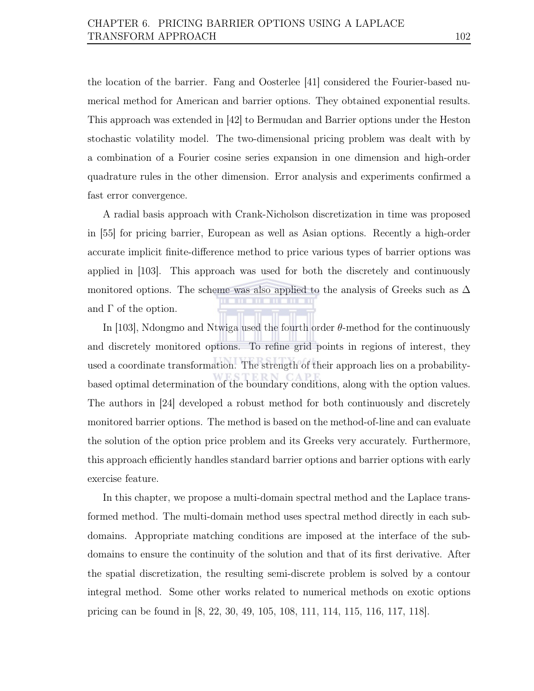the location of the barrier. Fang and Oosterlee [41] considered the Fourier-based numerical method for American and barrier options. They obtained exponential results. This approach was extended in [42] to Bermudan and Barrier options under the Heston stochastic volatility model. The two-dimensional pricing problem was dealt with by a combination of a Fourier cosine series expansion in one dimension and high-order quadrature rules in the other dimension. Error analysis and experiments confirmed a fast error convergence.

A radial basis approach with Crank-Nicholson discretization in time was proposed in [55] for pricing barrier, European as well as Asian options. Recently a high-order accurate implicit finite-difference method to price various types of barrier options was applied in [103]. This approach was used for both the discretely and continuously monitored options. The scheme was also applied to the analysis of Greeks such as  $\Delta$ and  $\Gamma$  of the option.

In [103], Ndongmo and Ntwiga used the fourth order  $\theta$ -method for the continuously and discretely monitored options. To refine grid points in regions of interest, they used a coordinate transformation. The strength of their approach lies on a probabilitybased optimal determination of the boundary conditions, along with the option values. The authors in [24] developed a robust method for both continuously and discretely monitored barrier options. The method is based on the method-of-line and can evaluate the solution of the option price problem and its Greeks very accurately. Furthermore, this approach efficiently handles standard barrier options and barrier options with early exercise feature.

In this chapter, we propose a multi-domain spectral method and the Laplace transformed method. The multi-domain method uses spectral method directly in each subdomains. Appropriate matching conditions are imposed at the interface of the subdomains to ensure the continuity of the solution and that of its first derivative. After the spatial discretization, the resulting semi-discrete problem is solved by a contour integral method. Some other works related to numerical methods on exotic options pricing can be found in [8, 22, 30, 49, 105, 108, 111, 114, 115, 116, 117, 118].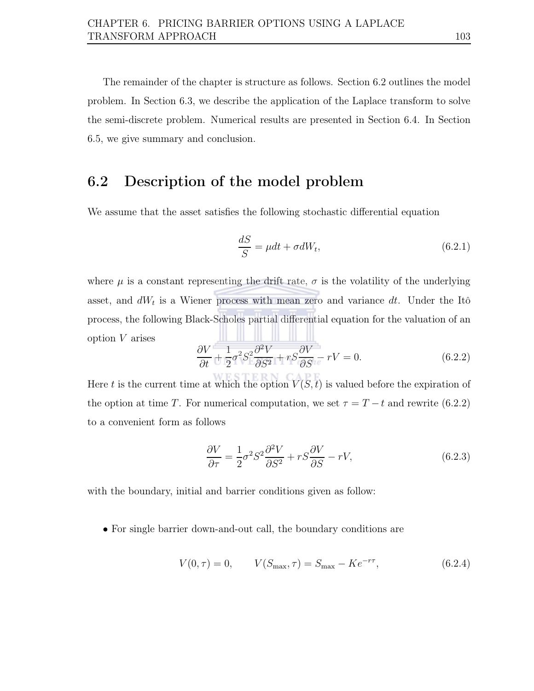The remainder of the chapter is structure as follows. Section 6.2 outlines the model problem. In Section 6.3, we describe the application of the Laplace transform to solve the semi-discrete problem. Numerical results are presented in Section 6.4. In Section 6.5, we give summary and conclusion.

### 6.2 Description of the model problem

We assume that the asset satisfies the following stochastic differential equation

$$
\frac{dS}{S} = \mu dt + \sigma dW_t, \tag{6.2.1}
$$

where  $\mu$  is a constant representing the drift rate,  $\sigma$  is the volatility of the underlying asset, and  $dW_t$  is a Wiener process with mean zero and variance dt. Under the Itô process, the following Black-Scholes partial differential equation for the valuation of an option V arises

$$
\frac{\partial V}{\partial t} + \frac{1}{2}\sigma^2 S^2 \frac{\partial^2 V}{\partial S^2} + rS \frac{\partial V}{\partial S} - rV = 0.
$$
 (6.2.2)

Here t is the current time at which the option  $V(S, t)$  is valued before the expiration of the option at time T. For numerical computation, we set  $\tau = T - t$  and rewrite (6.2.2) to a convenient form as follows

$$
\frac{\partial V}{\partial \tau} = \frac{1}{2}\sigma^2 S^2 \frac{\partial^2 V}{\partial S^2} + rS \frac{\partial V}{\partial S} - rV,\tag{6.2.3}
$$

with the boundary, initial and barrier conditions given as follow:

• For single barrier down-and-out call, the boundary conditions are

$$
V(0, \tau) = 0, \qquad V(S_{\text{max}}, \tau) = S_{\text{max}} - Ke^{-r\tau}, \tag{6.2.4}
$$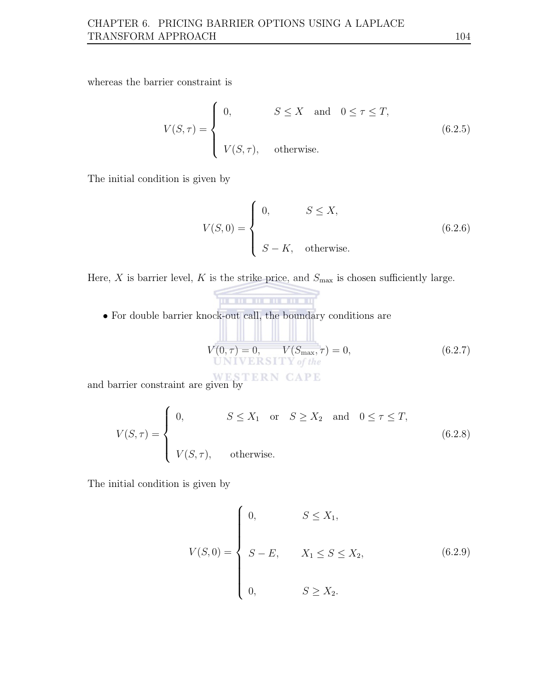whereas the barrier constraint is

$$
V(S,\tau) = \begin{cases} 0, & S \le X \text{ and } 0 \le \tau \le T, \\ V(S,\tau), & \text{otherwise.} \end{cases}
$$
 (6.2.5)

The initial condition is given by

$$
V(S,0) = \begin{cases} 0, & S \le X, \\ & \\ S - K, & \text{otherwise.} \end{cases}
$$
 (6.2.6)

Here, X is barrier level, K is the strike price, and  $S_{\text{max}}$  is chosen sufficiently large.

. . . . . . . . . . . . .

 $\bullet$  For double barrier knock-out call, the boundary conditions are

$$
V(0, \tau) = 0, \t V(S_{\text{max}}, \tau) = 0,
$$
\t(6.2.7)

and barrier constraint are given by  $\blacksquare$  <br> FRN  $\verb|CAPE|$ 

$$
V(S,\tau) = \begin{cases} 0, & S \le X_1 \text{ or } S \ge X_2 \text{ and } 0 \le \tau \le T, \\ V(S,\tau), & \text{otherwise.} \end{cases}
$$
 (6.2.8)

The initial condition is given by

$$
V(S,0) = \begin{cases} 0, & S \le X_1, \\ & \\ S - E, & X_1 \le S \le X_2, \\ & \\ 0, & S \ge X_2. \end{cases}
$$
 (6.2.9)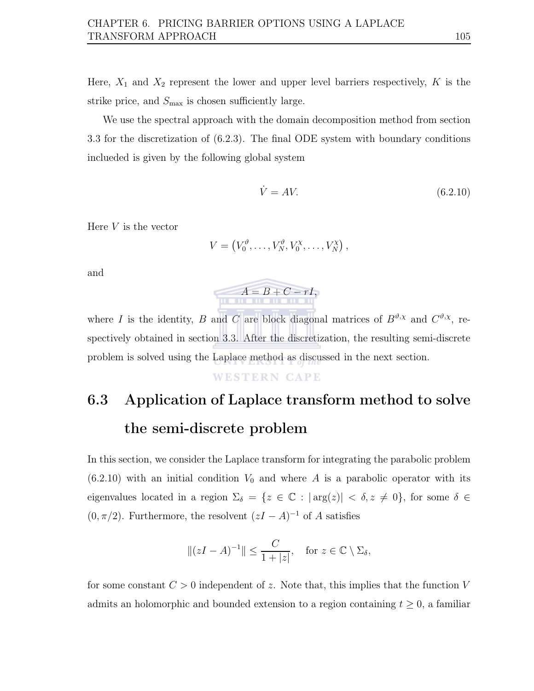Here,  $X_1$  and  $X_2$  represent the lower and upper level barriers respectively, K is the strike price, and  $S_{\text{max}}$  is chosen sufficiently large.

We use the spectral approach with the domain decomposition method from section 3.3 for the discretization of (6.2.3). The final ODE system with boundary conditions inclueded is given by the following global system

$$
\dot{V} = AV.\tag{6.2.10}
$$

Here  $V$  is the vector

$$
V = (V_0^{\vartheta}, \ldots, V_N^{\vartheta}, V_0^{\chi}, \ldots, V_N^{\chi}),
$$

and

$$
A=B+C-rI,
$$

where I is the identity, B and C are block diagonal matrices of  $B^{\vartheta,\chi}$  and  $C^{\vartheta,\chi}$ , respectively obtained in section 3.3. After the discretization, the resulting semi-discrete problem is solved using the Laplace method as discussed in the next section.

WESTERN CAPE

## 6.3 Application of Laplace transform method to solve the semi-discrete problem

In this section, we consider the Laplace transform for integrating the parabolic problem  $(6.2.10)$  with an initial condition  $V_0$  and where A is a parabolic operator with its eigenvalues located in a region  $\Sigma_{\delta} = \{z \in \mathbb{C} : |\arg(z)| < \delta, z \neq 0\}$ , for some  $\delta \in$  $(0, \pi/2)$ . Furthermore, the resolvent  $(zI - A)^{-1}$  of A satisfies

$$
||(zI - A)^{-1}|| \le \frac{C}{1+|z|}, \quad \text{for } z \in \mathbb{C} \setminus \Sigma_{\delta},
$$

for some constant  $C > 0$  independent of z. Note that, this implies that the function V admits an holomorphic and bounded extension to a region containing  $t \geq 0$ , a familiar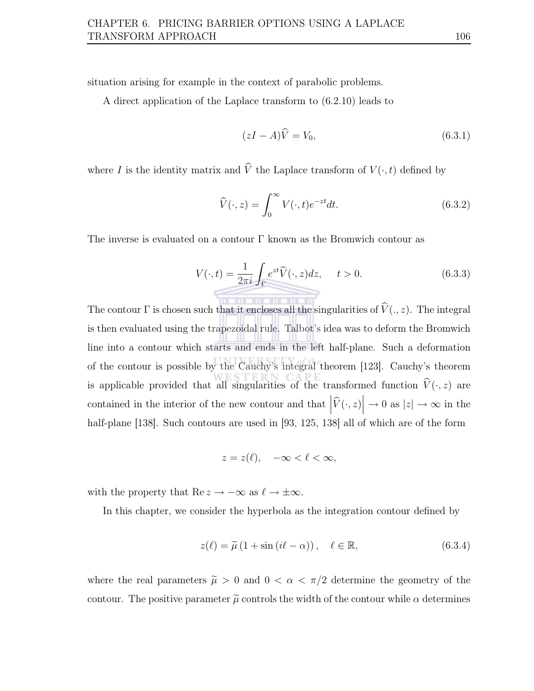situation arising for example in the context of parabolic problems.

A direct application of the Laplace transform to (6.2.10) leads to

$$
(zI - A)\widehat{V} = V_0,\t\t(6.3.1)
$$

where I is the identity matrix and  $\hat{V}$  the Laplace transform of  $V(\cdot, t)$  defined by

$$
\widehat{V}(\cdot, z) = \int_0^\infty V(\cdot, t)e^{-zt}dt.
$$
\n(6.3.2)

The inverse is evaluated on a contour  $\Gamma$  known as the Bromwich contour as

$$
V(\cdot, t) = \frac{1}{2\pi i} \int_{\Gamma} e^{zt} \widehat{V}(\cdot, z) dz, \quad t > 0.
$$
 (6.3.3)

The contour  $\Gamma$  is chosen such that it encloses all the singularities of  $\widehat{V}(., z)$ . The integral is then evaluated using the trapezoidal rule. Talbot's idea was to deform the Bromwich line into a contour which starts and ends in the left half-plane. Such a deformation of the contour is possible by the Cauchy's integral theorem [123]. Cauchy's theorem is applicable provided that all singularities of the transformed function  $\hat{V}(\cdot, z)$  are contained in the interior of the new contour and that  $\left|\hat{V}(\cdot,z)\right| \to 0$  as  $|z| \to \infty$  in the half-plane [138]. Such contours are used in [93, 125, 138] all of which are of the form

$$
z=z(\ell), \quad -\infty<\ell<\infty,
$$

with the property that Re  $z \to -\infty$  as  $\ell \to \pm \infty$ .

In this chapter, we consider the hyperbola as the integration contour defined by

$$
z(\ell) = \tilde{\mu} (1 + \sin(i\ell - \alpha)), \quad \ell \in \mathbb{R}, \tag{6.3.4}
$$

where the real parameters  $\tilde{\mu} > 0$  and  $0 < \alpha < \pi/2$  determine the geometry of the contour. The positive parameter  $\tilde{\mu}$  controls the width of the contour while  $\alpha$  determines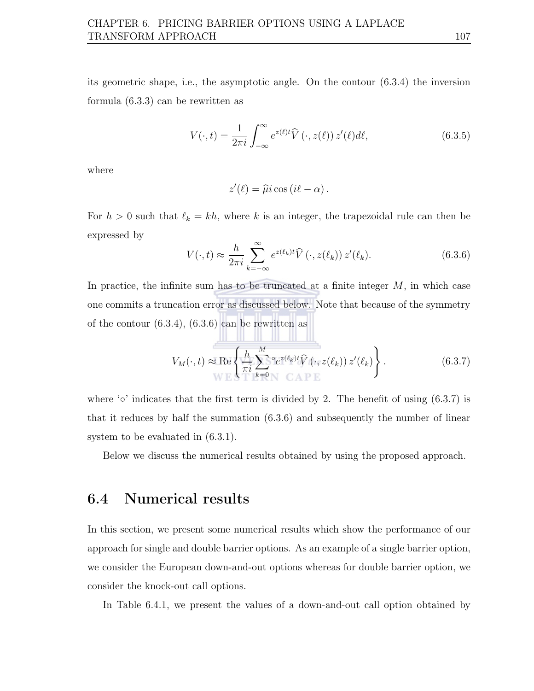its geometric shape, i.e., the asymptotic angle. On the contour (6.3.4) the inversion formula (6.3.3) can be rewritten as

$$
V(\cdot, t) = \frac{1}{2\pi i} \int_{-\infty}^{\infty} e^{z(\ell)t} \widehat{V}(\cdot, z(\ell)) z'(\ell) d\ell,
$$
 (6.3.5)

where

$$
z'(\ell) = \widehat{\mu} i \cos (i\ell - \alpha).
$$

For  $h > 0$  such that  $\ell_k = kh$ , where k is an integer, the trapezoidal rule can then be expressed by

$$
V(\cdot, t) \approx \frac{h}{2\pi i} \sum_{k=-\infty}^{\infty} e^{z(\ell_k)t} \widehat{V}(\cdot, z(\ell_k)) z'(\ell_k).
$$
 (6.3.6)

In practice, the infinite sum has to be truncated at a finite integer  $M$ , in which case one commits a truncation error as discussed below. Note that because of the symmetry of the contour  $(6.3.4)$ ,  $(6.3.6)$  can be rewritten as

$$
V_M(\cdot, t) \approx \text{Re}\left\{\frac{h}{\pi i} \sum_{k=0}^M \, \, e^{z(\ell_k)t} \widehat{V}(\cdot, z(\ell_k)) \, z'(\ell_k)\right\}.
$$

where  $\sim$  indicates that the first term is divided by 2. The benefit of using  $(6.3.7)$  is that it reduces by half the summation (6.3.6) and subsequently the number of linear system to be evaluated in (6.3.1).

Below we discuss the numerical results obtained by using the proposed approach.

## 6.4 Numerical results

In this section, we present some numerical results which show the performance of our approach for single and double barrier options. As an example of a single barrier option, we consider the European down-and-out options whereas for double barrier option, we consider the knock-out call options.

In Table 6.4.1, we present the values of a down-and-out call option obtained by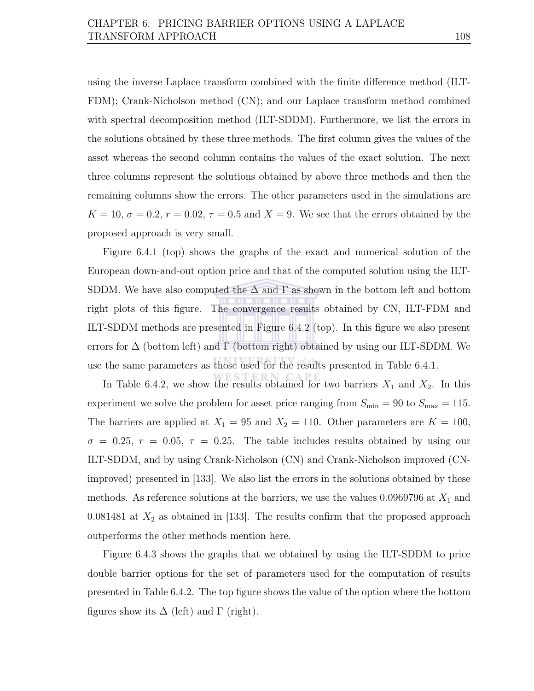using the inverse Laplace transform combined with the finite difference method (ILT-FDM); Crank-Nicholson method (CN); and our Laplace transform method combined with spectral decomposition method (ILT-SDDM). Furthermore, we list the errors in the solutions obtained by these three methods. The first column gives the values of the asset whereas the second column contains the values of the exact solution. The next three columns represent the solutions obtained by above three methods and then the remaining columns show the errors. The other parameters used in the simulations are  $K = 10, \sigma = 0.2, r = 0.02, \tau = 0.5$  and  $X = 9$ . We see that the errors obtained by the proposed approach is very small.

Figure 6.4.1 (top) shows the graphs of the exact and numerical solution of the European down-and-out option price and that of the computed solution using the ILT-SDDM. We have also computed the  $\Delta$  and  $\Gamma$  as shown in the bottom left and bottom right plots of this figure. The convergence results obtained by CN, ILT-FDM and ILT-SDDM methods are presented in Figure 6.4.2 (top). In this figure we also present errors for  $\Delta$  (bottom left) and  $\Gamma$  (bottom right) obtained by using our ILT-SDDM. We use the same parameters as those used for the results presented in Table 6.4.1.

In Table 6.4.2, we show the results obtained for two barriers  $X_1$  and  $X_2$ . In this experiment we solve the problem for asset price ranging from  $S_{\text{min}} = 90$  to  $S_{\text{max}} = 115$ . The barriers are applied at  $X_1 = 95$  and  $X_2 = 110$ . Other parameters are  $K = 100$ ,  $\sigma = 0.25, r = 0.05, \tau = 0.25$ . The table includes results obtained by using our ILT-SDDM, and by using Crank-Nicholson (CN) and Crank-Nicholson improved (CNimproved) presented in [133]. We also list the errors in the solutions obtained by these methods. As reference solutions at the barriers, we use the values  $0.0969796$  at  $X_1$  and 0.081481 at  $X_2$  as obtained in [133]. The results confirm that the proposed approach outperforms the other methods mention here.

Figure 6.4.3 shows the graphs that we obtained by using the ILT-SDDM to price double barrier options for the set of parameters used for the computation of results presented in Table 6.4.2. The top figure shows the value of the option where the bottom figures show its  $\Delta$  (left) and  $\Gamma$  (right).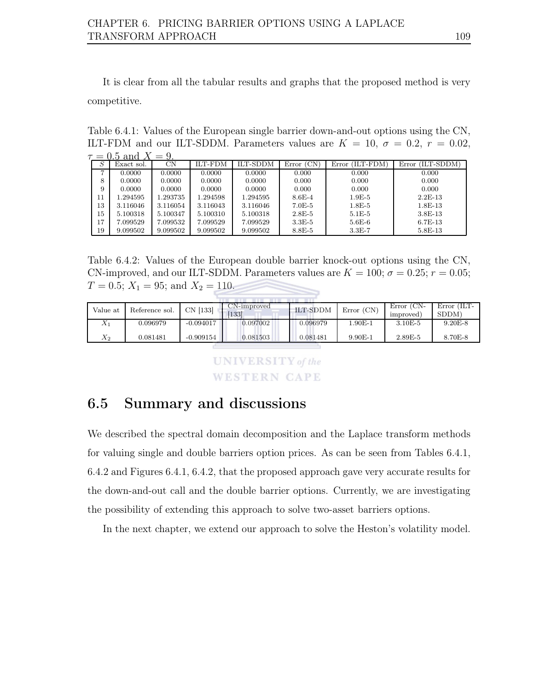It is clear from all the tabular results and graphs that the proposed method is very competitive.

Table 6.4.1: Values of the European single barrier down-and-out options using the CN, ILT-FDM and our ILT-SDDM. Parameters values are  $K = 10$ ,  $\sigma = 0.2$ ,  $r = 0.02$ ,  $\tau = 0.5$  and  $X = 9$ .

|                | $0.0$ and $\Lambda$<br>. |          |                |                 |              |                    |                     |  |
|----------------|--------------------------|----------|----------------|-----------------|--------------|--------------------|---------------------|--|
| ○              | Exact sol.               | CΝ       | <b>ILT-FDM</b> | <b>ILT-SDDM</b> | (CN<br>Error | (ILT-FDM)<br>Error | Error<br>(ILT-SDDM) |  |
| $\overline{ }$ | 0.0000                   | 0.0000   | 0.0000         | 0.0000          | 0.000        | 0.000              | 0.000               |  |
| 8              | 0.0000                   | 0.0000   | 0.0000         | 0.0000          | 0.000        | 0.000              | 0.000               |  |
| 9              | 0.0000                   | 0.0000   | 0.0000         | 0.0000          | 0.000        | 0.000              | 0.000               |  |
| 11             | 1.294595                 | 1.293735 | 1.294598       | 1.294595        | $8.6E-4$     | $1.9E-5$           | $2.2E-13$           |  |
| 13             | 3.116046                 | 3.116054 | 3.116043       | 3.116046        | $7.0E-5$     | $1.8E-5$           | 1.8E-13             |  |
| 15             | 5.100318                 | 5.100347 | 5.100310       | 5.100318        | $2.8E-5$     | $5.1E-5$           | $3.8E-13$           |  |
| 17             | 7.099529                 | 7.099532 | 7.099529       | 7.099529        | $3.3E-5$     | $5.6E-6$           | $6.7E-13$           |  |
| 19             | 9.099502                 | 9.099502 | 9.099502       | 9.099502        | $8.8E-5$     | $3.3E-7$           | 5.8E-13             |  |

Table 6.4.2: Values of the European double barrier knock-out options using the CN, CN-improved, and our ILT-SDDM. Parameters values are  $K = 100$ ;  $\sigma = 0.25$ ;  $r = 0.05$ ;  $T = 0.5; X_1 = 95; \text{ and } X_2 = 110.$ 

| Value at           | Reference sol. | CN [133]    | $CN$ -improved<br>[133] | <b>ILT-SDDM</b> | Error (CN) | $Error (CN-$<br>improved | Error (ILT-<br><b>SDDM</b> |
|--------------------|----------------|-------------|-------------------------|-----------------|------------|--------------------------|----------------------------|
|                    | 0.096979       | $-0.094017$ | 0.097002                | 0.096979        | 1.90E-1    | $3.10E-5$                | $9.20E - 8$                |
| $\scriptstyle X_2$ | 0.081481       | $-0.909154$ | 0.081503                | 0.081481        | $9.90E-1$  | 2.89E-5                  | 8.70E-8                    |

#### **UNIVERSITY** of the **WESTERN CAPE**

## 6.5 Summary and discussions

We described the spectral domain decomposition and the Laplace transform methods for valuing single and double barriers option prices. As can be seen from Tables 6.4.1, 6.4.2 and Figures 6.4.1, 6.4.2, that the proposed approach gave very accurate results for the down-and-out call and the double barrier options. Currently, we are investigating the possibility of extending this approach to solve two-asset barriers options.

In the next chapter, we extend our approach to solve the Heston's volatility model.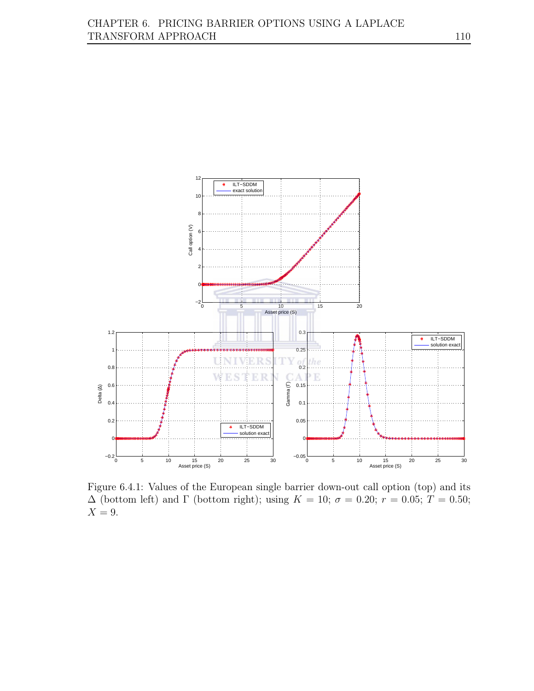

Figure 6.4.1: Values of the European single barrier down-out call option (top) and its  $\Delta$  (bottom left) and Γ (bottom right); using  $K = 10$ ;  $\sigma = 0.20$ ;  $r = 0.05$ ;  $T = 0.50$ ;  $X = 9$ .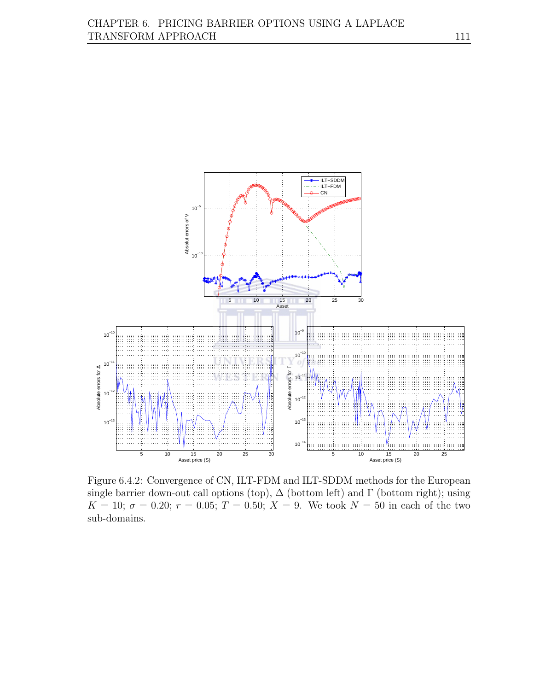

Figure 6.4.2: Convergence of CN, ILT-FDM and ILT-SDDM methods for the European single barrier down-out call options (top),  $\Delta$  (bottom left) and  $\Gamma$  (bottom right); using  $K = 10$ ;  $\sigma = 0.20$ ;  $r = 0.05$ ;  $T = 0.50$ ;  $X = 9$ . We took  $N = 50$  in each of the two sub-domains.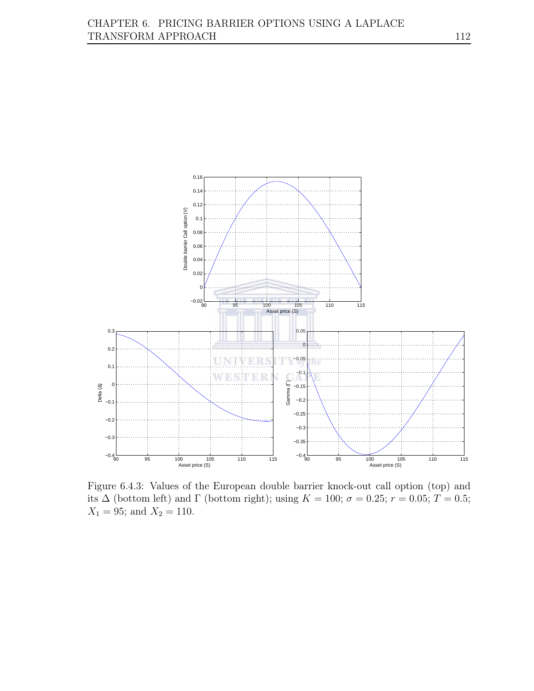

Figure 6.4.3: Values of the European double barrier knock-out call option (top) and its  $\Delta$  (bottom left) and  $\Gamma$  (bottom right); using  $K = 100$ ;  $\sigma = 0.25$ ;  $r = 0.05$ ;  $T = 0.5$ ;  $X_1 = 95$ ; and  $X_2 = 110$ .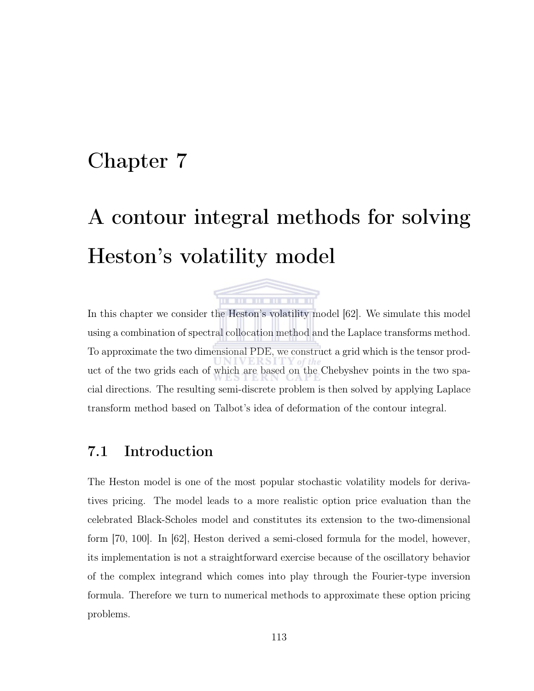## Chapter 7

# A contour integral methods for solving Heston's volatility model

. . . . . . . . . . . .

In this chapter we consider the Heston's volatility model [62]. We simulate this model using a combination of spectral collocation method and the Laplace transforms method. To approximate the two dimensional PDE, we construct a grid which is the tensor product of the two grids each of which are based on the Chebyshev points in the two spacial directions. The resulting semi-discrete problem is then solved by applying Laplace transform method based on Talbot's idea of deformation of the contour integral.

## 7.1 Introduction

The Heston model is one of the most popular stochastic volatility models for derivatives pricing. The model leads to a more realistic option price evaluation than the celebrated Black-Scholes model and constitutes its extension to the two-dimensional form [70, 100]. In [62], Heston derived a semi-closed formula for the model, however, its implementation is not a straightforward exercise because of the oscillatory behavior of the complex integrand which comes into play through the Fourier-type inversion formula. Therefore we turn to numerical methods to approximate these option pricing problems.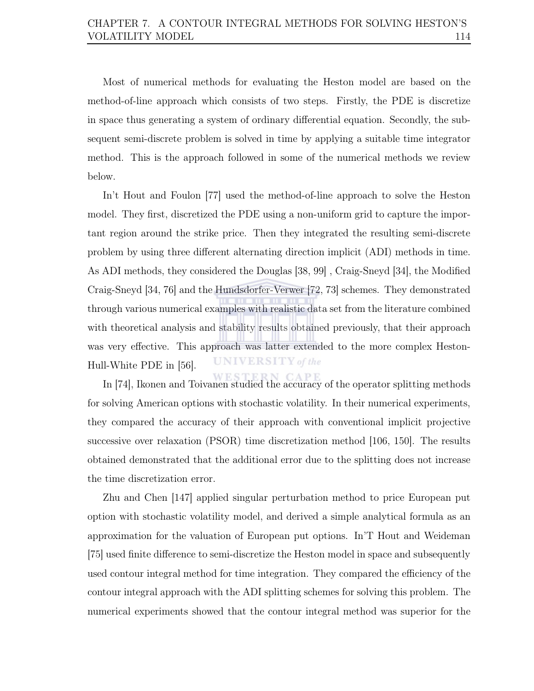Most of numerical methods for evaluating the Heston model are based on the method-of-line approach which consists of two steps. Firstly, the PDE is discretize in space thus generating a system of ordinary differential equation. Secondly, the subsequent semi-discrete problem is solved in time by applying a suitable time integrator method. This is the approach followed in some of the numerical methods we review below.

In't Hout and Foulon [77] used the method-of-line approach to solve the Heston model. They first, discretized the PDE using a non-uniform grid to capture the important region around the strike price. Then they integrated the resulting semi-discrete problem by using three different alternating direction implicit (ADI) methods in time. As ADI methods, they considered the Douglas [38, 99] , Craig-Sneyd [34], the Modified Craig-Sneyd [34, 76] and the Hundsdorfer-Verwer [72, 73] schemes. They demonstrated through various numerical examples with realistic data set from the literature combined with theoretical analysis and stability results obtained previously, that their approach was very effective. This approach was latter extended to the more complex Heston- $UNIVERSITY$  of the Hull-White PDE in [56].

In [74], Ikonen and Toivanen studied the accuracy of the operator splitting methods for solving American options with stochastic volatility. In their numerical experiments, they compared the accuracy of their approach with conventional implicit projective successive over relaxation (PSOR) time discretization method [106, 150]. The results obtained demonstrated that the additional error due to the splitting does not increase the time discretization error.

Zhu and Chen [147] applied singular perturbation method to price European put option with stochastic volatility model, and derived a simple analytical formula as an approximation for the valuation of European put options. In'T Hout and Weideman [75] used finite difference to semi-discretize the Heston model in space and subsequently used contour integral method for time integration. They compared the efficiency of the contour integral approach with the ADI splitting schemes for solving this problem. The numerical experiments showed that the contour integral method was superior for the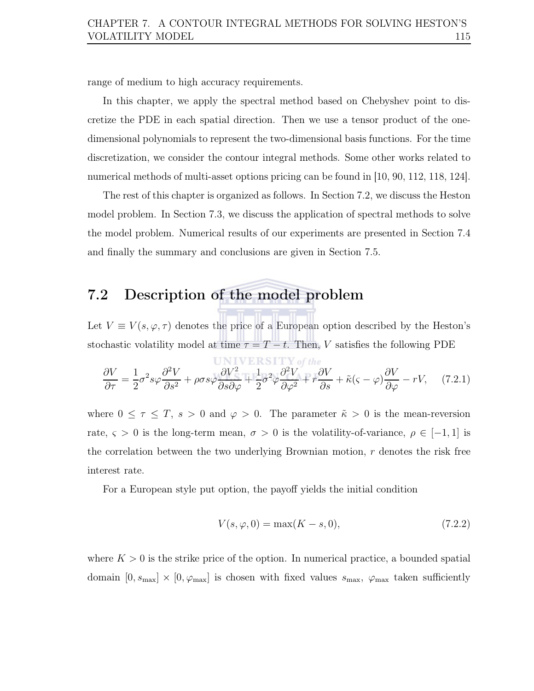range of medium to high accuracy requirements.

In this chapter, we apply the spectral method based on Chebyshev point to discretize the PDE in each spatial direction. Then we use a tensor product of the onedimensional polynomials to represent the two-dimensional basis functions. For the time discretization, we consider the contour integral methods. Some other works related to numerical methods of multi-asset options pricing can be found in [10, 90, 112, 118, 124].

The rest of this chapter is organized as follows. In Section 7.2, we discuss the Heston model problem. In Section 7.3, we discuss the application of spectral methods to solve the model problem. Numerical results of our experiments are presented in Section 7.4 and finally the summary and conclusions are given in Section 7.5.

## 7.2 Description of the model problem

Let  $V \equiv V(s, \varphi, \tau)$  denotes the price of a European option described by the Heston's stochastic volatility model at time  $\tau = T - t$ . Then, V satisfies the following PDE

$$
\frac{\partial V}{\partial \tau} = \frac{1}{2} \sigma^2 s \varphi \frac{\partial^2 V}{\partial s^2} + \rho \sigma s \varphi \frac{\partial V^2}{\partial s \partial \varphi} + \frac{1}{2} \sigma^2 \varphi \frac{\partial^2 V}{\partial \varphi^2} + r \frac{\partial V}{\partial s} + \tilde{\kappa} (\varsigma - \varphi) \frac{\partial V}{\partial \varphi} - rV, \quad (7.2.1)
$$

where  $0 \leq \tau \leq T$ ,  $s > 0$  and  $\varphi > 0$ . The parameter  $\tilde{\kappa} > 0$  is the mean-reversion rate,  $\varsigma > 0$  is the long-term mean,  $\sigma > 0$  is the volatility-of-variance,  $\rho \in [-1,1]$  is the correlation between the two underlying Brownian motion,  $r$  denotes the risk free interest rate.

For a European style put option, the payoff yields the initial condition

$$
V(s, \varphi, 0) = \max(K - s, 0), \tag{7.2.2}
$$

where  $K > 0$  is the strike price of the option. In numerical practice, a bounded spatial domain  $[0, s_{\text{max}}] \times [0, \varphi_{\text{max}}]$  is chosen with fixed values  $s_{\text{max}}$ ,  $\varphi_{\text{max}}$  taken sufficiently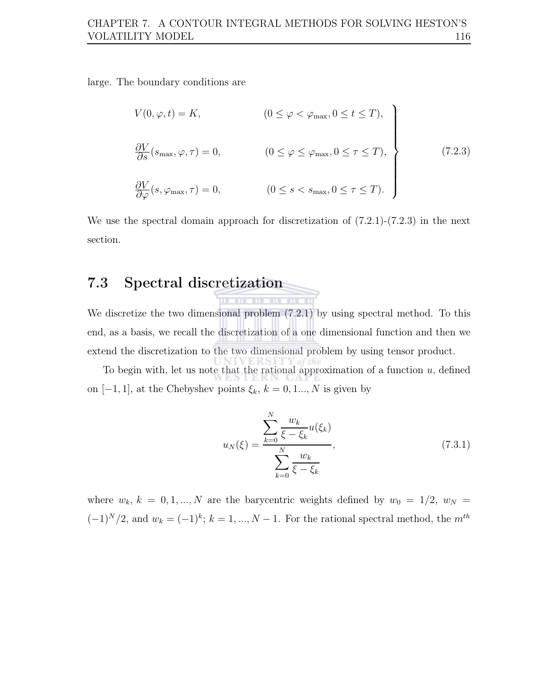large. The boundary conditions are

$$
V(0, \varphi, t) = K,
$$
  
\n
$$
\left\{\n\begin{aligned}\n & (0 \le \varphi < \varphi_{\text{max}}, 0 \le t \le T), \\
& (0 \le \varphi \le \varphi_{\text{max}}, 0 \le t \le T), \\
& (0 \le \varphi \le \varphi_{\text{max}}, 0 \le \tau \le T), \\
& \frac{\partial V}{\partial \varphi}(s, \varphi_{\text{max}}, \tau) = 0, \\
& (0 \le s < s_{\text{max}}, 0 \le \tau \le T).\n\end{aligned}\n\right\} \tag{7.2.3}
$$

We use the spectral domain approach for discretization of (7.2.1)-(7.2.3) in the next section.

### 7.3 Spectral discretization

We discretize the two dimensional problem  $(7.2.1)$  by using spectral method. To this end, as a basis, we recall the discretization of a one dimensional function and then we extend the discretization to the two dimensional problem by using tensor product.

 $\overline{\mathbf{m}}$ 

To begin with, let us note that the rational approximation of a function  $u$ , defined on  $[-1, 1]$ , at the Chebyshev points  $\xi_k$ ,  $k = 0, 1, ..., N$  is given by

**IVERSITY** 

$$
u_N(\xi) = \frac{\sum_{k=0}^{N} \frac{w_k}{\xi - \xi_k} u(\xi_k)}{\sum_{k=0}^{N} \frac{w_k}{\xi - \xi_k}},
$$
\n(7.3.1)

where  $w_k$ ,  $k = 0, 1, ..., N$  are the barycentric weights defined by  $w_0 = 1/2$ ,  $w_N =$  $(-1)^N/2$ , and  $w_k = (-1)^k$ ;  $k = 1, ..., N - 1$ . For the rational spectral method, the  $m^{th}$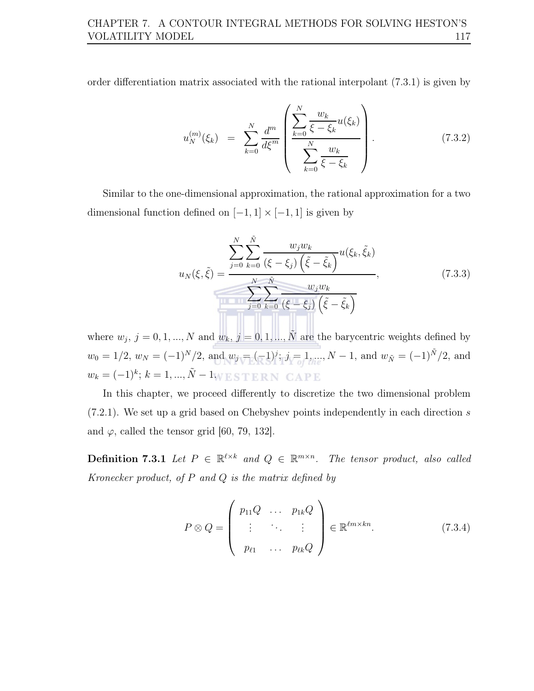order differentiation matrix associated with the rational interpolant (7.3.1) is given by

$$
u_N^{(m)}(\xi_k) = \sum_{k=0}^N \frac{d^m}{d\xi^m} \left( \frac{\sum_{k=0}^N \frac{w_k}{\xi - \xi_k} u(\xi_k)}{\sum_{k=0}^N \frac{w_k}{\xi - \xi_k}} \right).
$$
(7.3.2)

Similar to the one-dimensional approximation, the rational approximation for a two dimensional function defined on  $[-1, 1] \times [-1, 1]$  is given by

$$
u_N(\xi, \tilde{\xi}) = \frac{\sum_{j=0}^N \sum_{k=0}^{\tilde{N}} \frac{w_j w_k}{(\xi - \xi_j) (\tilde{\xi} - \tilde{\xi}_k)} u(\xi_k, \tilde{\xi}_k)}{\sum_{j=0}^N \sum_{k=0}^{\tilde{N}} \frac{w_j w_k}{(\xi - \xi_j) (\tilde{\xi} - \tilde{\xi}_k)}}
$$
(7.3.3)

where  $w_j$ ,  $j = 0, 1, ..., N$  and  $w_k$ ,  $j = 0, 1, ..., \tilde{N}$  are the barycentric weights defined by  $w_0 = 1/2, w_N = (-1)^N/2$ , and  $w_j = (-1)^j$ ;  $j = 1, ..., N - 1$ , and  $w_{\tilde{N}} = (-1)^{\tilde{N}}/2$ , and  $w_k = (-1)^k; k = 1, ..., \tilde{N} - 1.$ 

In this chapter, we proceed differently to discretize the two dimensional problem  $(7.2.1)$ . We set up a grid based on Chebyshev points independently in each direction s and  $\varphi$ , called the tensor grid [60, 79, 132].

**Definition 7.3.1** *Let*  $P \in \mathbb{R}^{\ell \times k}$  *and*  $Q \in \mathbb{R}^{m \times n}$ *. The tensor product, also called Kronecker product, of* P *and* Q *is the matrix defined by*

$$
P \otimes Q = \left( \begin{array}{ccc} p_{11}Q & \dots & p_{1k}Q \\ \vdots & \ddots & \vdots \\ p_{\ell 1} & \dots & p_{\ell k}Q \end{array} \right) \in \mathbb{R}^{\ell m \times kn}.\tag{7.3.4}
$$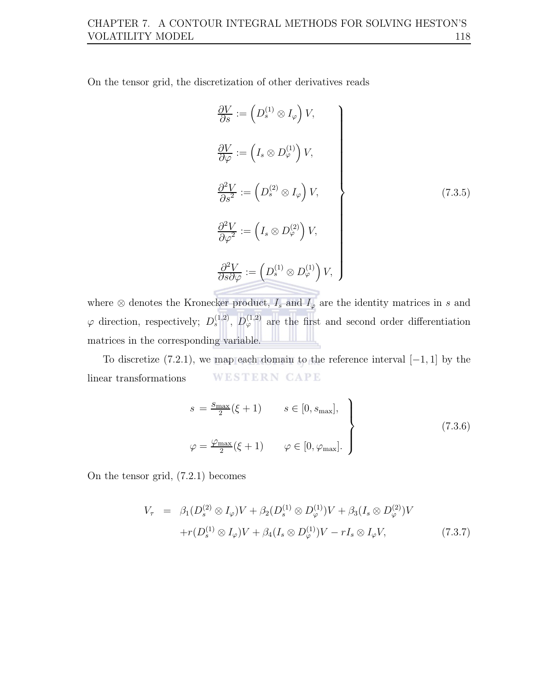On the tensor grid, the discretization of other derivatives reads

$$
\frac{\partial V}{\partial s} := \left( D_s^{(1)} \otimes I_\varphi \right) V,
$$
\n
$$
\frac{\partial V}{\partial \varphi} := \left( I_s \otimes D_\varphi^{(1)} \right) V,
$$
\n
$$
\frac{\partial^2 V}{\partial s^2} := \left( D_s^{(2)} \otimes I_\varphi \right) V,
$$
\n
$$
\frac{\partial^2 V}{\partial \varphi^2} := \left( I_s \otimes D_\varphi^{(2)} \right) V,
$$
\n
$$
\frac{\partial^2 V}{\partial s \partial \varphi} := \left( D_s^{(1)} \otimes D_\varphi^{(1)} \right) V,
$$
\n(7.3.5)

where  $\otimes$  denotes the Kronecker product,  $I_s$  and  $I_{\varphi}$  are the identity matrices in s and  $\varphi$  direction, respectively;  $D_s^{(1,2)}$ ,  $D_{\varphi}^{(1,2)}$  are the first and second order differentiation matrices in the corresponding variable.

To discretize  $(7.2.1)$ , we map each domain to the reference interval  $[-1, 1]$  by the **WESTERN CAPE** linear transformations

$$
s = \frac{s_{\max}}{2} (\xi + 1) \qquad s \in [0, s_{\max}],
$$
  

$$
\varphi = \frac{\varphi_{\max}}{2} (\xi + 1) \qquad \varphi \in [0, \varphi_{\max}].
$$
 (7.3.6)

On the tensor grid, (7.2.1) becomes

$$
V_{\tau} = \beta_1 (D_s^{(2)} \otimes I_{\varphi}) V + \beta_2 (D_s^{(1)} \otimes D_{\varphi}^{(1)}) V + \beta_3 (I_s \otimes D_{\varphi}^{(2)}) V + r (D_s^{(1)} \otimes I_{\varphi}) V + \beta_4 (I_s \otimes D_{\varphi}^{(1)}) V - r I_s \otimes I_{\varphi} V, \tag{7.3.7}
$$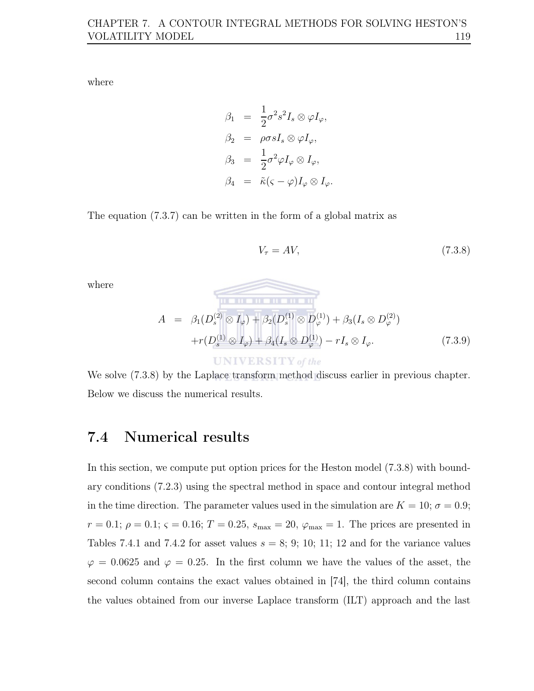where

$$
\beta_1 = \frac{1}{2}\sigma^2 s^2 I_s \otimes \varphi I_{\varphi},
$$
  
\n
$$
\beta_2 = \rho \sigma s I_s \otimes \varphi I_{\varphi},
$$
  
\n
$$
\beta_3 = \frac{1}{2}\sigma^2 \varphi I_{\varphi} \otimes I_{\varphi},
$$
  
\n
$$
\beta_4 = \tilde{\kappa}(\varsigma - \varphi) I_{\varphi} \otimes I_{\varphi}.
$$

The equation (7.3.7) can be written in the form of a global matrix as

$$
V_{\tau} = AV,\tag{7.3.8}
$$

where

$$
A = \beta_1(D_s^{(2)} \otimes I_{\varphi}) + \beta_2(D_s^{(1)} \otimes D_{\varphi}^{(1)}) + \beta_3(I_s \otimes D_{\varphi}^{(2)}) + r(D_s^{(1)} \otimes I_{\varphi}) + \beta_4(I_s \otimes D_{\varphi}^{(1)}) - rI_s \otimes I_{\varphi}.
$$
 (7.3.9)

We solve (7.3.8) by the Laplace transform method discuss earlier in previous chapter. Below we discuss the numerical results.

## 7.4 Numerical results

In this section, we compute put option prices for the Heston model (7.3.8) with boundary conditions (7.2.3) using the spectral method in space and contour integral method in the time direction. The parameter values used in the simulation are  $K = 10$ ;  $\sigma = 0.9$ ;  $r = 0.1; \rho = 0.1; \varsigma = 0.16; T = 0.25, s_{\text{max}} = 20, \varphi_{\text{max}} = 1.$  The prices are presented in Tables 7.4.1 and 7.4.2 for asset values  $s = 8$ ; 9; 10; 11; 12 and for the variance values  $\varphi = 0.0625$  and  $\varphi = 0.25$ . In the first column we have the values of the asset, the second column contains the exact values obtained in [74], the third column contains the values obtained from our inverse Laplace transform (ILT) approach and the last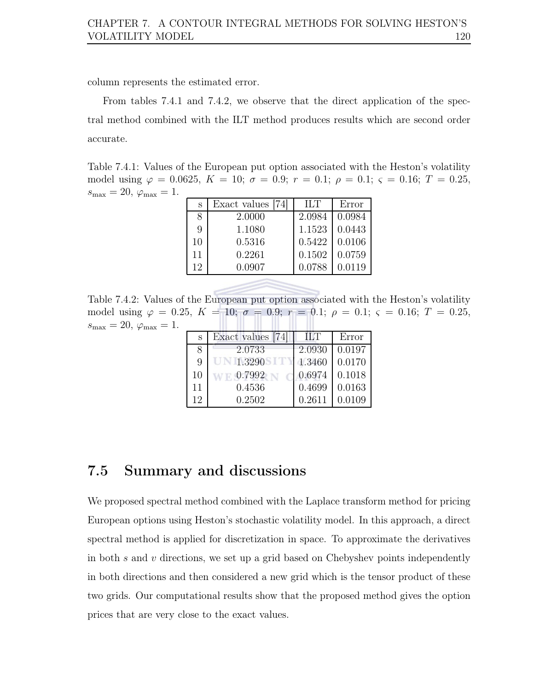column represents the estimated error.

From tables 7.4.1 and 7.4.2, we observe that the direct application of the spectral method combined with the ILT method produces results which are second order accurate.

Table 7.4.1: Values of the European put option associated with the Heston's volatility model using  $\varphi = 0.0625, K = 10; \sigma = 0.9; r = 0.1; \rho = 0.1; \varsigma = 0.16; T = 0.25,$  $s_{\text{max}} = 20, \varphi_{\text{max}} = 1.$ 

| S  | Exact values [74] | HТ     | Error  |
|----|-------------------|--------|--------|
| 8  | 2.0000            | 2.0984 | 0.0984 |
| 9  | 1.1080            | 1.1523 | 0.0443 |
| 10 | 0.5316            | 0.5422 | 0.0106 |
| 11 | 0.2261            | 0.1502 | 0.0759 |
| 12 | 0.0907            | 0.0788 | 0.0119 |
|    |                   |        |        |

Table 7.4.2: Values of the European put option associated with the Heston's volatility model using  $\varphi = 0.25, K = 10; \sigma = 0.9; r = 0.1; \rho = 0.1; \varsigma = 0.16; T = 0.25,$  $s_{\text{max}} = 20, \varphi_{\text{max}} = 1.$ 

| S  | Exact values [74] | ШT     | Error  |
|----|-------------------|--------|--------|
| 8  | 2.0733            | 2.0930 | 0.0197 |
| 9  | 1.3290            | 1.3460 | 0.0170 |
| 10 | 0.7992            | 0.6974 | 0.1018 |
| 11 | 0.4536            | 0.4699 | 0.0163 |
| 12 | 0.2502            | 0.2611 | 0.0109 |

### 7.5 Summary and discussions

We proposed spectral method combined with the Laplace transform method for pricing European options using Heston's stochastic volatility model. In this approach, a direct spectral method is applied for discretization in space. To approximate the derivatives in both  $s$  and  $v$  directions, we set up a grid based on Chebyshev points independently in both directions and then considered a new grid which is the tensor product of these two grids. Our computational results show that the proposed method gives the option prices that are very close to the exact values.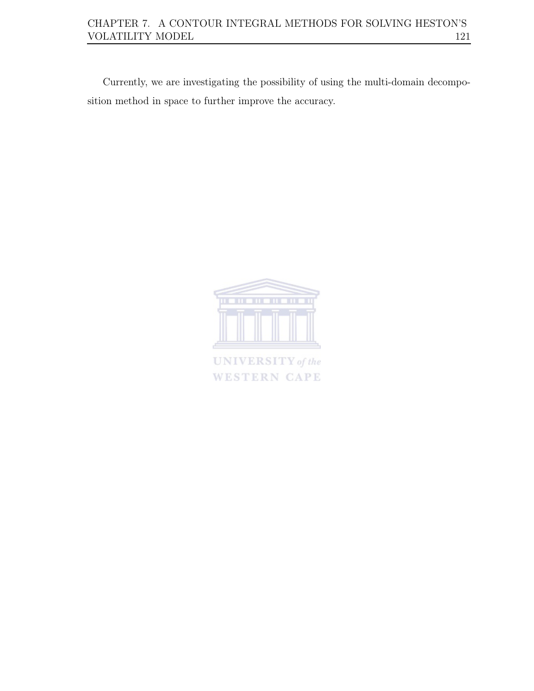Currently, we are investigating the possibility of using the multi-domain decomposition method in space to further improve the accuracy.



**UNIVERSITY** of the **WESTERN CAPE**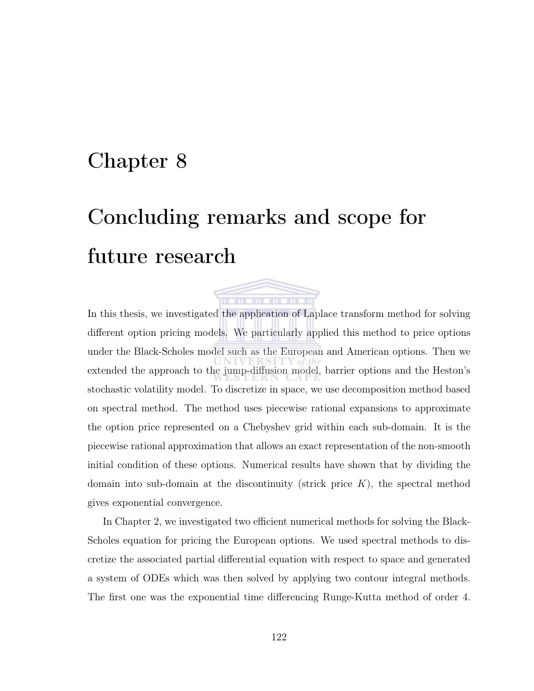## Chapter 8

# Concluding remarks and scope for future research

. . . . . . . . . .

In this thesis, we investigated the application of Laplace transform method for solving different option pricing models. We particularly applied this method to price options under the Black-Scholes model such as the European and American options. Then we extended the approach to the jump-diffusion model, barrier options and the Heston's stochastic volatility model. To discretize in space, we use decomposition method based on spectral method. The method uses piecewise rational expansions to approximate the option price represented on a Chebyshev grid within each sub-domain. It is the piecewise rational approximation that allows an exact representation of the non-smooth initial condition of these options. Numerical results have shown that by dividing the domain into sub-domain at the discontinuity (strick price  $K$ ), the spectral method gives exponential convergence.

In Chapter 2, we investigated two efficient numerical methods for solving the Black-Scholes equation for pricing the European options. We used spectral methods to discretize the associated partial differential equation with respect to space and generated a system of ODEs which was then solved by applying two contour integral methods. The first one was the exponential time differencing Runge-Kutta method of order 4.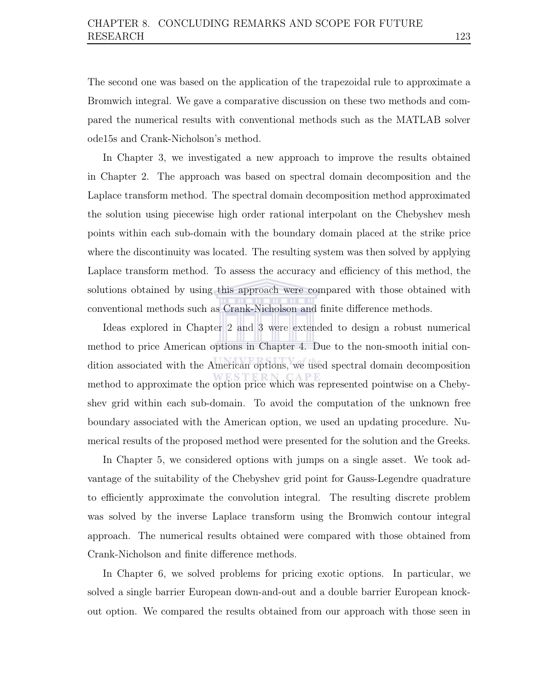The second one was based on the application of the trapezoidal rule to approximate a Bromwich integral. We gave a comparative discussion on these two methods and compared the numerical results with conventional methods such as the MATLAB solver ode15s and Crank-Nicholson's method.

In Chapter 3, we investigated a new approach to improve the results obtained in Chapter 2. The approach was based on spectral domain decomposition and the Laplace transform method. The spectral domain decomposition method approximated the solution using piecewise high order rational interpolant on the Chebyshev mesh points within each sub-domain with the boundary domain placed at the strike price where the discontinuity was located. The resulting system was then solved by applying Laplace transform method. To assess the accuracy and efficiency of this method, the solutions obtained by using this approach were compared with those obtained with conventional methods such as Crank-Nicholson and finite difference methods.

Ideas explored in Chapter 2 and 3 were extended to design a robust numerical method to price American options in Chapter 4. Due to the non-smooth initial condition associated with the American options, we used spectral domain decomposition method to approximate the option price which was represented pointwise on a Chebyshev grid within each sub-domain. To avoid the computation of the unknown free boundary associated with the American option, we used an updating procedure. Numerical results of the proposed method were presented for the solution and the Greeks.

In Chapter 5, we considered options with jumps on a single asset. We took advantage of the suitability of the Chebyshev grid point for Gauss-Legendre quadrature to efficiently approximate the convolution integral. The resulting discrete problem was solved by the inverse Laplace transform using the Bromwich contour integral approach. The numerical results obtained were compared with those obtained from Crank-Nicholson and finite difference methods.

In Chapter 6, we solved problems for pricing exotic options. In particular, we solved a single barrier European down-and-out and a double barrier European knockout option. We compared the results obtained from our approach with those seen in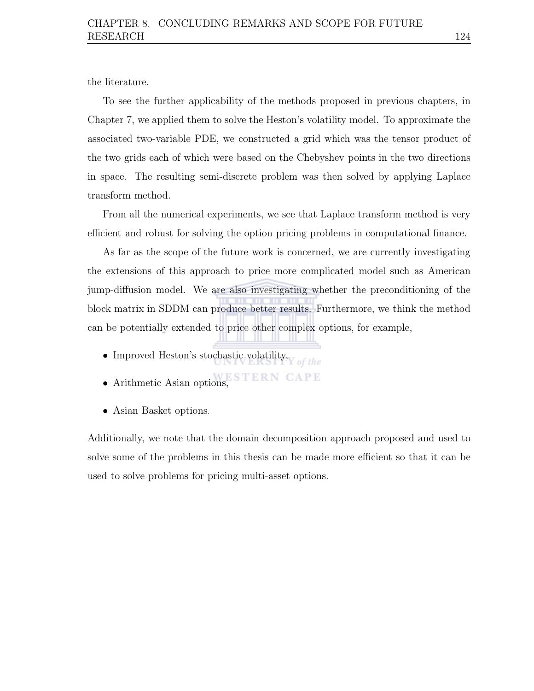the literature.

To see the further applicability of the methods proposed in previous chapters, in Chapter 7, we applied them to solve the Heston's volatility model. To approximate the associated two-variable PDE, we constructed a grid which was the tensor product of the two grids each of which were based on the Chebyshev points in the two directions in space. The resulting semi-discrete problem was then solved by applying Laplace transform method.

From all the numerical experiments, we see that Laplace transform method is very efficient and robust for solving the option pricing problems in computational finance.

As far as the scope of the future work is concerned, we are currently investigating the extensions of this approach to price more complicated model such as American jump-diffusion model. We are also investigating whether the preconditioning of the block matrix in SDDM can produce better results. Furthermore, we think the method can be potentially extended to price other complex options, for example,

- Improved Heston's stochastic volatility,
- Arithmetic Asian options, STERN CAPE
- Asian Basket options.

Additionally, we note that the domain decomposition approach proposed and used to solve some of the problems in this thesis can be made more efficient so that it can be used to solve problems for pricing multi-asset options.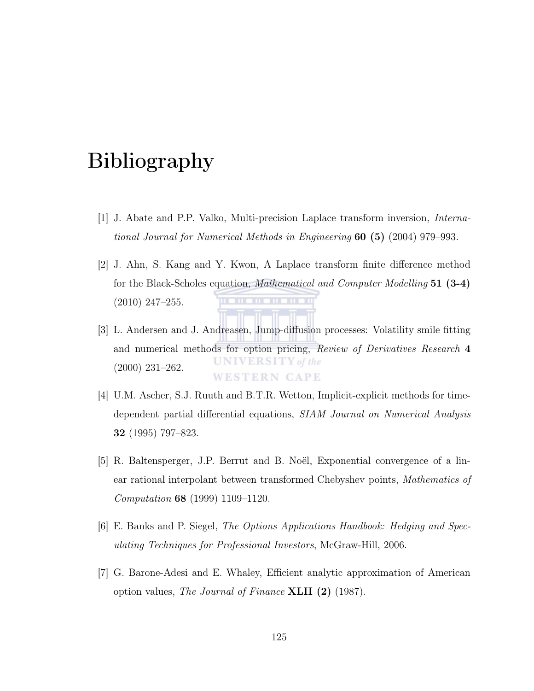## Bibliography

- [1] J. Abate and P.P. Valko, Multi-precision Laplace transform inversion, *International Journal for Numerical Methods in Engineering* 60 (5) (2004) 979–993.
- [2] J. Ahn, S. Kang and Y. Kwon, A Laplace transform finite difference method for the Black-Scholes equation, *Mathematical and Computer Modelling* 51 (3-4) (2010) 247–255.
- [3] L. Andersen and J. Andreasen, Jump-diffusion processes: Volatility smile fitting and numerical methods for option pricing, *Review of Derivatives Research* 4 **UNIVERSITY** of the (2000) 231–262. WESTERN CAPE
- [4] U.M. Ascher, S.J. Ruuth and B.T.R. Wetton, Implicit-explicit methods for timedependent partial differential equations, *SIAM Journal on Numerical Analysis* 32 (1995) 797–823.
- [5] R. Baltensperger, J.P. Berrut and B. Noël, Exponential convergence of a linear rational interpolant between transformed Chebyshev points, *Mathematics of Computation* 68 (1999) 1109–1120.
- [6] E. Banks and P. Siegel, *The Options Applications Handbook: Hedging and Speculating Techniques for Professional Investors*, McGraw-Hill, 2006.
- [7] G. Barone-Adesi and E. Whaley, Efficient analytic approximation of American option values, *The Journal of Finance* XLII (2) (1987).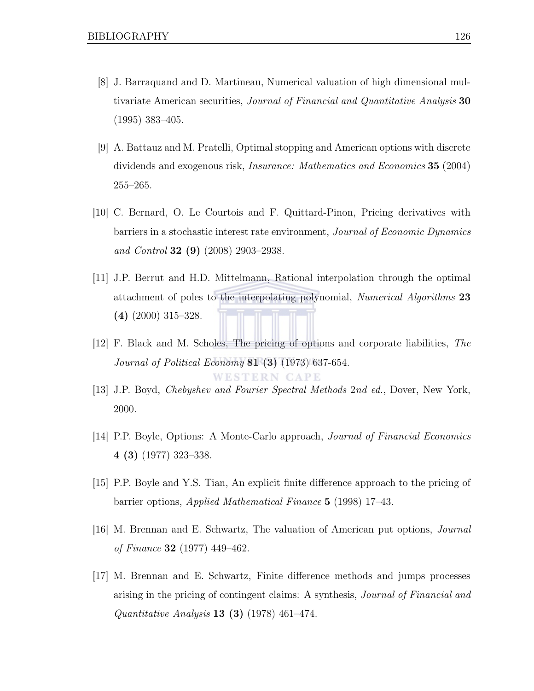- [8] J. Barraquand and D. Martineau, Numerical valuation of high dimensional multivariate American securities, *Journal of Financial and Quantitative Analysis* 30 (1995) 383–405.
- [9] A. Battauz and M. Pratelli, Optimal stopping and American options with discrete dividends and exogenous risk, *Insurance: Mathematics and Economics* 35 (2004) 255–265.
- [10] C. Bernard, O. Le Courtois and F. Quittard-Pinon, Pricing derivatives with barriers in a stochastic interest rate environment, *Journal of Economic Dynamics and Control* 32 (9) (2008) 2903–2938.
- [11] J.P. Berrut and H.D. Mittelmann, Rational interpolation through the optimal attachment of poles to the interpolating polynomial, *Numerical Algorithms* 23 (4) (2000) 315–328.
- [12] F. Black and M. Scholes, The pricing of options and corporate liabilities, *The Journal of Political Economy* 81 (3) (1973) 637-654. WESTERN CAPE
- [13] J.P. Boyd, *Chebyshev and Fourier Spectral Methods* 2*nd ed.*, Dover, New York, 2000.
- [14] P.P. Boyle, Options: A Monte-Carlo approach, *Journal of Financial Economics* 4 (3) (1977) 323–338.
- [15] P.P. Boyle and Y.S. Tian, An explicit finite difference approach to the pricing of barrier options, *Applied Mathematical Finance* 5 (1998) 17–43.
- [16] M. Brennan and E. Schwartz, The valuation of American put options, *Journal of Finance* 32 (1977) 449–462.
- [17] M. Brennan and E. Schwartz, Finite difference methods and jumps processes arising in the pricing of contingent claims: A synthesis, *Journal of Financial and Quantitative Analysis* 13 (3) (1978) 461–474.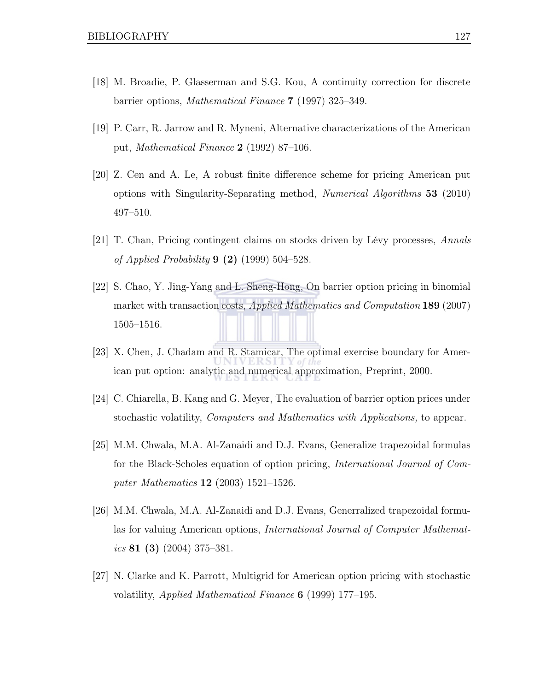- [18] M. Broadie, P. Glasserman and S.G. Kou, A continuity correction for discrete barrier options, *Mathematical Finance* 7 (1997) 325–349.
- [19] P. Carr, R. Jarrow and R. Myneni, Alternative characterizations of the American put, *Mathematical Finance* 2 (1992) 87–106.
- [20] Z. Cen and A. Le, A robust finite difference scheme for pricing American put options with Singularity-Separating method, *Numerical Algorithms* 53 (2010) 497–510.
- [21] T. Chan, Pricing contingent claims on stocks driven by Lévy processes, *Annals of Applied Probability* 9 (2) (1999) 504–528.
- [22] S. Chao, Y. Jing-Yang and L. Sheng-Hong, On barrier option pricing in binomial market with transaction costs, *Applied Mathematics and Computation* 189 (2007) 1505–1516.
- [23] X. Chen, J. Chadam and R. Stamicar, The optimal exercise boundary for American put option: analytic and numerical approximation, Preprint, 2000.
- [24] C. Chiarella, B. Kang and G. Meyer, The evaluation of barrier option prices under stochastic volatility, *Computers and Mathematics with Applications,* to appear.
- [25] M.M. Chwala, M.A. Al-Zanaidi and D.J. Evans, Generalize trapezoidal formulas for the Black-Scholes equation of option pricing, *International Journal of Computer Mathematics* 12 (2003) 1521–1526.
- [26] M.M. Chwala, M.A. Al-Zanaidi and D.J. Evans, Generralized trapezoidal formulas for valuing American options, *International Journal of Computer Mathematics* 81 (3) (2004) 375–381.
- [27] N. Clarke and K. Parrott, Multigrid for American option pricing with stochastic volatility, *Applied Mathematical Finance* 6 (1999) 177–195.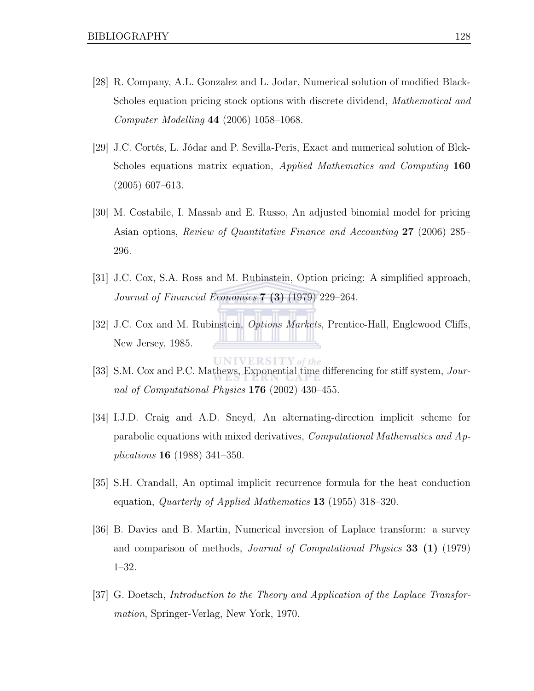- [28] R. Company, A.L. Gonzalez and L. Jodar, Numerical solution of modified Black-Scholes equation pricing stock options with discrete dividend, *Mathematical and Computer Modelling* 44 (2006) 1058–1068.
- [29] J.C. Cortés, L. Jódar and P. Sevilla-Peris, Exact and numerical solution of Blck-Scholes equations matrix equation, *Applied Mathematics and Computing* 160 (2005) 607–613.
- [30] M. Costabile, I. Massab and E. Russo, An adjusted binomial model for pricing Asian options, *Review of Quantitative Finance and Accounting* 27 (2006) 285– 296.
- [31] J.C. Cox, S.A. Ross and M. Rubinstein, Option pricing: A simplified approach, *Journal of Financial Economics* 7 (3) (1979) 229–264.
- [32] J.C. Cox and M. Rubinstein, *Options Markets*, Prentice-Hall, Englewood Cliffs, New Jersey, 1985.
- **UNIVERSITY** of the [33] S.M. Cox and P.C. Mathews, Exponential time differencing for stiff system, *Journal of Computational Physics* 176 (2002) 430–455.
- [34] I.J.D. Craig and A.D. Sneyd, An alternating-direction implicit scheme for parabolic equations with mixed derivatives, *Computational Mathematics and Applications* 16 (1988) 341–350.
- [35] S.H. Crandall, An optimal implicit recurrence formula for the heat conduction equation, *Quarterly of Applied Mathematics* 13 (1955) 318–320.
- [36] B. Davies and B. Martin, Numerical inversion of Laplace transform: a survey and comparison of methods, *Journal of Computational Physics* 33 (1) (1979) 1–32.
- [37] G. Doetsch, *Introduction to the Theory and Application of the Laplace Transformation*, Springer-Verlag, New York, 1970.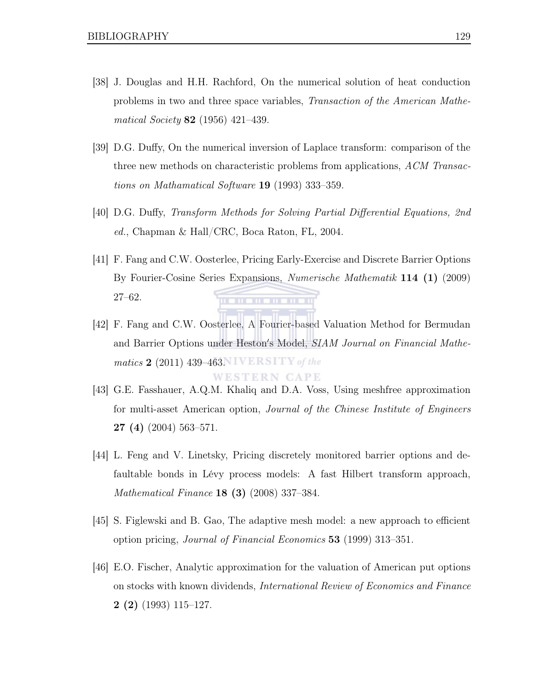- [38] J. Douglas and H.H. Rachford, On the numerical solution of heat conduction problems in two and three space variables, *Transaction of the American Mathematical Society* 82 (1956) 421–439.
- [39] D.G. Duffy, On the numerical inversion of Laplace transform: comparison of the three new methods on characteristic problems from applications, *ACM Transactions on Mathamatical Software* 19 (1993) 333–359.
- [40] D.G. Duffy, *Transform Methods for Solving Partial Differential Equations, 2nd ed.*, Chapman & Hall/CRC, Boca Raton, FL, 2004.
- [41] F. Fang and C.W. Oosterlee, Pricing Early-Exercise and Discrete Barrier Options By Fourier-Cosine Series Expansions, *Numerische Mathematik* 114 (1) (2009) 27–62.  $\mathbf{H}$  . The state  $\mathbf{H}$
- [42] F. Fang and C.W. Oosterlee, A Fourier-based Valuation Method for Bermudan and Barrier Options under Heston′ s Model, *SIAM Journal on Financial Mathematics* 2 (2011) 439–463. WESTERN CAPE
- [43] G.E. Fasshauer, A.Q.M. Khaliq and D.A. Voss, Using meshfree approximation for multi-asset American option, *Journal of the Chinese Institute of Engineers* 27 (4) (2004) 563–571.
- [44] L. Feng and V. Linetsky, Pricing discretely monitored barrier options and defaultable bonds in Lévy process models: A fast Hilbert transform approach, *Mathematical Finance* 18 (3) (2008) 337–384.
- [45] S. Figlewski and B. Gao, The adaptive mesh model: a new approach to efficient option pricing, *Journal of Financial Economics* 53 (1999) 313–351.
- [46] E.O. Fischer, Analytic approximation for the valuation of American put options on stocks with known dividends, *International Review of Economics and Finance* 2 (2) (1993) 115–127.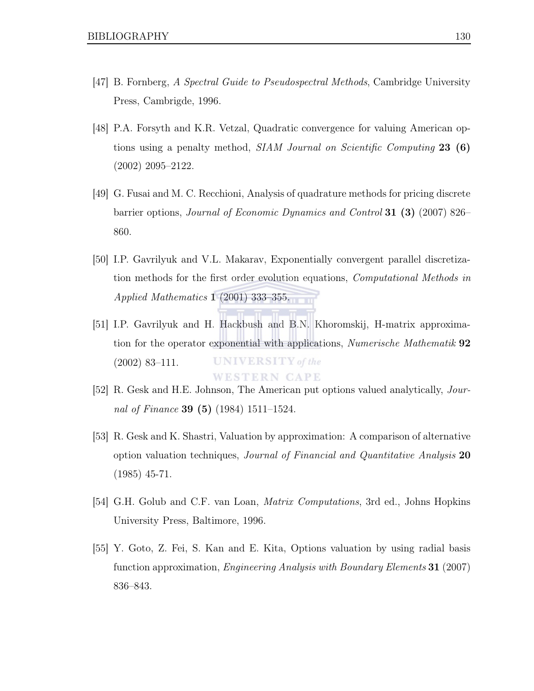- [47] B. Fornberg, *A Spectral Guide to Pseudospectral Methods*, Cambridge University Press, Cambrigde, 1996.
- [48] P.A. Forsyth and K.R. Vetzal, Quadratic convergence for valuing American options using a penalty method, *SIAM Journal on Scientific Computing* 23 (6) (2002) 2095–2122.
- [49] G. Fusai and M. C. Recchioni, Analysis of quadrature methods for pricing discrete barrier options, *Journal of Economic Dynamics and Control* 31 (3) (2007) 826– 860.
- [50] I.P. Gavrilyuk and V.L. Makarav, Exponentially convergent parallel discretization methods for the first order evolution equations, *Computational Methods in Applied Mathematics* 1 (2001) 333–355.
- [51] I.P. Gavrilyuk and H. Hackbush and B.N. Khoromskij, H-matrix approximation for the operator exponential with applications, *Numerische Mathematik* 92 **UNIVERSITY** of the (2002) 83–111. **WESTERN CAPE**
- [52] R. Gesk and H.E. Johnson, The American put options valued analytically, *Journal of Finance* 39 (5) (1984) 1511–1524.
- [53] R. Gesk and K. Shastri, Valuation by approximation: A comparison of alternative option valuation techniques, *Journal of Financial and Quantitative Analysis* 20 (1985) 45-71.
- [54] G.H. Golub and C.F. van Loan, *Matrix Computations*, 3rd ed., Johns Hopkins University Press, Baltimore, 1996.
- [55] Y. Goto, Z. Fei, S. Kan and E. Kita, Options valuation by using radial basis function approximation, *Engineering Analysis with Boundary Elements* 31 (2007) 836–843.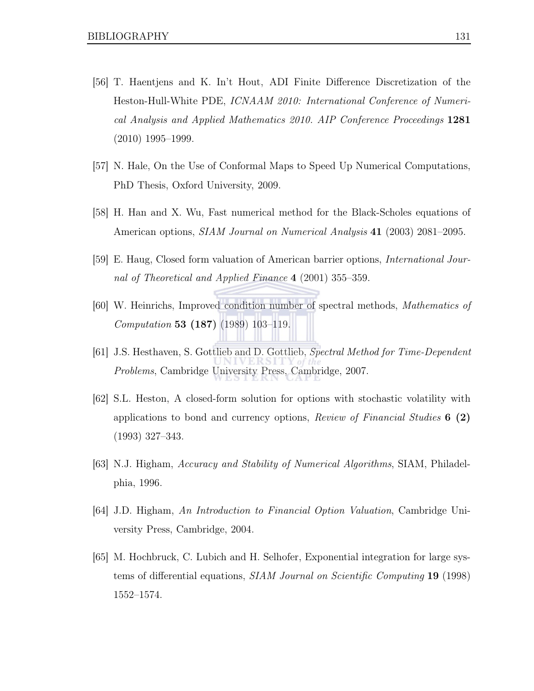- [56] T. Haentjens and K. In't Hout, ADI Finite Difference Discretization of the Heston-Hull-White PDE, *ICNAAM 2010: International Conference of Numerical Analysis and Applied Mathematics 2010. AIP Conference Proceedings* 1281 (2010) 1995–1999.
- [57] N. Hale, On the Use of Conformal Maps to Speed Up Numerical Computations, PhD Thesis, Oxford University, 2009.
- [58] H. Han and X. Wu, Fast numerical method for the Black-Scholes equations of American options, *SIAM Journal on Numerical Analysis* 41 (2003) 2081–2095.
- [59] E. Haug, Closed form valuation of American barrier options, *International Journal of Theoretical and Applied Finance* 4 (2001) 355–359.
- [60] W. Heinrichs, Improved condition number of spectral methods, *Mathematics of Computation* 53 (187) (1989) 103–119.
- [61] J.S. Hesthaven, S. Gottlieb and D. Gottlieb, *Spectral Method for Time-Dependent Problems*, Cambridge University Press, Cambridge, 2007.
- [62] S.L. Heston, A closed-form solution for options with stochastic volatility with applications to bond and currency options, *Review of Financial Studies* 6 (2) (1993) 327–343.
- [63] N.J. Higham, *Accuracy and Stability of Numerical Algorithms*, SIAM, Philadelphia, 1996.
- [64] J.D. Higham, *An Introduction to Financial Option Valuation*, Cambridge University Press, Cambridge, 2004.
- [65] M. Hochbruck, C. Lubich and H. Selhofer, Exponential integration for large systems of differential equations, *SIAM Journal on Scientific Computing* 19 (1998) 1552–1574.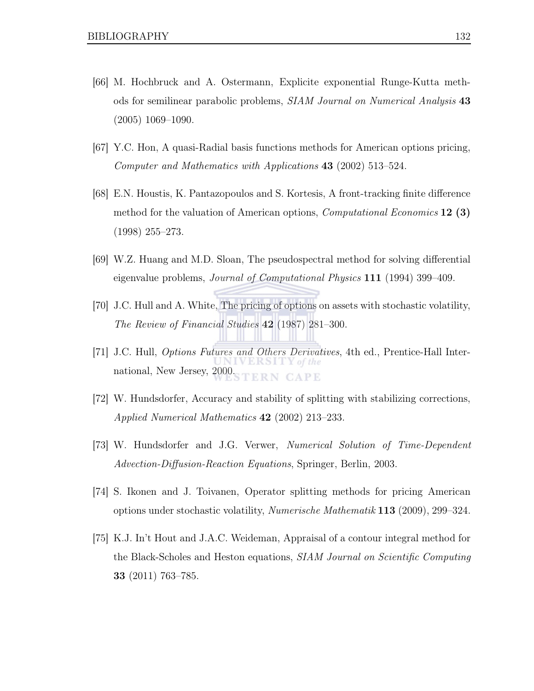- [66] M. Hochbruck and A. Ostermann, Explicite exponential Runge-Kutta methods for semilinear parabolic problems, *SIAM Journal on Numerical Analysis* 43 (2005) 1069–1090.
- [67] Y.C. Hon, A quasi-Radial basis functions methods for American options pricing, *Computer and Mathematics with Applications* 43 (2002) 513–524.
- [68] E.N. Houstis, K. Pantazopoulos and S. Kortesis, A front-tracking finite difference method for the valuation of American options, *Computational Economics* 12 (3) (1998) 255–273.
- [69] W.Z. Huang and M.D. Sloan, The pseudospectral method for solving differential eigenvalue problems, *Journal of Computational Physics* 111 (1994) 399–409.
- [70] J.C. Hull and A. White, The pricing of options on assets with stochastic volatility, *The Review of Financial Studies* 42 (1987) 281–300.
- [71] J.C. Hull, *Options Futures and Others Derivatives*, 4th ed., Prentice-Hall Inter-**Y** of the national, New Jersey, 2000. **CAPE** ERN
- [72] W. Hundsdorfer, Accuracy and stability of splitting with stabilizing corrections, *Applied Numerical Mathematics* 42 (2002) 213–233.
- [73] W. Hundsdorfer and J.G. Verwer, *Numerical Solution of Time-Dependent Advection-Diffusion-Reaction Equations*, Springer, Berlin, 2003.
- [74] S. Ikonen and J. Toivanen, Operator splitting methods for pricing American options under stochastic volatility, *Numerische Mathematik* 113 (2009), 299–324.
- [75] K.J. In't Hout and J.A.C. Weideman, Appraisal of a contour integral method for the Black-Scholes and Heston equations, *SIAM Journal on Scientific Computing* 33 (2011) 763–785.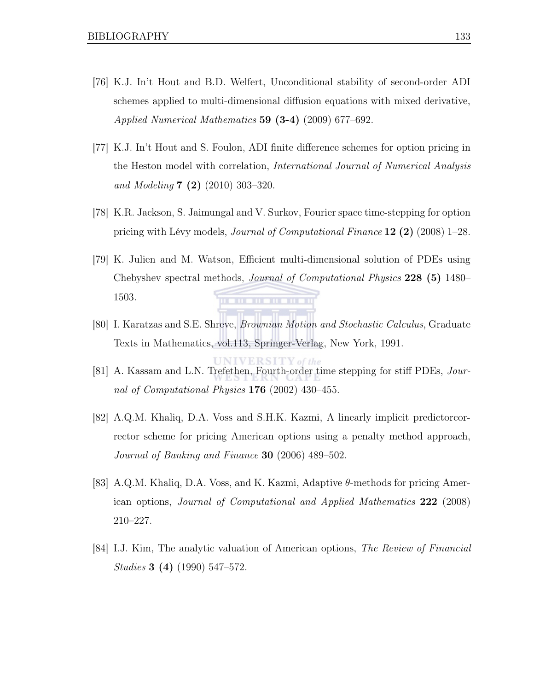- [76] K.J. In't Hout and B.D. Welfert, Unconditional stability of second-order ADI schemes applied to multi-dimensional diffusion equations with mixed derivative, *Applied Numerical Mathematics* 59 (3-4) (2009) 677–692.
- [77] K.J. In't Hout and S. Foulon, ADI finite difference schemes for option pricing in the Heston model with correlation, *International Journal of Numerical Analysis and Modeling* 7 (2) (2010) 303–320.
- [78] K.R. Jackson, S. Jaimungal and V. Surkov, Fourier space time-stepping for option pricing with Lévy models, *Journal of Computational Finance* 12 (2) (2008) 1–28.
- [79] K. Julien and M. Watson, Efficient multi-dimensional solution of PDEs using Chebyshev spectral methods, *Journal of Computational Physics* 228 (5) 1480– 1503.
- [80] I. Karatzas and S.E. Shreve, *Brownian Motion and Stochastic Calculus*, Graduate Texts in Mathematics, vol.113, Springer-Verlag, New York, 1991.
- $UNIVERSITY$  of the [81] A. Kassam and L.N. Trefethen, Fourth-order time stepping for stiff PDEs, *Journal of Computational Physics* 176 (2002) 430–455.
- [82] A.Q.M. Khaliq, D.A. Voss and S.H.K. Kazmi, A linearly implicit predictorcorrector scheme for pricing American options using a penalty method approach, *Journal of Banking and Finance* 30 (2006) 489–502.
- [83] A.Q.M. Khaliq, D.A. Voss, and K. Kazmi, Adaptive  $\theta$ -methods for pricing American options, *Journal of Computational and Applied Mathematics* 222 (2008) 210–227.
- [84] I.J. Kim, The analytic valuation of American options, *The Review of Financial Studies* 3 (4) (1990) 547–572.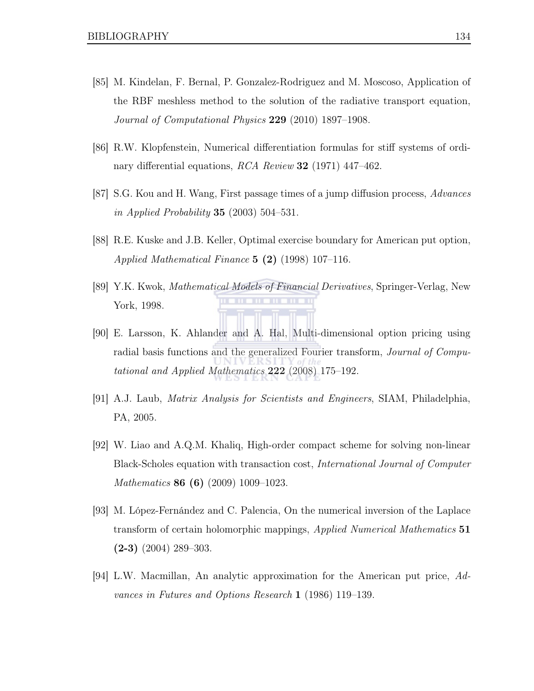- [85] M. Kindelan, F. Bernal, P. Gonzalez-Rodriguez and M. Moscoso, Application of the RBF meshless method to the solution of the radiative transport equation, *Journal of Computational Physics* 229 (2010) 1897–1908.
- [86] R.W. Klopfenstein, Numerical differentiation formulas for stiff systems of ordinary differential equations, *RCA Review* 32 (1971) 447–462.
- [87] S.G. Kou and H. Wang, First passage times of a jump diffusion process, *Advances in Applied Probability* 35 (2003) 504–531.
- [88] R.E. Kuske and J.B. Keller, Optimal exercise boundary for American put option, *Applied Mathematical Finance* 5 (2) (1998) 107–116.
- [89] Y.K. Kwok, *Mathematical Models of Financial Derivatives*, Springer-Verlag, New York, 1998.
- [90] E. Larsson, K. Ahlander and A. Hal, Multi-dimensional option pricing using radial basis functions and the generalized Fourier transform, *Journal of Computational and Applied Mathematics* 222 (2008) 175–192.
- [91] A.J. Laub, *Matrix Analysis for Scientists and Engineers*, SIAM, Philadelphia, PA, 2005.
- [92] W. Liao and A.Q.M. Khaliq, High-order compact scheme for solving non-linear Black-Scholes equation with transaction cost, *International Journal of Computer Mathematics* 86 (6) (2009) 1009–1023.
- [93] M. López-Fernández and C. Palencia, On the numerical inversion of the Laplace transform of certain holomorphic mappings, *Applied Numerical Mathematics* 51  $(2-3)$   $(2004)$   $289-303$ .
- [94] L.W. Macmillan, An analytic approximation for the American put price, *Advances in Futures and Options Research* 1 (1986) 119–139.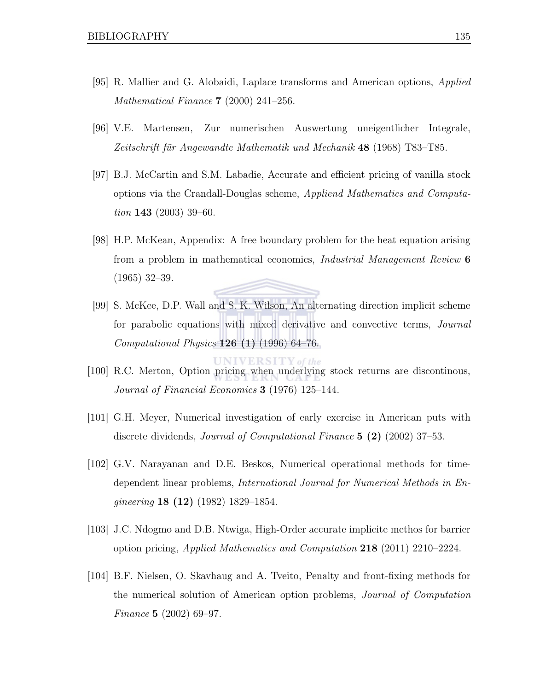- [95] R. Mallier and G. Alobaidi, Laplace transforms and American options, *Applied Mathematical Finance* 7 (2000) 241–256.
- [96] V.E. Martensen, Zur numerischen Auswertung uneigentlicher Integrale, *Zeitschrift für Angewandte Mathematik und Mechanik* 48 (1968) T83–T85.
- [97] B.J. McCartin and S.M. Labadie, Accurate and efficient pricing of vanilla stock options via the Crandall-Douglas scheme, *Appliend Mathematics and Computation* 143 (2003) 39–60.
- [98] H.P. McKean, Appendix: A free boundary problem for the heat equation arising from a problem in mathematical economics, *Industrial Management Review* 6 (1965) 32–39.
- [99] S. McKee, D.P. Wall and S. K. Wilson, An alternating direction implicit scheme for parabolic equations with mixed derivative and convective terms, *Journal Computational Physics* 126 (1) (1996) 64–76.
- **UNIVERSITY** of the [100] R.C. Merton, Option pricing when underlying stock returns are discontinous, *Journal of Financial Economics* 3 (1976) 125–144.
- [101] G.H. Meyer, Numerical investigation of early exercise in American puts with discrete dividends, *Journal of Computational Finance* 5 (2) (2002) 37–53.
- [102] G.V. Narayanan and D.E. Beskos, Numerical operational methods for timedependent linear problems, *International Journal for Numerical Methods in Engineering* 18 (12) (1982) 1829–1854.
- [103] J.C. Ndogmo and D.B. Ntwiga, High-Order accurate implicite methos for barrier option pricing, *Applied Mathematics and Computation* 218 (2011) 2210–2224.
- [104] B.F. Nielsen, O. Skavhaug and A. Tveito, Penalty and front-fixing methods for the numerical solution of American option problems, *Journal of Computation Finance* 5 (2002) 69–97.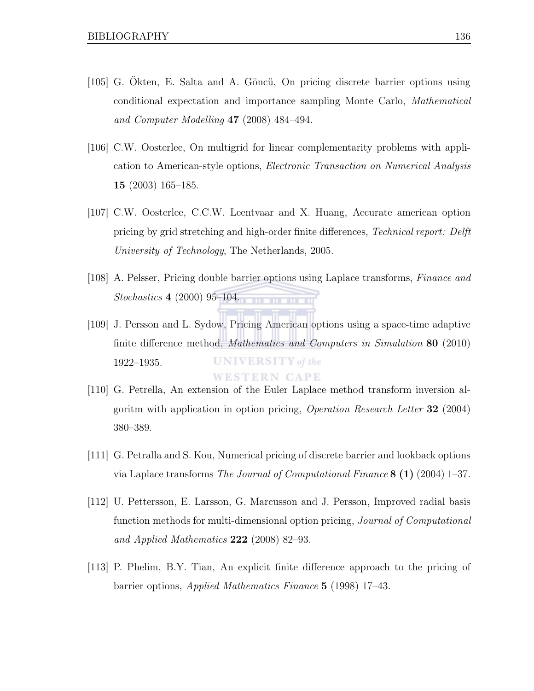- [105] G. Ökten, E. Salta and A. Göncü, On pricing discrete barrier options using conditional expectation and importance sampling Monte Carlo, *Mathematical and Computer Modelling* 47 (2008) 484–494.
- [106] C.W. Oosterlee, On multigrid for linear complementarity problems with application to American-style options, *Electronic Transaction on Numerical Analysis* 15 (2003) 165–185.
- [107] C.W. Oosterlee, C.C.W. Leentvaar and X. Huang, Accurate american option pricing by grid stretching and high-order finite differences, *Technical report: Delft University of Technology*, The Netherlands, 2005.
- [108] A. Pelsser, Pricing double barrier options using Laplace transforms, *Finance and Stochastics* 4 (2000) 95–104.
- [109] J. Persson and L. Sydow, Pricing American options using a space-time adaptive finite difference method, *Mathematics and Computers in Simulation* 80 (2010) **UNIVERSITY** of the 1922–1935. **WESTERN CAPE**
- [110] G. Petrella, An extension of the Euler Laplace method transform inversion algoritm with application in option pricing, *Operation Research Letter* 32 (2004) 380–389.
- [111] G. Petralla and S. Kou, Numerical pricing of discrete barrier and lookback options via Laplace transforms *The Journal of Computational Finance* 8 (1) (2004) 1–37.
- [112] U. Pettersson, E. Larsson, G. Marcusson and J. Persson, Improved radial basis function methods for multi-dimensional option pricing, *Journal of Computational and Applied Mathematics* 222 (2008) 82–93.
- [113] P. Phelim, B.Y. Tian, An explicit finite difference approach to the pricing of barrier options, *Applied Mathematics Finance* 5 (1998) 17–43.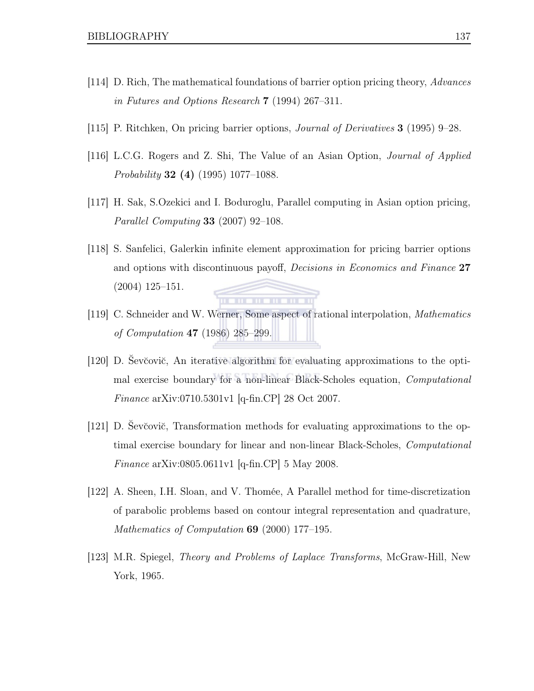- [114] D. Rich, The mathematical foundations of barrier option pricing theory, *Advances in Futures and Options Research* 7 (1994) 267–311.
- [115] P. Ritchken, On pricing barrier options, *Journal of Derivatives* 3 (1995) 9–28.
- [116] L.C.G. Rogers and Z. Shi, The Value of an Asian Option, *Journal of Applied Probability* 32 (4) (1995) 1077–1088.
- [117] H. Sak, S.Ozekici and I. Boduroglu, Parallel computing in Asian option pricing, *Parallel Computing* 33 (2007) 92–108.
- [118] S. Sanfelici, Galerkin infinite element approximation for pricing barrier options and options with discontinuous payoff, *Decisions in Economics and Finance* 27 (2004) 125–151.
- [119] C. Schneider and W. Werner, Some aspect of rational interpolation, *Mathematics of Computation* 47 (1986) 285–299.

**THE REAL** 

- [120] D. Sevčovič, An iterative algorithm for evaluating approximations to the optimal exercise boundary for a non-linear Black-Scholes equation, *Computational Finance* arXiv:0710.5301v1 [q-fin.CP] 28 Oct 2007.
- [121] D. Sevčovič, Transformation methods for evaluating approximations to the optimal exercise boundary for linear and non-linear Black-Scholes, *Computational Finance* arXiv:0805.0611v1 [q-fin.CP] 5 May 2008.
- [122] A. Sheen, I.H. Sloan, and V. Thomée, A Parallel method for time-discretization of parabolic problems based on contour integral representation and quadrature, *Mathematics of Computation* 69 (2000) 177–195.
- [123] M.R. Spiegel, *Theory and Problems of Laplace Transforms*, McGraw-Hill, New York, 1965.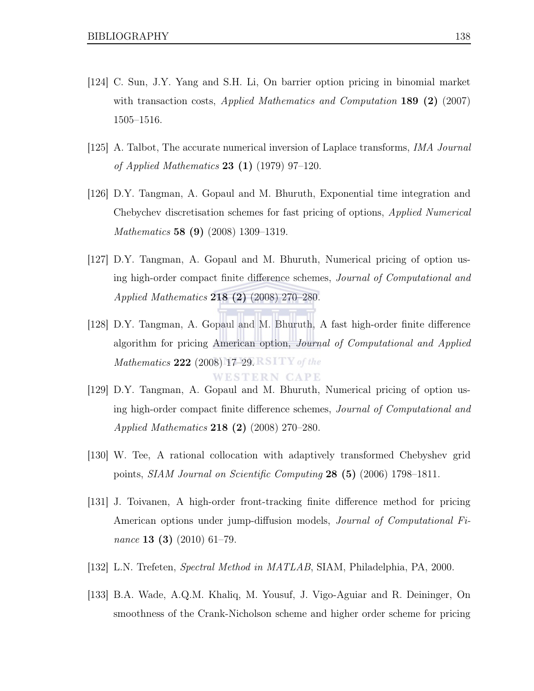- [124] C. Sun, J.Y. Yang and S.H. Li, On barrier option pricing in binomial market with transaction costs, *Applied Mathematics and Computation* 189 (2) (2007) 1505–1516.
- [125] A. Talbot, The accurate numerical inversion of Laplace transforms, *IMA Journal of Applied Mathematics* 23 (1) (1979) 97–120.
- [126] D.Y. Tangman, A. Gopaul and M. Bhuruth, Exponential time integration and Chebychev discretisation schemes for fast pricing of options, *Applied Numerical Mathematics* 58 (9) (2008) 1309–1319.
- [127] D.Y. Tangman, A. Gopaul and M. Bhuruth, Numerical pricing of option using high-order compact finite difference schemes, *Journal of Computational and Applied Mathematics* 218 (2) (2008) 270–280.
- [128] D.Y. Tangman, A. Gopaul and M. Bhuruth, A fast high-order finite difference algorithm for pricing American option, *Journal of Computational and Applied Mathematics* 222 (2008) 17–29. WESTERN CAPE
- [129] D.Y. Tangman, A. Gopaul and M. Bhuruth, Numerical pricing of option using high-order compact finite difference schemes, *Journal of Computational and Applied Mathematics* 218 (2) (2008) 270–280.
- [130] W. Tee, A rational collocation with adaptively transformed Chebyshev grid points, *SIAM Journal on Scientific Computing* 28 (5) (2006) 1798–1811.
- [131] J. Toivanen, A high-order front-tracking finite difference method for pricing American options under jump-diffusion models, *Journal of Computational Finance* 13 (3) (2010) 61–79.
- [132] L.N. Trefeten, *Spectral Method in MATLAB*, SIAM, Philadelphia, PA, 2000.
- [133] B.A. Wade, A.Q.M. Khaliq, M. Yousuf, J. Vigo-Aguiar and R. Deininger, On smoothness of the Crank-Nicholson scheme and higher order scheme for pricing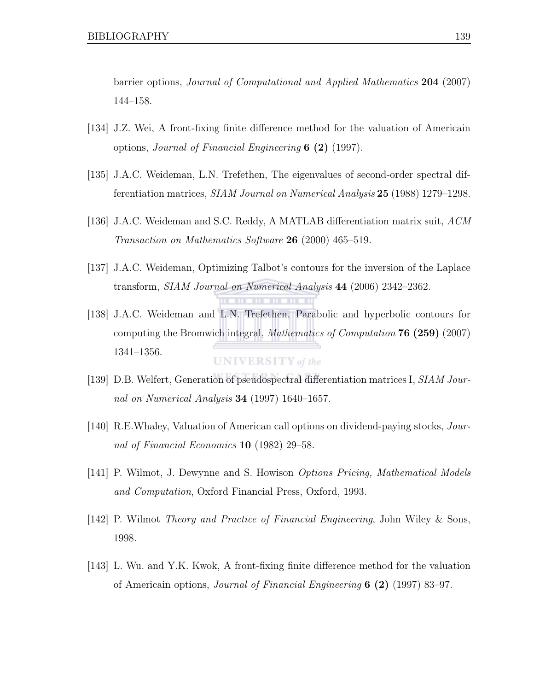barrier options, *Journal of Computational and Applied Mathematics* 204 (2007) 144–158.

- [134] J.Z. Wei, A front-fixing finite difference method for the valuation of Americain options, *Journal of Financial Engineering* 6 (2) (1997).
- [135] J.A.C. Weideman, L.N. Trefethen, The eigenvalues of second-order spectral differentiation matrices, *SIAM Journal on Numerical Analysis* 25 (1988) 1279–1298.
- [136] J.A.C. Weideman and S.C. Reddy, A MATLAB differentiation matrix suit, *ACM Transaction on Mathematics Software* 26 (2000) 465–519.
- [137] J.A.C. Weideman, Optimizing Talbot's contours for the inversion of the Laplace transform, *SIAM Journal on Numerical Analysis* 44 (2006) 2342–2362.
- [138] J.A.C. Weideman and L.N. Trefethen, Parabolic and hyperbolic contours for computing the Bromwich integral, *Mathematics of Computation* 76 (259) (2007) 1341–1356. **UNIVERSITY** of the
- [139] D.B. Welfert, Generation of pseudospectral differentiation matrices I, *SIAM Journal on Numerical Analysis* 34 (1997) 1640–1657.
- [140] R.E.Whaley, Valuation of American call options on dividend-paying stocks, *Journal of Financial Economics* 10 (1982) 29–58.
- [141] P. Wilmot, J. Dewynne and S. Howison *Options Pricing, Mathematical Models and Computation*, Oxford Financial Press, Oxford, 1993.
- [142] P. Wilmot *Theory and Practice of Financial Engineering*, John Wiley & Sons, 1998.
- [143] L. Wu. and Y.K. Kwok, A front-fixing finite difference method for the valuation of Americain options, *Journal of Financial Engineering* 6 (2) (1997) 83–97.